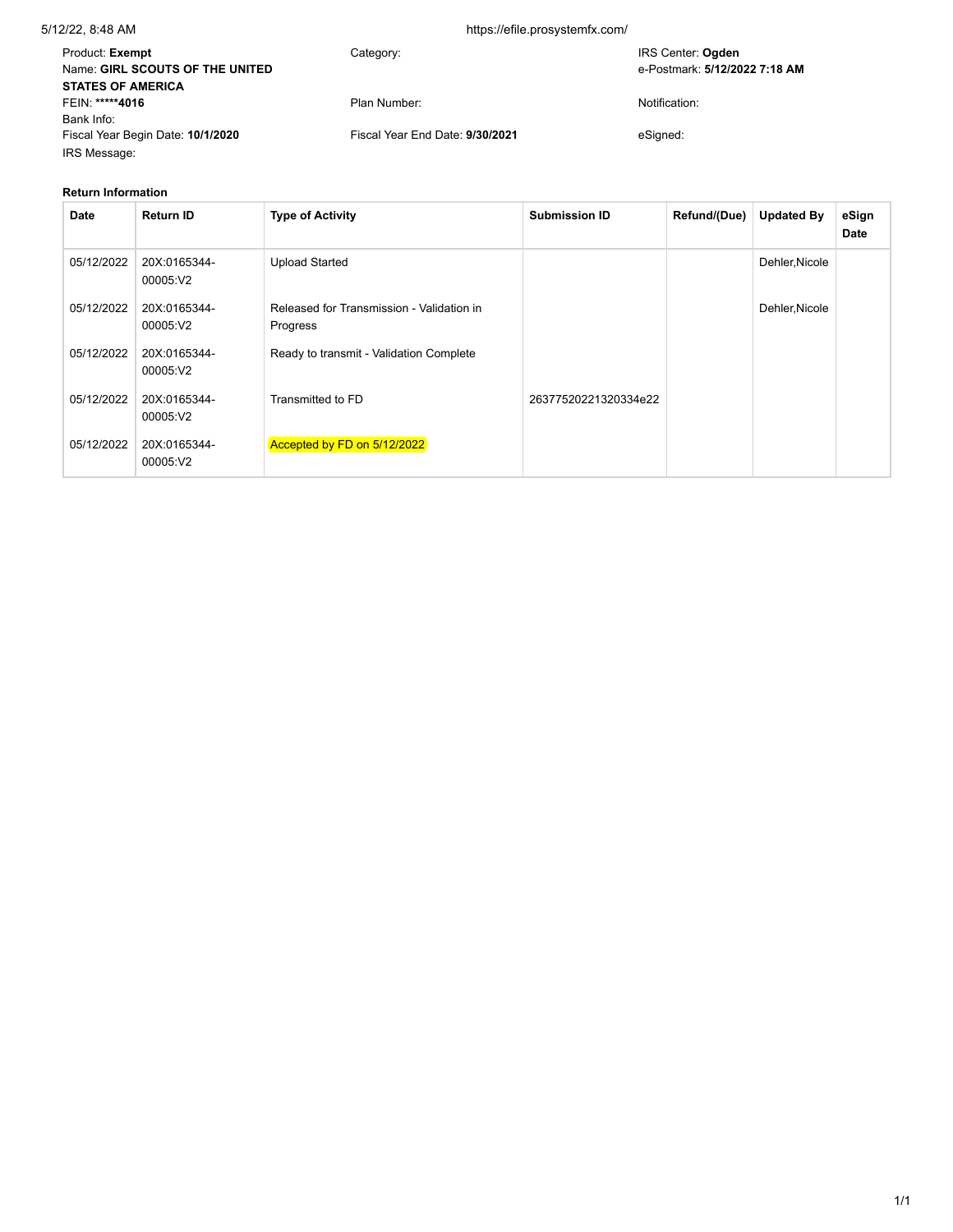## 5/12/22, 8:48 AM https://efile.prosystemfx.com/

| Product: Exempt<br>Name: GIRL SCOUTS OF THE UNITED | Category:                       | IRS Center: Ogden<br>e-Postmark: 5/12/2022 7:18 AM |
|----------------------------------------------------|---------------------------------|----------------------------------------------------|
| <b>STATES OF AMERICA</b>                           |                                 |                                                    |
| FEIN: *****4016                                    | Plan Number:                    | Notification:                                      |
| Bank Info:                                         |                                 |                                                    |
| Fiscal Year Begin Date: 10/1/2020                  | Fiscal Year End Date: 9/30/2021 | eSianed:                                           |
| IRS Message:                                       |                                 |                                                    |

### **Return Information**

| <b>Date</b> | <b>Return ID</b>         | <b>Type of Activity</b>                               | <b>Submission ID</b> | Refund/(Due) | <b>Updated By</b> | eSign<br><b>Date</b> |
|-------------|--------------------------|-------------------------------------------------------|----------------------|--------------|-------------------|----------------------|
| 05/12/2022  | 20X:0165344-<br>00005:V2 | <b>Upload Started</b>                                 |                      |              | Dehler, Nicole    |                      |
| 05/12/2022  | 20X:0165344-<br>00005:V2 | Released for Transmission - Validation in<br>Progress |                      |              | Dehler, Nicole    |                      |
| 05/12/2022  | 20X:0165344-<br>00005:V2 | Ready to transmit - Validation Complete               |                      |              |                   |                      |
| 05/12/2022  | 20X:0165344-<br>00005:V2 | Transmitted to FD                                     | 26377520221320334e22 |              |                   |                      |
| 05/12/2022  | 20X:0165344-<br>00005:V2 | Accepted by FD on 5/12/2022                           |                      |              |                   |                      |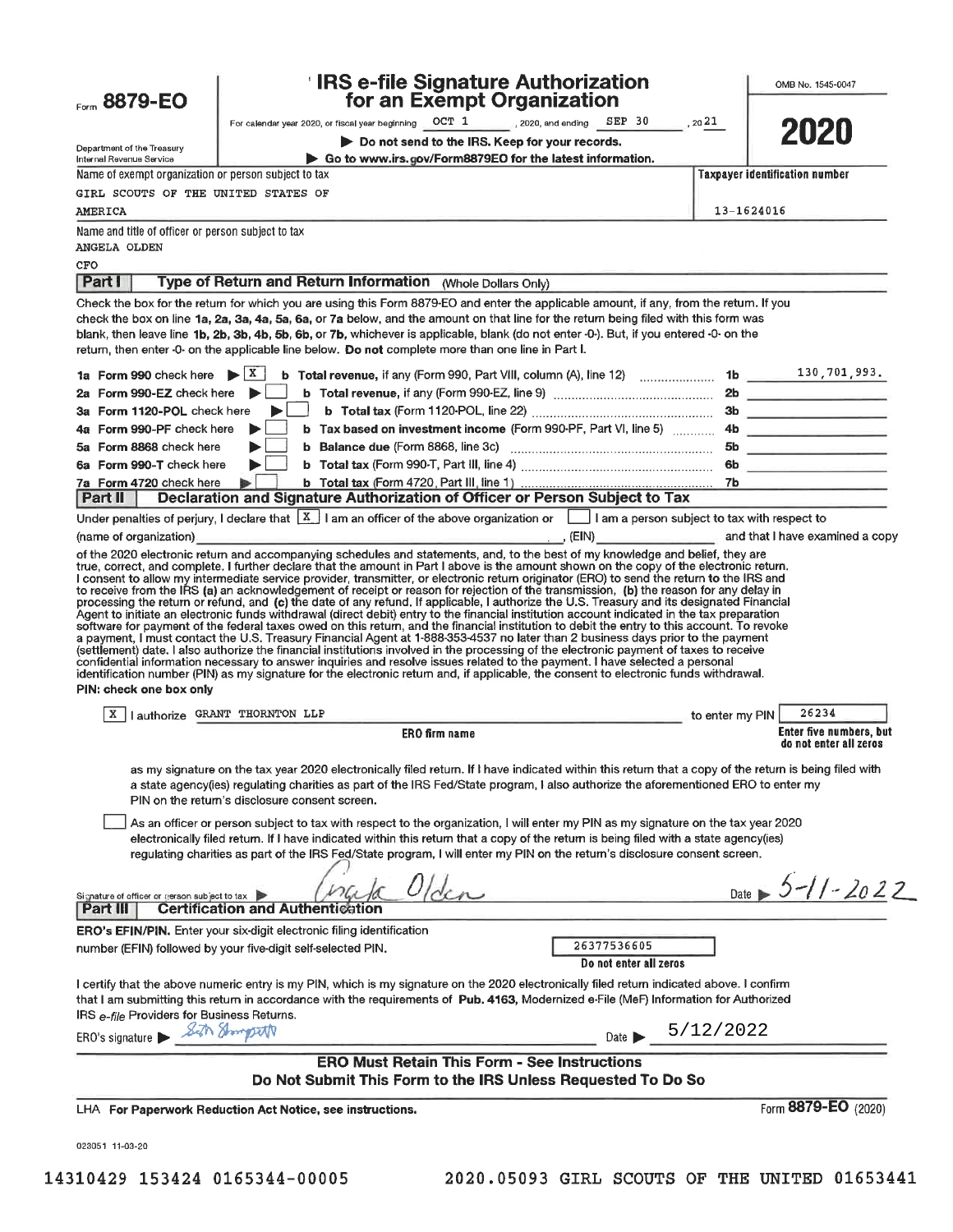| Form 8879-EO                                                       | <b>IRS e-file Signature Authorization</b><br>for an Exempt Organization                                                                                                                                                                                                                                                                                                                                                                                                                                                                                                                                                                                                                                                                                                                                                                           |            | OMB No. 1545-0047                     |
|--------------------------------------------------------------------|---------------------------------------------------------------------------------------------------------------------------------------------------------------------------------------------------------------------------------------------------------------------------------------------------------------------------------------------------------------------------------------------------------------------------------------------------------------------------------------------------------------------------------------------------------------------------------------------------------------------------------------------------------------------------------------------------------------------------------------------------------------------------------------------------------------------------------------------------|------------|---------------------------------------|
|                                                                    | For calendar year 2020, or fiscal year beginning OCT 1 2020, and ending SEP 30                                                                                                                                                                                                                                                                                                                                                                                                                                                                                                                                                                                                                                                                                                                                                                    | , 2021     |                                       |
|                                                                    | Do not send to the IRS. Keep for your records.                                                                                                                                                                                                                                                                                                                                                                                                                                                                                                                                                                                                                                                                                                                                                                                                    |            | 2020                                  |
| Department of the Treasury<br>Internal Revenue Service             | Go to www.irs.gov/Form8879EO for the latest information.                                                                                                                                                                                                                                                                                                                                                                                                                                                                                                                                                                                                                                                                                                                                                                                          |            |                                       |
| Name of exempt organization or person subject to tax               |                                                                                                                                                                                                                                                                                                                                                                                                                                                                                                                                                                                                                                                                                                                                                                                                                                                   |            | <b>Taxpayer identification number</b> |
| GIRL SCOUTS OF THE UNITED STATES OF                                |                                                                                                                                                                                                                                                                                                                                                                                                                                                                                                                                                                                                                                                                                                                                                                                                                                                   |            |                                       |
| AMERICA                                                            |                                                                                                                                                                                                                                                                                                                                                                                                                                                                                                                                                                                                                                                                                                                                                                                                                                                   | 13-1624016 |                                       |
| Name and title of officer or person subject to tax<br>ANGELA OLDEN |                                                                                                                                                                                                                                                                                                                                                                                                                                                                                                                                                                                                                                                                                                                                                                                                                                                   |            |                                       |
| CFO                                                                |                                                                                                                                                                                                                                                                                                                                                                                                                                                                                                                                                                                                                                                                                                                                                                                                                                                   |            |                                       |
| <b>Part I</b>                                                      | Type of Return and Return Information (Whole Dollars Only)                                                                                                                                                                                                                                                                                                                                                                                                                                                                                                                                                                                                                                                                                                                                                                                        |            |                                       |
|                                                                    | Check the box for the return for which you are using this Form 8879-EO and enter the applicable amount, if any, from the return. If you<br>check the box on line 1a, 2a, 3a, 4a, 5a, 6a, or 7a below, and the amount on that line for the return being filed with this form was<br>blank, then leave line 1b, 2b, 3b, 4b, 5b, 6b, or 7b, whichever is applicable, blank (do not enter -0-). But, if you entered -0- on the<br>return, then enter -0- on the applicable line below. Do not complete more than one line in Part I.                                                                                                                                                                                                                                                                                                                  |            |                                       |
|                                                                    |                                                                                                                                                                                                                                                                                                                                                                                                                                                                                                                                                                                                                                                                                                                                                                                                                                                   |            |                                       |
| Form 990-EZ check here $\blacktriangleright$                       |                                                                                                                                                                                                                                                                                                                                                                                                                                                                                                                                                                                                                                                                                                                                                                                                                                                   |            |                                       |
| Form 1120-POL check here                                           |                                                                                                                                                                                                                                                                                                                                                                                                                                                                                                                                                                                                                                                                                                                                                                                                                                                   |            |                                       |
| 4a Form 990-PF check here                                          | b Tax based on investment income (Form 990-PF, Part VI, line 5)  4b                                                                                                                                                                                                                                                                                                                                                                                                                                                                                                                                                                                                                                                                                                                                                                               |            |                                       |
| 5a Form 8868 check here<br>6a Form 990-T check here                |                                                                                                                                                                                                                                                                                                                                                                                                                                                                                                                                                                                                                                                                                                                                                                                                                                                   |            |                                       |
| 7a Form 4720 check here                                            |                                                                                                                                                                                                                                                                                                                                                                                                                                                                                                                                                                                                                                                                                                                                                                                                                                                   |            |                                       |
| Part II                                                            | Declaration and Signature Authorization of Officer or Person Subject to Tax                                                                                                                                                                                                                                                                                                                                                                                                                                                                                                                                                                                                                                                                                                                                                                       |            |                                       |
|                                                                    | Under penalties of perjury, I declare that $\lfloor \frac{X}{2} \rfloor$ I am an officer of the above organization or $\lfloor \frac{1}{2} \rfloor$ I am a person subject to tax with respect to                                                                                                                                                                                                                                                                                                                                                                                                                                                                                                                                                                                                                                                  |            |                                       |
| (name of organization)                                             |                                                                                                                                                                                                                                                                                                                                                                                                                                                                                                                                                                                                                                                                                                                                                                                                                                                   |            |                                       |
| PIN: check one box only                                            | Agent to initiate an electronic funds withdrawal (direct debit) entry to the financial institution account indicated in the tax preparation<br>software for payment of the federal taxes owed on this return, and the financial institution to debit the entry to this account. To revoke<br>a payment, I must contact the U.S. Treasury Financial Agent at 1-888-353-4537 no later than 2 business days prior to the payment<br>(settlement) date. I also authorize the financial institutions involved in the processing of the electronic payment of taxes to receive<br>confidential information necessary to answer inquiries and resolve issues related to the payment. I have selected a personal<br>identification number (PIN) as my signature for the electronic return and, if applicable, the consent to electronic funds withdrawal. |            |                                       |
|                                                                    |                                                                                                                                                                                                                                                                                                                                                                                                                                                                                                                                                                                                                                                                                                                                                                                                                                                   |            | 26234                                 |
|                                                                    | I authorize GRANT THORNTON LLP<br>and to enter my PIN<br><b>ERO firm name</b>                                                                                                                                                                                                                                                                                                                                                                                                                                                                                                                                                                                                                                                                                                                                                                     |            | <b>Enter five numbers, but</b>        |
|                                                                    |                                                                                                                                                                                                                                                                                                                                                                                                                                                                                                                                                                                                                                                                                                                                                                                                                                                   |            | do not enter all zeros                |
|                                                                    | as my signature on the tax year 2020 electronically filed return. If I have indicated within this return that a copy of the return is being filed with<br>a state agency(ies) regulating charities as part of the IRS Fed/State program, I also authorize the aforementioned ERO to enter my<br>PIN on the return's disclosure consent screen.<br>As an officer or person subject to tax with respect to the organization, I will enter my PIN as my signature on the tax year 2020                                                                                                                                                                                                                                                                                                                                                               |            |                                       |
|                                                                    | electronically filed return. If I have indicated within this return that a copy of the return is being filed with a state agency(ies)<br>regulating charities as part of the IRS Fed/State program, I will enter my PIN on the return's disclosure consent screen.                                                                                                                                                                                                                                                                                                                                                                                                                                                                                                                                                                                |            |                                       |
| Signature of officer or person subject to tax<br>Part III          | <b>Certification and Authentication</b>                                                                                                                                                                                                                                                                                                                                                                                                                                                                                                                                                                                                                                                                                                                                                                                                           |            | Date $5 - 11 - 2022$                  |
|                                                                    | ERO's EFIN/PIN. Enter your six-digit electronic filing identification                                                                                                                                                                                                                                                                                                                                                                                                                                                                                                                                                                                                                                                                                                                                                                             |            |                                       |
|                                                                    | 26377536605<br>number (EFIN) followed by your five-digit self-selected PIN.<br>Do not enter all zeros                                                                                                                                                                                                                                                                                                                                                                                                                                                                                                                                                                                                                                                                                                                                             |            |                                       |
| IRS e-file Providers for Business Returns.                         | I certify that the above numeric entry is my PIN, which is my signature on the 2020 electronically filed return indicated above. I confirm<br>that I am submitting this return in accordance with the requirements of Pub. 4163, Modernized e-File (MeF) Information for Authorized                                                                                                                                                                                                                                                                                                                                                                                                                                                                                                                                                               |            |                                       |
| ERO's signature > Seth Shampton                                    | Date 5/12/2022                                                                                                                                                                                                                                                                                                                                                                                                                                                                                                                                                                                                                                                                                                                                                                                                                                    |            |                                       |
|                                                                    | <b>ERO Must Retain This Form - See Instructions</b><br>Do Not Submit This Form to the IRS Unless Requested To Do So                                                                                                                                                                                                                                                                                                                                                                                                                                                                                                                                                                                                                                                                                                                               |            |                                       |
|                                                                    | LHA For Paperwork Reduction Act Notice, see instructions.                                                                                                                                                                                                                                                                                                                                                                                                                                                                                                                                                                                                                                                                                                                                                                                         |            | Form 8879-EO (2020)                   |
| 023051 11-03-20                                                    |                                                                                                                                                                                                                                                                                                                                                                                                                                                                                                                                                                                                                                                                                                                                                                                                                                                   |            |                                       |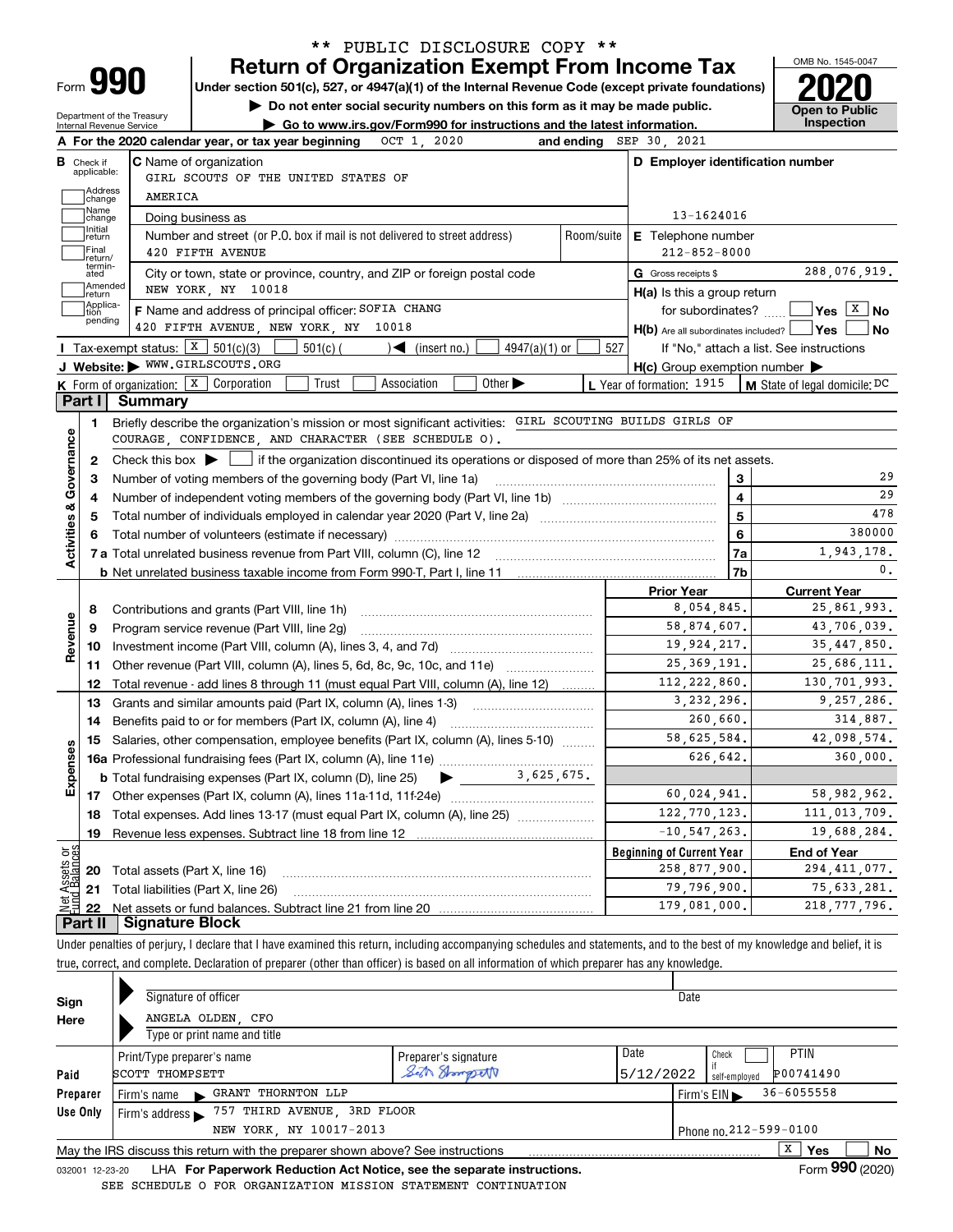| Form |  |  |
|------|--|--|

# **Return of Organization Exempt From Income Tax** \*\* PUBLIC DISCLOSURE COPY \*\*

**Under section 501(c), 527, or 4947(a)(1) of the Internal Revenue Code (except private foundations) 2020**

**| Do not enter social security numbers on this form as it may be made public.**

Department of the Treasury Internal Revenue Service

|  |  | Go to www.irs.gov/Form990 for instructions and the latest information. |                |  | <b>OPEIL TO LAD</b><br>Inspection |
|--|--|------------------------------------------------------------------------|----------------|--|-----------------------------------|
|  |  |                                                                        | $\blacksquare$ |  |                                   |

|                         |                         | OCT 1, 2020<br>A For the 2020 calendar year, or tax year beginning                                                                                                |            | and ending SEP 30, 2021                             |                                          |
|-------------------------|-------------------------|-------------------------------------------------------------------------------------------------------------------------------------------------------------------|------------|-----------------------------------------------------|------------------------------------------|
| в                       | Check if<br>applicable: | <b>C</b> Name of organization<br>GIRL SCOUTS OF THE UNITED STATES OF                                                                                              |            | D Employer identification number                    |                                          |
|                         | Address<br>change       | AMERICA                                                                                                                                                           |            |                                                     |                                          |
|                         | Name<br>change          | Doing business as                                                                                                                                                 |            | 13-1624016                                          |                                          |
|                         | Initial<br>return       | Number and street (or P.O. box if mail is not delivered to street address)                                                                                        | Room/suite | <b>E</b> Telephone number                           |                                          |
|                         | Final<br>return/        | 420 FIFTH AVENUE                                                                                                                                                  |            | $212 - 852 - 8000$                                  |                                          |
|                         | termin-<br>ated         | City or town, state or province, country, and ZIP or foreign postal code                                                                                          |            | G Gross receipts \$                                 | 288,076,919.                             |
|                         | Amended<br>return       | NEW YORK, NY 10018                                                                                                                                                |            | $H(a)$ is this a group return                       |                                          |
|                         | Applica-<br>tion        | F Name and address of principal officer: SOFIA CHANG                                                                                                              |            | for subordinates? [                                 | $\sqrt{}$ Yes $\sqrt{X}$ No              |
|                         | pending                 | 420 FIFTH AVENUE, NEW YORK, NY 10018                                                                                                                              |            | $H(b)$ Are all subordinates included? $\Box$ Yes    | No                                       |
|                         |                         | <b>I</b> Tax-exempt status: $\boxed{\text{X}}$ 501(c)(3)<br>$501(c)$ (<br>$4947(a)(1)$ or<br>$\blacktriangleleft$ (insert no.)                                    | 527        |                                                     | If "No," attach a list. See instructions |
|                         |                         | J Website: WWW.GIRLSCOUTS.ORG                                                                                                                                     |            | $H(c)$ Group exemption number $\blacktriangleright$ |                                          |
|                         |                         | <b>K</b> Form of organization: $\boxed{\textbf{X}}$ Corporation<br>Trust<br>Other $\blacktriangleright$<br>Association                                            |            | <b>L</b> Year of formation: $1915$                  | <b>M</b> State of legal domicile: $DC$   |
|                         | Part I                  | Summary                                                                                                                                                           |            |                                                     |                                          |
| Activities & Governance | 1                       | Briefly describe the organization's mission or most significant activities: GIRL SCOUTING BUILDS GIRLS OF<br>COURAGE, CONFIDENCE, AND CHARACTER (SEE SCHEDULE O). |            |                                                     |                                          |
|                         | $\mathbf{2}$            | Check this box $\blacktriangleright$ $\blacksquare$ if the organization discontinued its operations or disposed of more than 25% of its net assets.               |            |                                                     |                                          |
|                         | З                       | Number of voting members of the governing body (Part VI, line 1a)                                                                                                 |            | 3                                                   | 29                                       |
|                         | 4                       |                                                                                                                                                                   |            | $\overline{\mathbf{4}}$                             | 29                                       |
|                         | 5                       |                                                                                                                                                                   |            | 5                                                   | 478                                      |
|                         |                         |                                                                                                                                                                   |            | 6                                                   | 380000                                   |
|                         |                         |                                                                                                                                                                   |            | 7a                                                  | 1,943,178.                               |
|                         |                         |                                                                                                                                                                   |            | 7b                                                  | $\mathbf{0}$ .                           |
|                         |                         |                                                                                                                                                                   |            | <b>Prior Year</b>                                   | <b>Current Year</b>                      |
|                         | 8                       | Contributions and grants (Part VIII, line 1h)                                                                                                                     |            | 8,054,845.                                          | 25,861,993.                              |
| Revenue                 | 9                       | Program service revenue (Part VIII, line 2g)                                                                                                                      |            | 58,874,607.                                         | 43,706,039.                              |
|                         | 10                      |                                                                                                                                                                   |            | 19,924,217.                                         | 35, 447, 850.                            |
|                         | 11                      | Other revenue (Part VIII, column (A), lines 5, 6d, 8c, 9c, 10c, and 11e)                                                                                          |            | 25, 369, 191.                                       | 25,686,111.                              |
|                         | 12                      | Total revenue - add lines 8 through 11 (must equal Part VIII, column (A), line 12)                                                                                |            | 112, 222, 860.                                      | 130,701,993.                             |
|                         | 13                      | Grants and similar amounts paid (Part IX, column (A), lines 1-3)                                                                                                  |            | 3, 232, 296.                                        | 9,257,286.                               |
|                         | 14                      |                                                                                                                                                                   |            | 260,660.                                            | 314,887.                                 |
|                         | 15                      | Salaries, other compensation, employee benefits (Part IX, column (A), lines 5-10)                                                                                 |            | 58,625,584.                                         | 42,098,574.                              |
| Expenses                |                         |                                                                                                                                                                   |            | 626,642.                                            | 360,000.                                 |
|                         |                         | 3,625,675.<br><b>b</b> Total fundraising expenses (Part IX, column (D), line 25)<br>$\blacktriangleright$ $\_\_$                                                  |            |                                                     |                                          |
|                         |                         |                                                                                                                                                                   |            | 60,024,941.                                         | 58,982,962.                              |
|                         | 18                      | Total expenses. Add lines 13-17 (must equal Part IX, column (A), line 25)                                                                                         |            | 122, 770, 123.                                      | 111,013,709.                             |
|                         | 19                      |                                                                                                                                                                   |            | $-10, 547, 263$ .                                   | 19,688,284.                              |
| ಕ್ಷ                     |                         |                                                                                                                                                                   |            | <b>Beginning of Current Year</b>                    | <b>End of Year</b>                       |
| <b>Assets</b><br>Ralan  |                         | 20 Total assets (Part X, line 16)                                                                                                                                 |            | 258,877,900.                                        | 294, 411, 077.                           |
|                         |                         | 21 Total liabilities (Part X, line 26)                                                                                                                            |            | 79,796,900.                                         | 75, 633, 281.                            |
|                         | 22                      |                                                                                                                                                                   |            | 179,081,000.                                        | 218, 777, 796.                           |
|                         |                         | <b>Part II   Signature Block</b>                                                                                                                                  |            |                                                     |                                          |

Under penalties of perjury, I declare that I have examined this return, including accompanying schedules and statements, and to the best of my knowledge and belief, it is true, correct, and complete. Declaration of preparer (other than officer) is based on all information of which preparer has any knowledge.

| Sign            | Signature of officer                                                            |                      |                        | Date            |                 |    |
|-----------------|---------------------------------------------------------------------------------|----------------------|------------------------|-----------------|-----------------|----|
| Here            | ANGELA OLDEN, CFO                                                               |                      |                        |                 |                 |    |
|                 | Type or print name and title                                                    |                      |                        |                 |                 |    |
|                 | Print/Type preparer's name                                                      | Preparer's signature | Date                   | Check           | <b>PTIN</b>     |    |
| Paid            | SCOTT THOMPSETT                                                                 | Seth Shompsett       | 5/12/2022              | self-emploved   | P00741490       |    |
| Preparer        | <b>GRANT THORNTON LLP</b><br>Firm's name                                        |                      |                        | Firm's $EIN$    | $36 - 6055558$  |    |
| Use Only        | 757 THIRD AVENUE, 3RD FLOOR<br>Firm's address $\blacktriangleright$             |                      |                        |                 |                 |    |
|                 | NEW YORK, NY 10017-2013                                                         |                      | Phone no. 212-599-0100 |                 |                 |    |
|                 | May the IRS discuss this return with the preparer shown above? See instructions |                      |                        |                 | X<br><b>Yes</b> | No |
| 032001 12-23-20 | LHA For Paperwork Reduction Act Notice, see the separate instructions.          |                      |                        | Form 990 (2020) |                 |    |

SEE SCHEDULE O FOR ORGANIZATION MISSION STATEMENT CONTINUATION

OMB No. 1545-0047

**Open to Public**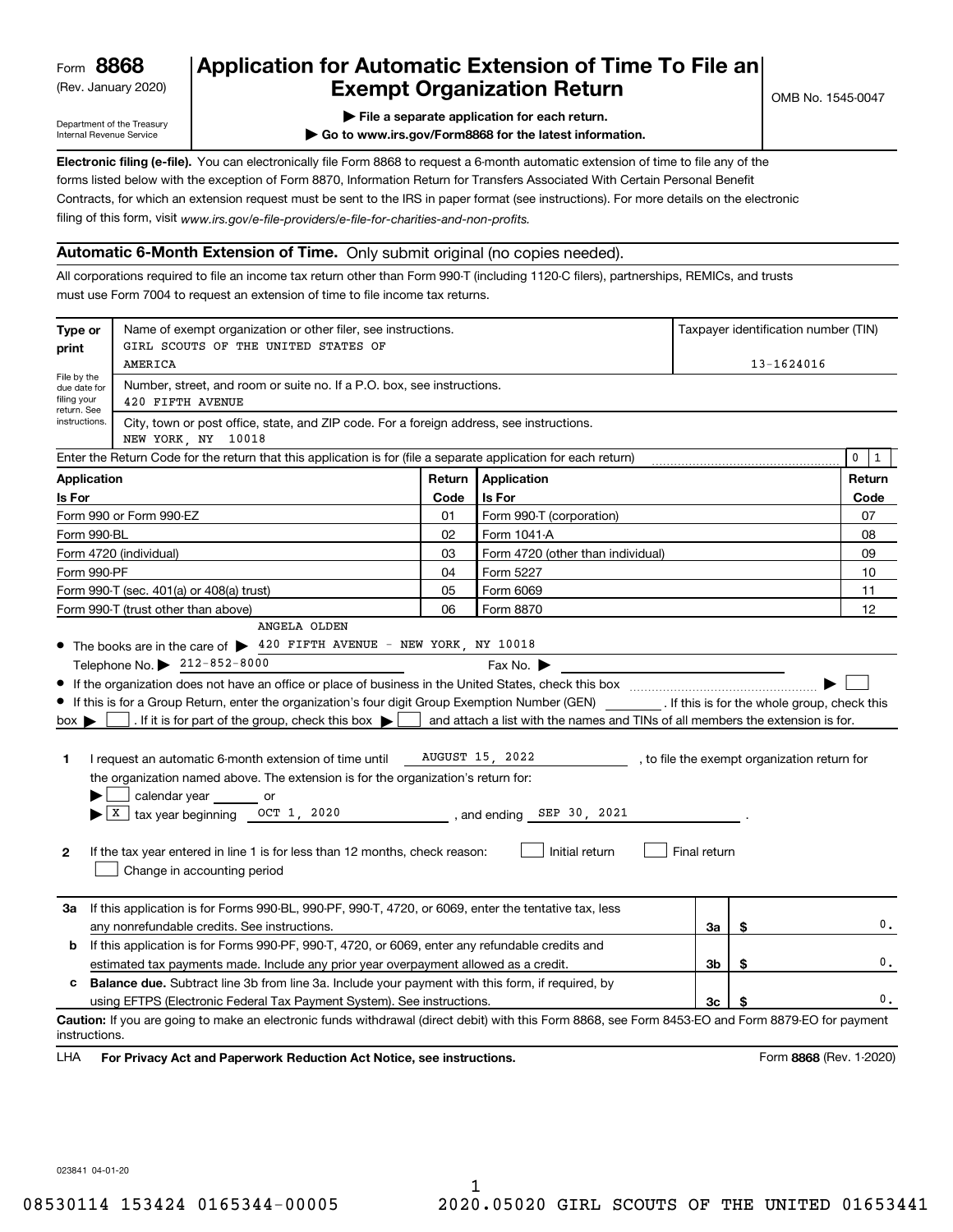(Rev. January 2020)

# **Application for Automatic Extension of Time To File an Exempt Organization Return**

Department of the Treasury Internal Revenue Service

**| File a separate application for each return.**

**| Go to www.irs.gov/Form8868 for the latest information.**

**Electronic filing (e-file).**  You can electronically file Form 8868 to request a 6-month automatic extension of time to file any of the filing of this form, visit www.irs.gov/e-file-providers/e-file-for-charities-and-non-profits. forms listed below with the exception of Form 8870, Information Return for Transfers Associated With Certain Personal Benefit Contracts, for which an extension request must be sent to the IRS in paper format (see instructions). For more details on the electronic

#### **Automatic 6-Month Extension of Time.** Only submit original (no copies needed).

All corporations required to file an income tax return other than Form 990-T (including 1120-C filers), partnerships, REMICs, and trusts must use Form 7004 to request an extension of time to file income tax returns.

| Type or<br>print                                          | Name of exempt organization or other filer, see instructions.<br>GIRL SCOUTS OF THE UNITED STATES OF                                                    |        |                                                                                |              |    | Taxpayer identification number (TIN)         |
|-----------------------------------------------------------|---------------------------------------------------------------------------------------------------------------------------------------------------------|--------|--------------------------------------------------------------------------------|--------------|----|----------------------------------------------|
|                                                           | AMERICA                                                                                                                                                 |        |                                                                                |              |    | 13-1624016                                   |
| File by the<br>due date for<br>filing your<br>return. See | Number, street, and room or suite no. If a P.O. box, see instructions.<br>420 FIFTH AVENUE                                                              |        |                                                                                |              |    |                                              |
| instructions.                                             | City, town or post office, state, and ZIP code. For a foreign address, see instructions.<br>NEW YORK, NY 10018                                          |        |                                                                                |              |    |                                              |
|                                                           | Enter the Return Code for the return that this application is for (file a separate application for each return)                                         |        |                                                                                |              |    | $\mathbf 0$<br>1                             |
| <b>Application</b>                                        |                                                                                                                                                         | Return | Application                                                                    |              |    | Return                                       |
| Is For                                                    |                                                                                                                                                         | Code   | Is For                                                                         |              |    | Code                                         |
|                                                           | Form 990 or Form 990-EZ                                                                                                                                 | 01     | Form 990-T (corporation)                                                       |              |    | 07                                           |
| Form 990-BL                                               |                                                                                                                                                         | 02     | Form 1041-A                                                                    |              |    | 08                                           |
|                                                           | Form 4720 (individual)                                                                                                                                  | 03     | Form 4720 (other than individual)                                              |              |    | 09                                           |
| Form 990-PF                                               |                                                                                                                                                         | 04     | Form 5227                                                                      |              |    | 10                                           |
|                                                           | Form 990-T (sec. 401(a) or 408(a) trust)                                                                                                                | 05     | Form 6069                                                                      |              |    | 11                                           |
|                                                           | Form 990-T (trust other than above)                                                                                                                     | 06     | Form 8870                                                                      |              |    | 12                                           |
|                                                           | ANGELA OLDEN                                                                                                                                            |        |                                                                                |              |    |                                              |
|                                                           | • The books are in the care of > 420 FIFTH AVENUE - NEW YORK, NY 10018                                                                                  |        |                                                                                |              |    |                                              |
|                                                           | Telephone No. 212-852-8000                                                                                                                              |        | Fax No. $\blacktriangleright$                                                  |              |    |                                              |
|                                                           |                                                                                                                                                         |        |                                                                                |              |    |                                              |
|                                                           | • If this is for a Group Return, enter the organization's four digit Group Exemption Number (GEN) _________. If this is for the whole group, check this |        |                                                                                |              |    |                                              |
| $box \blacktriangleright$                                 | . If it is for part of the group, check this box $\blacktriangleright$                                                                                  |        | and attach a list with the names and TINs of all members the extension is for. |              |    |                                              |
|                                                           |                                                                                                                                                         |        |                                                                                |              |    |                                              |
| 1.                                                        | I request an automatic 6-month extension of time until                                                                                                  |        | AUGUST 15, 2022                                                                |              |    | , to file the exempt organization return for |
|                                                           | the organization named above. The extension is for the organization's return for:                                                                       |        |                                                                                |              |    |                                              |
|                                                           | calendar year or                                                                                                                                        |        |                                                                                |              |    |                                              |
|                                                           | $\blacktriangleright$ $\lfloor x \rfloor$ tax year beginning OCT 1, 2020                                                                                |        | $,$ and ending $SEP$ 30, 2021                                                  |              |    |                                              |
|                                                           |                                                                                                                                                         |        |                                                                                |              |    |                                              |
| $\mathbf{2}$                                              | If the tax year entered in line 1 is for less than 12 months, check reason:                                                                             |        | Initial return                                                                 | Final return |    |                                              |
|                                                           | Change in accounting period                                                                                                                             |        |                                                                                |              |    |                                              |
|                                                           |                                                                                                                                                         |        |                                                                                |              |    |                                              |
| За                                                        | If this application is for Forms 990-BL, 990-PF, 990-T, 4720, or 6069, enter the tentative tax, less                                                    |        |                                                                                |              |    |                                              |
|                                                           | any nonrefundable credits. See instructions.                                                                                                            |        |                                                                                | За           | \$ | 0.                                           |
| b                                                         | If this application is for Forms 990-PF, 990-T, 4720, or 6069, enter any refundable credits and                                                         |        |                                                                                |              |    |                                              |
|                                                           | estimated tax payments made. Include any prior year overpayment allowed as a credit.                                                                    |        |                                                                                | 3b           | \$ | 0.                                           |
| c                                                         | <b>Balance due.</b> Subtract line 3b from line 3a. Include your payment with this form, if required, by                                                 |        |                                                                                |              |    |                                              |
|                                                           | using EFTPS (Electronic Federal Tax Payment System). See instructions.                                                                                  |        |                                                                                | 3c           | \$ | 0.                                           |
| instructions.                                             | Caution: If you are going to make an electronic funds withdrawal (direct debit) with this Form 8868, see Form 8453-EO and Form 8879-EO for payment      |        |                                                                                |              |    |                                              |
| LHA                                                       | For Privacy Act and Paperwork Reduction Act Notice, see instructions.                                                                                   |        |                                                                                |              |    | Form 8868 (Rev. 1-2020)                      |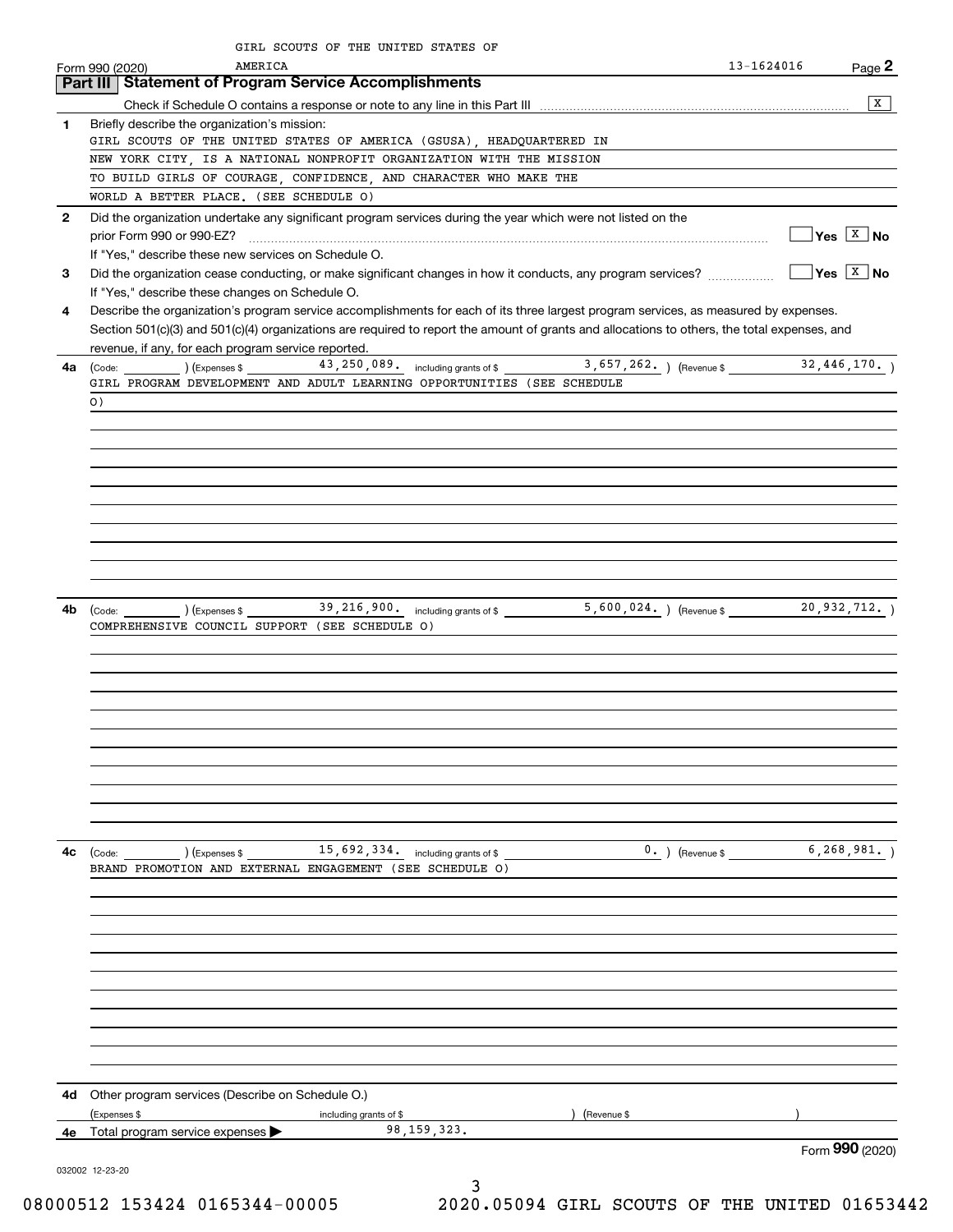|              | GIRL SCOUTS OF THE UNITED STATES OF<br>AMERICA<br>Form 990 (2020)                                                                            | 13-1624016                   | Page 2                              |
|--------------|----------------------------------------------------------------------------------------------------------------------------------------------|------------------------------|-------------------------------------|
|              | Part III   Statement of Program Service Accomplishments                                                                                      |                              |                                     |
|              |                                                                                                                                              |                              | X                                   |
| 1            | Briefly describe the organization's mission:                                                                                                 |                              |                                     |
|              | GIRL SCOUTS OF THE UNITED STATES OF AMERICA (GSUSA), HEADQUARTERED IN                                                                        |                              |                                     |
|              | NEW YORK CITY, IS A NATIONAL NONPROFIT ORGANIZATION WITH THE MISSION                                                                         |                              |                                     |
|              | TO BUILD GIRLS OF COURAGE, CONFIDENCE, AND CHARACTER WHO MAKE THE                                                                            |                              |                                     |
|              | WORLD A BETTER PLACE. (SEE SCHEDULE O)                                                                                                       |                              |                                     |
| $\mathbf{2}$ | Did the organization undertake any significant program services during the year which were not listed on the                                 |                              |                                     |
|              | prior Form 990 or 990-EZ?                                                                                                                    |                              | $\sqrt{}$ Yes $\boxed{\text{x}}$ No |
|              | If "Yes," describe these new services on Schedule O.                                                                                         |                              |                                     |
| 3            | Did the organization cease conducting, or make significant changes in how it conducts, any program services?                                 |                              | $\sqrt{}$ Yes $\sqrt{X}$ No         |
|              | If "Yes," describe these changes on Schedule O.                                                                                              |                              |                                     |
| 4            | Describe the organization's program service accomplishments for each of its three largest program services, as measured by expenses.         |                              |                                     |
|              | Section 501(c)(3) and 501(c)(4) organizations are required to report the amount of grants and allocations to others, the total expenses, and |                              |                                     |
|              | revenue, if any, for each program service reported.                                                                                          |                              |                                     |
| 4a l         | (Code: 13, 250, 089. including grants of \$2, 657, 262. ) (Revenue \$2, 446, 170. )                                                          |                              |                                     |
|              | GIRL PROGRAM DEVELOPMENT AND ADULT LEARNING OPPORTUNITIES (SEE SCHEDULE                                                                      |                              |                                     |
|              | $\circ$ )                                                                                                                                    |                              |                                     |
|              |                                                                                                                                              |                              |                                     |
|              |                                                                                                                                              |                              |                                     |
|              |                                                                                                                                              |                              |                                     |
|              |                                                                                                                                              |                              |                                     |
|              |                                                                                                                                              |                              |                                     |
|              |                                                                                                                                              |                              |                                     |
|              |                                                                                                                                              |                              |                                     |
|              |                                                                                                                                              |                              |                                     |
|              |                                                                                                                                              |                              |                                     |
|              |                                                                                                                                              |                              |                                     |
| 4b           |                                                                                                                                              |                              |                                     |
|              | COMPREHENSIVE COUNCIL SUPPORT (SEE SCHEDULE 0)                                                                                               |                              |                                     |
|              |                                                                                                                                              |                              |                                     |
|              |                                                                                                                                              |                              |                                     |
|              |                                                                                                                                              |                              |                                     |
|              |                                                                                                                                              |                              |                                     |
|              |                                                                                                                                              |                              |                                     |
|              |                                                                                                                                              |                              |                                     |
|              |                                                                                                                                              |                              |                                     |
|              |                                                                                                                                              |                              |                                     |
|              |                                                                                                                                              |                              |                                     |
|              |                                                                                                                                              |                              |                                     |
|              |                                                                                                                                              |                              |                                     |
|              |                                                                                                                                              |                              |                                     |
| 4с           | $\frac{15,692,334}{$ including grants of \$ $\frac{15,692,334}{$                                                                             | $0.$ (Revenue \$ 6,268,981.) |                                     |
|              | BRAND PROMOTION AND EXTERNAL ENGAGEMENT (SEE SCHEDULE O)                                                                                     |                              |                                     |
|              |                                                                                                                                              |                              |                                     |
|              |                                                                                                                                              |                              |                                     |
|              |                                                                                                                                              |                              |                                     |
|              |                                                                                                                                              |                              |                                     |
|              |                                                                                                                                              |                              |                                     |
|              |                                                                                                                                              |                              |                                     |
|              |                                                                                                                                              |                              |                                     |
|              |                                                                                                                                              |                              |                                     |
|              |                                                                                                                                              |                              |                                     |
|              |                                                                                                                                              |                              |                                     |
|              |                                                                                                                                              |                              |                                     |
|              | <b>4d</b> Other program services (Describe on Schedule O.)                                                                                   |                              |                                     |
|              | (Expenses \$<br>including grants of \$<br>(Revenue \$                                                                                        |                              |                                     |
|              | 98, 159, 323.<br><b>4e</b> Total program service expenses $\blacktriangleright$                                                              |                              |                                     |
|              |                                                                                                                                              |                              | Form 990 (2020)                     |
|              | 032002 12-23-20                                                                                                                              |                              |                                     |
|              | 3                                                                                                                                            |                              |                                     |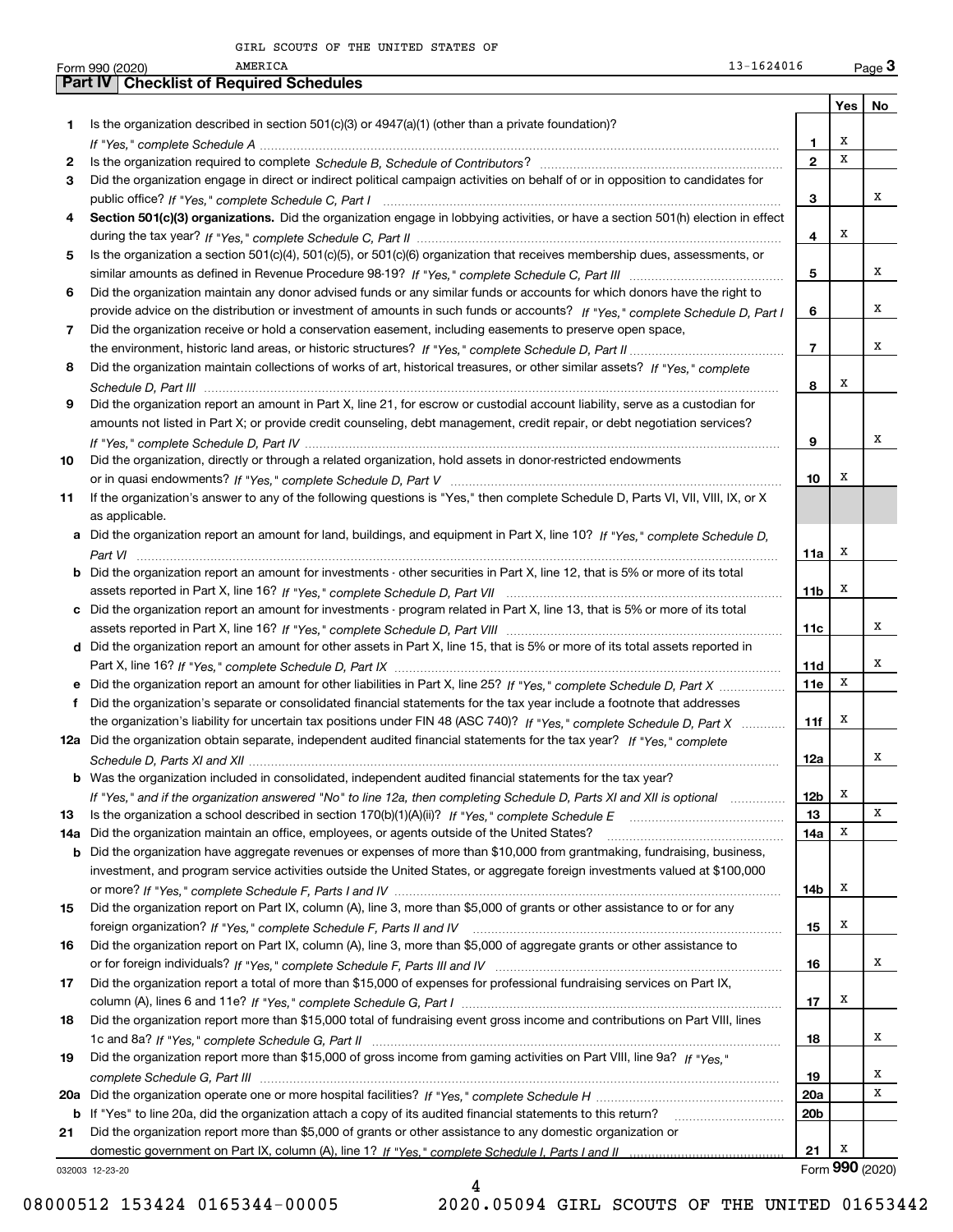|     | AMERICA<br>Form 990 (2020)                       | 13-1624016                                                                                                                            |                 |     | $Page$ 3 |
|-----|--------------------------------------------------|---------------------------------------------------------------------------------------------------------------------------------------|-----------------|-----|----------|
|     | <b>Part IV   Checklist of Required Schedules</b> |                                                                                                                                       |                 |     |          |
|     |                                                  |                                                                                                                                       |                 | Yes | No       |
| 1.  |                                                  | Is the organization described in section 501(c)(3) or 4947(a)(1) (other than a private foundation)?                                   |                 |     |          |
|     |                                                  |                                                                                                                                       | 1               | х   |          |
| 2   |                                                  |                                                                                                                                       | $\mathbf{2}$    | х   |          |
| 3   |                                                  | Did the organization engage in direct or indirect political campaign activities on behalf of or in opposition to candidates for       |                 |     |          |
|     |                                                  |                                                                                                                                       | 3               |     | х        |
| 4   |                                                  | Section 501(c)(3) organizations. Did the organization engage in lobbying activities, or have a section 501(h) election in effect      |                 |     |          |
|     |                                                  |                                                                                                                                       | 4               | х   |          |
| 5   |                                                  | Is the organization a section 501(c)(4), 501(c)(5), or 501(c)(6) organization that receives membership dues, assessments, or          |                 |     |          |
|     |                                                  |                                                                                                                                       | 5               |     | х        |
| 6   |                                                  | Did the organization maintain any donor advised funds or any similar funds or accounts for which donors have the right to             |                 |     |          |
|     |                                                  | provide advice on the distribution or investment of amounts in such funds or accounts? If "Yes," complete Schedule D, Part I          | 6               |     | х        |
| 7   |                                                  | Did the organization receive or hold a conservation easement, including easements to preserve open space,                             |                 |     |          |
|     |                                                  |                                                                                                                                       | 7               |     | х        |
| 8   |                                                  | Did the organization maintain collections of works of art, historical treasures, or other similar assets? If "Yes," complete          |                 |     |          |
|     |                                                  |                                                                                                                                       | 8               | х   |          |
| 9   |                                                  | Did the organization report an amount in Part X, line 21, for escrow or custodial account liability, serve as a custodian for         |                 |     |          |
|     |                                                  | amounts not listed in Part X; or provide credit counseling, debt management, credit repair, or debt negotiation services?             |                 |     |          |
|     |                                                  |                                                                                                                                       | 9               |     | х        |
| 10  |                                                  | Did the organization, directly or through a related organization, hold assets in donor-restricted endowments                          |                 |     |          |
|     |                                                  |                                                                                                                                       | 10              | х   |          |
| 11  |                                                  | If the organization's answer to any of the following questions is "Yes," then complete Schedule D, Parts VI, VII, VIII, IX, or X      |                 |     |          |
|     | as applicable.                                   |                                                                                                                                       |                 |     |          |
|     |                                                  | a Did the organization report an amount for land, buildings, and equipment in Part X, line 10? If "Yes," complete Schedule D,         |                 |     |          |
|     |                                                  |                                                                                                                                       | 11a             | х   |          |
|     |                                                  | <b>b</b> Did the organization report an amount for investments - other securities in Part X, line 12, that is 5% or more of its total |                 |     |          |
|     |                                                  |                                                                                                                                       | 11 <sub>b</sub> | х   |          |
|     |                                                  | c Did the organization report an amount for investments - program related in Part X, line 13, that is 5% or more of its total         |                 |     |          |
|     |                                                  |                                                                                                                                       | 11c             |     | x        |
|     |                                                  | d Did the organization report an amount for other assets in Part X, line 15, that is 5% or more of its total assets reported in       |                 |     |          |
|     |                                                  |                                                                                                                                       | 11d             |     | х        |
|     |                                                  | e Did the organization report an amount for other liabilities in Part X, line 25? If "Yes," complete Schedule D, Part X               | 11e             | х   |          |
| f   |                                                  | Did the organization's separate or consolidated financial statements for the tax year include a footnote that addresses               |                 |     |          |
|     |                                                  | the organization's liability for uncertain tax positions under FIN 48 (ASC 740)? If "Yes," complete Schedule D, Part X                | 11f             | х   |          |
|     |                                                  | 12a Did the organization obtain separate, independent audited financial statements for the tax year? If "Yes." complete               |                 |     |          |
|     |                                                  |                                                                                                                                       | 12a             |     | x        |
|     |                                                  | <b>b</b> Was the organization included in consolidated, independent audited financial statements for the tax year?                    |                 |     |          |
|     |                                                  |                                                                                                                                       | 12 <sub>b</sub> | х   |          |
|     |                                                  | If "Yes," and if the organization answered "No" to line 12a, then completing Schedule D, Parts XI and XII is optional                 | 13              |     | х        |
| 13  |                                                  |                                                                                                                                       |                 | х   |          |
| 14a |                                                  | Did the organization maintain an office, employees, or agents outside of the United States?                                           | 14a             |     |          |
|     | b                                                | Did the organization have aggregate revenues or expenses of more than \$10,000 from grantmaking, fundraising, business,               |                 |     |          |
|     |                                                  | investment, and program service activities outside the United States, or aggregate foreign investments valued at \$100,000            |                 | х   |          |
|     |                                                  |                                                                                                                                       | 14b             |     |          |
| 15  |                                                  | Did the organization report on Part IX, column (A), line 3, more than \$5,000 of grants or other assistance to or for any             |                 | Х   |          |
|     |                                                  |                                                                                                                                       | 15              |     |          |
| 16  |                                                  | Did the organization report on Part IX, column (A), line 3, more than \$5,000 of aggregate grants or other assistance to              |                 |     |          |
|     |                                                  |                                                                                                                                       | 16              |     | x        |
| 17  |                                                  | Did the organization report a total of more than \$15,000 of expenses for professional fundraising services on Part IX,               |                 |     |          |
|     |                                                  |                                                                                                                                       | 17              | х   |          |
| 18  |                                                  | Did the organization report more than \$15,000 total of fundraising event gross income and contributions on Part VIII, lines          |                 |     |          |
|     |                                                  |                                                                                                                                       | 18              |     | x        |
| 19  |                                                  | Did the organization report more than \$15,000 of gross income from gaming activities on Part VIII, line 9a? If "Yes."                |                 |     |          |
|     |                                                  |                                                                                                                                       | 19              |     | х        |
| 20a |                                                  |                                                                                                                                       | 20a             |     | х        |
| b   |                                                  |                                                                                                                                       | 20b             |     |          |
| 21  |                                                  | Did the organization report more than \$5,000 of grants or other assistance to any domestic organization or                           |                 |     |          |
|     |                                                  |                                                                                                                                       | 21              | х   |          |

032003 12-23-20

4

08000512 153424 0165344-00005 2020.05094 GIRL SCOUTS OF THE UNITED 01653442

Form (2020) **990**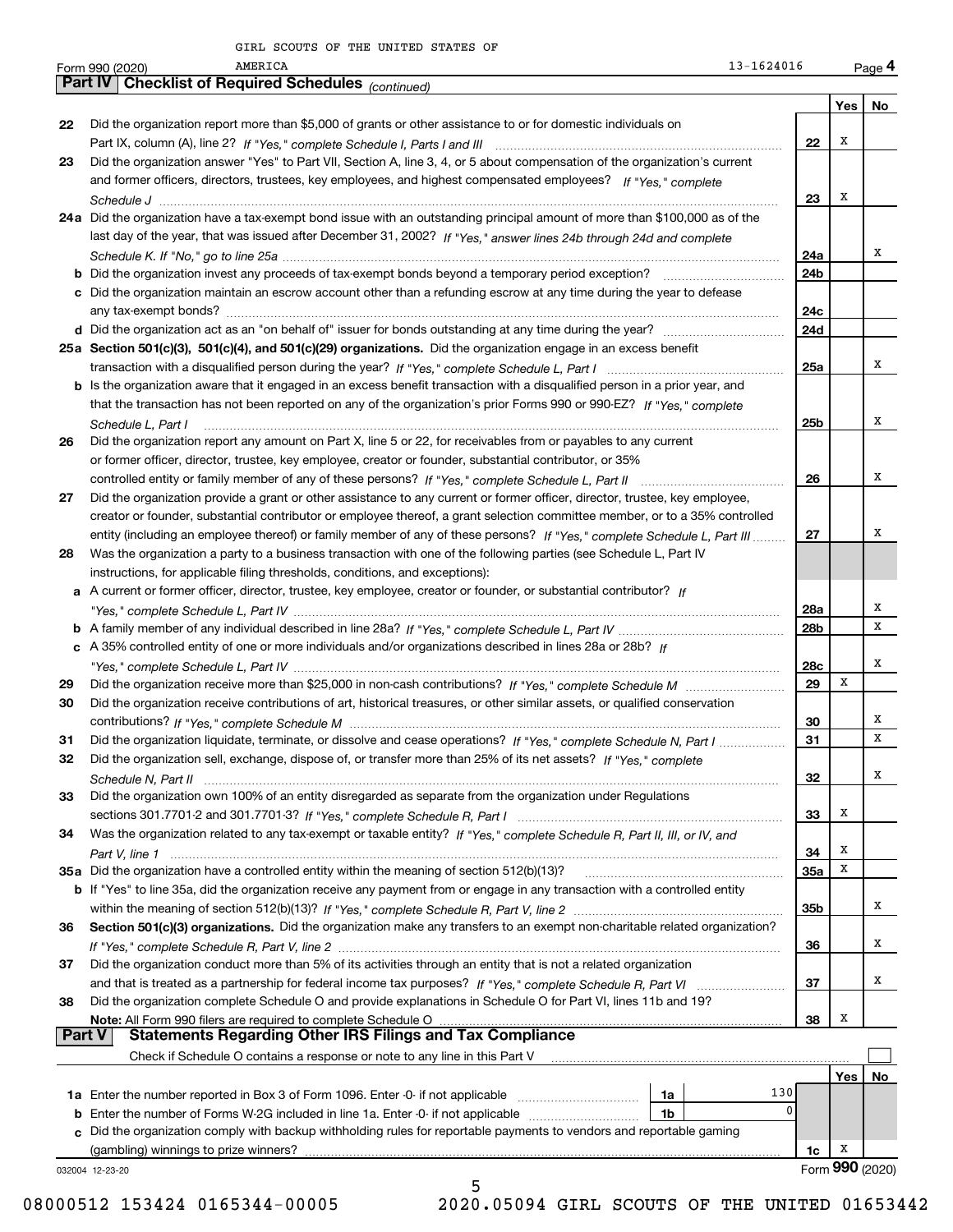|        | AMERICA<br>13-1624016<br>Form 990 (2020)                                                                                     |            |     | Page 4          |
|--------|------------------------------------------------------------------------------------------------------------------------------|------------|-----|-----------------|
|        | <b>Part IV   Checklist of Required Schedules (continued)</b>                                                                 |            |     |                 |
|        |                                                                                                                              |            | Yes | No              |
| 22     | Did the organization report more than \$5,000 of grants or other assistance to or for domestic individuals on                |            |     |                 |
|        |                                                                                                                              | 22         | х   |                 |
| 23     | Did the organization answer "Yes" to Part VII, Section A, line 3, 4, or 5 about compensation of the organization's current   |            |     |                 |
|        | and former officers, directors, trustees, key employees, and highest compensated employees? If "Yes," complete               |            |     |                 |
|        |                                                                                                                              | 23         | X   |                 |
|        | 24a Did the organization have a tax-exempt bond issue with an outstanding principal amount of more than \$100,000 as of the  |            |     |                 |
|        | last day of the year, that was issued after December 31, 2002? If "Yes," answer lines 24b through 24d and complete           |            |     |                 |
|        |                                                                                                                              | 24a        |     | х               |
|        |                                                                                                                              | 24b        |     |                 |
|        | c Did the organization maintain an escrow account other than a refunding escrow at any time during the year to defease       |            |     |                 |
|        |                                                                                                                              | 24c        |     |                 |
|        |                                                                                                                              | 24d        |     |                 |
|        | 25a Section 501(c)(3), 501(c)(4), and 501(c)(29) organizations. Did the organization engage in an excess benefit             |            |     |                 |
|        |                                                                                                                              | 25a        |     | х               |
|        | b Is the organization aware that it engaged in an excess benefit transaction with a disqualified person in a prior year, and |            |     |                 |
|        | that the transaction has not been reported on any of the organization's prior Forms 990 or 990-EZ? If "Yes," complete        |            |     |                 |
|        | Schedule L, Part I                                                                                                           | 25b        |     | х               |
| 26     | Did the organization report any amount on Part X, line 5 or 22, for receivables from or payables to any current              |            |     |                 |
|        | or former officer, director, trustee, key employee, creator or founder, substantial contributor, or 35%                      |            |     |                 |
|        |                                                                                                                              | 26         |     | х               |
| 27     | Did the organization provide a grant or other assistance to any current or former officer, director, trustee, key employee,  |            |     |                 |
|        | creator or founder, substantial contributor or employee thereof, a grant selection committee member, or to a 35% controlled  |            |     |                 |
|        | entity (including an employee thereof) or family member of any of these persons? If "Yes," complete Schedule L, Part III     | 27         |     | х               |
|        | Was the organization a party to a business transaction with one of the following parties (see Schedule L, Part IV            |            |     |                 |
| 28     | instructions, for applicable filing thresholds, conditions, and exceptions):                                                 |            |     |                 |
|        | a A current or former officer, director, trustee, key employee, creator or founder, or substantial contributor? If           |            |     |                 |
|        |                                                                                                                              |            |     | х               |
|        |                                                                                                                              | 28a        |     | x               |
|        |                                                                                                                              | 28b        |     |                 |
|        | c A 35% controlled entity of one or more individuals and/or organizations described in lines 28a or 28b? If                  |            |     | х               |
|        |                                                                                                                              | 28c        | X   |                 |
| 29     |                                                                                                                              | 29         |     |                 |
| 30     | Did the organization receive contributions of art, historical treasures, or other similar assets, or qualified conservation  |            |     | х               |
|        |                                                                                                                              | 30         |     | x               |
| 31     | Did the organization liquidate, terminate, or dissolve and cease operations? If "Yes," complete Schedule N, Part I           | 31         |     |                 |
|        | Did the organization sell, exchange, dispose of, or transfer more than 25% of its net assets? If "Yes," complete             |            |     | x               |
|        |                                                                                                                              | 32         |     |                 |
| 33     | Did the organization own 100% of an entity disregarded as separate from the organization under Regulations                   |            |     |                 |
|        |                                                                                                                              | 33         | Х   |                 |
| 34     | Was the organization related to any tax-exempt or taxable entity? If "Yes," complete Schedule R, Part II, III, or IV, and    |            |     |                 |
|        |                                                                                                                              | 34         | х   |                 |
|        | 35a Did the organization have a controlled entity within the meaning of section 512(b)(13)?                                  | <b>35a</b> | Х   |                 |
|        | b If "Yes" to line 35a, did the organization receive any payment from or engage in any transaction with a controlled entity  |            |     |                 |
|        |                                                                                                                              | 35b        |     | x               |
| 36     | Section 501(c)(3) organizations. Did the organization make any transfers to an exempt non-charitable related organization?   |            |     |                 |
|        |                                                                                                                              | 36         |     | х               |
| 37     | Did the organization conduct more than 5% of its activities through an entity that is not a related organization             |            |     |                 |
|        |                                                                                                                              | 37         |     | x               |
| 38     | Did the organization complete Schedule O and provide explanations in Schedule O for Part VI, lines 11b and 19?               |            |     |                 |
|        | Note: All Form 990 filers are required to complete Schedule O                                                                | 38         | х   |                 |
| Part V | <b>Statements Regarding Other IRS Filings and Tax Compliance</b>                                                             |            |     |                 |
|        | Check if Schedule O contains a response or note to any line in this Part V                                                   |            |     |                 |
|        |                                                                                                                              |            | Yes | No              |
|        | 130<br>1a                                                                                                                    |            |     |                 |
|        | <b>b</b> Enter the number of Forms W-2G included in line 1a. Enter -0- if not applicable<br>1b                               | 0          |     |                 |
|        | c Did the organization comply with backup withholding rules for reportable payments to vendors and reportable gaming         |            |     |                 |
|        | (gambling) winnings to prize winners?                                                                                        | 1c         | x   |                 |
|        | 032004 12-23-20                                                                                                              |            |     | Form 990 (2020) |
|        | 5                                                                                                                            |            |     |                 |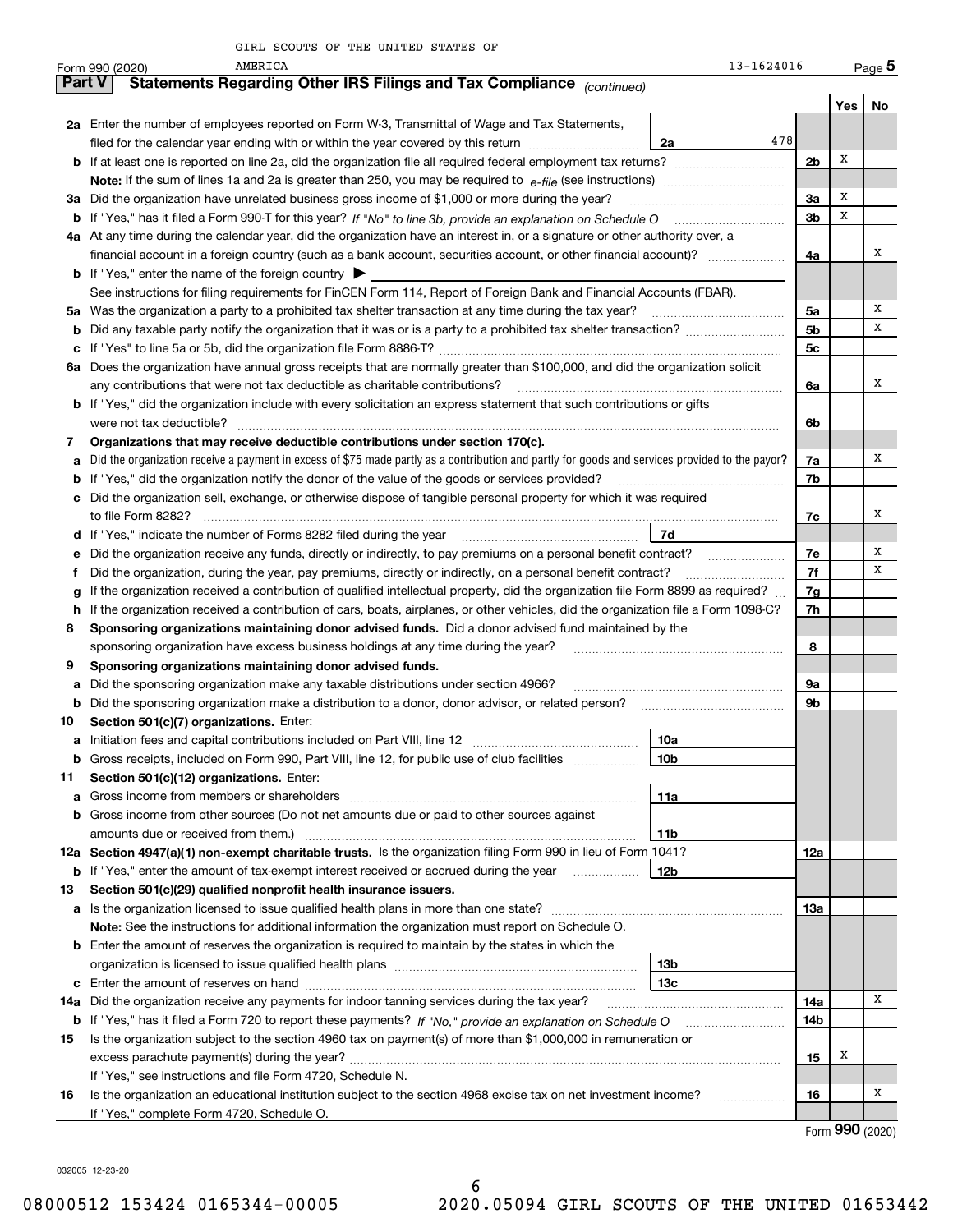|               | 13-1624016<br>AMERICA<br>Form 990 (2020)                                                                                                        |                |     | $_{\text{Page}}$ 5  |  |
|---------------|-------------------------------------------------------------------------------------------------------------------------------------------------|----------------|-----|---------------------|--|
| <b>Part V</b> | Statements Regarding Other IRS Filings and Tax Compliance (continued)                                                                           |                |     |                     |  |
|               |                                                                                                                                                 |                | Yes | No                  |  |
|               | <b>2a</b> Enter the number of employees reported on Form W-3, Transmittal of Wage and Tax Statements,                                           |                |     |                     |  |
|               | 478<br>filed for the calendar year ending with or within the year covered by this return <i>manumumumum</i><br>2a                               |                |     |                     |  |
|               |                                                                                                                                                 | 2 <sub>b</sub> | х   |                     |  |
|               | <b>Note:</b> If the sum of lines 1a and 2a is greater than 250, you may be required to $e$ -file (see instructions) <i>manimummmmmm</i>         |                |     |                     |  |
|               | 3a Did the organization have unrelated business gross income of \$1,000 or more during the year?                                                | 3a             | х   |                     |  |
|               | <b>b</b> If "Yes," has it filed a Form 990 T for this year? If "No" to line 3b, provide an explanation on Schedule O                            | 3b             | х   |                     |  |
|               | 4a At any time during the calendar year, did the organization have an interest in, or a signature or other authority over, a                    |                |     |                     |  |
|               |                                                                                                                                                 | 4a             |     | x                   |  |
|               | <b>b</b> If "Yes," enter the name of the foreign country $\triangleright$                                                                       |                |     |                     |  |
|               | See instructions for filing requirements for FinCEN Form 114, Report of Foreign Bank and Financial Accounts (FBAR).                             |                |     |                     |  |
|               | 5a Was the organization a party to a prohibited tax shelter transaction at any time during the tax year?                                        | 5a             |     | x                   |  |
| b             |                                                                                                                                                 | 5b             |     | х                   |  |
|               |                                                                                                                                                 | 5c             |     |                     |  |
|               | 6a Does the organization have annual gross receipts that are normally greater than \$100,000, and did the organization solicit                  |                |     |                     |  |
|               | any contributions that were not tax deductible as charitable contributions?                                                                     | 6a             |     | x                   |  |
|               | <b>b</b> If "Yes," did the organization include with every solicitation an express statement that such contributions or gifts                   |                |     |                     |  |
|               | were not tax deductible?                                                                                                                        | 6b             |     |                     |  |
| 7             | Organizations that may receive deductible contributions under section 170(c).                                                                   |                |     |                     |  |
| a             | Did the organization receive a payment in excess of \$75 made partly as a contribution and partly for goods and services provided to the payor? | 7a             |     | x                   |  |
|               | <b>b</b> If "Yes," did the organization notify the donor of the value of the goods or services provided?                                        | 7b             |     |                     |  |
|               | c Did the organization sell, exchange, or otherwise dispose of tangible personal property for which it was required                             |                |     | х                   |  |
|               | to file Form 8282?                                                                                                                              | 7c             |     |                     |  |
|               | d If "Yes," indicate the number of Forms 8282 filed during the year<br>7d                                                                       |                |     | x                   |  |
| е             | Did the organization receive any funds, directly or indirectly, to pay premiums on a personal benefit contract?                                 | 7е             |     | х                   |  |
| f             | Did the organization, during the year, pay premiums, directly or indirectly, on a personal benefit contract?                                    | 7f<br>7g       |     |                     |  |
| g             | If the organization received a contribution of qualified intellectual property, did the organization file Form 8899 as required?                |                |     |                     |  |
|               | If the organization received a contribution of cars, boats, airplanes, or other vehicles, did the organization file a Form 1098-C?<br>h.        |                |     |                     |  |
| 8             | Sponsoring organizations maintaining donor advised funds. Did a donor advised fund maintained by the                                            |                |     |                     |  |
| 9             | sponsoring organization have excess business holdings at any time during the year?                                                              | 8              |     |                     |  |
|               | Sponsoring organizations maintaining donor advised funds.<br>Did the sponsoring organization make any taxable distributions under section 4966? | 9a             |     |                     |  |
| а             | <b>b</b> Did the sponsoring organization make a distribution to a donor, donor advisor, or related person?                                      | 9b             |     |                     |  |
| 10            | Section 501(c)(7) organizations. Enter:                                                                                                         |                |     |                     |  |
|               | 10a<br>a Initiation fees and capital contributions included on Part VIII, line 12                                                               |                |     |                     |  |
|               | b Gross receipts, included on Form 990, Part VIII, line 12, for public use of club facilities<br>10 <sub>b</sub>                                |                |     |                     |  |
| 11            | Section 501(c)(12) organizations. Enter:                                                                                                        |                |     |                     |  |
| a             | 11a                                                                                                                                             |                |     |                     |  |
|               | <b>b</b> Gross income from other sources (Do not net amounts due or paid to other sources against                                               |                |     |                     |  |
|               | 11b                                                                                                                                             |                |     |                     |  |
|               | 12a Section 4947(a)(1) non-exempt charitable trusts. Is the organization filing Form 990 in lieu of Form 1041?                                  | 12a            |     |                     |  |
|               | 12b<br><b>b</b> If "Yes," enter the amount of tax-exempt interest received or accrued during the year                                           |                |     |                     |  |
| 13            | Section 501(c)(29) qualified nonprofit health insurance issuers.                                                                                |                |     |                     |  |
|               | <b>a</b> Is the organization licensed to issue qualified health plans in more than one state?                                                   | 13а            |     |                     |  |
|               | Note: See the instructions for additional information the organization must report on Schedule O.                                               |                |     |                     |  |
|               | <b>b</b> Enter the amount of reserves the organization is required to maintain by the states in which the                                       |                |     |                     |  |
|               | 13b                                                                                                                                             |                |     |                     |  |
|               | 13с                                                                                                                                             |                |     |                     |  |
| 14a           | Did the organization receive any payments for indoor tanning services during the tax year?                                                      | 14a            |     | x                   |  |
|               |                                                                                                                                                 | 14b            |     |                     |  |
| 15            | Is the organization subject to the section 4960 tax on payment(s) of more than \$1,000,000 in remuneration or                                   |                |     |                     |  |
|               |                                                                                                                                                 | 15             | x   |                     |  |
|               | If "Yes," see instructions and file Form 4720, Schedule N.                                                                                      |                |     |                     |  |
| 16            | Is the organization an educational institution subject to the section 4968 excise tax on net investment income?<br>.                            | 16             |     | х                   |  |
|               | If "Yes," complete Form 4720, Schedule O.                                                                                                       |                |     |                     |  |
|               |                                                                                                                                                 |                |     | $000 \text{ years}$ |  |

6

Form (2020) **990**

032005 12-23-20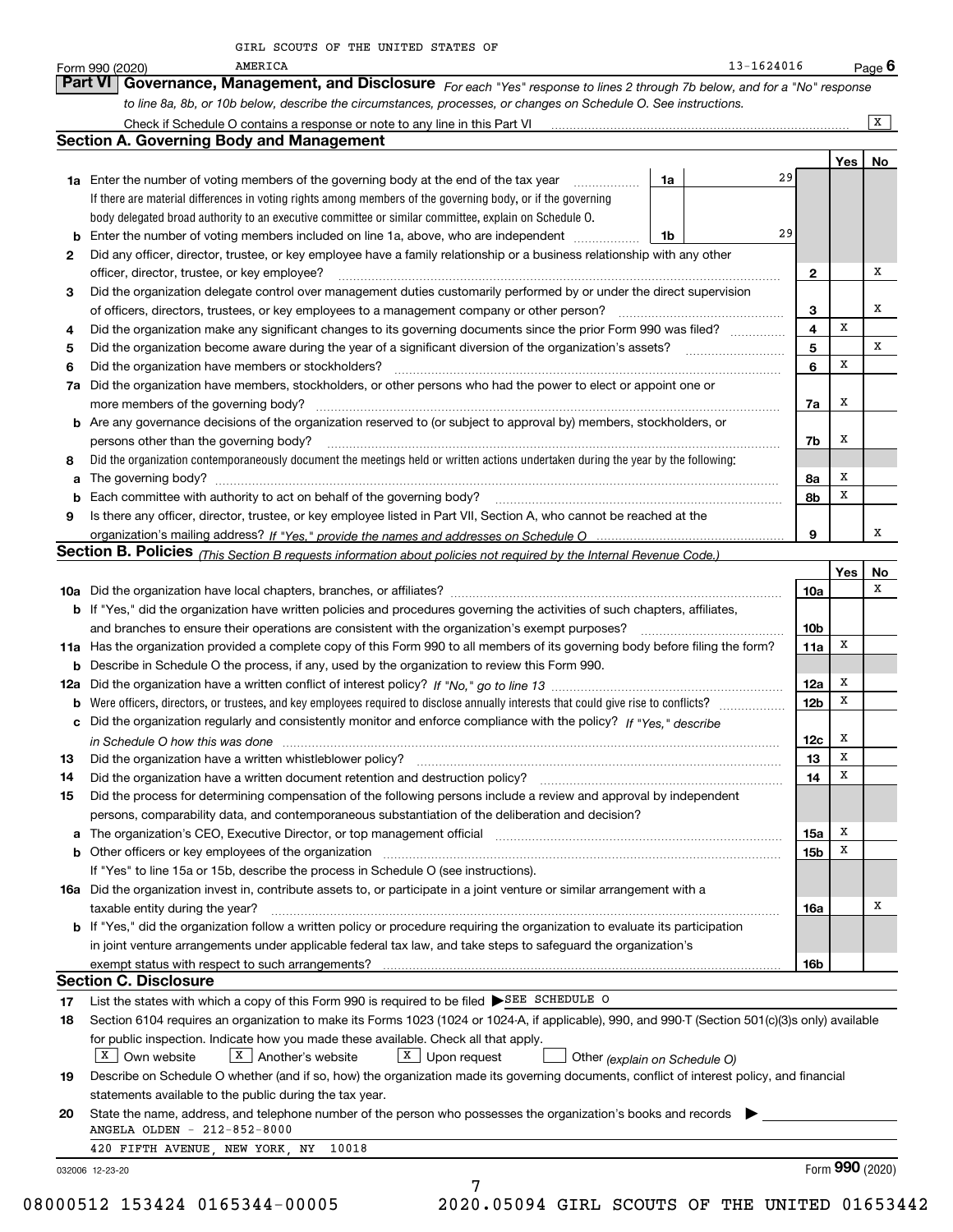|    | $13 - 1624016$<br>AMERICA<br>Form 990 (2020)                                                                                                                                                                                             |                 |     | <u>Page</u> 6   |
|----|------------------------------------------------------------------------------------------------------------------------------------------------------------------------------------------------------------------------------------------|-----------------|-----|-----------------|
|    | Governance, Management, and Disclosure For each "Yes" response to lines 2 through 7b below, and for a "No" response<br>Part VI                                                                                                           |                 |     |                 |
|    | to line 8a, 8b, or 10b below, describe the circumstances, processes, or changes on Schedule O. See instructions.                                                                                                                         |                 |     |                 |
|    | Check if Schedule O contains a response or note to any line in this Part VI                                                                                                                                                              |                 |     | $\mathbf{x}$    |
|    | <b>Section A. Governing Body and Management</b>                                                                                                                                                                                          |                 |     |                 |
|    | 29                                                                                                                                                                                                                                       |                 | Yes | No              |
|    | 1a Enter the number of voting members of the governing body at the end of the tax year<br>1a<br>.                                                                                                                                        |                 |     |                 |
|    | If there are material differences in voting rights among members of the governing body, or if the governing<br>body delegated broad authority to an executive committee or similar committee, explain on Schedule O.                     |                 |     |                 |
| b  | 29<br>Enter the number of voting members included on line 1a, above, who are independent <i>manumum</i><br>1b                                                                                                                            |                 |     |                 |
| 2  | Did any officer, director, trustee, or key employee have a family relationship or a business relationship with any other                                                                                                                 |                 |     |                 |
|    | officer, director, trustee, or key employee?                                                                                                                                                                                             | 2               |     | x               |
| 3  | Did the organization delegate control over management duties customarily performed by or under the direct supervision                                                                                                                    |                 |     |                 |
|    | of officers, directors, trustees, or key employees to a management company or other person?                                                                                                                                              | 3               |     | х               |
| 4  | Did the organization make any significant changes to its governing documents since the prior Form 990 was filed?                                                                                                                         | 4               | X   |                 |
| 5  | Did the organization become aware during the year of a significant diversion of the organization's assets?                                                                                                                               | 5               |     | x               |
| 6  | Did the organization have members or stockholders?                                                                                                                                                                                       | 6               | х   |                 |
| 7a | Did the organization have members, stockholders, or other persons who had the power to elect or appoint one or                                                                                                                           |                 |     |                 |
|    | more members of the governing body?                                                                                                                                                                                                      | 7a              | х   |                 |
|    | <b>b</b> Are any governance decisions of the organization reserved to (or subject to approval by) members, stockholders, or                                                                                                              |                 |     |                 |
|    | persons other than the governing body?                                                                                                                                                                                                   | 7b              | х   |                 |
| 8  | Did the organization contemporaneously document the meetings held or written actions undertaken during the year by the following:                                                                                                        |                 |     |                 |
| a  |                                                                                                                                                                                                                                          | 8a              | х   |                 |
| b  | Each committee with authority to act on behalf of the governing body?                                                                                                                                                                    | 8b              | X   |                 |
| 9  | Is there any officer, director, trustee, or key employee listed in Part VII, Section A, who cannot be reached at the                                                                                                                     | 9               |     | x               |
|    | Section B. Policies (This Section B requests information about policies not required by the Internal Revenue Code.)                                                                                                                      |                 |     |                 |
|    |                                                                                                                                                                                                                                          |                 | Yes | No              |
|    |                                                                                                                                                                                                                                          | 10a             |     | х               |
|    | b If "Yes," did the organization have written policies and procedures governing the activities of such chapters, affiliates,                                                                                                             |                 |     |                 |
|    | and branches to ensure their operations are consistent with the organization's exempt purposes?                                                                                                                                          | 10 <sub>b</sub> |     |                 |
|    | 11a Has the organization provided a complete copy of this Form 990 to all members of its governing body before filing the form?                                                                                                          | 11a             | Х   |                 |
| b  | Describe in Schedule O the process, if any, used by the organization to review this Form 990.                                                                                                                                            |                 |     |                 |
|    |                                                                                                                                                                                                                                          | 12a             | х   |                 |
| b  |                                                                                                                                                                                                                                          | 12 <sub>b</sub> | х   |                 |
|    | c Did the organization regularly and consistently monitor and enforce compliance with the policy? If "Yes," describe                                                                                                                     |                 |     |                 |
|    | in Schedule O how this was done manufactured and contain an according of the state of the state of the state o                                                                                                                           | 12c             | х   |                 |
| 13 | Did the organization have a written whistleblower policy?                                                                                                                                                                                | 13              | x   |                 |
| 14 | Did the organization have a written document retention and destruction policy? manufactured and the organization have a written document retention and destruction policy?                                                               | 14              | х   |                 |
| 15 | Did the process for determining compensation of the following persons include a review and approval by independent<br>persons, comparability data, and contemporaneous substantiation of the deliberation and decision?                  |                 |     |                 |
| a  | The organization's CEO, Executive Director, or top management official [111] [12] manuscription or continuum manuscription or the organization's CEO, Executive Director, or top management official [12] manuscription or con           | 15a             | х   |                 |
| b  | Other officers or key employees of the organization [11] continuum material continuum material contracts or key employees of the organization [11] continuum material contracts of the organization [11] contracts with the st           | 15b             | x   |                 |
|    | If "Yes" to line 15a or 15b, describe the process in Schedule O (see instructions).                                                                                                                                                      |                 |     |                 |
|    | 16a Did the organization invest in, contribute assets to, or participate in a joint venture or similar arrangement with a                                                                                                                |                 |     |                 |
|    | taxable entity during the year?                                                                                                                                                                                                          | 16a             |     | х               |
|    | <b>b</b> If "Yes," did the organization follow a written policy or procedure requiring the organization to evaluate its participation                                                                                                    |                 |     |                 |
|    | in joint venture arrangements under applicable federal tax law, and take steps to safequard the organization's                                                                                                                           |                 |     |                 |
|    |                                                                                                                                                                                                                                          | 16b             |     |                 |
|    | <b>Section C. Disclosure</b>                                                                                                                                                                                                             |                 |     |                 |
| 17 | List the states with which a copy of this Form 990 is required to be filed SEE SCHEDULE O                                                                                                                                                |                 |     |                 |
| 18 | Section 6104 requires an organization to make its Forms 1023 (1024 or 1024-A, if applicable), 990, and 990-T (Section 501(c)(3)s only) available                                                                                         |                 |     |                 |
|    | for public inspection. Indicate how you made these available. Check all that apply.                                                                                                                                                      |                 |     |                 |
| 19 | $X$ Own website<br>$X$ Another's website<br>X Upon request<br>Other (explain on Schedule O)<br>Describe on Schedule O whether (and if so, how) the organization made its governing documents, conflict of interest policy, and financial |                 |     |                 |
|    | statements available to the public during the tax year.                                                                                                                                                                                  |                 |     |                 |
| 20 | State the name, address, and telephone number of the person who possesses the organization's books and records                                                                                                                           |                 |     |                 |
|    | ANGELA OLDEN - 212-852-8000                                                                                                                                                                                                              |                 |     |                 |
|    | 420 FIFTH AVENUE, NEW YORK, NY<br>10018                                                                                                                                                                                                  |                 |     |                 |
|    | 032006 12-23-20                                                                                                                                                                                                                          |                 |     | Form 990 (2020) |
|    | 7                                                                                                                                                                                                                                        |                 |     |                 |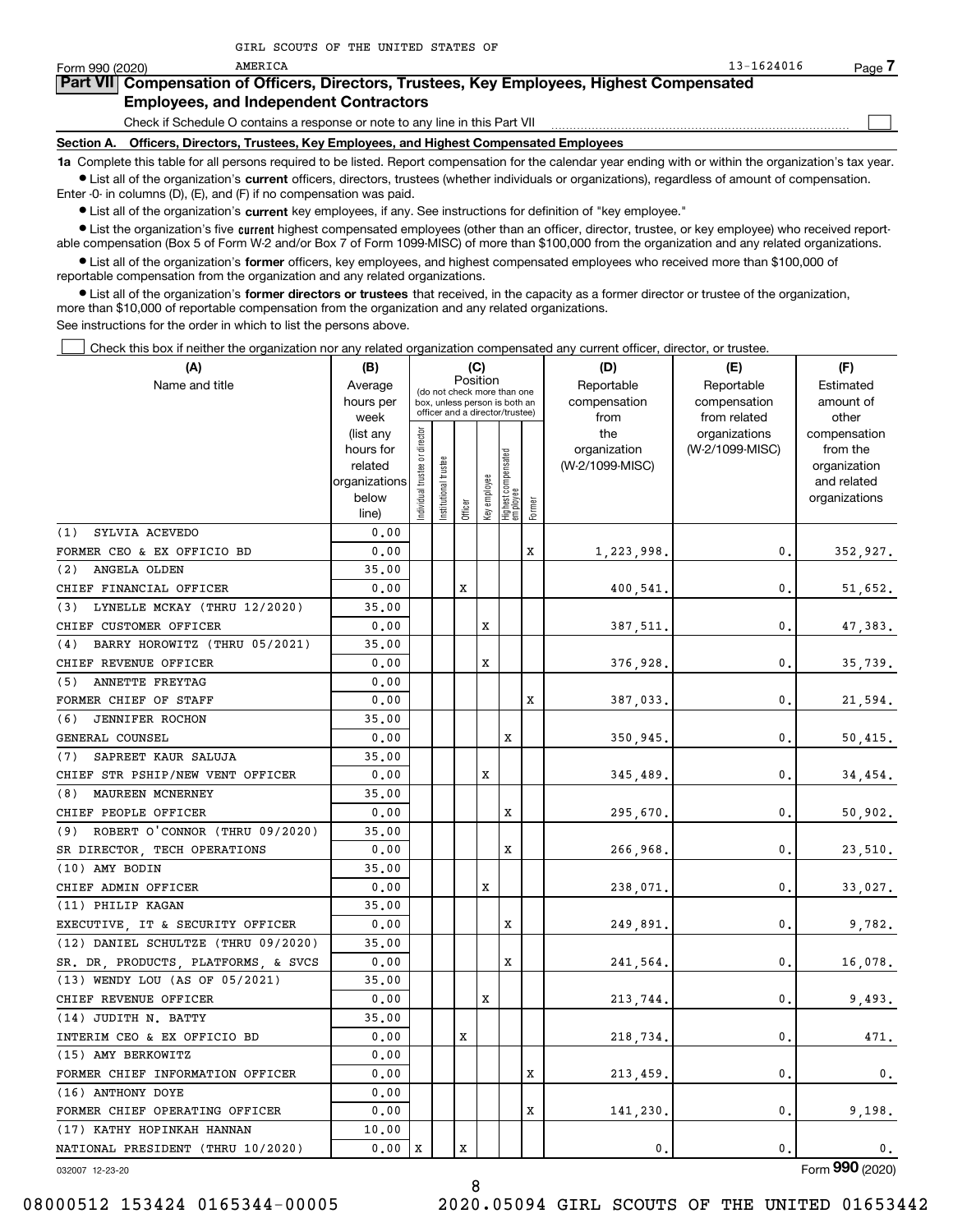| Form 990 (2020) | AMERICA                                                                      | $13 - 1624016$                                                                             | Page |
|-----------------|------------------------------------------------------------------------------|--------------------------------------------------------------------------------------------|------|
|                 |                                                                              | Part VII Compensation of Officers, Directors, Trustees, Key Employees, Highest Compensated |      |
|                 | <b>Employees, and Independent Contractors</b>                                |                                                                                            |      |
|                 | Check if Schedule O contains a response or note to any line in this Part VII |                                                                                            |      |

**Section A. Officers, Directors, Trustees, Key Employees, and Highest Compensated Employees**

**1a**  Complete this table for all persons required to be listed. Report compensation for the calendar year ending with or within the organization's tax year. **•** List all of the organization's current officers, directors, trustees (whether individuals or organizations), regardless of amount of compensation.

Enter -0- in columns (D), (E), and (F) if no compensation was paid.

AMERICA

 $\bullet$  List all of the organization's  $\,$ current key employees, if any. See instructions for definition of "key employee."

**•** List the organization's five current highest compensated employees (other than an officer, director, trustee, or key employee) who received reportable compensation (Box 5 of Form W-2 and/or Box 7 of Form 1099-MISC) of more than \$100,000 from the organization and any related organizations.

**•** List all of the organization's former officers, key employees, and highest compensated employees who received more than \$100,000 of reportable compensation from the organization and any related organizations.

**former directors or trustees**  ¥ List all of the organization's that received, in the capacity as a former director or trustee of the organization, more than \$10,000 of reportable compensation from the organization and any related organizations.

See instructions for the order in which to list the persons above.

Check this box if neither the organization nor any related organization compensated any current officer, director, or trustee.  $\mathcal{L}^{\text{max}}$ 

| (A)                                  | (B)                                                                          |                               |                            |         | (C)          |                                                                                                 |        | (D)                                            | (E)                                              | (F)                                                                               |  |  |
|--------------------------------------|------------------------------------------------------------------------------|-------------------------------|----------------------------|---------|--------------|-------------------------------------------------------------------------------------------------|--------|------------------------------------------------|--------------------------------------------------|-----------------------------------------------------------------------------------|--|--|
| Name and title                       | Average<br>hours per                                                         |                               |                            |         | Position     | (do not check more than one<br>box, unless person is both an<br>officer and a director/trustee) |        | Reportable<br>compensation                     | Reportable<br>compensation                       | Estimated<br>amount of                                                            |  |  |
|                                      | week<br>(list any<br>hours for<br>related<br>organizations<br>below<br>line) | ndividual trustee or director | trustee<br>Institutional t | Officer | Key employee | Highest compensated<br>employee                                                                 | Former | from<br>the<br>organization<br>(W-2/1099-MISC) | from related<br>organizations<br>(W-2/1099-MISC) | other<br>compensation<br>from the<br>organization<br>and related<br>organizations |  |  |
| SYLVIA ACEVEDO<br>(1)                | 0.00                                                                         |                               |                            |         |              |                                                                                                 |        |                                                |                                                  |                                                                                   |  |  |
| FORMER CEO & EX OFFICIO BD           | 0.00                                                                         |                               |                            |         |              |                                                                                                 | х      | 1,223,998.                                     | 0.                                               | 352,927.                                                                          |  |  |
| ANGELA OLDEN<br>(2)                  | 35,00                                                                        |                               |                            |         |              |                                                                                                 |        |                                                |                                                  |                                                                                   |  |  |
| CHIEF FINANCIAL OFFICER              | 0.00                                                                         |                               |                            | X       |              |                                                                                                 |        | 400,541.                                       | $\mathbf{0}$ .                                   | 51,652.                                                                           |  |  |
| (3) LYNELLE MCKAY (THRU 12/2020)     | 35.00                                                                        |                               |                            |         |              |                                                                                                 |        |                                                |                                                  |                                                                                   |  |  |
| CHIEF CUSTOMER OFFICER               | 0.00                                                                         |                               |                            |         | X            |                                                                                                 |        | 387,511                                        | $\mathbf{0}$ .                                   | 47,383.                                                                           |  |  |
| (4) BARRY HOROWITZ (THRU 05/2021)    | 35.00                                                                        |                               |                            |         |              |                                                                                                 |        |                                                |                                                  |                                                                                   |  |  |
| CHIEF REVENUE OFFICER                | 0.00                                                                         |                               |                            |         | X            |                                                                                                 |        | 376,928.                                       | 0.                                               | 35,739.                                                                           |  |  |
| (5) ANNETTE FREYTAG                  | 0.00                                                                         |                               |                            |         |              |                                                                                                 |        |                                                |                                                  |                                                                                   |  |  |
| FORMER CHIEF OF STAFF                | 0.00                                                                         |                               |                            |         |              |                                                                                                 | X      | 387,033.                                       | 0.                                               | 21,594.                                                                           |  |  |
| <b>JENNIFER ROCHON</b><br>(6)        | 35.00                                                                        |                               |                            |         |              |                                                                                                 |        |                                                |                                                  |                                                                                   |  |  |
| GENERAL COUNSEL                      | 0.00                                                                         |                               |                            |         |              | X                                                                                               |        | 350,945.                                       | 0.                                               | 50,415.                                                                           |  |  |
| SAPREET KAUR SALUJA<br>(7)           | 35.00                                                                        |                               |                            |         |              |                                                                                                 |        |                                                |                                                  |                                                                                   |  |  |
| CHIEF STR PSHIP/NEW VENT OFFICER     | 0.00                                                                         |                               |                            |         | X            |                                                                                                 |        | 345,489.                                       | 0.                                               | 34,454.                                                                           |  |  |
| (8) MAUREEN MCNERNEY                 | 35.00                                                                        |                               |                            |         |              |                                                                                                 |        |                                                |                                                  |                                                                                   |  |  |
| CHIEF PEOPLE OFFICER                 | 0.00                                                                         |                               |                            |         |              | X                                                                                               |        | 295,670.                                       | 0.                                               | 50,902.                                                                           |  |  |
| $(9)$ ROBERT O'CONNOR (THRU 09/2020) | 35.00                                                                        |                               |                            |         |              |                                                                                                 |        |                                                |                                                  |                                                                                   |  |  |
| SR DIRECTOR, TECH OPERATIONS         | 0.00                                                                         |                               |                            |         |              | X                                                                                               |        | 266,968.                                       | 0.                                               | 23,510.                                                                           |  |  |
| (10) AMY BODIN                       | 35.00                                                                        |                               |                            |         |              |                                                                                                 |        |                                                |                                                  |                                                                                   |  |  |
| CHIEF ADMIN OFFICER                  | 0.00                                                                         |                               |                            |         | X            |                                                                                                 |        | 238,071.                                       | 0.                                               | 33,027.                                                                           |  |  |
| (11) PHILIP KAGAN                    | 35.00                                                                        |                               |                            |         |              |                                                                                                 |        |                                                |                                                  |                                                                                   |  |  |
| EXECUTIVE, IT & SECURITY OFFICER     | 0.00                                                                         |                               |                            |         |              | Х                                                                                               |        | 249,891                                        | 0.                                               | 9,782.                                                                            |  |  |
| (12) DANIEL SCHULTZE (THRU 09/2020)  | 35.00                                                                        |                               |                            |         |              |                                                                                                 |        |                                                |                                                  |                                                                                   |  |  |
| SR. DR, PRODUCTS, PLATFORMS, & SVCS  | 0.00                                                                         |                               |                            |         |              | Х                                                                                               |        | 241,564.                                       | $\mathbf{0}$                                     | 16,078.                                                                           |  |  |
| (13) WENDY LOU (AS OF 05/2021)       | 35.00                                                                        |                               |                            |         |              |                                                                                                 |        |                                                |                                                  |                                                                                   |  |  |
| CHIEF REVENUE OFFICER                | 0.00                                                                         |                               |                            |         | X            |                                                                                                 |        | 213,744.                                       | $\mathbf{0}$ .                                   | 9,493.                                                                            |  |  |
| (14) JUDITH N. BATTY                 | 35.00                                                                        |                               |                            |         |              |                                                                                                 |        |                                                |                                                  |                                                                                   |  |  |
| INTERIM CEO & EX OFFICIO BD          | 0.00                                                                         |                               |                            | х       |              |                                                                                                 |        | 218,734.                                       | 0.                                               | 471.                                                                              |  |  |
| (15) AMY BERKOWITZ                   | 0.00                                                                         |                               |                            |         |              |                                                                                                 |        |                                                |                                                  |                                                                                   |  |  |
| FORMER CHIEF INFORMATION OFFICER     | 0.00                                                                         |                               |                            |         |              |                                                                                                 | х      | 213,459.                                       | $\mathbf{0}$ .                                   | 0.                                                                                |  |  |
| (16) ANTHONY DOYE                    | 0.00                                                                         |                               |                            |         |              |                                                                                                 |        |                                                |                                                  |                                                                                   |  |  |
| FORMER CHIEF OPERATING OFFICER       | 0.00                                                                         |                               |                            |         |              |                                                                                                 | х      | 141,230,                                       | 0.                                               | 9,198.                                                                            |  |  |
| (17) KATHY HOPINKAH HANNAN           | 10.00                                                                        |                               |                            |         |              |                                                                                                 |        |                                                |                                                  |                                                                                   |  |  |
| NATIONAL PRESIDENT (THRU 10/2020)    | 0.00                                                                         | х                             |                            | x       |              |                                                                                                 |        | 0.                                             | 0.                                               | 0.                                                                                |  |  |

032007 12-23-20

08000512 153424 0165344-00005 2020.05094 GIRL SCOUTS OF THE UNITED 01653442

Form (2020) **990**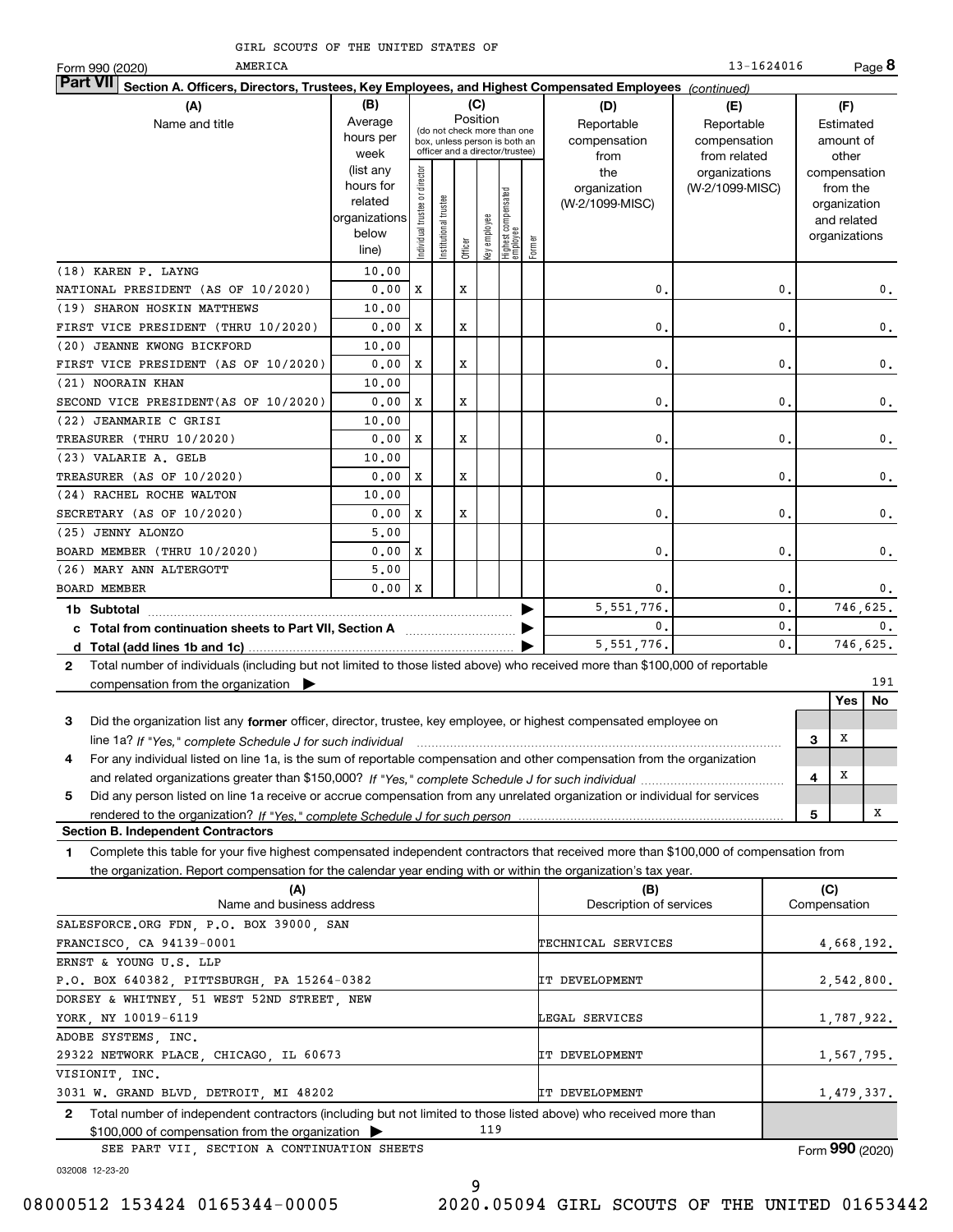| AMERICA<br>Form 990 (2020)                                                                                                                      |                                                                      |                                                                                                             |                      |         |              |                                 |        |                                        | 13-1624016                                 |   |                                                                          | Page 8         |
|-------------------------------------------------------------------------------------------------------------------------------------------------|----------------------------------------------------------------------|-------------------------------------------------------------------------------------------------------------|----------------------|---------|--------------|---------------------------------|--------|----------------------------------------|--------------------------------------------|---|--------------------------------------------------------------------------|----------------|
| <b>Part VII</b><br>Section A. Officers, Directors, Trustees, Key Employees, and Highest Compensated Employees (continued)                       |                                                                      |                                                                                                             |                      |         |              |                                 |        |                                        |                                            |   |                                                                          |                |
| (A)                                                                                                                                             | (B)                                                                  |                                                                                                             |                      |         | (C)          |                                 |        | (D)                                    | (E)                                        |   | (F)                                                                      |                |
| Name and title                                                                                                                                  | Average<br>hours per<br>week                                         | Position<br>(do not check more than one<br>box, unless person is both an<br>officer and a director/trustee) |                      |         |              |                                 |        | Reportable<br>compensation<br>from     | Reportable<br>compensation<br>from related |   | Estimated<br>amount of<br>other                                          |                |
|                                                                                                                                                 | (list any<br>hours for<br>related<br>organizations<br>below<br>line) | ndividual trustee or director                                                                               | nstitutional trustee | Officer | Key employee | Highest compensated<br>employee | Former | the<br>organization<br>(W-2/1099-MISC) | organizations<br>(W-2/1099-MISC)           |   | compensation<br>from the<br>organization<br>and related<br>organizations |                |
| (18) KAREN P. LAYNG                                                                                                                             | 10.00                                                                |                                                                                                             |                      |         |              |                                 |        |                                        |                                            |   |                                                                          |                |
| NATIONAL PRESIDENT (AS OF 10/2020)                                                                                                              | 0.00                                                                 | x                                                                                                           |                      | x       |              |                                 |        | 0.                                     | 0.                                         |   |                                                                          | 0.             |
| (19) SHARON HOSKIN MATTHEWS                                                                                                                     | 10.00                                                                |                                                                                                             |                      |         |              |                                 |        |                                        |                                            |   |                                                                          |                |
| FIRST VICE PRESIDENT (THRU 10/2020)                                                                                                             | 0.00                                                                 | X                                                                                                           |                      | x       |              |                                 |        | 0.                                     | 0.                                         |   |                                                                          | 0.             |
| (20) JEANNE KWONG BICKFORD                                                                                                                      | 10.00                                                                |                                                                                                             |                      |         |              |                                 |        |                                        |                                            |   |                                                                          |                |
| FIRST VICE PRESIDENT (AS OF 10/2020)                                                                                                            | 0.00                                                                 | X                                                                                                           |                      | x       |              |                                 |        | 0.                                     | 0.                                         |   |                                                                          | 0.             |
| (21) NOORAIN KHAN                                                                                                                               | 10.00                                                                |                                                                                                             |                      |         |              |                                 |        |                                        |                                            |   |                                                                          |                |
| SECOND VICE PRESIDENT(AS OF 10/2020)                                                                                                            | 0.00                                                                 | x                                                                                                           |                      | x       |              |                                 |        | 0.                                     | 0.                                         |   |                                                                          | 0.             |
| (22) JEANMARIE C GRISI                                                                                                                          | 10.00                                                                |                                                                                                             |                      |         |              |                                 |        |                                        |                                            |   |                                                                          |                |
| TREASURER (THRU 10/2020)                                                                                                                        | 0.00                                                                 | X                                                                                                           |                      | x       |              |                                 |        | 0.                                     | 0.                                         |   |                                                                          | $\mathbf 0$ .  |
| (23) VALARIE A. GELB                                                                                                                            | 10.00                                                                |                                                                                                             |                      |         |              |                                 |        |                                        |                                            |   |                                                                          |                |
| TREASURER (AS OF 10/2020)                                                                                                                       | 0.00                                                                 | X                                                                                                           |                      | x       |              |                                 |        | 0.                                     | 0.                                         |   |                                                                          | 0.             |
| (24) RACHEL ROCHE WALTON                                                                                                                        | 10.00                                                                |                                                                                                             |                      |         |              |                                 |        |                                        |                                            |   |                                                                          |                |
| SECRETARY (AS OF 10/2020)                                                                                                                       | 0.00                                                                 | X                                                                                                           |                      | x       |              |                                 |        | 0.                                     | 0.                                         |   |                                                                          | 0.             |
| (25) JENNY ALONZO<br>BOARD MEMBER (THRU 10/2020)                                                                                                | 5,00<br>0.00                                                         | x                                                                                                           |                      |         |              |                                 |        | 0.                                     | 0.                                         |   |                                                                          |                |
| (26) MARY ANN ALTERGOTT                                                                                                                         | 5,00                                                                 |                                                                                                             |                      |         |              |                                 |        |                                        |                                            |   |                                                                          | 0.             |
| <b>BOARD MEMBER</b>                                                                                                                             | 0.00                                                                 | x                                                                                                           |                      |         |              |                                 |        | 0.                                     | $\mathbf 0$ .                              |   |                                                                          | 0.             |
|                                                                                                                                                 |                                                                      |                                                                                                             |                      |         |              |                                 |        | 5.551.776.                             | 0.                                         |   | 746,625.                                                                 |                |
| 1b Subtotal                                                                                                                                     |                                                                      |                                                                                                             |                      |         |              |                                 | ▶      | 0.                                     | 0.                                         |   |                                                                          | $\mathbf{0}$ . |
|                                                                                                                                                 |                                                                      |                                                                                                             |                      |         |              |                                 | ▶      | 5, 551, 776.                           | $\mathbf{0}$ .                             |   | 746,625.                                                                 |                |
| Total number of individuals (including but not limited to those listed above) who received more than \$100,000 of reportable<br>$\mathbf{2}$    |                                                                      |                                                                                                             |                      |         |              |                                 |        |                                        |                                            |   |                                                                          |                |
| compensation from the organization $\blacktriangleright$                                                                                        |                                                                      |                                                                                                             |                      |         |              |                                 |        |                                        |                                            |   |                                                                          | 191            |
|                                                                                                                                                 |                                                                      |                                                                                                             |                      |         |              |                                 |        |                                        |                                            |   | <b>Yes</b>                                                               | No             |
| 3<br>Did the organization list any former officer, director, trustee, key employee, or highest compensated employee on                          |                                                                      |                                                                                                             |                      |         |              |                                 |        |                                        |                                            |   |                                                                          |                |
| line 1a? If "Yes," complete Schedule J for such individual manufactured contained and the 1a? If "Yes," complete Schedule J for such individual |                                                                      |                                                                                                             |                      |         |              |                                 |        |                                        |                                            | 3 | х                                                                        |                |
| For any individual listed on line 1a, is the sum of reportable compensation and other compensation from the organization<br>4                   |                                                                      |                                                                                                             |                      |         |              |                                 |        |                                        |                                            |   |                                                                          |                |

**5** Did any person listed on line 1a receive or accrue compensation from any unrelated organization or individual for services **45***If "Yes," complete Schedule J for such individual* and related organizations greater than \$150,000? ~~~~~~~~~~~~~ *If "Yes," complete Schedule J for such person* rendered to the organization?

**Section B. Independent Contractors**

**1**Complete this table for your five highest compensated independent contractors that received more than \$100,000 of compensation from the organization. Report compensation for the calendar year ending with or within the organization's tax year.

| (A)                                                                                                                   | (B)                     | (C)             |
|-----------------------------------------------------------------------------------------------------------------------|-------------------------|-----------------|
| Name and business address                                                                                             | Description of services | Compensation    |
| SALESFORCE.ORG FDN, P.O. BOX 39000, SAN                                                                               |                         |                 |
| FRANCISCO, CA 94139-0001                                                                                              | TECHNICAL SERVICES      | 4,668,192.      |
| ERNST & YOUNG U.S. LLP                                                                                                |                         |                 |
| P.O. BOX 640382, PITTSBURGH, PA 15264-0382                                                                            | IT DEVELOPMENT          | 2,542,800.      |
| DORSEY & WHITNEY, 51 WEST 52ND STREET, NEW                                                                            |                         |                 |
| YORK, NY 10019-6119                                                                                                   | LEGAL SERVICES          | 1,787,922.      |
| ADOBE SYSTEMS, INC.                                                                                                   |                         |                 |
| 29322 NETWORK PLACE, CHICAGO, IL 60673                                                                                | IT DEVELOPMENT          | 1,567,795.      |
| VISIONIT, INC.                                                                                                        |                         |                 |
| 3031 W. GRAND BLVD, DETROIT, MI 48202                                                                                 | IT DEVELOPMENT          | 1,479,337.      |
| Total number of independent contractors (including but not limited to those listed above) who received more than<br>2 |                         |                 |
| 119<br>$$100,000$ of compensation from the organization $\triangleright$                                              |                         |                 |
| SEE PART VII, SECTION A CONTINUATION SHEETS                                                                           |                         | Form 990 (2020) |

032008 12-23-20

9

X

X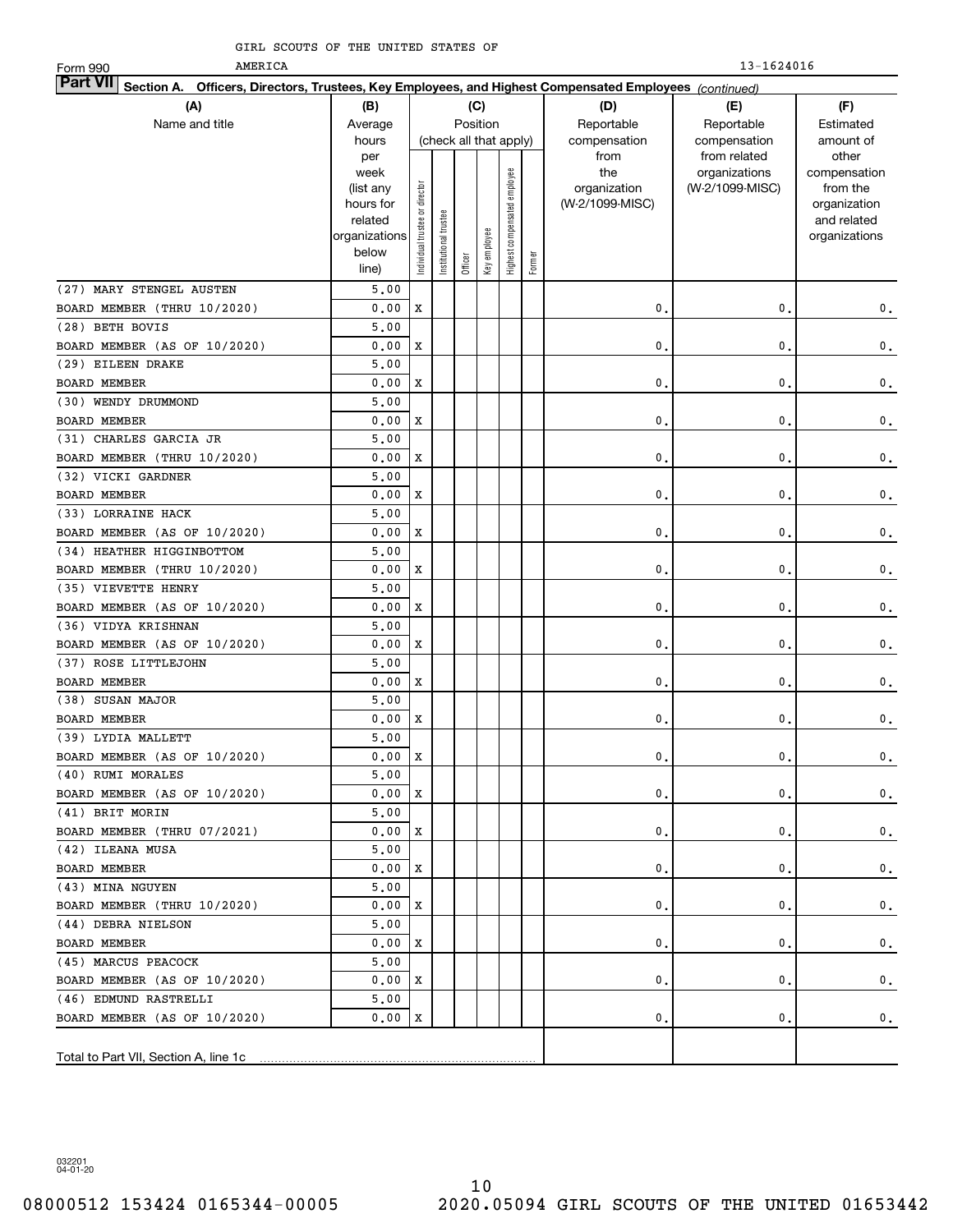AMERICA

13-1624016

| AMERICA<br>Form 990                                                                                                       |                      |                                |                 |         |                        |                              |        |                 | 13-1624016      |                             |
|---------------------------------------------------------------------------------------------------------------------------|----------------------|--------------------------------|-----------------|---------|------------------------|------------------------------|--------|-----------------|-----------------|-----------------------------|
| <b>Part VII</b><br>Section A. Officers, Directors, Trustees, Key Employees, and Highest Compensated Employees (continued) |                      |                                |                 |         |                        |                              |        |                 |                 |                             |
| (A)                                                                                                                       | (B)                  |                                |                 |         | (C)                    |                              |        | (D)             | (E)             | (F)                         |
| Name and title                                                                                                            | Average              |                                |                 |         | Position               |                              |        | Reportable      | Reportable      | Estimated                   |
|                                                                                                                           | hours                |                                |                 |         | (check all that apply) |                              |        | compensation    | compensation    | amount of                   |
|                                                                                                                           | per                  |                                |                 |         |                        |                              |        | from            | from related    | other                       |
|                                                                                                                           | week                 |                                |                 |         |                        |                              |        | the             | organizations   | compensation                |
|                                                                                                                           | (list any            |                                |                 |         |                        |                              |        | organization    | (W-2/1099-MISC) | from the                    |
|                                                                                                                           | hours for<br>related |                                |                 |         |                        |                              |        | (W-2/1099-MISC) |                 | organization<br>and related |
|                                                                                                                           | organizations        |                                | trustee         |         |                        |                              |        |                 |                 | organizations               |
|                                                                                                                           | below                | Individual trustee or director |                 |         | Key employee           | Highest compensated employee |        |                 |                 |                             |
|                                                                                                                           | line)                |                                | Institutional t | Officer |                        |                              | Former |                 |                 |                             |
| (27) MARY STENGEL AUSTEN                                                                                                  | 5,00                 |                                |                 |         |                        |                              |        |                 |                 |                             |
| BOARD MEMBER (THRU 10/2020)                                                                                               | 0.00                 | X                              |                 |         |                        |                              |        | $\mathbf{0}$    | $\mathbf{0}$ .  | 0.                          |
| (28) BETH BOVIS                                                                                                           | 5,00                 |                                |                 |         |                        |                              |        |                 |                 |                             |
| BOARD MEMBER (AS OF 10/2020)                                                                                              | 0.00                 | X                              |                 |         |                        |                              |        | $\mathbf 0$ .   | $\mathbf{0}$ .  | $\mathbf 0$ .               |
| (29) EILEEN DRAKE                                                                                                         | 5,00                 |                                |                 |         |                        |                              |        |                 |                 |                             |
| <b>BOARD MEMBER</b>                                                                                                       | 0.00                 | X                              |                 |         |                        |                              |        | $\mathbf 0$ .   | $\mathbf{0}$ .  | $\mathbf 0$ .               |
| (30) WENDY DRUMMOND                                                                                                       | 5,00                 |                                |                 |         |                        |                              |        |                 |                 |                             |
| <b>BOARD MEMBER</b>                                                                                                       | 0.00                 | X                              |                 |         |                        |                              |        | $\mathbf 0$ .   | $\mathbf{0}$ .  | $\mathbf 0$ .               |
| (31) CHARLES GARCIA JR                                                                                                    | 5,00                 |                                |                 |         |                        |                              |        |                 |                 |                             |
| BOARD MEMBER (THRU 10/2020)                                                                                               | 0.00                 | X                              |                 |         |                        |                              |        | $\mathbf 0$ .   | $\mathbf{0}$ .  |                             |
| (32) VICKI GARDNER                                                                                                        |                      |                                |                 |         |                        |                              |        |                 |                 | $\mathbf 0$ .               |
|                                                                                                                           | 5,00<br>0.00         | X                              |                 |         |                        |                              |        | $\mathbf 0$ .   | $\mathbf{0}$ .  |                             |
| <b>BOARD MEMBER</b>                                                                                                       |                      |                                |                 |         |                        |                              |        |                 |                 | $\mathbf 0$ .               |
| (33) LORRAINE HACK                                                                                                        | 5,00                 |                                |                 |         |                        |                              |        |                 |                 |                             |
| BOARD MEMBER (AS OF 10/2020)                                                                                              | 0.00                 | X                              |                 |         |                        |                              |        | $\mathbf 0$ .   | $\mathbf{0}$ .  | $\mathbf 0$ .               |
| (34) HEATHER HIGGINBOTTOM                                                                                                 | 5,00                 |                                |                 |         |                        |                              |        |                 |                 |                             |
| BOARD MEMBER (THRU 10/2020)                                                                                               | 0.00                 | X                              |                 |         |                        |                              |        | $\mathbf 0$ .   | $\mathbf{0}$ .  | $\mathbf 0$ .               |
| (35) VIEVETTE HENRY                                                                                                       | 5,00                 |                                |                 |         |                        |                              |        |                 |                 |                             |
| BOARD MEMBER (AS OF 10/2020)                                                                                              | 0.00                 | X                              |                 |         |                        |                              |        | $\mathbf 0$ .   | $\mathbf{0}$ .  | $\mathbf 0$ .               |
| (36) VIDYA KRISHNAN                                                                                                       | 5,00                 |                                |                 |         |                        |                              |        |                 |                 |                             |
| BOARD MEMBER (AS OF 10/2020)                                                                                              | 0.00                 | X                              |                 |         |                        |                              |        | $\mathbf 0$ .   | 0.              | $\mathbf 0$ .               |
| (37) ROSE LITTLEJOHN                                                                                                      | 5,00                 |                                |                 |         |                        |                              |        |                 |                 |                             |
| <b>BOARD MEMBER</b>                                                                                                       | 0.00                 | X                              |                 |         |                        |                              |        | 0.              | 0.              | $\mathbf 0$ .               |
| (38) SUSAN MAJOR                                                                                                          | 5,00                 |                                |                 |         |                        |                              |        |                 |                 |                             |
| <b>BOARD MEMBER</b>                                                                                                       | 0.00                 | X                              |                 |         |                        |                              |        | 0.              | 0.              | $\mathbf 0$ .               |
| (39) LYDIA MALLETT                                                                                                        | 5,00                 |                                |                 |         |                        |                              |        |                 |                 |                             |
| BOARD MEMBER (AS OF 10/2020)                                                                                              | 0.00                 | $\mathbf X$                    |                 |         |                        |                              |        | $\mathbf 0$ .   | $\mathfrak o$ . | $\mathbf{0}$ .              |
| (40) RUMI MORALES                                                                                                         | 5,00                 |                                |                 |         |                        |                              |        |                 |                 |                             |
| BOARD MEMBER (AS OF 10/2020)                                                                                              | 0.00                 | X                              |                 |         |                        |                              |        | 0.              | 0.              | $\mathbf 0$ .               |
| (41) BRIT MORIN                                                                                                           | 5,00                 |                                |                 |         |                        |                              |        |                 |                 |                             |
| BOARD MEMBER (THRU 07/2021)                                                                                               | 0.00 X               |                                |                 |         |                        |                              |        | 0.              | 0.              | $\mathbf{0}$ .              |
| (42) ILEANA MUSA                                                                                                          | 5,00                 |                                |                 |         |                        |                              |        |                 |                 |                             |
| BOARD MEMBER                                                                                                              | 0.00                 | ΙX                             |                 |         |                        |                              |        | 0.              | 0.              | $\mathbf{0}$ .              |
| (43) MINA NGUYEN                                                                                                          | 5,00                 |                                |                 |         |                        |                              |        |                 |                 |                             |
| BOARD MEMBER (THRU 10/2020)                                                                                               | 0.00                 | X                              |                 |         |                        |                              |        | 0.              | 0.              | $\mathbf{0}$ .              |
| (44) DEBRA NIELSON                                                                                                        | 5,00                 |                                |                 |         |                        |                              |        |                 |                 |                             |
| BOARD MEMBER                                                                                                              | 0.00                 | X                              |                 |         |                        |                              |        | 0.              | 0.              | 0.                          |
| (45) MARCUS PEACOCK                                                                                                       | 5,00                 |                                |                 |         |                        |                              |        |                 |                 |                             |
| BOARD MEMBER (AS OF 10/2020)                                                                                              | 0.00                 | X                              |                 |         |                        |                              |        | 0.              | 0.              | 0.                          |
| (46) EDMUND RASTRELLI                                                                                                     | 5,00                 |                                |                 |         |                        |                              |        |                 |                 |                             |
| BOARD MEMBER (AS OF 10/2020)                                                                                              | 0.00                 | x                              |                 |         |                        |                              |        | 0.              | $\mathbf{0}$ .  | 0.                          |
|                                                                                                                           |                      |                                |                 |         |                        |                              |        |                 |                 |                             |
| Total to Part VII, Section A, line 1c                                                                                     |                      |                                |                 |         |                        |                              |        |                 |                 |                             |
|                                                                                                                           |                      |                                |                 |         |                        |                              |        |                 |                 |                             |

032201 04-01-20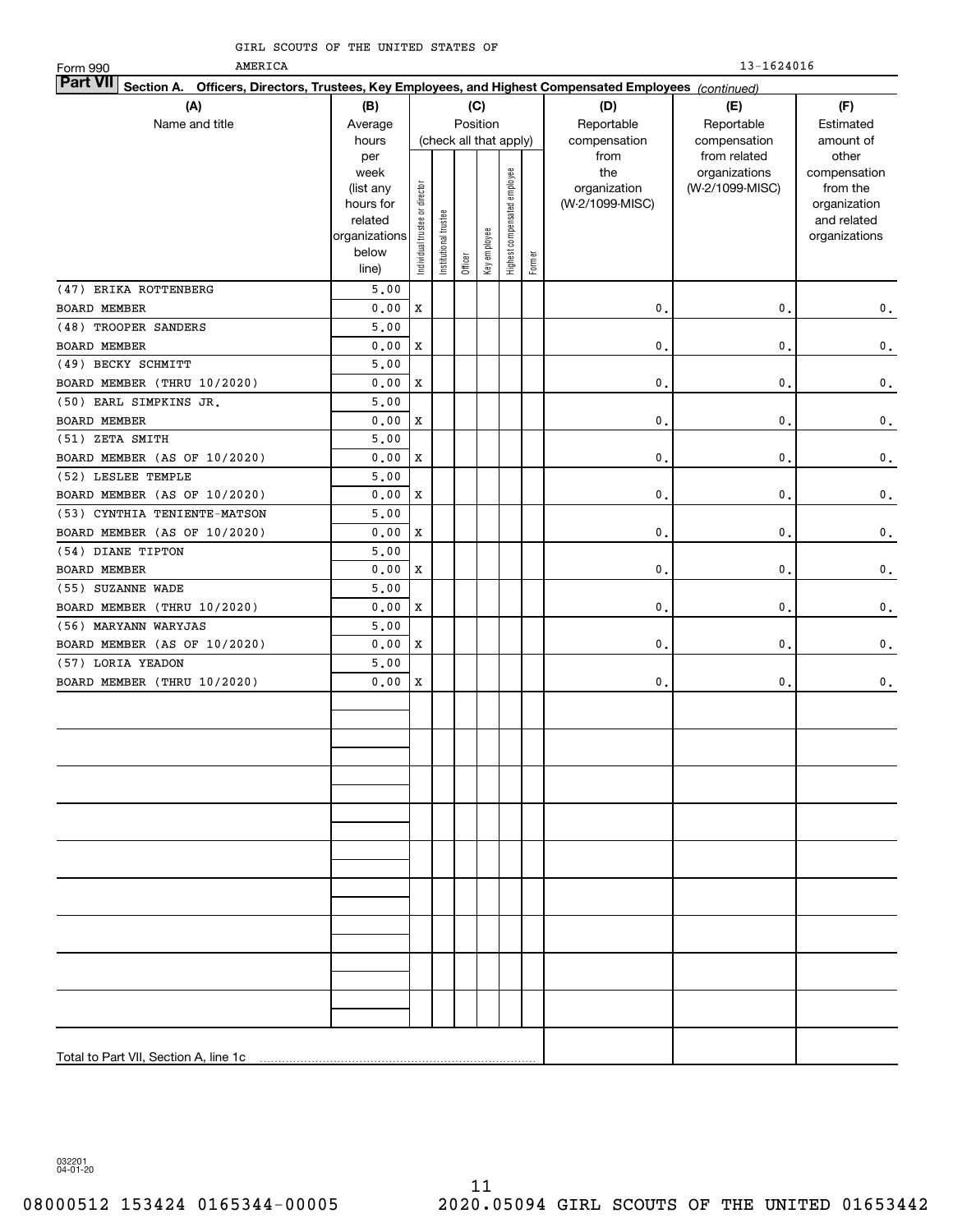AMERICA

| AMERICA<br>Form 990                                                                                                       |                          |                                |                       |         |              |                              |        |                            | $13 - 1624016$             |                              |
|---------------------------------------------------------------------------------------------------------------------------|--------------------------|--------------------------------|-----------------------|---------|--------------|------------------------------|--------|----------------------------|----------------------------|------------------------------|
| <b>Part VII</b><br>Section A. Officers, Directors, Trustees, Key Employees, and Highest Compensated Employees (continued) |                          |                                |                       |         |              |                              |        |                            |                            |                              |
| (A)                                                                                                                       | (B)                      |                                |                       |         | (C)          |                              |        | (D)                        | (E)                        | (F)                          |
| Name and title                                                                                                            | Average                  |                                |                       |         | Position     |                              |        | Reportable<br>compensation | Reportable<br>compensation | Estimated                    |
|                                                                                                                           | hours                    |                                |                       |         |              | (check all that apply)       |        |                            |                            | amount of                    |
|                                                                                                                           | per                      |                                |                       |         |              |                              |        | from                       | from related               | other                        |
|                                                                                                                           | week                     |                                |                       |         |              |                              |        | the                        | organizations              | compensation                 |
|                                                                                                                           | (list any                |                                |                       |         |              |                              |        | organization               | (W-2/1099-MISC)            | from the                     |
|                                                                                                                           | hours for                |                                |                       |         |              |                              |        | (W-2/1099-MISC)            |                            | organization                 |
|                                                                                                                           | related<br>organizations |                                |                       |         |              |                              |        |                            |                            | and related<br>organizations |
|                                                                                                                           | below                    | Individual trustee or director | Institutional trustee |         |              |                              |        |                            |                            |                              |
|                                                                                                                           | line)                    |                                |                       | Officer | Key employee | Highest compensated employee | Former |                            |                            |                              |
| (47) ERIKA ROTTENBERG                                                                                                     | $5 \,$ , $0 \, 0$        |                                |                       |         |              |                              |        |                            |                            |                              |
| <b>BOARD MEMBER</b>                                                                                                       | 0.00                     | $\mathbf X$                    |                       |         |              |                              |        | 0.                         | 0.                         | $\mathbf 0$ .                |
| (48) TROOPER SANDERS                                                                                                      | 5,00                     |                                |                       |         |              |                              |        |                            |                            |                              |
| <b>BOARD MEMBER</b>                                                                                                       | 0.00                     | X                              |                       |         |              |                              |        | 0.                         | $\mathbf{0}$ .             | $\mathbf 0$ .                |
| (49) BECKY SCHMITT                                                                                                        | 5,00                     |                                |                       |         |              |                              |        |                            |                            |                              |
| BOARD MEMBER (THRU 10/2020)                                                                                               | 0.00                     | $\mathbf x$                    |                       |         |              |                              |        | 0.                         | $\mathbf 0$ .              | $\mathbf 0$ .                |
| (50) EARL SIMPKINS JR.                                                                                                    | 5,00                     |                                |                       |         |              |                              |        |                            |                            |                              |
| BOARD MEMBER                                                                                                              | 0.00                     | $\mathbf x$                    |                       |         |              |                              |        | 0.                         | $\mathbf 0$ .              | $\mathbf 0$ .                |
| (51) ZETA SMITH                                                                                                           | 5,00                     |                                |                       |         |              |                              |        |                            |                            |                              |
| BOARD MEMBER (AS OF 10/2020)                                                                                              | 0.00                     | $\mathbf x$                    |                       |         |              |                              |        | 0.                         | $\mathbf{0}$ .             | $\mathbf 0$ .                |
| (52) LESLEE TEMPLE                                                                                                        | 5,00                     |                                |                       |         |              |                              |        |                            |                            |                              |
| BOARD MEMBER (AS OF 10/2020)                                                                                              | 0.00                     | X                              |                       |         |              |                              |        | 0.                         | $\mathbf{0}$ .             | $\mathbf 0$ .                |
| (53) CYNTHIA TENIENTE-MATSON                                                                                              | 5,00                     |                                |                       |         |              |                              |        |                            |                            |                              |
| BOARD MEMBER (AS OF 10/2020)                                                                                              | 0.00                     | $\mathbf x$                    |                       |         |              |                              |        | 0.                         | $\mathbf{0}$ .             | $\mathbf 0$ .                |
| (54) DIANE TIPTON                                                                                                         | 5.00                     |                                |                       |         |              |                              |        |                            |                            |                              |
| BOARD MEMBER                                                                                                              | 0.00                     | $\mathbf x$                    |                       |         |              |                              |        | 0.                         | $\mathbf{0}$ .             | $\mathbf 0$ .                |
| (55) SUZANNE WADE                                                                                                         | 5.00                     |                                |                       |         |              |                              |        |                            |                            |                              |
| BOARD MEMBER (THRU 10/2020)                                                                                               | 0.00                     | $\mathbf x$                    |                       |         |              |                              |        | 0.                         | $\mathbf{0}$ .             | $\mathbf 0$ .                |
| (56) MARYANN WARYJAS                                                                                                      | 5.00                     |                                |                       |         |              |                              |        |                            |                            |                              |
| BOARD MEMBER (AS OF 10/2020)                                                                                              | 0.00                     | $\mathbf x$                    |                       |         |              |                              |        | 0.                         | 0.                         | $\mathbf 0$ .                |
| (57) LORIA YEADON                                                                                                         | 5.00                     |                                |                       |         |              |                              |        |                            |                            |                              |
| BOARD MEMBER (THRU 10/2020)                                                                                               | 0.00                     | X                              |                       |         |              |                              |        | $\mathbf{0}$ .             | 0.                         | $\mathbf 0$ .                |
|                                                                                                                           |                          |                                |                       |         |              |                              |        |                            |                            |                              |
|                                                                                                                           |                          |                                |                       |         |              |                              |        |                            |                            |                              |
|                                                                                                                           |                          |                                |                       |         |              |                              |        |                            |                            |                              |
|                                                                                                                           |                          |                                |                       |         |              |                              |        |                            |                            |                              |
|                                                                                                                           |                          |                                |                       |         |              |                              |        |                            |                            |                              |
|                                                                                                                           |                          |                                |                       |         |              |                              |        |                            |                            |                              |
|                                                                                                                           |                          |                                |                       |         |              |                              |        |                            |                            |                              |
|                                                                                                                           |                          |                                |                       |         |              |                              |        |                            |                            |                              |
|                                                                                                                           |                          |                                |                       |         |              |                              |        |                            |                            |                              |
|                                                                                                                           |                          |                                |                       |         |              |                              |        |                            |                            |                              |
|                                                                                                                           |                          |                                |                       |         |              |                              |        |                            |                            |                              |
|                                                                                                                           |                          |                                |                       |         |              |                              |        |                            |                            |                              |
|                                                                                                                           |                          |                                |                       |         |              |                              |        |                            |                            |                              |
|                                                                                                                           |                          |                                |                       |         |              |                              |        |                            |                            |                              |
|                                                                                                                           |                          |                                |                       |         |              |                              |        |                            |                            |                              |
|                                                                                                                           |                          |                                |                       |         |              |                              |        |                            |                            |                              |
|                                                                                                                           |                          |                                |                       |         |              |                              |        |                            |                            |                              |
|                                                                                                                           |                          |                                |                       |         |              |                              |        |                            |                            |                              |
|                                                                                                                           |                          |                                |                       |         |              |                              |        |                            |                            |                              |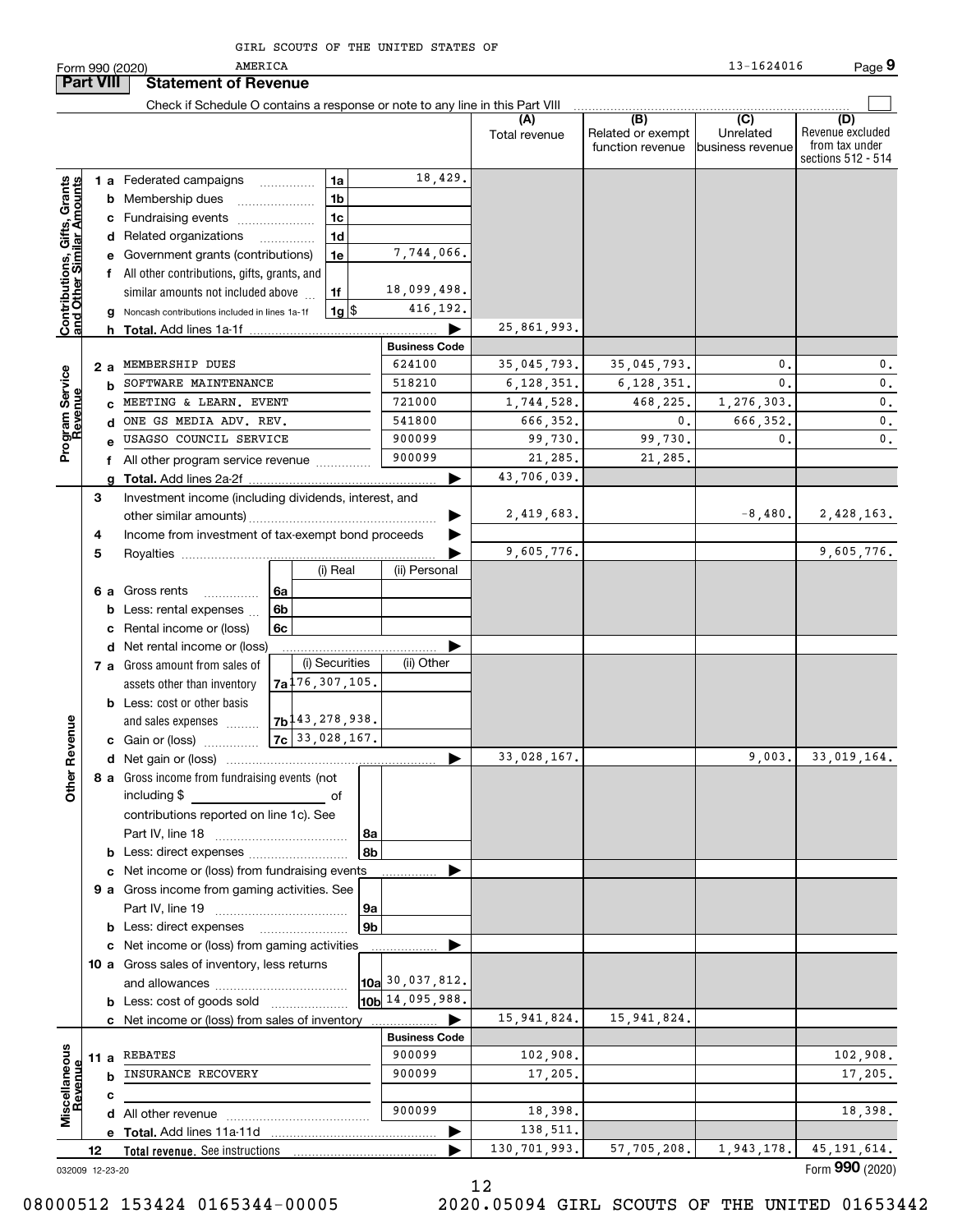|                                                           |                  |     | AMERICA<br>Form 990 (2020)                                                    |    |                                 |                |                      |                      |                                              | 13-1624016                           | Page 9                                                          |
|-----------------------------------------------------------|------------------|-----|-------------------------------------------------------------------------------|----|---------------------------------|----------------|----------------------|----------------------|----------------------------------------------|--------------------------------------|-----------------------------------------------------------------|
|                                                           | <b>Part VIII</b> |     | <b>Statement of Revenue</b>                                                   |    |                                 |                |                      |                      |                                              |                                      |                                                                 |
|                                                           |                  |     | Check if Schedule O contains a response or note to any line in this Part VIII |    |                                 |                |                      |                      |                                              |                                      |                                                                 |
|                                                           |                  |     |                                                                               |    |                                 |                |                      | (A)<br>Total revenue | (B)<br>Related or exempt<br>function revenue | (C)<br>Unrelated<br>business revenue | (D)<br>Revenue excluded<br>from tax under<br>sections 512 - 514 |
|                                                           |                  |     | 1 a Federated campaigns                                                       |    | 1a                              |                | 18,429.              |                      |                                              |                                      |                                                                 |
| Contributions, Gifts, Grants<br>and Other Similar Amounts |                  |     | <b>b</b> Membership dues                                                      |    |                                 | 1 <sub>b</sub> |                      |                      |                                              |                                      |                                                                 |
|                                                           |                  |     | c Fundraising events                                                          |    |                                 | 1 <sub>c</sub> |                      |                      |                                              |                                      |                                                                 |
|                                                           |                  |     | d Related organizations                                                       |    |                                 | 1 <sub>d</sub> |                      |                      |                                              |                                      |                                                                 |
|                                                           |                  |     | e Government grants (contributions)                                           |    |                                 | 1e             | 7,744,066.           |                      |                                              |                                      |                                                                 |
|                                                           |                  |     | f All other contributions, gifts, grants, and                                 |    |                                 |                |                      |                      |                                              |                                      |                                                                 |
|                                                           |                  |     | similar amounts not included above                                            |    | 1f                              |                | 18,099,498.          |                      |                                              |                                      |                                                                 |
|                                                           |                  |     | g Noncash contributions included in lines 1a-1f                               |    |                                 | $1g$   \$      | 416,192.             |                      |                                              |                                      |                                                                 |
|                                                           |                  |     | <b>h</b> Total. Add lines 1a-1f                                               |    |                                 |                |                      | 25,861,993.          |                                              |                                      |                                                                 |
|                                                           |                  |     |                                                                               |    |                                 |                | <b>Business Code</b> |                      |                                              |                                      |                                                                 |
|                                                           |                  | 2 a | MEMBERSHIP DUES                                                               |    |                                 |                | 624100               | 35,045,793.          | 35,045,793.                                  | 0.                                   | 0.                                                              |
|                                                           |                  |     | SOFTWARE MAINTENANCE                                                          |    |                                 |                | 518210               | 6,128,351.           | 6, 128, 351.                                 | $\mathbf{0}$ .                       | 0.                                                              |
|                                                           |                  |     | MEETING & LEARN. EVENT                                                        |    |                                 |                | 721000               | 1,744,528.           | 468,225.                                     | 1,276,303.                           | $\mathbf{0}$ .                                                  |
| Program Service<br>Revenue                                |                  |     | ONE GS MEDIA ADV. REV.                                                        |    |                                 |                | 541800               | 666,352.             | 0.                                           | 666,352.                             | 0.                                                              |
|                                                           |                  |     | USAGSO COUNCIL SERVICE                                                        |    |                                 |                | 900099               | 99,730.              | 99,730.                                      | 0                                    | $\mathbf{0}$ .                                                  |
|                                                           |                  |     | All other program service revenue                                             |    |                                 |                | 900099               | 21,285.              | 21,285.                                      |                                      |                                                                 |
|                                                           |                  |     |                                                                               |    |                                 |                |                      | 43,706,039.          |                                              |                                      |                                                                 |
|                                                           | 3                |     | Investment income (including dividends, interest, and                         |    |                                 |                |                      |                      |                                              |                                      |                                                                 |
|                                                           |                  |     |                                                                               |    |                                 |                |                      | 2,419,683.           |                                              | $-8,480.$                            | 2,428,163.                                                      |
|                                                           | 4                |     | Income from investment of tax-exempt bond proceeds                            |    |                                 |                |                      |                      |                                              |                                      |                                                                 |
|                                                           | 5                |     |                                                                               |    |                                 |                |                      | 9,605,776.           |                                              |                                      | 9,605,776.                                                      |
|                                                           |                  |     |                                                                               |    |                                 | (i) Real       | (ii) Personal        |                      |                                              |                                      |                                                                 |
|                                                           |                  |     | 6 a Gross rents<br>.                                                          | 6a |                                 |                |                      |                      |                                              |                                      |                                                                 |
|                                                           |                  |     | Less: rental expenses                                                         | 6b |                                 |                |                      |                      |                                              |                                      |                                                                 |
|                                                           |                  |     | Rental income or (loss)                                                       | 6c |                                 |                |                      |                      |                                              |                                      |                                                                 |
|                                                           |                  |     | d Net rental income or (loss)                                                 |    |                                 |                |                      |                      |                                              |                                      |                                                                 |
|                                                           |                  |     | <b>7 a</b> Gross amount from sales of                                         |    |                                 | (i) Securities | (ii) Other           |                      |                                              |                                      |                                                                 |
|                                                           |                  |     | assets other than inventory                                                   |    | $7a^{176}$ , 307, 105.          |                |                      |                      |                                              |                                      |                                                                 |
|                                                           |                  |     | <b>b</b> Less: cost or other basis                                            |    |                                 |                |                      |                      |                                              |                                      |                                                                 |
|                                                           |                  |     | and sales expenses                                                            |    | $7b$ <sup>143</sup> , 278, 938. |                |                      |                      |                                              |                                      |                                                                 |
| evenue                                                    |                  |     | c Gain or (loss)                                                              |    | $7c$ 33, 028, 167.              |                |                      |                      |                                              |                                      |                                                                 |
| č                                                         |                  |     |                                                                               |    |                                 |                |                      | 33,028,167.          |                                              |                                      | $9,003.$ 33,019,164.                                            |
| <b>Other</b>                                              |                  |     | 8 a Gross income from fundraising events (not                                 |    |                                 |                |                      |                      |                                              |                                      |                                                                 |
|                                                           |                  |     | including \$                                                                  |    |                                 | of             |                      |                      |                                              |                                      |                                                                 |
|                                                           |                  |     | contributions reported on line 1c). See                                       |    |                                 |                |                      |                      |                                              |                                      |                                                                 |
|                                                           |                  |     |                                                                               |    |                                 | 8a             |                      |                      |                                              |                                      |                                                                 |
|                                                           |                  |     |                                                                               |    |                                 | 8b             |                      |                      |                                              |                                      |                                                                 |
|                                                           |                  |     | c Net income or (loss) from fundraising events                                |    |                                 |                |                      |                      |                                              |                                      |                                                                 |
|                                                           |                  |     | 9 a Gross income from gaming activities. See                                  |    |                                 |                |                      |                      |                                              |                                      |                                                                 |
|                                                           |                  |     |                                                                               |    |                                 | 9а             |                      |                      |                                              |                                      |                                                                 |
|                                                           |                  |     | <b>b</b> Less: direct expenses <b>contained b</b> Less:                       |    |                                 | 9 <sub>b</sub> |                      |                      |                                              |                                      |                                                                 |
|                                                           |                  |     | c Net income or (loss) from gaming activities                                 |    |                                 |                |                      |                      |                                              |                                      |                                                                 |
|                                                           |                  |     | 10 a Gross sales of inventory, less returns                                   |    |                                 |                | 10a 30,037,812.      |                      |                                              |                                      |                                                                 |
|                                                           |                  |     |                                                                               |    |                                 |                | 10b 14,095,988.      |                      |                                              |                                      |                                                                 |
|                                                           |                  |     | <b>b</b> Less: cost of goods sold                                             |    |                                 |                |                      | 15,941,824.          | 15, 941, 824.                                |                                      |                                                                 |
|                                                           |                  |     | c Net income or (loss) from sales of inventory                                |    |                                 |                | <b>Business Code</b> |                      |                                              |                                      |                                                                 |
|                                                           |                  |     | 11 a REBATES                                                                  |    |                                 |                | 900099               | 102,908.             |                                              |                                      | 102,908.                                                        |
| Miscellaneous                                             |                  |     | <b>INSURANCE RECOVERY</b>                                                     |    |                                 |                | 900099               | 17,205.              |                                              |                                      | 17,205.                                                         |
| Revenue                                                   |                  | с   |                                                                               |    |                                 |                |                      |                      |                                              |                                      |                                                                 |
|                                                           |                  |     |                                                                               |    |                                 |                | 900099               | 18,398.              |                                              |                                      | 18,398.                                                         |
|                                                           |                  |     |                                                                               |    |                                 |                |                      | 138,511.             |                                              |                                      |                                                                 |
|                                                           | 12               |     | Total revenue. See instructions                                               |    |                                 |                |                      | 130, 701, 993.       | 57, 705, 208.                                | 1,943,178.                           | 45, 191, 614.                                                   |

12

032009 12-23-20

Form (2020) **990**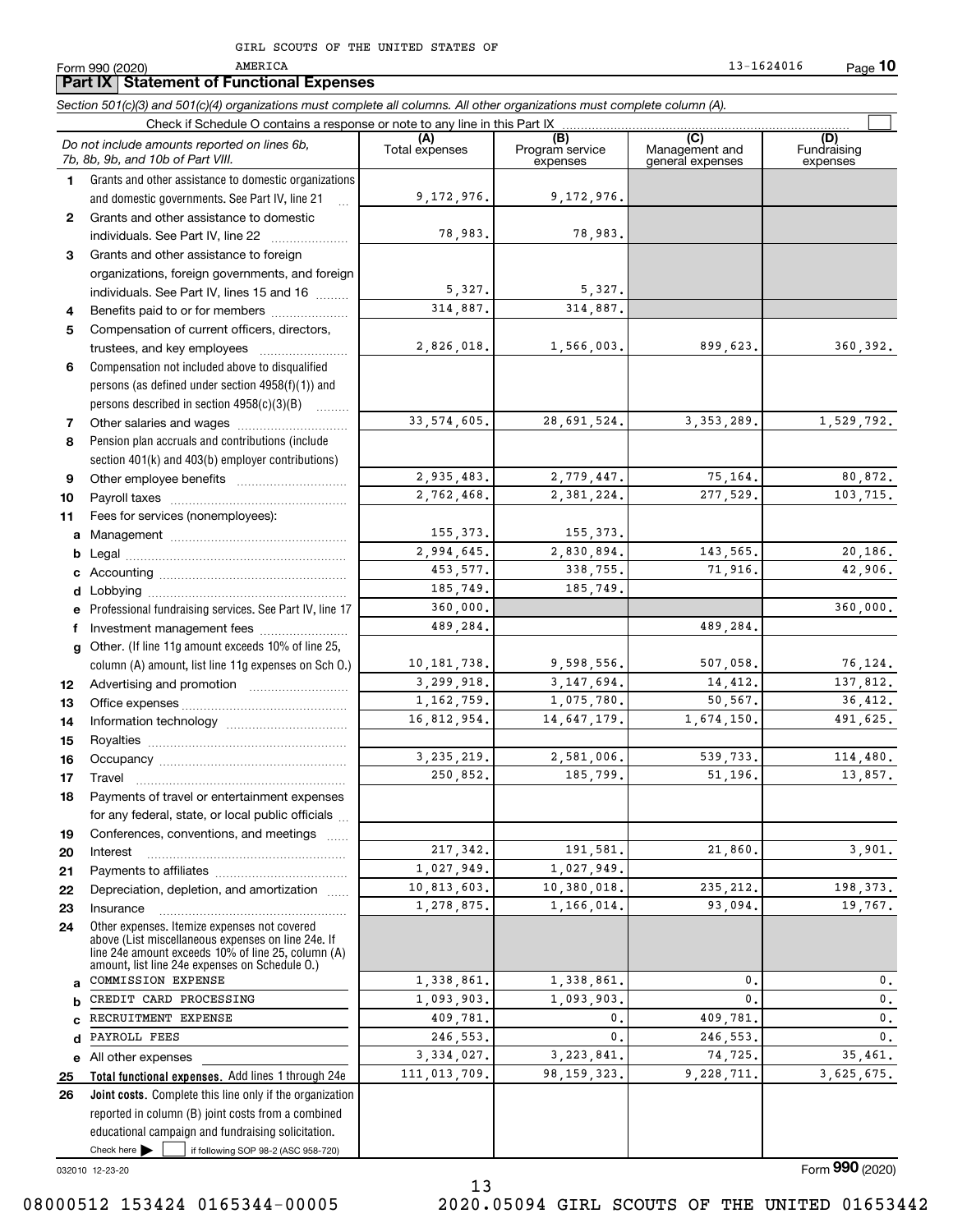**Part IX Statement of Functional Expenses**

AMERICA

Form 990 (2020)

**10** 13-1624016

*Section 501(c)(3) and 501(c)(4) organizations must complete all columns. All other organizations must complete column (A).*

|              | Check if Schedule O contains a response or note to any line in this Part IX                                                                                                                                |                       |                                    |                                           |                         |  |  |  |  |  |  |  |
|--------------|------------------------------------------------------------------------------------------------------------------------------------------------------------------------------------------------------------|-----------------------|------------------------------------|-------------------------------------------|-------------------------|--|--|--|--|--|--|--|
|              | Do not include amounts reported on lines 6b,<br>7b, 8b, 9b, and 10b of Part VIII.                                                                                                                          | (A)<br>Total expenses | (B)<br>Program service<br>expenses | (C)<br>Management and<br>general expenses | Fundraising<br>expenses |  |  |  |  |  |  |  |
| 1.           | Grants and other assistance to domestic organizations                                                                                                                                                      |                       |                                    |                                           |                         |  |  |  |  |  |  |  |
|              | and domestic governments. See Part IV, line 21                                                                                                                                                             | 9,172,976.            | 9,172,976.                         |                                           |                         |  |  |  |  |  |  |  |
| $\mathbf{2}$ | Grants and other assistance to domestic                                                                                                                                                                    |                       |                                    |                                           |                         |  |  |  |  |  |  |  |
|              | individuals. See Part IV, line 22                                                                                                                                                                          | 78,983.               | 78,983.                            |                                           |                         |  |  |  |  |  |  |  |
| 3            | Grants and other assistance to foreign                                                                                                                                                                     |                       |                                    |                                           |                         |  |  |  |  |  |  |  |
|              | organizations, foreign governments, and foreign                                                                                                                                                            |                       |                                    |                                           |                         |  |  |  |  |  |  |  |
|              | individuals. See Part IV, lines 15 and 16                                                                                                                                                                  | 5,327.                | 5,327.                             |                                           |                         |  |  |  |  |  |  |  |
| 4            | Benefits paid to or for members                                                                                                                                                                            | 314,887.              | 314,887.                           |                                           |                         |  |  |  |  |  |  |  |
| 5            | Compensation of current officers, directors,                                                                                                                                                               |                       |                                    |                                           |                         |  |  |  |  |  |  |  |
|              |                                                                                                                                                                                                            | 2,826,018.            | 1,566,003.                         | 899,623.                                  | 360,392.                |  |  |  |  |  |  |  |
| 6            | Compensation not included above to disqualified                                                                                                                                                            |                       |                                    |                                           |                         |  |  |  |  |  |  |  |
|              | persons (as defined under section 4958(f)(1)) and                                                                                                                                                          |                       |                                    |                                           |                         |  |  |  |  |  |  |  |
|              | persons described in section 4958(c)(3)(B)                                                                                                                                                                 |                       |                                    |                                           |                         |  |  |  |  |  |  |  |
| 7            |                                                                                                                                                                                                            | 33, 574, 605.         | 28,691,524.                        | 3,353,289.                                | 1,529,792.              |  |  |  |  |  |  |  |
| 8            | Pension plan accruals and contributions (include                                                                                                                                                           |                       |                                    |                                           |                         |  |  |  |  |  |  |  |
|              | section 401(k) and 403(b) employer contributions)                                                                                                                                                          |                       |                                    |                                           |                         |  |  |  |  |  |  |  |
| 9            |                                                                                                                                                                                                            | 2,935,483.            | 2,779,447.                         | 75,164.                                   | 80,872.                 |  |  |  |  |  |  |  |
| 10           |                                                                                                                                                                                                            | 2,762,468.            | 2,381,224.                         | 277,529.                                  | 103,715.                |  |  |  |  |  |  |  |
| 11           | Fees for services (nonemployees):                                                                                                                                                                          |                       |                                    |                                           |                         |  |  |  |  |  |  |  |
|              |                                                                                                                                                                                                            | 155,373.              | 155, 373.                          |                                           |                         |  |  |  |  |  |  |  |
| b            |                                                                                                                                                                                                            | 2,994,645.            | 2,830,894.                         | 143,565.                                  | 20,186.                 |  |  |  |  |  |  |  |
|              |                                                                                                                                                                                                            | 453, 577.             | 338,755.                           | 71,916.                                   | 42,906.                 |  |  |  |  |  |  |  |
|              |                                                                                                                                                                                                            | 185,749.              | 185,749.                           |                                           |                         |  |  |  |  |  |  |  |
|              | e Professional fundraising services. See Part IV, line 17                                                                                                                                                  | 360,000.              |                                    |                                           | 360,000.                |  |  |  |  |  |  |  |
|              | f Investment management fees                                                                                                                                                                               | 489,284.              |                                    | 489,284.                                  |                         |  |  |  |  |  |  |  |
|              | g Other. (If line 11g amount exceeds 10% of line 25,                                                                                                                                                       |                       |                                    |                                           |                         |  |  |  |  |  |  |  |
|              | column (A) amount, list line 11g expenses on Sch O.)                                                                                                                                                       | 10, 181, 738.         | 9,598,556.                         | 507,058.                                  | 76,124.                 |  |  |  |  |  |  |  |
| 12           |                                                                                                                                                                                                            | 3,299,918.            | 3, 147, 694.                       | 14,412.                                   | 137,812.                |  |  |  |  |  |  |  |
| 13           |                                                                                                                                                                                                            | 1, 162, 759.          | 1,075,780.                         | 50,567.                                   | 36,412.                 |  |  |  |  |  |  |  |
| 14           |                                                                                                                                                                                                            | 16,812,954.           | 14,647,179.                        | 1,674,150.                                | 491,625.                |  |  |  |  |  |  |  |
| 15           |                                                                                                                                                                                                            |                       |                                    |                                           |                         |  |  |  |  |  |  |  |
| 16           |                                                                                                                                                                                                            | 3, 235, 219.          | 2,581,006.                         | 539,733.                                  | 114,480.                |  |  |  |  |  |  |  |
| 17           | Travel                                                                                                                                                                                                     | 250,852.              | 185,799.                           | 51,196.                                   | 13,857.                 |  |  |  |  |  |  |  |
| 18           | Payments of travel or entertainment expenses                                                                                                                                                               |                       |                                    |                                           |                         |  |  |  |  |  |  |  |
|              | for any federal, state, or local public officials                                                                                                                                                          |                       |                                    |                                           |                         |  |  |  |  |  |  |  |
| 19           | Conferences, conventions, and meetings                                                                                                                                                                     |                       |                                    |                                           |                         |  |  |  |  |  |  |  |
| 20           | Interest                                                                                                                                                                                                   | 217, 342.             | 191,581.                           | 21,860.                                   | 3,901.                  |  |  |  |  |  |  |  |
| 21           |                                                                                                                                                                                                            | 1,027,949.            | 1,027,949.                         |                                           |                         |  |  |  |  |  |  |  |
| 22           | Depreciation, depletion, and amortization                                                                                                                                                                  | 10,813,603.           | 10,380,018.                        | 235, 212.                                 | 198,373.                |  |  |  |  |  |  |  |
| 23           | Insurance                                                                                                                                                                                                  | 1,278,875.            | 1,166,014.                         | 93,094.                                   | 19,767.                 |  |  |  |  |  |  |  |
| 24           | Other expenses. Itemize expenses not covered<br>above (List miscellaneous expenses on line 24e. If<br>line 24e amount exceeds 10% of line 25, column (A)<br>amount, list line 24e expenses on Schedule O.) |                       |                                    |                                           |                         |  |  |  |  |  |  |  |
| a            | COMMISSION EXPENSE                                                                                                                                                                                         | 1,338,861.            | 1,338,861.                         | 0.                                        | 0.                      |  |  |  |  |  |  |  |
|              | CREDIT CARD PROCESSING                                                                                                                                                                                     | 1,093,903.            | 1,093,903.                         | 0.                                        | $\mathbf 0$ .           |  |  |  |  |  |  |  |
|              | RECRUITMENT EXPENSE                                                                                                                                                                                        | 409,781.              | 0.                                 | 409,781.                                  | $\mathbf{0}$ .          |  |  |  |  |  |  |  |
| d            | PAYROLL FEES                                                                                                                                                                                               | 246,553.              | 0.                                 | 246,553.                                  | $\mathfrak o$ .         |  |  |  |  |  |  |  |
| е            | All other expenses                                                                                                                                                                                         | 3,334,027.            | 3, 223, 841.                       | 74,725.                                   | 35,461.                 |  |  |  |  |  |  |  |
| 25           | Total functional expenses. Add lines 1 through 24e                                                                                                                                                         | 111,013,709.          | 98, 159, 323.                      | 9,228,711.                                | 3,625,675.              |  |  |  |  |  |  |  |
| 26           | Joint costs. Complete this line only if the organization                                                                                                                                                   |                       |                                    |                                           |                         |  |  |  |  |  |  |  |
|              | reported in column (B) joint costs from a combined                                                                                                                                                         |                       |                                    |                                           |                         |  |  |  |  |  |  |  |
|              | educational campaign and fundraising solicitation.                                                                                                                                                         |                       |                                    |                                           |                         |  |  |  |  |  |  |  |
|              | Check here<br>if following SOP 98-2 (ASC 958-720)                                                                                                                                                          |                       |                                    |                                           |                         |  |  |  |  |  |  |  |

032010 12-23-20

Form (2020) **990**

08000512 153424 0165344-00005 2020.05094 GIRL SCOUTS OF THE UNITED 01653442

13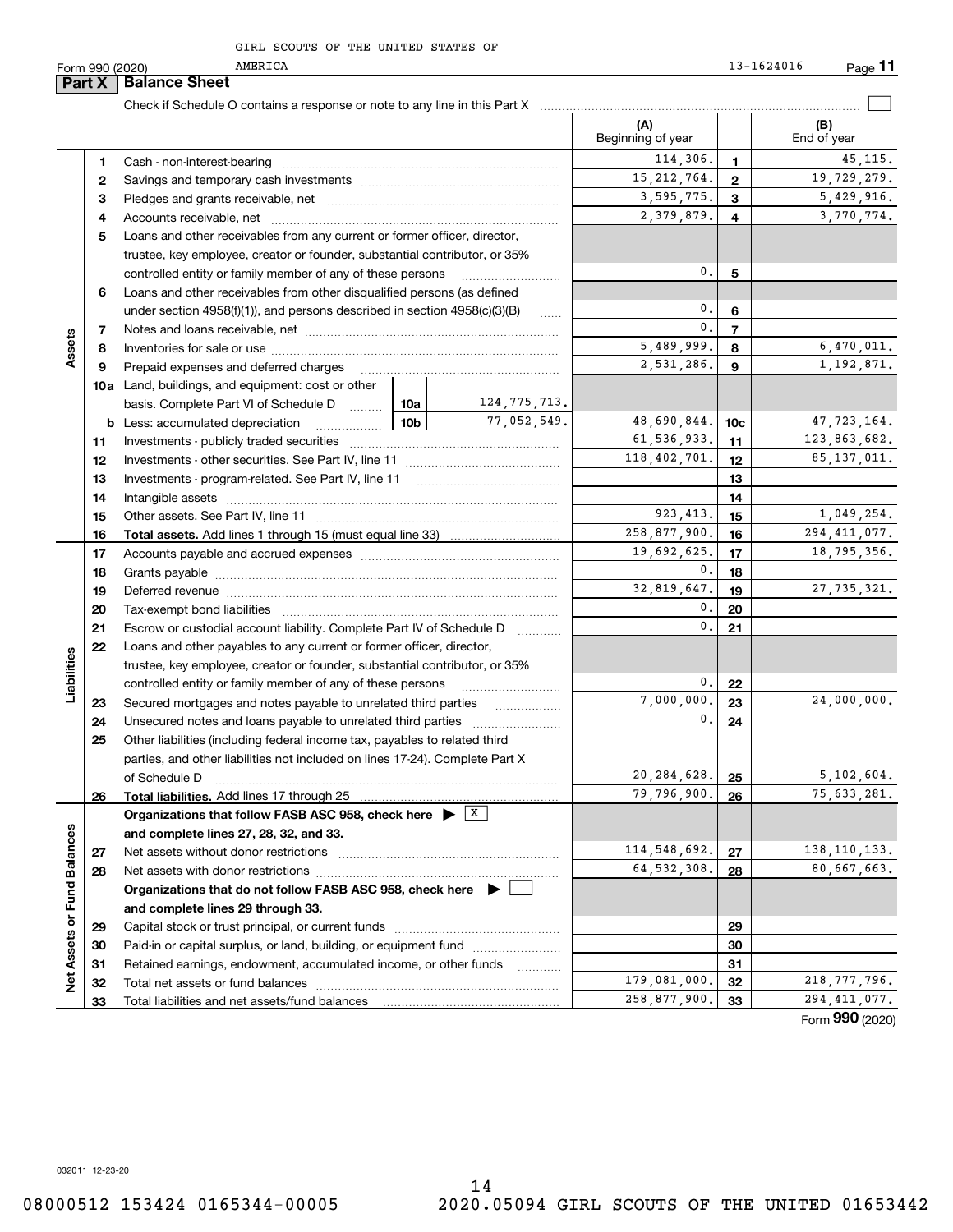AMERICA

**Part X Balance Sheet**

|                   |    | Check if Schedule O contains a response or note to any line in this Part X                      |                 |                 |                          |                |                    |
|-------------------|----|-------------------------------------------------------------------------------------------------|-----------------|-----------------|--------------------------|----------------|--------------------|
|                   |    |                                                                                                 |                 |                 | (A)<br>Beginning of year |                | (B)<br>End of year |
|                   | 1. |                                                                                                 |                 |                 | 114,306.                 | 1.             | 45, 115.           |
|                   | 2  |                                                                                                 |                 |                 | 15, 212, 764.            | $\mathbf{2}$   | 19,729,279.        |
|                   | з  |                                                                                                 |                 |                 | 3,595,775.               | 3              | 5,429,916.         |
|                   | 4  |                                                                                                 |                 |                 | 2,379,879.               | 4              | 3,770,774.         |
|                   | 5  | Loans and other receivables from any current or former officer, director,                       |                 |                 |                          |                |                    |
|                   |    | trustee, key employee, creator or founder, substantial contributor, or 35%                      |                 |                 |                          |                |                    |
|                   |    | controlled entity or family member of any of these persons                                      |                 |                 | 0.                       | 5              |                    |
|                   | 6  | Loans and other receivables from other disqualified persons (as defined                         |                 |                 |                          |                |                    |
|                   |    | under section $4958(f)(1)$ , and persons described in section $4958(c)(3)(B)$                   |                 | <b>Secure</b>   | 0.                       | 6              |                    |
|                   | 7  |                                                                                                 |                 |                 | 0.                       | $\overline{7}$ |                    |
| Assets            | 8  |                                                                                                 |                 |                 | 5,489,999.               | 8              | 6,470,011.         |
|                   | 9  | Prepaid expenses and deferred charges                                                           |                 |                 | 2,531,286.               | 9              | 1,192,871.         |
|                   |    | <b>10a</b> Land, buildings, and equipment: cost or other                                        |                 |                 |                          |                |                    |
|                   |    | basis. Complete Part VI of Schedule D                                                           | 10a             | 124, 775, 713.  |                          |                |                    |
|                   |    |                                                                                                 | 10 <sub>b</sub> | 77,052,549.     | 48,690,844.              | 10c            | 47,723,164.        |
|                   | 11 |                                                                                                 |                 |                 | 61,536,933.              | 11             | 123,863,682.       |
|                   | 12 |                                                                                                 |                 | 118,402,701.    | 12 <sup>12</sup>         | 85, 137, 011.  |                    |
|                   | 13 |                                                                                                 |                 |                 | 13                       |                |                    |
|                   | 14 |                                                                                                 |                 |                 | 14                       |                |                    |
|                   | 15 |                                                                                                 |                 |                 | 923.413.                 | 15             | 1,049,254.         |
|                   | 16 |                                                                                                 |                 |                 | 258,877,900.             | 16             | 294, 411, 077.     |
|                   | 17 |                                                                                                 |                 | 19,692,625.     | 17                       | 18,795,356.    |                    |
|                   | 18 |                                                                                                 | 0.              | 18              |                          |                |                    |
|                   | 19 |                                                                                                 | 32,819,647.     | 19              | 27, 735, 321.            |                |                    |
|                   | 20 |                                                                                                 |                 | 0.              | 20                       |                |                    |
|                   | 21 | Escrow or custodial account liability. Complete Part IV of Schedule D                           |                 | $\mathfrak o$ . | 21                       |                |                    |
|                   | 22 | Loans and other payables to any current or former officer, director,                            |                 |                 |                          |                |                    |
| Liabilities       |    | trustee, key employee, creator or founder, substantial contributor, or 35%                      |                 |                 |                          |                |                    |
|                   |    | controlled entity or family member of any of these persons                                      |                 |                 | 0.                       | 22             |                    |
|                   | 23 | Secured mortgages and notes payable to unrelated third parties                                  | .               | 7,000,000.      | 23                       | 24,000,000.    |                    |
|                   | 24 |                                                                                                 |                 |                 | 0.                       | 24             |                    |
|                   | 25 | Other liabilities (including federal income tax, payables to related third                      |                 |                 |                          |                |                    |
|                   |    | parties, and other liabilities not included on lines 17-24). Complete Part X                    |                 |                 |                          |                |                    |
|                   |    | of Schedule D                                                                                   |                 |                 | 20, 284, 628.            | 25             | 5,102,604.         |
|                   | 26 | Total liabilities. Add lines 17 through 25                                                      |                 |                 | 79,796,900.              | 26             | 75,633,281.        |
|                   |    | Organizations that follow FASB ASC 958, check here $\blacktriangleright \;$ $\lfloor x \rfloor$ |                 |                 |                          |                |                    |
| <b>Balances</b>   |    | and complete lines 27, 28, 32, and 33.                                                          |                 |                 | 114,548,692.             |                | 138, 110, 133.     |
|                   | 27 | Net assets without donor restrictions                                                           |                 |                 | 64, 532, 308.            | 27             | 80,667,663.        |
|                   | 28 |                                                                                                 |                 |                 |                          | 28             |                    |
| Fund <sup>1</sup> |    | Organizations that do not follow FASB ASC 958, check here $\blacktriangleright$ [               |                 |                 |                          |                |                    |
|                   |    | and complete lines 29 through 33.                                                               |                 |                 |                          |                |                    |
|                   | 29 |                                                                                                 |                 |                 |                          | 29             |                    |
|                   | 30 | Paid-in or capital surplus, or land, building, or equipment fund                                |                 |                 |                          | 30             |                    |
| Net Assets or     | 31 | Retained earnings, endowment, accumulated income, or other funds                                |                 | .               | 179,081,000.             | 31             | 218,777,796.       |
|                   | 32 |                                                                                                 |                 |                 | 258,877,900.             | 32             | 294, 411, 077.     |
|                   | 33 |                                                                                                 |                 |                 |                          | 33             | nnn.               |

Form (2020) **990**

032011 12-23-20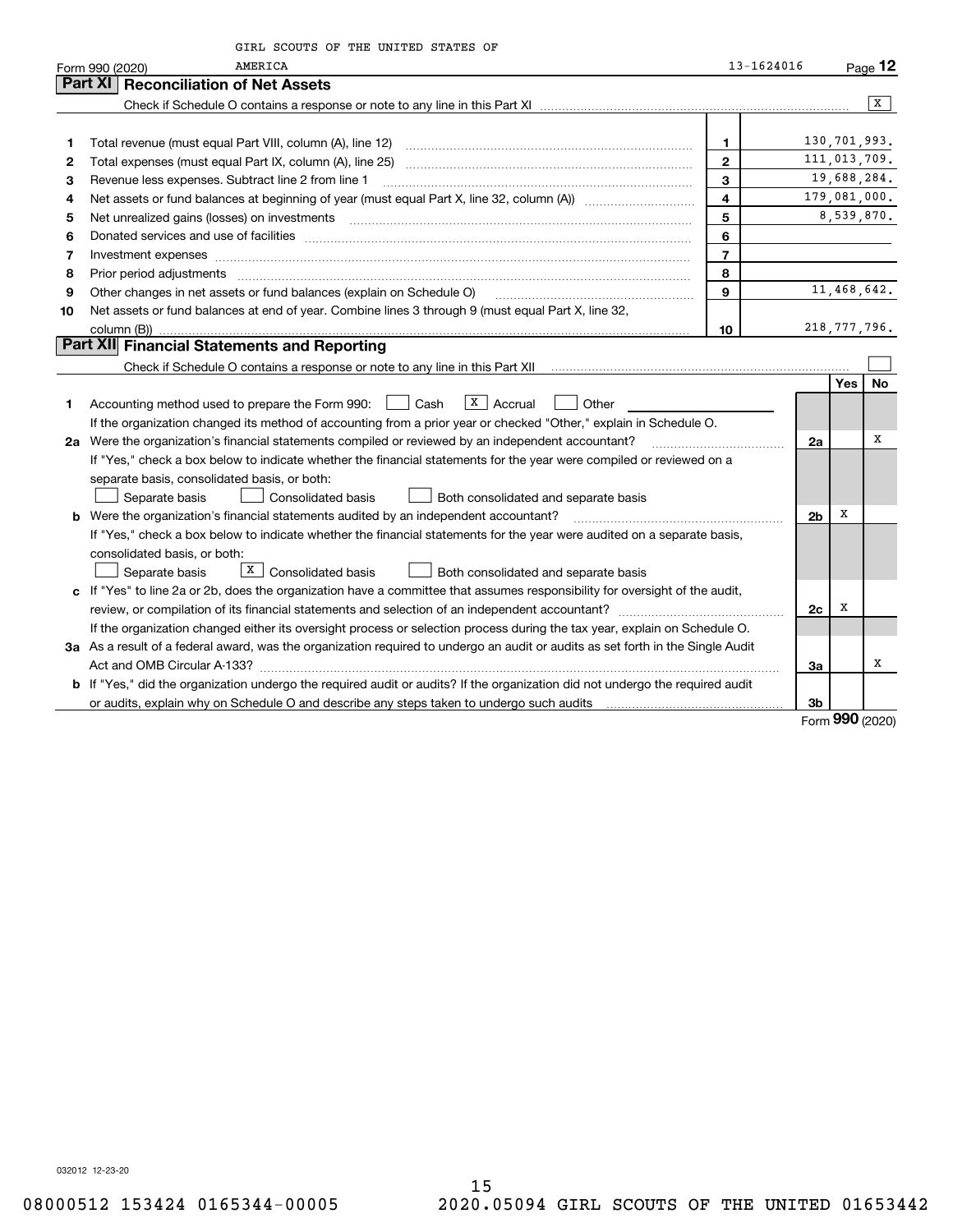|    | GIRL SCOUTS OF THE UNITED STATES OF                                                                                                                                                    |                |                |                |              |  |  |  |  |
|----|----------------------------------------------------------------------------------------------------------------------------------------------------------------------------------------|----------------|----------------|----------------|--------------|--|--|--|--|
|    | <b>AMERICA</b><br>Form 990 (2020)                                                                                                                                                      | 13-1624016     |                |                | $Page$ 12    |  |  |  |  |
|    | <b>Reconciliation of Net Assets</b><br>Part XI                                                                                                                                         |                |                |                |              |  |  |  |  |
|    |                                                                                                                                                                                        |                |                |                | $\mathbf{x}$ |  |  |  |  |
|    |                                                                                                                                                                                        |                |                |                |              |  |  |  |  |
| 1  |                                                                                                                                                                                        | $\mathbf{1}$   |                | 130,701,993.   |              |  |  |  |  |
| 2  |                                                                                                                                                                                        | $\overline{2}$ |                | 111,013,709.   |              |  |  |  |  |
| 3  | Revenue less expenses. Subtract line 2 from line 1                                                                                                                                     | 3              |                | 19,688,284.    |              |  |  |  |  |
| 4  | $\overline{\mathbf{4}}$                                                                                                                                                                |                |                |                |              |  |  |  |  |
| 5  | Net unrealized gains (losses) on investments                                                                                                                                           | 5              |                | 8,539,870.     |              |  |  |  |  |
| 6  |                                                                                                                                                                                        | 6              |                |                |              |  |  |  |  |
| 7  | Investment expenses www.communication.com/www.communication.com/www.communication.com/www.com                                                                                          | $\overline{7}$ |                |                |              |  |  |  |  |
| 8  | Prior period adjustments                                                                                                                                                               | 8              |                |                |              |  |  |  |  |
| 9  | Other changes in net assets or fund balances (explain on Schedule O)<br>and a complete the contract of the complete the complete the complete the complete the complete the complete t | 9              |                | 11,468,642.    |              |  |  |  |  |
| 10 | Net assets or fund balances at end of year. Combine lines 3 through 9 (must equal Part X, line 32,                                                                                     |                |                |                |              |  |  |  |  |
|    | column (B))                                                                                                                                                                            | 10             |                | 218, 777, 796. |              |  |  |  |  |
|    | Part XII Financial Statements and Reporting                                                                                                                                            |                |                |                |              |  |  |  |  |
|    |                                                                                                                                                                                        |                |                |                |              |  |  |  |  |
|    |                                                                                                                                                                                        |                |                | <b>Yes</b>     | No           |  |  |  |  |
| 1. | $\overline{X}$   Accrual<br>Accounting method used to prepare the Form 990: <u>[16</u> ] Cash<br>Other                                                                                 |                |                |                |              |  |  |  |  |
|    | If the organization changed its method of accounting from a prior year or checked "Other," explain in Schedule O.                                                                      |                |                |                |              |  |  |  |  |
|    | 2a Were the organization's financial statements compiled or reviewed by an independent accountant?                                                                                     |                | 2a             |                | X            |  |  |  |  |
|    | If "Yes," check a box below to indicate whether the financial statements for the year were compiled or reviewed on a                                                                   |                |                |                |              |  |  |  |  |
|    | separate basis, consolidated basis, or both:                                                                                                                                           |                |                |                |              |  |  |  |  |
|    | Separate basis<br>Consolidated basis<br>Both consolidated and separate basis                                                                                                           |                |                |                |              |  |  |  |  |
|    | <b>b</b> Were the organization's financial statements audited by an independent accountant?                                                                                            |                | 2 <sub>b</sub> | х              |              |  |  |  |  |
|    | If "Yes," check a box below to indicate whether the financial statements for the year were audited on a separate basis,                                                                |                |                |                |              |  |  |  |  |
|    | consolidated basis, or both:                                                                                                                                                           |                |                |                |              |  |  |  |  |
|    | $X$ Consolidated basis<br>Separate basis<br>Both consolidated and separate basis                                                                                                       |                |                |                |              |  |  |  |  |
|    | c If "Yes" to line 2a or 2b, does the organization have a committee that assumes responsibility for oversight of the audit,                                                            |                |                |                |              |  |  |  |  |
|    |                                                                                                                                                                                        |                | 2c             | х              |              |  |  |  |  |
|    | If the organization changed either its oversight process or selection process during the tax year, explain on Schedule O.                                                              |                |                |                |              |  |  |  |  |
|    | 3a As a result of a federal award, was the organization required to undergo an audit or audits as set forth in the Single Audit                                                        |                |                |                |              |  |  |  |  |
|    |                                                                                                                                                                                        |                | За             |                | х            |  |  |  |  |
|    | b If "Yes," did the organization undergo the required audit or audits? If the organization did not undergo the required audit                                                          |                |                |                |              |  |  |  |  |
|    |                                                                                                                                                                                        |                | 3 <sub>b</sub> |                |              |  |  |  |  |
|    |                                                                                                                                                                                        |                |                | $\Omega$       |              |  |  |  |  |

Form (2020) **990**

032012 12-23-20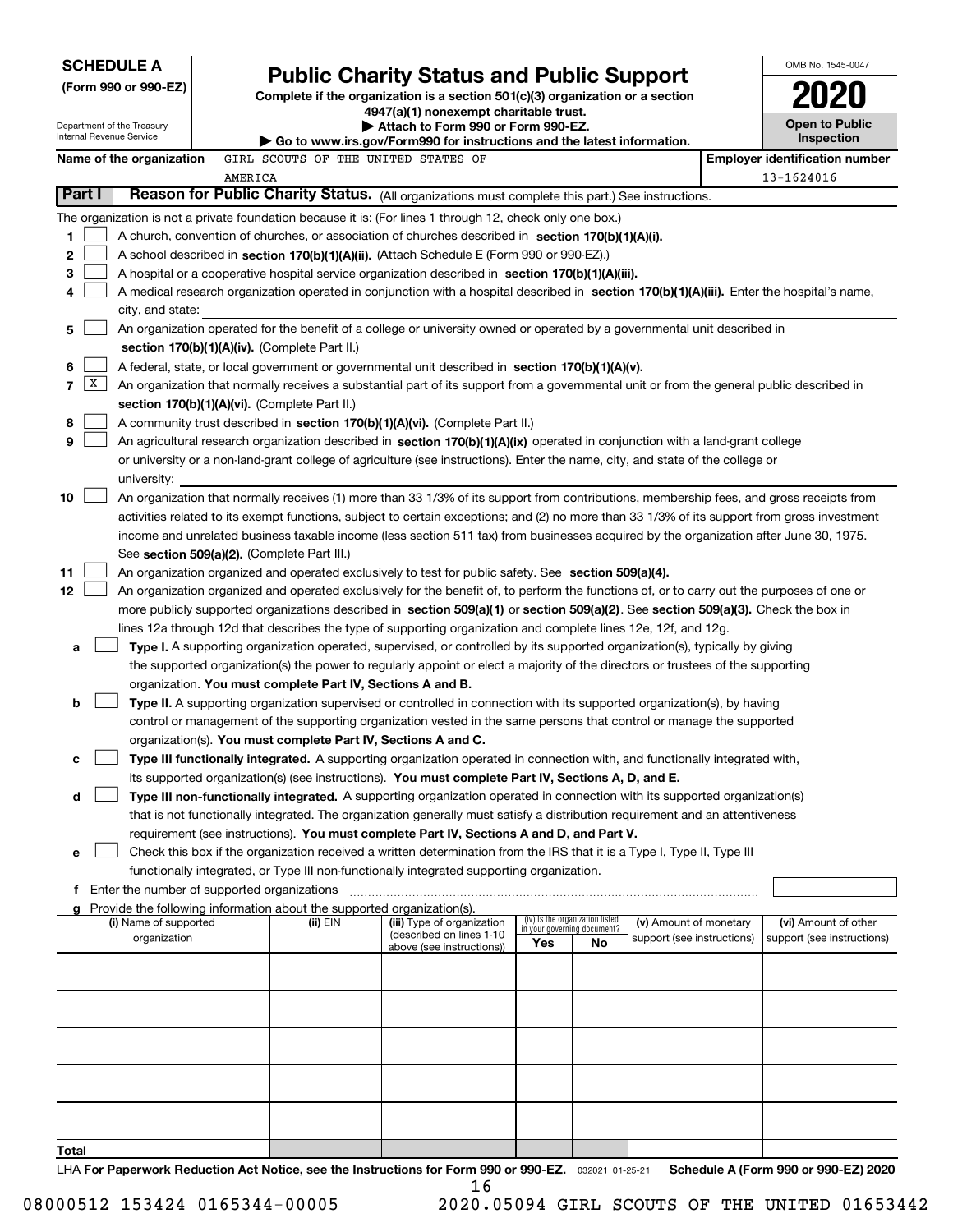| <b>SCHEDULE A</b>                                                                                         | <b>Public Charity Status and Public Support</b>                                                                                                                                                                                                                                          |                                                                                                                         |  |     |                                                                | OMB No. 1545-0047                                    |  |                                                    |
|-----------------------------------------------------------------------------------------------------------|------------------------------------------------------------------------------------------------------------------------------------------------------------------------------------------------------------------------------------------------------------------------------------------|-------------------------------------------------------------------------------------------------------------------------|--|-----|----------------------------------------------------------------|------------------------------------------------------|--|----------------------------------------------------|
| (Form 990 or 990-EZ)                                                                                      |                                                                                                                                                                                                                                                                                          |                                                                                                                         |  |     |                                                                |                                                      |  |                                                    |
|                                                                                                           |                                                                                                                                                                                                                                                                                          | Complete if the organization is a section 501(c)(3) organization or a section<br>4947(a)(1) nonexempt charitable trust. |  |     |                                                                |                                                      |  |                                                    |
| Department of the Treasury<br>Internal Revenue Service                                                    |                                                                                                                                                                                                                                                                                          | Attach to Form 990 or Form 990-EZ.                                                                                      |  |     |                                                                |                                                      |  | <b>Open to Public</b><br>Inspection                |
| Name of the organization                                                                                  |                                                                                                                                                                                                                                                                                          | Go to www.irs.gov/Form990 for instructions and the latest information.<br>GIRL SCOUTS OF THE UNITED STATES OF           |  |     |                                                                |                                                      |  | <b>Employer identification number</b>              |
|                                                                                                           | AMERICA                                                                                                                                                                                                                                                                                  |                                                                                                                         |  |     |                                                                |                                                      |  | 13-1624016                                         |
| Part I                                                                                                    | Reason for Public Charity Status. (All organizations must complete this part.) See instructions.                                                                                                                                                                                         |                                                                                                                         |  |     |                                                                |                                                      |  |                                                    |
| The organization is not a private foundation because it is: (For lines 1 through 12, check only one box.) |                                                                                                                                                                                                                                                                                          |                                                                                                                         |  |     |                                                                |                                                      |  |                                                    |
| 1                                                                                                         | A church, convention of churches, or association of churches described in section 170(b)(1)(A)(i).                                                                                                                                                                                       |                                                                                                                         |  |     |                                                                |                                                      |  |                                                    |
| 2                                                                                                         | A school described in section 170(b)(1)(A)(ii). (Attach Schedule E (Form 990 or 990-EZ).)                                                                                                                                                                                                |                                                                                                                         |  |     |                                                                |                                                      |  |                                                    |
| 3                                                                                                         | A hospital or a cooperative hospital service organization described in section 170(b)(1)(A)(iii).                                                                                                                                                                                        |                                                                                                                         |  |     |                                                                |                                                      |  |                                                    |
| 4                                                                                                         | A medical research organization operated in conjunction with a hospital described in section 170(b)(1)(A)(iii). Enter the hospital's name,                                                                                                                                               |                                                                                                                         |  |     |                                                                |                                                      |  |                                                    |
|                                                                                                           | city, and state:                                                                                                                                                                                                                                                                         |                                                                                                                         |  |     |                                                                |                                                      |  |                                                    |
| 5                                                                                                         | An organization operated for the benefit of a college or university owned or operated by a governmental unit described in<br>section 170(b)(1)(A)(iv). (Complete Part II.)                                                                                                               |                                                                                                                         |  |     |                                                                |                                                      |  |                                                    |
| 6                                                                                                         | A federal, state, or local government or governmental unit described in section 170(b)(1)(A)(v).                                                                                                                                                                                         |                                                                                                                         |  |     |                                                                |                                                      |  |                                                    |
| X <br>7                                                                                                   |                                                                                                                                                                                                                                                                                          |                                                                                                                         |  |     |                                                                |                                                      |  |                                                    |
|                                                                                                           | An organization that normally receives a substantial part of its support from a governmental unit or from the general public described in<br>section 170(b)(1)(A)(vi). (Complete Part II.)                                                                                               |                                                                                                                         |  |     |                                                                |                                                      |  |                                                    |
| 8                                                                                                         | A community trust described in section 170(b)(1)(A)(vi). (Complete Part II.)                                                                                                                                                                                                             |                                                                                                                         |  |     |                                                                |                                                      |  |                                                    |
| 9                                                                                                         | An agricultural research organization described in section 170(b)(1)(A)(ix) operated in conjunction with a land-grant college                                                                                                                                                            |                                                                                                                         |  |     |                                                                |                                                      |  |                                                    |
|                                                                                                           | or university or a non-land-grant college of agriculture (see instructions). Enter the name, city, and state of the college or                                                                                                                                                           |                                                                                                                         |  |     |                                                                |                                                      |  |                                                    |
| university:                                                                                               |                                                                                                                                                                                                                                                                                          |                                                                                                                         |  |     |                                                                |                                                      |  |                                                    |
| 10                                                                                                        | An organization that normally receives (1) more than 33 1/3% of its support from contributions, membership fees, and gross receipts from<br>activities related to its exempt functions, subject to certain exceptions; and (2) no more than 33 1/3% of its support from gross investment |                                                                                                                         |  |     |                                                                |                                                      |  |                                                    |
|                                                                                                           | income and unrelated business taxable income (less section 511 tax) from businesses acquired by the organization after June 30, 1975.                                                                                                                                                    |                                                                                                                         |  |     |                                                                |                                                      |  |                                                    |
|                                                                                                           | See section 509(a)(2). (Complete Part III.)                                                                                                                                                                                                                                              |                                                                                                                         |  |     |                                                                |                                                      |  |                                                    |
| 11                                                                                                        | An organization organized and operated exclusively to test for public safety. See section 509(a)(4).                                                                                                                                                                                     |                                                                                                                         |  |     |                                                                |                                                      |  |                                                    |
| 12                                                                                                        | An organization organized and operated exclusively for the benefit of, to perform the functions of, or to carry out the purposes of one or                                                                                                                                               |                                                                                                                         |  |     |                                                                |                                                      |  |                                                    |
|                                                                                                           | more publicly supported organizations described in section 509(a)(1) or section 509(a)(2). See section 509(a)(3). Check the box in                                                                                                                                                       |                                                                                                                         |  |     |                                                                |                                                      |  |                                                    |
|                                                                                                           | lines 12a through 12d that describes the type of supporting organization and complete lines 12e, 12f, and 12g.                                                                                                                                                                           |                                                                                                                         |  |     |                                                                |                                                      |  |                                                    |
| а                                                                                                         | Type I. A supporting organization operated, supervised, or controlled by its supported organization(s), typically by giving                                                                                                                                                              |                                                                                                                         |  |     |                                                                |                                                      |  |                                                    |
|                                                                                                           | the supported organization(s) the power to regularly appoint or elect a majority of the directors or trustees of the supporting<br>organization. You must complete Part IV, Sections A and B.                                                                                            |                                                                                                                         |  |     |                                                                |                                                      |  |                                                    |
| b                                                                                                         | Type II. A supporting organization supervised or controlled in connection with its supported organization(s), by having                                                                                                                                                                  |                                                                                                                         |  |     |                                                                |                                                      |  |                                                    |
|                                                                                                           | control or management of the supporting organization vested in the same persons that control or manage the supported                                                                                                                                                                     |                                                                                                                         |  |     |                                                                |                                                      |  |                                                    |
|                                                                                                           | organization(s). You must complete Part IV, Sections A and C.                                                                                                                                                                                                                            |                                                                                                                         |  |     |                                                                |                                                      |  |                                                    |
| с                                                                                                         | Type III functionally integrated. A supporting organization operated in connection with, and functionally integrated with,                                                                                                                                                               |                                                                                                                         |  |     |                                                                |                                                      |  |                                                    |
|                                                                                                           | its supported organization(s) (see instructions). You must complete Part IV, Sections A, D, and E.                                                                                                                                                                                       |                                                                                                                         |  |     |                                                                |                                                      |  |                                                    |
| d                                                                                                         | Type III non-functionally integrated. A supporting organization operated in connection with its supported organization(s)                                                                                                                                                                |                                                                                                                         |  |     |                                                                |                                                      |  |                                                    |
|                                                                                                           | that is not functionally integrated. The organization generally must satisfy a distribution requirement and an attentiveness                                                                                                                                                             |                                                                                                                         |  |     |                                                                |                                                      |  |                                                    |
| е                                                                                                         | requirement (see instructions). You must complete Part IV, Sections A and D, and Part V.<br>Check this box if the organization received a written determination from the IRS that it is a Type I, Type II, Type III                                                                      |                                                                                                                         |  |     |                                                                |                                                      |  |                                                    |
|                                                                                                           | functionally integrated, or Type III non-functionally integrated supporting organization.                                                                                                                                                                                                |                                                                                                                         |  |     |                                                                |                                                      |  |                                                    |
|                                                                                                           | f Enter the number of supported organizations                                                                                                                                                                                                                                            |                                                                                                                         |  |     |                                                                |                                                      |  |                                                    |
|                                                                                                           | Provide the following information about the supported organization(s).                                                                                                                                                                                                                   |                                                                                                                         |  |     |                                                                |                                                      |  |                                                    |
| (i) Name of supported<br>organization                                                                     | (ii) EIN                                                                                                                                                                                                                                                                                 | (iii) Type of organization<br>(described on lines 1-10                                                                  |  |     | (iv) Is the organization listed<br>in your governing document? | (v) Amount of monetary<br>support (see instructions) |  | (vi) Amount of other<br>support (see instructions) |
|                                                                                                           |                                                                                                                                                                                                                                                                                          | above (see instructions))                                                                                               |  | Yes | No                                                             |                                                      |  |                                                    |
|                                                                                                           |                                                                                                                                                                                                                                                                                          |                                                                                                                         |  |     |                                                                |                                                      |  |                                                    |
|                                                                                                           |                                                                                                                                                                                                                                                                                          |                                                                                                                         |  |     |                                                                |                                                      |  |                                                    |
|                                                                                                           |                                                                                                                                                                                                                                                                                          |                                                                                                                         |  |     |                                                                |                                                      |  |                                                    |
|                                                                                                           |                                                                                                                                                                                                                                                                                          |                                                                                                                         |  |     |                                                                |                                                      |  |                                                    |
|                                                                                                           |                                                                                                                                                                                                                                                                                          |                                                                                                                         |  |     |                                                                |                                                      |  |                                                    |
|                                                                                                           |                                                                                                                                                                                                                                                                                          |                                                                                                                         |  |     |                                                                |                                                      |  |                                                    |
|                                                                                                           |                                                                                                                                                                                                                                                                                          |                                                                                                                         |  |     |                                                                |                                                      |  |                                                    |
|                                                                                                           |                                                                                                                                                                                                                                                                                          |                                                                                                                         |  |     |                                                                |                                                      |  |                                                    |
| Total                                                                                                     |                                                                                                                                                                                                                                                                                          |                                                                                                                         |  |     |                                                                |                                                      |  |                                                    |
|                                                                                                           |                                                                                                                                                                                                                                                                                          |                                                                                                                         |  |     |                                                                |                                                      |  |                                                    |

LHA For Paperwork Reduction Act Notice, see the Instructions for Form 990 or 990-EZ. <sub>032021</sub> o1-25-21 Schedule A (Form 990 or 990-EZ) 2020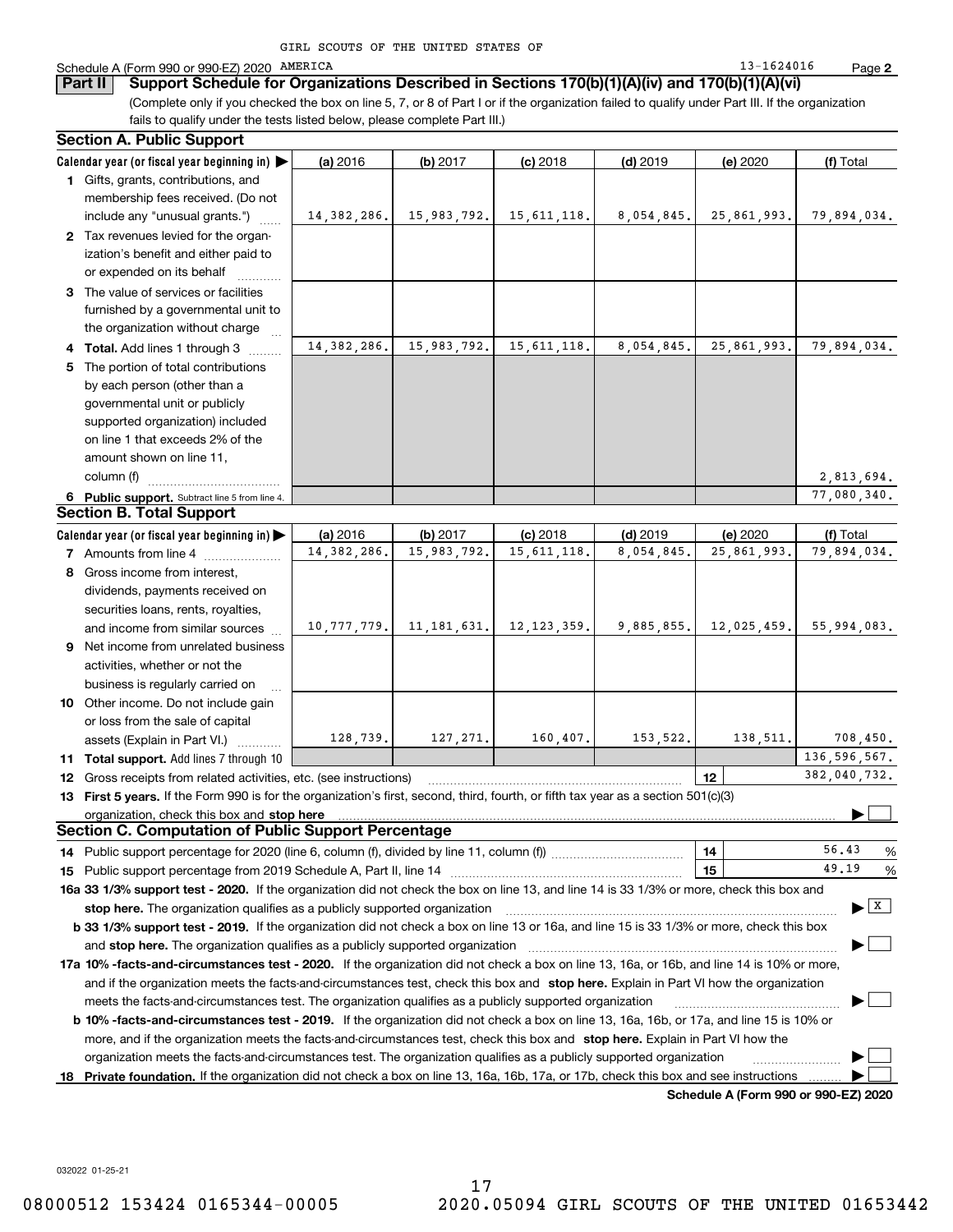| GIRL SCOUTS OF THE UNITED STATES OF |  |
|-------------------------------------|--|
|-------------------------------------|--|

#### Schedule A (Form 990 or 990-EZ) 2020 PAMERICA (State of the Schedule A (Form 13-1624016  $\,$  Page  $\,$

(Complete only if you checked the box on line 5, 7, or 8 of Part I or if the organization failed to qualify under Part III. If the organization **Part II Support Schedule for Organizations Described in Sections 170(b)(1)(A)(iv) and 170(b)(1)(A)(vi)**

fails to qualify under the tests listed below, please complete Part III.)

|   | <b>Section A. Public Support</b>                                                                                                               |               |               |               |            |             |                                          |
|---|------------------------------------------------------------------------------------------------------------------------------------------------|---------------|---------------|---------------|------------|-------------|------------------------------------------|
|   | Calendar year (or fiscal year beginning in)                                                                                                    | (a) 2016      | (b) 2017      | $(c)$ 2018    | $(d)$ 2019 | (e) 2020    | (f) Total                                |
|   | 1 Gifts, grants, contributions, and                                                                                                            |               |               |               |            |             |                                          |
|   | membership fees received. (Do not                                                                                                              |               |               |               |            |             |                                          |
|   | include any "unusual grants.")                                                                                                                 | 14, 382, 286. | 15,983,792.   | 15, 611, 118. | 8,054,845. | 25,861,993. | 79,894,034.                              |
|   | 2 Tax revenues levied for the organ-                                                                                                           |               |               |               |            |             |                                          |
|   | ization's benefit and either paid to                                                                                                           |               |               |               |            |             |                                          |
|   | or expended on its behalf                                                                                                                      |               |               |               |            |             |                                          |
|   | 3 The value of services or facilities                                                                                                          |               |               |               |            |             |                                          |
|   | furnished by a governmental unit to                                                                                                            |               |               |               |            |             |                                          |
|   | the organization without charge                                                                                                                |               |               |               |            |             |                                          |
|   | 4 Total. Add lines 1 through 3                                                                                                                 | 14, 382, 286. | 15,983,792.   | 15, 611, 118. | 8,054,845. | 25,861,993. | 79,894,034.                              |
| 5 | The portion of total contributions                                                                                                             |               |               |               |            |             |                                          |
|   | by each person (other than a                                                                                                                   |               |               |               |            |             |                                          |
|   | governmental unit or publicly                                                                                                                  |               |               |               |            |             |                                          |
|   | supported organization) included                                                                                                               |               |               |               |            |             |                                          |
|   | on line 1 that exceeds 2% of the                                                                                                               |               |               |               |            |             |                                          |
|   | amount shown on line 11,                                                                                                                       |               |               |               |            |             |                                          |
|   | column (f)                                                                                                                                     |               |               |               |            |             | 2,813,694.                               |
|   | 6 Public support. Subtract line 5 from line 4.                                                                                                 |               |               |               |            |             | 77.080.340.                              |
|   | <b>Section B. Total Support</b>                                                                                                                |               |               |               |            |             |                                          |
|   | Calendar year (or fiscal year beginning in)                                                                                                    | (a) 2016      | (b) 2017      | $(c)$ 2018    | $(d)$ 2019 | (e) 2020    | (f) Total                                |
|   | <b>7</b> Amounts from line 4                                                                                                                   | 14, 382, 286. | 15,983,792.   | 15, 611, 118. | 8,054,845. | 25,861,993. | 79,894,034.                              |
|   | 8 Gross income from interest,                                                                                                                  |               |               |               |            |             |                                          |
|   | dividends, payments received on                                                                                                                |               |               |               |            |             |                                          |
|   | securities loans, rents, royalties,                                                                                                            |               |               |               |            |             |                                          |
|   | and income from similar sources                                                                                                                | 10, 777, 779. | 11, 181, 631. | 12, 123, 359. | 9,885,855. | 12,025,459. | 55,994,083.                              |
|   | 9 Net income from unrelated business                                                                                                           |               |               |               |            |             |                                          |
|   | activities, whether or not the                                                                                                                 |               |               |               |            |             |                                          |
|   | business is regularly carried on                                                                                                               |               |               |               |            |             |                                          |
|   | 10 Other income. Do not include gain                                                                                                           |               |               |               |            |             |                                          |
|   | or loss from the sale of capital                                                                                                               |               |               |               |            |             |                                          |
|   | assets (Explain in Part VI.)                                                                                                                   | 128,739.      | 127, 271.     | 160, 407.     | 153, 522.  | 138, 511.   | 708,450.                                 |
|   | 11 Total support. Add lines 7 through 10                                                                                                       |               |               |               |            |             | 136, 596, 567.                           |
|   | 12 Gross receipts from related activities, etc. (see instructions)                                                                             |               |               |               |            | 12          | 382,040,732.                             |
|   | 13 First 5 years. If the Form 990 is for the organization's first, second, third, fourth, or fifth tax year as a section 501(c)(3)             |               |               |               |            |             |                                          |
|   | organization, check this box and stop here                                                                                                     |               |               |               |            |             |                                          |
|   | <b>Section C. Computation of Public Support Percentage</b>                                                                                     |               |               |               |            |             |                                          |
|   | 14 Public support percentage for 2020 (line 6, column (f), divided by line 11, column (f) <i>managerecommum</i>                                |               |               |               |            | 14          | 56.43<br>%                               |
|   |                                                                                                                                                |               |               |               |            | 15          | 49.19<br>%                               |
|   | 16a 33 1/3% support test - 2020. If the organization did not check the box on line 13, and line 14 is 33 1/3% or more, check this box and      |               |               |               |            |             |                                          |
|   | stop here. The organization qualifies as a publicly supported organization                                                                     |               |               |               |            |             | $\blacktriangleright$ $\boxed{\text{X}}$ |
|   | b 33 1/3% support test - 2019. If the organization did not check a box on line 13 or 16a, and line 15 is 33 1/3% or more, check this box       |               |               |               |            |             |                                          |
|   | and <b>stop here.</b> The organization qualifies as a publicly supported organization                                                          |               |               |               |            |             |                                          |
|   | 17a 10% -facts-and-circumstances test - 2020. If the organization did not check a box on line 13, 16a, or 16b, and line 14 is 10% or more,     |               |               |               |            |             |                                          |
|   | and if the organization meets the facts-and-circumstances test, check this box and stop here. Explain in Part VI how the organization          |               |               |               |            |             |                                          |
|   | meets the facts-and-circumstances test. The organization qualifies as a publicly supported organization                                        |               |               |               |            |             |                                          |
|   | <b>b 10% -facts-and-circumstances test - 2019.</b> If the organization did not check a box on line 13, 16a, 16b, or 17a, and line 15 is 10% or |               |               |               |            |             |                                          |
|   | more, and if the organization meets the facts-and-circumstances test, check this box and stop here. Explain in Part VI how the                 |               |               |               |            |             |                                          |
|   |                                                                                                                                                |               |               |               |            |             |                                          |
|   | organization meets the facts-and-circumstances test. The organization qualifies as a publicly supported organization                           |               |               |               |            |             |                                          |
|   | 18 Private foundation. If the organization did not check a box on line 13, 16a, 16b, 17a, or 17b, check this box and see instructions          |               |               |               |            |             |                                          |

**Schedule A (Form 990 or 990-EZ) 2020**

032022 01-25-21

**2**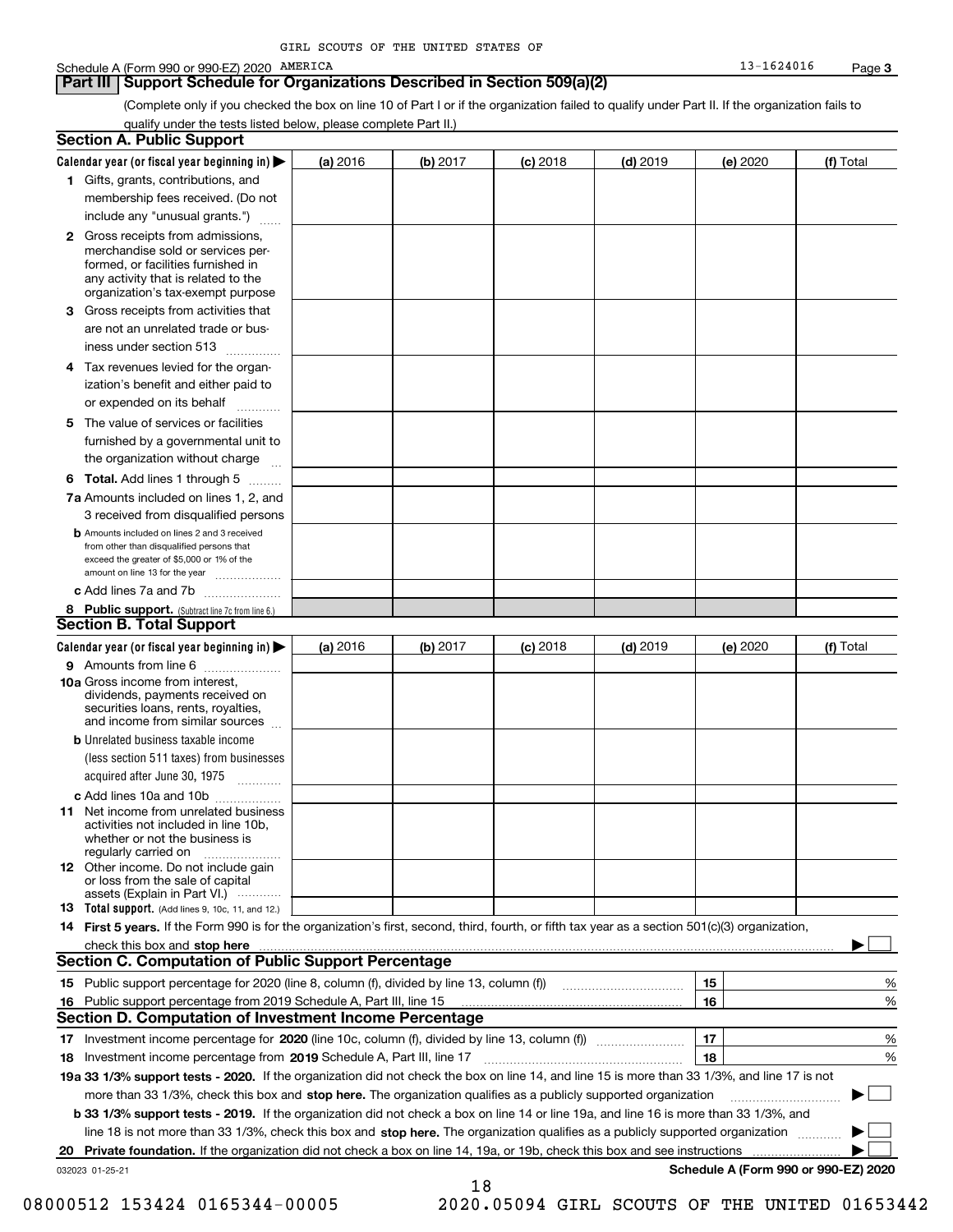#### Schedule A (Form 990 or 990-EZ) 2020 PAMERICA (State of the Schedule A (Form 13-1624016  $\,$  Page  $\,$

### **Part III Support Schedule for Organizations Described in Section 509(a)(2)**

(Complete only if you checked the box on line 10 of Part I or if the organization failed to qualify under Part II. If the organization fails to qualify under the tests listed below, please complete Part II.)

| <b>Section A. Public Support</b>                                                                                                                                                         |          |            |            |            |          |                                      |
|------------------------------------------------------------------------------------------------------------------------------------------------------------------------------------------|----------|------------|------------|------------|----------|--------------------------------------|
| Calendar year (or fiscal year beginning in)                                                                                                                                              | (a) 2016 | (b) $2017$ | $(c)$ 2018 | $(d)$ 2019 | (e) 2020 | (f) Total                            |
| 1 Gifts, grants, contributions, and                                                                                                                                                      |          |            |            |            |          |                                      |
| membership fees received. (Do not                                                                                                                                                        |          |            |            |            |          |                                      |
| include any "unusual grants.")                                                                                                                                                           |          |            |            |            |          |                                      |
| 2 Gross receipts from admissions,<br>merchandise sold or services per-<br>formed, or facilities furnished in<br>any activity that is related to the<br>organization's tax-exempt purpose |          |            |            |            |          |                                      |
| 3 Gross receipts from activities that<br>are not an unrelated trade or bus-                                                                                                              |          |            |            |            |          |                                      |
| iness under section 513                                                                                                                                                                  |          |            |            |            |          |                                      |
| 4 Tax revenues levied for the organ-<br>ization's benefit and either paid to<br>or expended on its behalf                                                                                |          |            |            |            |          |                                      |
| 5 The value of services or facilities<br>furnished by a governmental unit to                                                                                                             |          |            |            |            |          |                                      |
| the organization without charge                                                                                                                                                          |          |            |            |            |          |                                      |
| <b>6 Total.</b> Add lines 1 through 5                                                                                                                                                    |          |            |            |            |          |                                      |
| 7a Amounts included on lines 1, 2, and<br>3 received from disqualified persons                                                                                                           |          |            |            |            |          |                                      |
| <b>b</b> Amounts included on lines 2 and 3 received<br>from other than disqualified persons that<br>exceed the greater of \$5,000 or 1% of the<br>amount on line 13 for the year         |          |            |            |            |          |                                      |
| c Add lines 7a and 7b                                                                                                                                                                    |          |            |            |            |          |                                      |
| 8 Public support. (Subtract line 7c from line 6.)<br><b>Section B. Total Support</b>                                                                                                     |          |            |            |            |          |                                      |
| Calendar year (or fiscal year beginning in)                                                                                                                                              | (a) 2016 | (b) $2017$ | $(c)$ 2018 | $(d)$ 2019 | (e) 2020 | (f) Total                            |
| 9 Amounts from line 6                                                                                                                                                                    |          |            |            |            |          |                                      |
| 10a Gross income from interest,<br>dividends, payments received on<br>securities loans, rents, royalties,<br>and income from similar sources                                             |          |            |            |            |          |                                      |
| <b>b</b> Unrelated business taxable income<br>(less section 511 taxes) from businesses                                                                                                   |          |            |            |            |          |                                      |
| acquired after June 30, 1975                                                                                                                                                             |          |            |            |            |          |                                      |
| c Add lines 10a and 10b<br><b>11</b> Net income from unrelated business<br>activities not included in line 10b.<br>whether or not the business is<br>regularly carried on                |          |            |            |            |          |                                      |
| <b>12</b> Other income. Do not include gain<br>or loss from the sale of capital<br>assets (Explain in Part VI.)                                                                          |          |            |            |            |          |                                      |
| 13 Total support. (Add lines 9, 10c, 11, and 12.)                                                                                                                                        |          |            |            |            |          |                                      |
| 14 First 5 years. If the Form 990 is for the organization's first, second, third, fourth, or fifth tax year as a section 501(c)(3) organization,                                         |          |            |            |            |          |                                      |
| check this box and stop here                                                                                                                                                             |          |            |            |            |          |                                      |
| <b>Section C. Computation of Public Support Percentage</b>                                                                                                                               |          |            |            |            |          |                                      |
| 15 Public support percentage for 2020 (line 8, column (f), divided by line 13, column (f))                                                                                               |          |            |            |            | 15       | %                                    |
| 16 Public support percentage from 2019 Schedule A, Part III, line 15                                                                                                                     |          |            |            |            | 16       | %                                    |
| <b>Section D. Computation of Investment Income Percentage</b>                                                                                                                            |          |            |            |            |          |                                      |
| 18 Investment income percentage from 2019 Schedule A, Part III, line 17                                                                                                                  |          |            |            |            | 17<br>18 | %<br>%                               |
| 19a 33 1/3% support tests - 2020. If the organization did not check the box on line 14, and line 15 is more than 33 1/3%, and line 17 is not                                             |          |            |            |            |          |                                      |
| more than 33 1/3%, check this box and stop here. The organization qualifies as a publicly supported organization                                                                         |          |            |            |            |          |                                      |
| <b>b 33 1/3% support tests - 2019.</b> If the organization did not check a box on line 14 or line 19a, and line 16 is more than 33 1/3%, and                                             |          |            |            |            |          |                                      |
| line 18 is not more than 33 1/3%, check this box and stop here. The organization qualifies as a publicly supported organization                                                          |          |            |            |            |          |                                      |
| 20 Private foundation. If the organization did not check a box on line 14, 19a, or 19b, check this box and see instructions                                                              |          |            |            |            |          |                                      |
| 032023 01-25-21                                                                                                                                                                          |          |            |            |            |          | Schedule A (Form 990 or 990-EZ) 2020 |
|                                                                                                                                                                                          |          | 18         |            |            |          |                                      |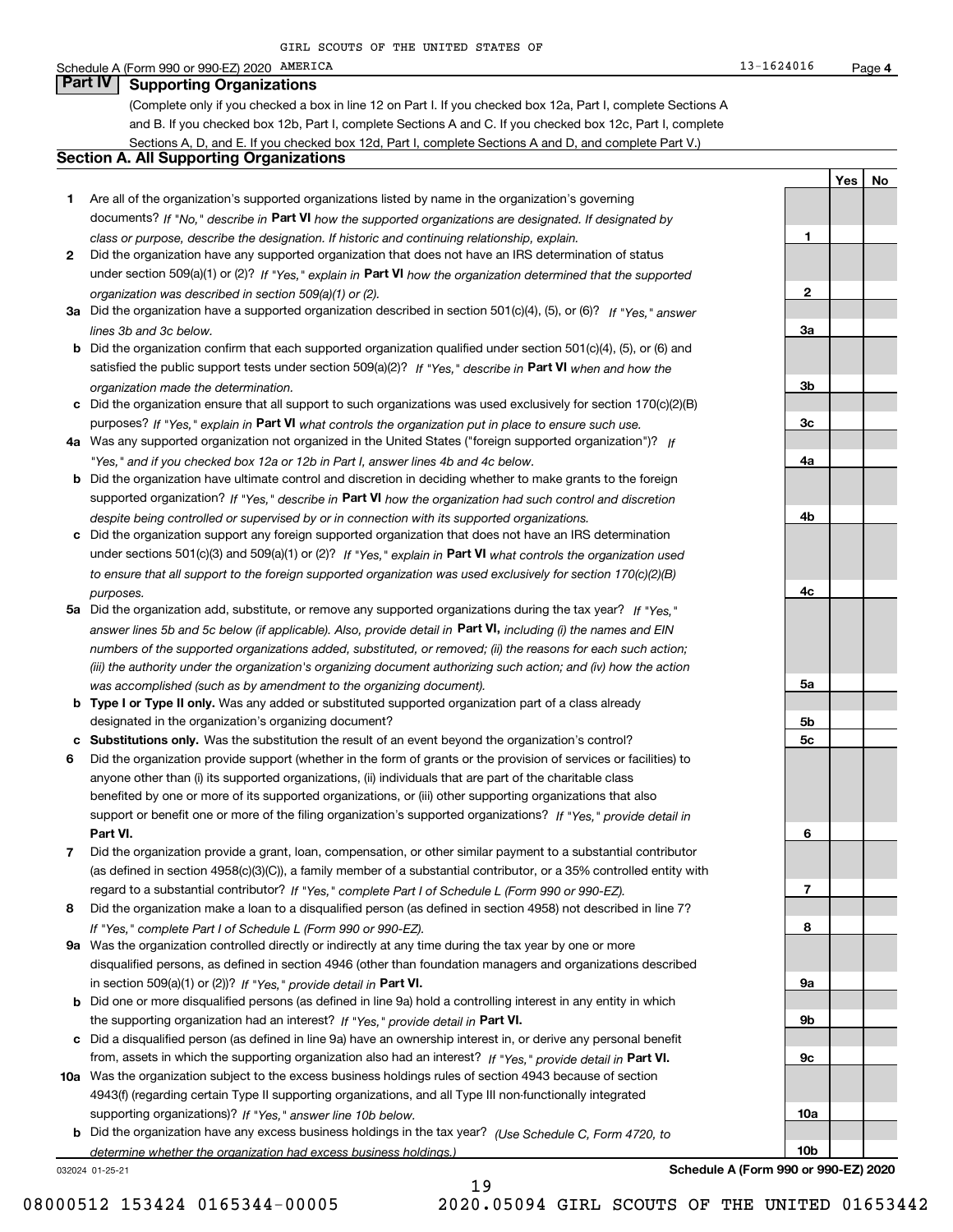#### Schedule A (Form 990 or 990-EZ) 2020 PAMERICA (State of the Schedule A (Form 13-1624016  $\,$  Page  $\,$ **Part IV Supporting Organizations**

(Complete only if you checked a box in line 12 on Part I. If you checked box 12a, Part I, complete Sections A and B. If you checked box 12b, Part I, complete Sections A and C. If you checked box 12c, Part I, complete Sections A, D, and E. If you checked box 12d, Part I, complete Sections A and D, and complete Part V.)

### **Section A. All Supporting Organizations**

- **1** Are all of the organization's supported organizations listed by name in the organization's governing documents? If "No," describe in **Part VI** how the supported organizations are designated. If designated by *class or purpose, describe the designation. If historic and continuing relationship, explain.*
- **2**under section 509(a)(1) or (2)? If "Yes," explain in Part VI how the organization determined that the supported *organization was described in section 509(a)(1) or (2).* Did the organization have any supported organization that does not have an IRS determination of status
- **3a** Did the organization have a supported organization described in section 501(c)(4), (5), or (6)? If "Yes," answer *lines 3b and 3c below.*
- **b** Did the organization confirm that each supported organization qualified under section 501(c)(4), (5), or (6) and satisfied the public support tests under section 509(a)(2)? If "Yes," describe in **Part VI** when and how the *organization made the determination.*
- **c**Did the organization ensure that all support to such organizations was used exclusively for section 170(c)(2)(B) purposes? If "Yes," explain in **Part VI** what controls the organization put in place to ensure such use.
- **4a** *If* Was any supported organization not organized in the United States ("foreign supported organization")? *"Yes," and if you checked box 12a or 12b in Part I, answer lines 4b and 4c below.*
- **b** Did the organization have ultimate control and discretion in deciding whether to make grants to the foreign supported organization? If "Yes," describe in **Part VI** how the organization had such control and discretion *despite being controlled or supervised by or in connection with its supported organizations.*
- **c** Did the organization support any foreign supported organization that does not have an IRS determination under sections 501(c)(3) and 509(a)(1) or (2)? If "Yes," explain in **Part VI** what controls the organization used *to ensure that all support to the foreign supported organization was used exclusively for section 170(c)(2)(B) purposes.*
- **5a** Did the organization add, substitute, or remove any supported organizations during the tax year? If "Yes," answer lines 5b and 5c below (if applicable). Also, provide detail in **Part VI,** including (i) the names and EIN *numbers of the supported organizations added, substituted, or removed; (ii) the reasons for each such action; (iii) the authority under the organization's organizing document authorizing such action; and (iv) how the action was accomplished (such as by amendment to the organizing document).*
- **b** Type I or Type II only. Was any added or substituted supported organization part of a class already designated in the organization's organizing document?
- **cSubstitutions only.**  Was the substitution the result of an event beyond the organization's control?
- **6** Did the organization provide support (whether in the form of grants or the provision of services or facilities) to **Part VI.** *If "Yes," provide detail in* support or benefit one or more of the filing organization's supported organizations? anyone other than (i) its supported organizations, (ii) individuals that are part of the charitable class benefited by one or more of its supported organizations, or (iii) other supporting organizations that also
- **7**Did the organization provide a grant, loan, compensation, or other similar payment to a substantial contributor *If "Yes," complete Part I of Schedule L (Form 990 or 990-EZ).* regard to a substantial contributor? (as defined in section 4958(c)(3)(C)), a family member of a substantial contributor, or a 35% controlled entity with
- **8***If "Yes," complete Part I of Schedule L (Form 990 or 990-EZ).* Did the organization make a loan to a disqualified person (as defined in section 4958) not described in line 7?
- **9a** Was the organization controlled directly or indirectly at any time during the tax year by one or more in section 509(a)(1) or (2))? If "Yes," *provide detail in* <code>Part VI.</code> disqualified persons, as defined in section 4946 (other than foundation managers and organizations described
- **b**the supporting organization had an interest? If "Yes," provide detail in P**art VI**. Did one or more disqualified persons (as defined in line 9a) hold a controlling interest in any entity in which
- **c**Did a disqualified person (as defined in line 9a) have an ownership interest in, or derive any personal benefit from, assets in which the supporting organization also had an interest? If "Yes," provide detail in P**art VI.**
- **10a** Was the organization subject to the excess business holdings rules of section 4943 because of section supporting organizations)? If "Yes," answer line 10b below. 4943(f) (regarding certain Type II supporting organizations, and all Type III non-functionally integrated
- **b** Did the organization have any excess business holdings in the tax year? (Use Schedule C, Form 4720, to *determine whether the organization had excess business holdings.)*

19

032024 01-25-21

**Schedule A (Form 990 or 990-EZ) 2020**

| $\mathbf{1}$    |  |
|-----------------|--|
|                 |  |
|                 |  |
|                 |  |
| $\overline{2}$  |  |
|                 |  |
| <u>3a</u>       |  |
|                 |  |
|                 |  |
|                 |  |
| 3 <sub>b</sub>  |  |
|                 |  |
| $\frac{3c}{2}$  |  |
|                 |  |
|                 |  |
| <u>4a</u>       |  |
|                 |  |
|                 |  |
| 4 <sub>b</sub>  |  |
|                 |  |
|                 |  |
|                 |  |
|                 |  |
| 4c              |  |
|                 |  |
|                 |  |
|                 |  |
|                 |  |
|                 |  |
| <u>5a</u>       |  |
|                 |  |
| 5 <sub>b</sub>  |  |
|                 |  |
| <u>5c</u>       |  |
|                 |  |
|                 |  |
|                 |  |
|                 |  |
|                 |  |
| $\overline{6}$  |  |
|                 |  |
|                 |  |
| $\overline{1}$  |  |
|                 |  |
| 8               |  |
|                 |  |
|                 |  |
|                 |  |
| <u>9a</u>       |  |
|                 |  |
| <u>9b</u>       |  |
|                 |  |
|                 |  |
| $\frac{9c}{2}$  |  |
|                 |  |
|                 |  |
| <u>10a</u>      |  |
|                 |  |
|                 |  |
| 10 <sub>b</sub> |  |

**YesNo**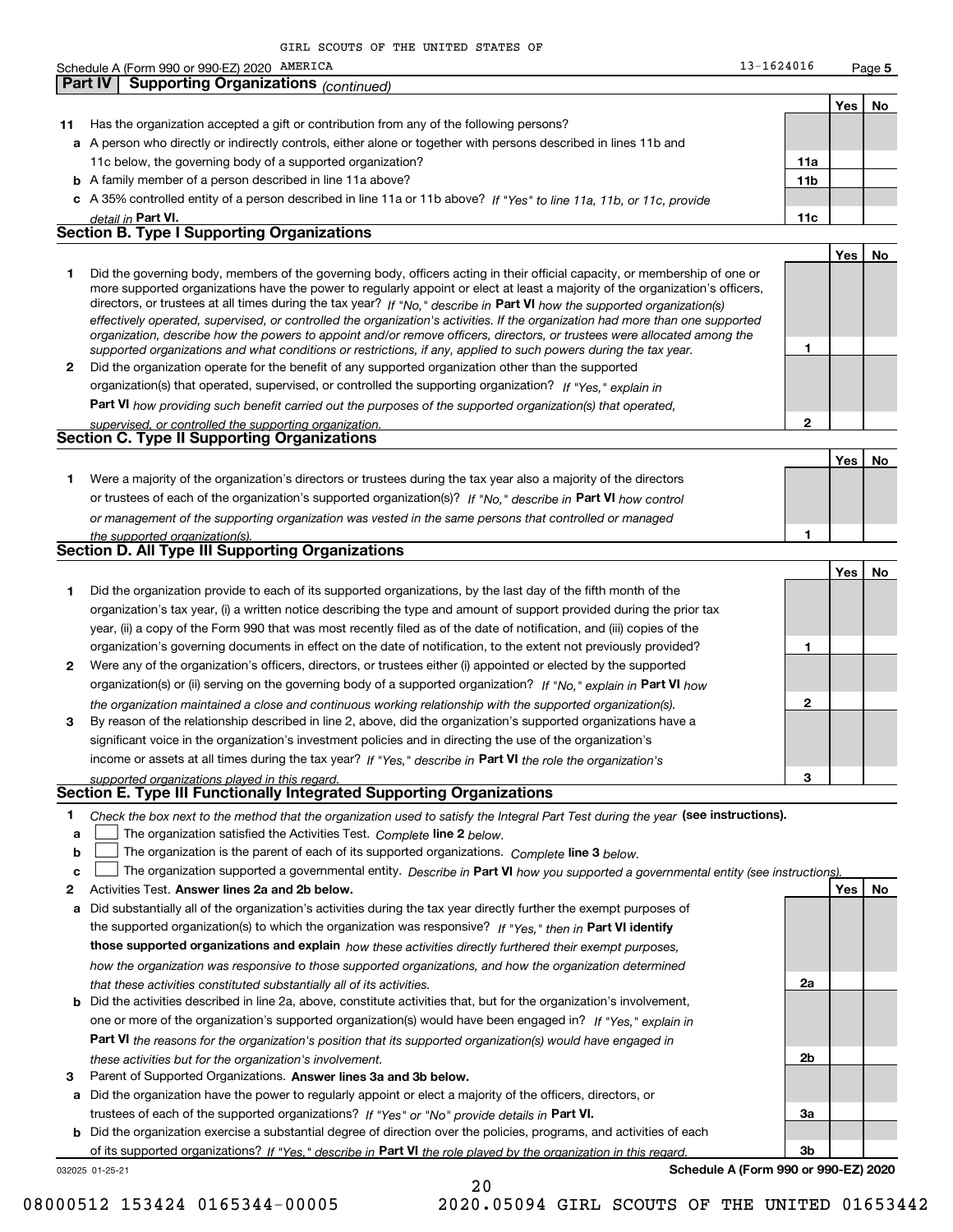|    | GIRL SCOUTS OF THE UNITED STATES OF                                                                                                                                                                                                                      |                 |     |        |
|----|----------------------------------------------------------------------------------------------------------------------------------------------------------------------------------------------------------------------------------------------------------|-----------------|-----|--------|
|    | Schedule A (Form 990 or 990-EZ) 2020 AMERICA                                                                                                                                                                                                             | 13-1624016      |     | Page 5 |
|    | <b>Supporting Organizations (continued)</b><br><b>Part IV</b>                                                                                                                                                                                            |                 |     |        |
|    |                                                                                                                                                                                                                                                          |                 | Yes | No     |
| 11 | Has the organization accepted a gift or contribution from any of the following persons?                                                                                                                                                                  |                 |     |        |
|    | a A person who directly or indirectly controls, either alone or together with persons described in lines 11b and                                                                                                                                         |                 |     |        |
|    | 11c below, the governing body of a supported organization?                                                                                                                                                                                               | 11a             |     |        |
|    |                                                                                                                                                                                                                                                          | 11 <sub>b</sub> |     |        |
|    | <b>b</b> A family member of a person described in line 11a above?                                                                                                                                                                                        |                 |     |        |
|    | c A 35% controlled entity of a person described in line 11a or 11b above? If "Yes" to line 11a, 11b, or 11c, provide                                                                                                                                     |                 |     |        |
|    | <u>detail in Part VI.</u><br><b>Section B. Type I Supporting Organizations</b>                                                                                                                                                                           | 11c             |     |        |
|    |                                                                                                                                                                                                                                                          |                 |     |        |
|    |                                                                                                                                                                                                                                                          |                 | Yes | No     |
| 1  | Did the governing body, members of the governing body, officers acting in their official capacity, or membership of one or                                                                                                                               |                 |     |        |
|    | more supported organizations have the power to regularly appoint or elect at least a majority of the organization's officers,<br>directors, or trustees at all times during the tax year? If "No," describe in Part VI how the supported organization(s) |                 |     |        |
|    | effectively operated, supervised, or controlled the organization's activities. If the organization had more than one supported                                                                                                                           |                 |     |        |
|    | organization, describe how the powers to appoint and/or remove officers, directors, or trustees were allocated among the                                                                                                                                 |                 |     |        |
|    | supported organizations and what conditions or restrictions, if any, applied to such powers during the tax year.                                                                                                                                         | 1               |     |        |
| 2  | Did the organization operate for the benefit of any supported organization other than the supported                                                                                                                                                      |                 |     |        |
|    | organization(s) that operated, supervised, or controlled the supporting organization? If "Yes," explain in                                                                                                                                               |                 |     |        |
|    | Part VI how providing such benefit carried out the purposes of the supported organization(s) that operated,                                                                                                                                              |                 |     |        |
|    | supervised, or controlled the supporting organization.                                                                                                                                                                                                   | $\mathbf{2}$    |     |        |
|    | Section C. Type II Supporting Organizations                                                                                                                                                                                                              |                 |     |        |
|    |                                                                                                                                                                                                                                                          |                 | Yes | No     |
| 1  | Were a majority of the organization's directors or trustees during the tax year also a majority of the directors                                                                                                                                         |                 |     |        |
|    | or trustees of each of the organization's supported organization(s)? If "No," describe in Part VI how control                                                                                                                                            |                 |     |        |
|    | or management of the supporting organization was vested in the same persons that controlled or managed                                                                                                                                                   |                 |     |        |
|    | the supported organization(s).                                                                                                                                                                                                                           | 1               |     |        |
|    | <b>Section D. All Type III Supporting Organizations</b>                                                                                                                                                                                                  |                 |     |        |
|    |                                                                                                                                                                                                                                                          |                 | Yes | No     |
| 1  | Did the organization provide to each of its supported organizations, by the last day of the fifth month of the                                                                                                                                           |                 |     |        |
|    | organization's tax year, (i) a written notice describing the type and amount of support provided during the prior tax                                                                                                                                    |                 |     |        |
|    | year, (ii) a copy of the Form 990 that was most recently filed as of the date of notification, and (iii) copies of the                                                                                                                                   |                 |     |        |
|    | organization's governing documents in effect on the date of notification, to the extent not previously provided?                                                                                                                                         | 1               |     |        |
| 2  | Were any of the organization's officers, directors, or trustees either (i) appointed or elected by the supported                                                                                                                                         |                 |     |        |
|    | organization(s) or (ii) serving on the governing body of a supported organization? If "No," explain in Part VI how                                                                                                                                       |                 |     |        |
|    | the organization maintained a close and continuous working relationship with the supported organization(s).                                                                                                                                              | 2               |     |        |
| з  | By reason of the relationship described in line 2, above, did the organization's supported organizations have a                                                                                                                                          |                 |     |        |
|    | significant voice in the organization's investment policies and in directing the use of the organization's                                                                                                                                               |                 |     |        |
|    | income or assets at all times during the tax year? If "Yes," describe in Part VI the role the organization's                                                                                                                                             |                 |     |        |
|    | supported organizations played in this regard.                                                                                                                                                                                                           | 3               |     |        |
|    | Section E. Type III Functionally Integrated Supporting Organizations                                                                                                                                                                                     |                 |     |        |
| 1  | Check the box next to the method that the organization used to satisfy the Integral Part Test during the year (see instructions).                                                                                                                        |                 |     |        |
| a  | The organization satisfied the Activities Test. Complete line 2 below.                                                                                                                                                                                   |                 |     |        |
| b  | The organization is the parent of each of its supported organizations. Complete line 3 helow                                                                                                                                                             |                 |     |        |

| <b>b</b> $\Box$ The organization is the parent of each of its supported organizations. Complete line 3 below. |  |
|---------------------------------------------------------------------------------------------------------------|--|
|                                                                                                               |  |

|  |  | The organization supported a governmental entity. Describe in Part VI how you supported a governmental entity (see instructions). |
|--|--|-----------------------------------------------------------------------------------------------------------------------------------|
|--|--|-----------------------------------------------------------------------------------------------------------------------------------|

20

| Activities Test. Answer lines 2a and 2b below.                                                                     | Yes: | No |
|--------------------------------------------------------------------------------------------------------------------|------|----|
| Did substantially all of the organization's activities during the tax year directly further the exempt purposes of |      |    |

*these activities but for the organization's involvement.*

**3** Parent of Supported Organizations. Answer lines 3a and 3b below.

| a Did capacities of an or the organization classrified damny the tax year allocaly railties the exempt parpococi             |  |  |  |  |  |
|------------------------------------------------------------------------------------------------------------------------------|--|--|--|--|--|
| the supported organization(s) to which the organization was responsive? If "Yes," then in Part VI identify                   |  |  |  |  |  |
| those supported organizations and explain how these activities directly furthered their exempt purposes,                     |  |  |  |  |  |
| how the organization was responsive to those supported organizations, and how the organization determined                    |  |  |  |  |  |
| that these activities constituted substantially all of its activities.                                                       |  |  |  |  |  |
| <b>b</b> Did the activities described in line 2a, above, constitute activities that, but for the organization's involvement, |  |  |  |  |  |
| one or more of the organization's supported organization(s) would have been engaged in? If "Yes," explain in                 |  |  |  |  |  |

**Part VI**  *the reasons for the organization's position that its supported organization(s) would have engaged in*

**b** Did the organization exercise a substantial degree of direction over the policies, programs, and activities of each

of its supported organizations? If "Yes," describe in Part VI the role played by the organization in this regard.

**a** Did the organization have the power to regularly appoint or elect a majority of the officers, directors, or

trustees of each of the supported organizations? If "Yes" or "No" provide details in **Part VI.** 

|                | Yes | NO |
|----------------|-----|----|
|                |     |    |
| 2a             |     |    |
|                |     |    |
| 2 <sub>b</sub> |     |    |
|                |     |    |
| 3a             |     |    |
|                |     |    |
| 3b             |     |    |

032025 01-25-21

**Schedule A (Form 990 or 990-EZ) 2020**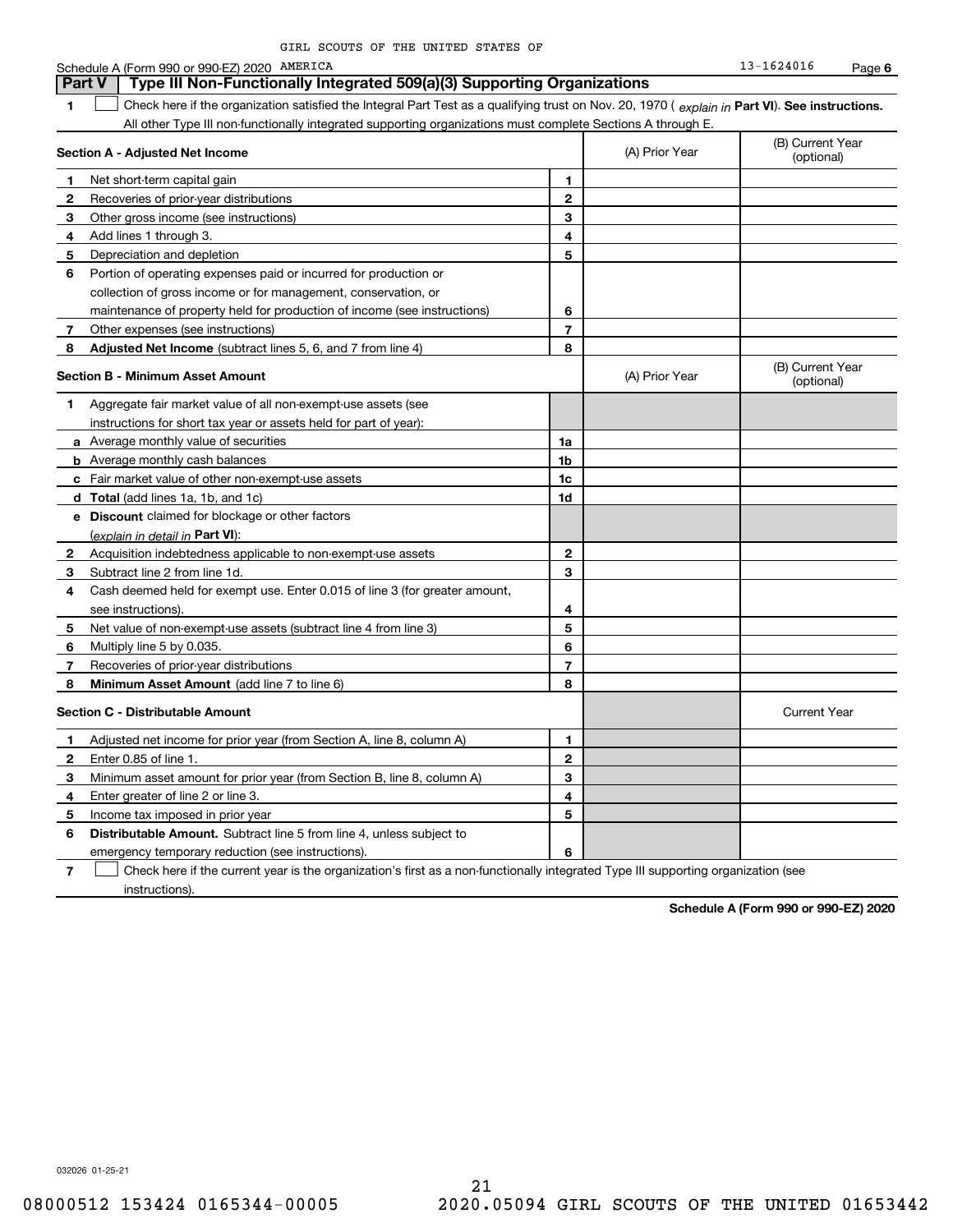|              | Schedule A (Form 990 or 990-EZ) 2020 AMERICA                                                                                                   |                |                | 13-1624016                     | Page 6 |
|--------------|------------------------------------------------------------------------------------------------------------------------------------------------|----------------|----------------|--------------------------------|--------|
|              | Part V<br>Type III Non-Functionally Integrated 509(a)(3) Supporting Organizations                                                              |                |                |                                |        |
| 1            | Check here if the organization satisfied the Integral Part Test as a qualifying trust on Nov. 20, 1970 (explain in Part VI). See instructions. |                |                |                                |        |
|              | All other Type III non-functionally integrated supporting organizations must complete Sections A through E.                                    |                |                |                                |        |
|              | Section A - Adjusted Net Income                                                                                                                |                | (A) Prior Year | (B) Current Year<br>(optional) |        |
| 1.           | Net short-term capital gain                                                                                                                    | 1              |                |                                |        |
| 2            | Recoveries of prior-year distributions                                                                                                         | $\mathbf 2$    |                |                                |        |
| 3            | Other gross income (see instructions)                                                                                                          | 3              |                |                                |        |
| 4            | Add lines 1 through 3.                                                                                                                         | 4              |                |                                |        |
| 5            | Depreciation and depletion                                                                                                                     | 5              |                |                                |        |
| 6            | Portion of operating expenses paid or incurred for production or                                                                               |                |                |                                |        |
|              | collection of gross income or for management, conservation, or                                                                                 |                |                |                                |        |
|              | maintenance of property held for production of income (see instructions)                                                                       | 6              |                |                                |        |
| 7            | Other expenses (see instructions)                                                                                                              | $\overline{7}$ |                |                                |        |
| 8            | Adjusted Net Income (subtract lines 5, 6, and 7 from line 4)                                                                                   | 8              |                |                                |        |
|              | <b>Section B - Minimum Asset Amount</b>                                                                                                        |                | (A) Prior Year | (B) Current Year<br>(optional) |        |
| 1            | Aggregate fair market value of all non-exempt-use assets (see                                                                                  |                |                |                                |        |
|              | instructions for short tax year or assets held for part of year):                                                                              |                |                |                                |        |
|              | a Average monthly value of securities                                                                                                          | 1a             |                |                                |        |
|              | <b>b</b> Average monthly cash balances                                                                                                         | 1b             |                |                                |        |
|              | c Fair market value of other non-exempt-use assets                                                                                             | 1c             |                |                                |        |
|              | d Total (add lines 1a, 1b, and 1c)                                                                                                             | 1d             |                |                                |        |
|              | e Discount claimed for blockage or other factors                                                                                               |                |                |                                |        |
|              | (explain in detail in Part VI):                                                                                                                |                |                |                                |        |
| 2            | Acquisition indebtedness applicable to non-exempt-use assets                                                                                   | $\mathbf{2}$   |                |                                |        |
| 3            | Subtract line 2 from line 1d.                                                                                                                  | 3              |                |                                |        |
| 4            | Cash deemed held for exempt use. Enter 0.015 of line 3 (for greater amount,                                                                    |                |                |                                |        |
|              | see instructions).                                                                                                                             | 4              |                |                                |        |
| 5            | Net value of non-exempt-use assets (subtract line 4 from line 3)                                                                               | 5              |                |                                |        |
| 6            | Multiply line 5 by 0.035.                                                                                                                      | 6              |                |                                |        |
| 7            | Recoveries of prior-year distributions                                                                                                         | $\overline{7}$ |                |                                |        |
| 8            | Minimum Asset Amount (add line 7 to line 6)                                                                                                    | 8              |                |                                |        |
|              | <b>Section C - Distributable Amount</b>                                                                                                        |                |                | <b>Current Year</b>            |        |
| 1            | Adjusted net income for prior year (from Section A, line 8, column A)                                                                          | 1              |                |                                |        |
| $\mathbf{2}$ | Enter 0.85 of line 1.                                                                                                                          | $\mathbf{2}$   |                |                                |        |
| 3            | Minimum asset amount for prior year (from Section B, line 8, column A)                                                                         | 3              |                |                                |        |
| 4            | Enter greater of line 2 or line 3.                                                                                                             | 4              |                |                                |        |
| 5            | Income tax imposed in prior year                                                                                                               | 5              |                |                                |        |
| 6            | <b>Distributable Amount.</b> Subtract line 5 from line 4, unless subject to                                                                    |                |                |                                |        |
|              | emergency temporary reduction (see instructions).                                                                                              | 6              |                |                                |        |

**7**Check here if the current year is the organization's first as a non-functionally integrated Type III supporting organization (see instructions).

**Schedule A (Form 990 or 990-EZ) 2020**

032026 01-25-21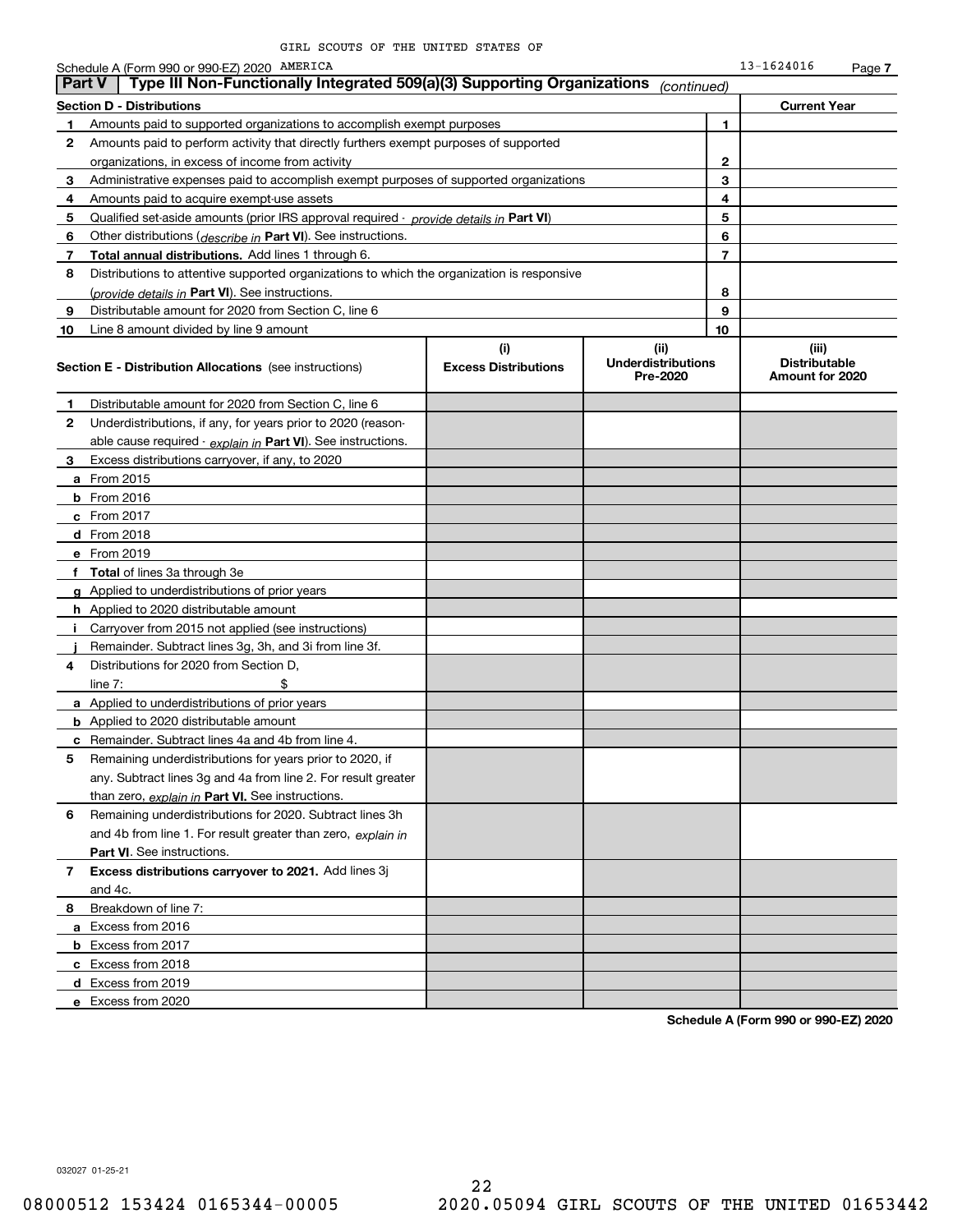|               | Schedule A (Form 990 or 990-EZ) 2020 AMERICA                                               |                                    |                                               |              | 13-1624016                                       | Page 7 |
|---------------|--------------------------------------------------------------------------------------------|------------------------------------|-----------------------------------------------|--------------|--------------------------------------------------|--------|
| <b>Part V</b> | Type III Non-Functionally Integrated 509(a)(3) Supporting Organizations                    |                                    | (continued)                                   |              |                                                  |        |
|               | <b>Section D - Distributions</b>                                                           |                                    |                                               |              | <b>Current Year</b>                              |        |
| 1             | Amounts paid to supported organizations to accomplish exempt purposes                      |                                    |                                               | 1            |                                                  |        |
| 2             | Amounts paid to perform activity that directly furthers exempt purposes of supported       |                                    |                                               |              |                                                  |        |
|               | organizations, in excess of income from activity                                           |                                    |                                               | $\mathbf{2}$ |                                                  |        |
| 3             | Administrative expenses paid to accomplish exempt purposes of supported organizations      |                                    |                                               | 3            |                                                  |        |
| 4             | Amounts paid to acquire exempt-use assets                                                  |                                    |                                               | 4            |                                                  |        |
| 5             | Qualified set-aside amounts (prior IRS approval required - provide details in Part VI)     |                                    |                                               | 5            |                                                  |        |
| 6             | Other distributions ( <i>describe in</i> Part VI). See instructions.                       |                                    |                                               | 6            |                                                  |        |
| 7             | Total annual distributions. Add lines 1 through 6.                                         |                                    |                                               | 7            |                                                  |        |
| 8             | Distributions to attentive supported organizations to which the organization is responsive |                                    |                                               |              |                                                  |        |
|               | (provide details in Part VI). See instructions.                                            |                                    |                                               | 8            |                                                  |        |
| 9             | Distributable amount for 2020 from Section C, line 6                                       |                                    |                                               | 9            |                                                  |        |
| 10            | Line 8 amount divided by line 9 amount                                                     |                                    |                                               | 10           |                                                  |        |
|               | <b>Section E - Distribution Allocations</b> (see instructions)                             | (i)<br><b>Excess Distributions</b> | (ii)<br><b>Underdistributions</b><br>Pre-2020 |              | (iii)<br><b>Distributable</b><br>Amount for 2020 |        |
| 1.            | Distributable amount for 2020 from Section C, line 6                                       |                                    |                                               |              |                                                  |        |
| 2             | Underdistributions, if any, for years prior to 2020 (reason-                               |                                    |                                               |              |                                                  |        |
|               | able cause required - explain in Part VI). See instructions.                               |                                    |                                               |              |                                                  |        |
| З             | Excess distributions carryover, if any, to 2020                                            |                                    |                                               |              |                                                  |        |
|               | <b>a</b> From 2015                                                                         |                                    |                                               |              |                                                  |        |
|               | $b$ From 2016                                                                              |                                    |                                               |              |                                                  |        |
|               | <b>c</b> From 2017                                                                         |                                    |                                               |              |                                                  |        |
|               | $d$ From 2018                                                                              |                                    |                                               |              |                                                  |        |
|               | e From 2019                                                                                |                                    |                                               |              |                                                  |        |
|               | f Total of lines 3a through 3e                                                             |                                    |                                               |              |                                                  |        |
|               | g Applied to underdistributions of prior years                                             |                                    |                                               |              |                                                  |        |
|               | <b>h</b> Applied to 2020 distributable amount                                              |                                    |                                               |              |                                                  |        |
| j.            | Carryover from 2015 not applied (see instructions)                                         |                                    |                                               |              |                                                  |        |
|               | Remainder. Subtract lines 3g, 3h, and 3i from line 3f.                                     |                                    |                                               |              |                                                  |        |
| 4             | Distributions for 2020 from Section D,                                                     |                                    |                                               |              |                                                  |        |
|               | \$<br>line $7:$                                                                            |                                    |                                               |              |                                                  |        |
|               | <b>a</b> Applied to underdistributions of prior years                                      |                                    |                                               |              |                                                  |        |
|               | <b>b</b> Applied to 2020 distributable amount                                              |                                    |                                               |              |                                                  |        |
|               | <b>c</b> Remainder. Subtract lines 4a and 4b from line 4.                                  |                                    |                                               |              |                                                  |        |
|               | Remaining underdistributions for years prior to 2020, if                                   |                                    |                                               |              |                                                  |        |
|               | any. Subtract lines 3g and 4a from line 2. For result greater                              |                                    |                                               |              |                                                  |        |
|               | than zero, explain in Part VI. See instructions.                                           |                                    |                                               |              |                                                  |        |
| 6             | Remaining underdistributions for 2020. Subtract lines 3h                                   |                                    |                                               |              |                                                  |        |
|               | and 4b from line 1. For result greater than zero, explain in                               |                                    |                                               |              |                                                  |        |
|               | <b>Part VI.</b> See instructions.                                                          |                                    |                                               |              |                                                  |        |
| 7             | Excess distributions carryover to 2021. Add lines 3j                                       |                                    |                                               |              |                                                  |        |
|               | and 4c.                                                                                    |                                    |                                               |              |                                                  |        |
| 8             | Breakdown of line 7:                                                                       |                                    |                                               |              |                                                  |        |
|               | a Excess from 2016                                                                         |                                    |                                               |              |                                                  |        |
|               | <b>b</b> Excess from 2017                                                                  |                                    |                                               |              |                                                  |        |
|               | c Excess from 2018                                                                         |                                    |                                               |              |                                                  |        |
|               | d Excess from 2019                                                                         |                                    |                                               |              |                                                  |        |
|               | e Excess from 2020                                                                         |                                    |                                               |              |                                                  |        |
|               |                                                                                            |                                    |                                               |              |                                                  |        |

**Schedule A (Form 990 or 990-EZ) 2020**

032027 01-25-21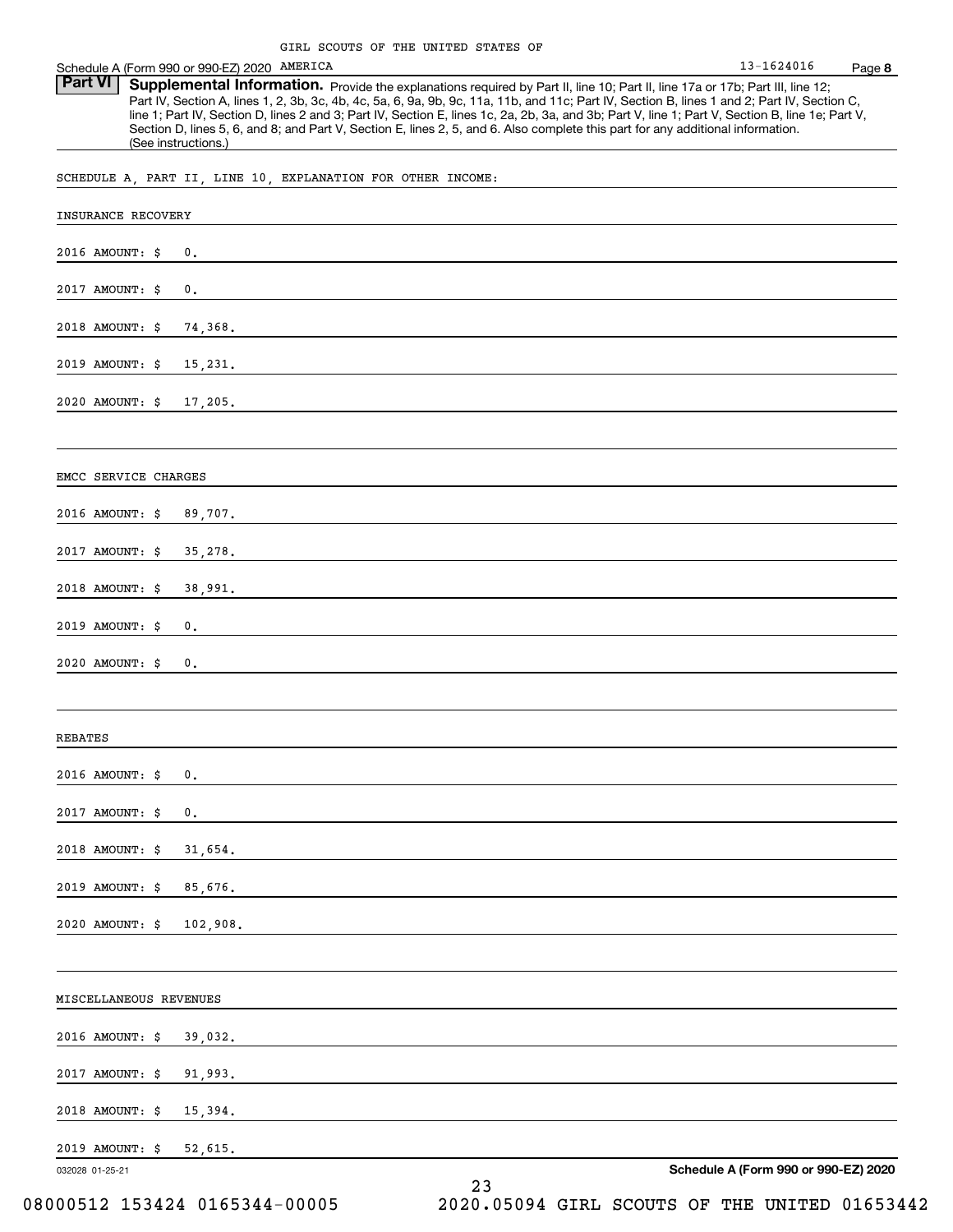| Schedule A (Form 990 or 990-EZ) 2020 AMERICA                                                                                                                                                                                                                                                                                                                                                                                                                                                                                                                                                                  | 13-1624016                           | Page 8 |
|---------------------------------------------------------------------------------------------------------------------------------------------------------------------------------------------------------------------------------------------------------------------------------------------------------------------------------------------------------------------------------------------------------------------------------------------------------------------------------------------------------------------------------------------------------------------------------------------------------------|--------------------------------------|--------|
| <b>Part VI</b><br>Supplemental Information. Provide the explanations required by Part II, line 10; Part II, line 17a or 17b; Part III, line 12;<br>Part IV, Section A, lines 1, 2, 3b, 3c, 4b, 4c, 5a, 6, 9a, 9b, 9c, 11a, 11b, and 11c; Part IV, Section B, lines 1 and 2; Part IV, Section C,<br>line 1; Part IV, Section D, lines 2 and 3; Part IV, Section E, lines 1c, 2a, 2b, 3a, and 3b; Part V, line 1; Part V, Section B, line 1e; Part V,<br>Section D, lines 5, 6, and 8; and Part V, Section E, lines 2, 5, and 6. Also complete this part for any additional information.<br>(See instructions.) |                                      |        |
| SCHEDULE A, PART II, LINE 10, EXPLANATION FOR OTHER INCOME:                                                                                                                                                                                                                                                                                                                                                                                                                                                                                                                                                   |                                      |        |
| <b>INSURANCE RECOVERY</b>                                                                                                                                                                                                                                                                                                                                                                                                                                                                                                                                                                                     |                                      |        |
| 2016 AMOUNT: \$<br>0.                                                                                                                                                                                                                                                                                                                                                                                                                                                                                                                                                                                         |                                      |        |
| 2017 AMOUNT: \$<br>0.                                                                                                                                                                                                                                                                                                                                                                                                                                                                                                                                                                                         |                                      |        |
| 2018 AMOUNT: \$<br>74,368.                                                                                                                                                                                                                                                                                                                                                                                                                                                                                                                                                                                    |                                      |        |
| 2019 AMOUNT: \$<br>15,231.                                                                                                                                                                                                                                                                                                                                                                                                                                                                                                                                                                                    |                                      |        |
| 2020 AMOUNT: \$<br>17,205.                                                                                                                                                                                                                                                                                                                                                                                                                                                                                                                                                                                    |                                      |        |
|                                                                                                                                                                                                                                                                                                                                                                                                                                                                                                                                                                                                               |                                      |        |
| EMCC SERVICE CHARGES                                                                                                                                                                                                                                                                                                                                                                                                                                                                                                                                                                                          |                                      |        |
| 2016 AMOUNT: \$<br>89,707.                                                                                                                                                                                                                                                                                                                                                                                                                                                                                                                                                                                    |                                      |        |
| 2017 AMOUNT: \$<br>35,278.                                                                                                                                                                                                                                                                                                                                                                                                                                                                                                                                                                                    |                                      |        |
| 2018 AMOUNT: \$<br>38,991.                                                                                                                                                                                                                                                                                                                                                                                                                                                                                                                                                                                    |                                      |        |
| 2019 AMOUNT: \$<br>0.                                                                                                                                                                                                                                                                                                                                                                                                                                                                                                                                                                                         |                                      |        |
| 2020 AMOUNT: \$<br>0.                                                                                                                                                                                                                                                                                                                                                                                                                                                                                                                                                                                         |                                      |        |
|                                                                                                                                                                                                                                                                                                                                                                                                                                                                                                                                                                                                               |                                      |        |
| REBATES                                                                                                                                                                                                                                                                                                                                                                                                                                                                                                                                                                                                       |                                      |        |
| 2016 AMOUNT: \$<br>0.                                                                                                                                                                                                                                                                                                                                                                                                                                                                                                                                                                                         |                                      |        |
| 2017 AMOUNT: \$<br>0.                                                                                                                                                                                                                                                                                                                                                                                                                                                                                                                                                                                         |                                      |        |
| 2018 AMOUNT: \$<br>31,654.                                                                                                                                                                                                                                                                                                                                                                                                                                                                                                                                                                                    |                                      |        |
| 2019 AMOUNT: \$<br>85,676.                                                                                                                                                                                                                                                                                                                                                                                                                                                                                                                                                                                    |                                      |        |
| 2020 AMOUNT: \$<br>102,908.                                                                                                                                                                                                                                                                                                                                                                                                                                                                                                                                                                                   |                                      |        |
|                                                                                                                                                                                                                                                                                                                                                                                                                                                                                                                                                                                                               |                                      |        |
| MISCELLANEOUS REVENUES                                                                                                                                                                                                                                                                                                                                                                                                                                                                                                                                                                                        |                                      |        |
| 2016 AMOUNT: \$<br>39,032.                                                                                                                                                                                                                                                                                                                                                                                                                                                                                                                                                                                    |                                      |        |
| 2017 AMOUNT: \$<br>91,993.                                                                                                                                                                                                                                                                                                                                                                                                                                                                                                                                                                                    |                                      |        |
| 2018 AMOUNT: \$<br>15,394.                                                                                                                                                                                                                                                                                                                                                                                                                                                                                                                                                                                    |                                      |        |
| 2019 AMOUNT: \$<br>52,615.                                                                                                                                                                                                                                                                                                                                                                                                                                                                                                                                                                                    |                                      |        |
| 032028 01-25-21<br>23                                                                                                                                                                                                                                                                                                                                                                                                                                                                                                                                                                                         | Schedule A (Form 990 or 990-EZ) 2020 |        |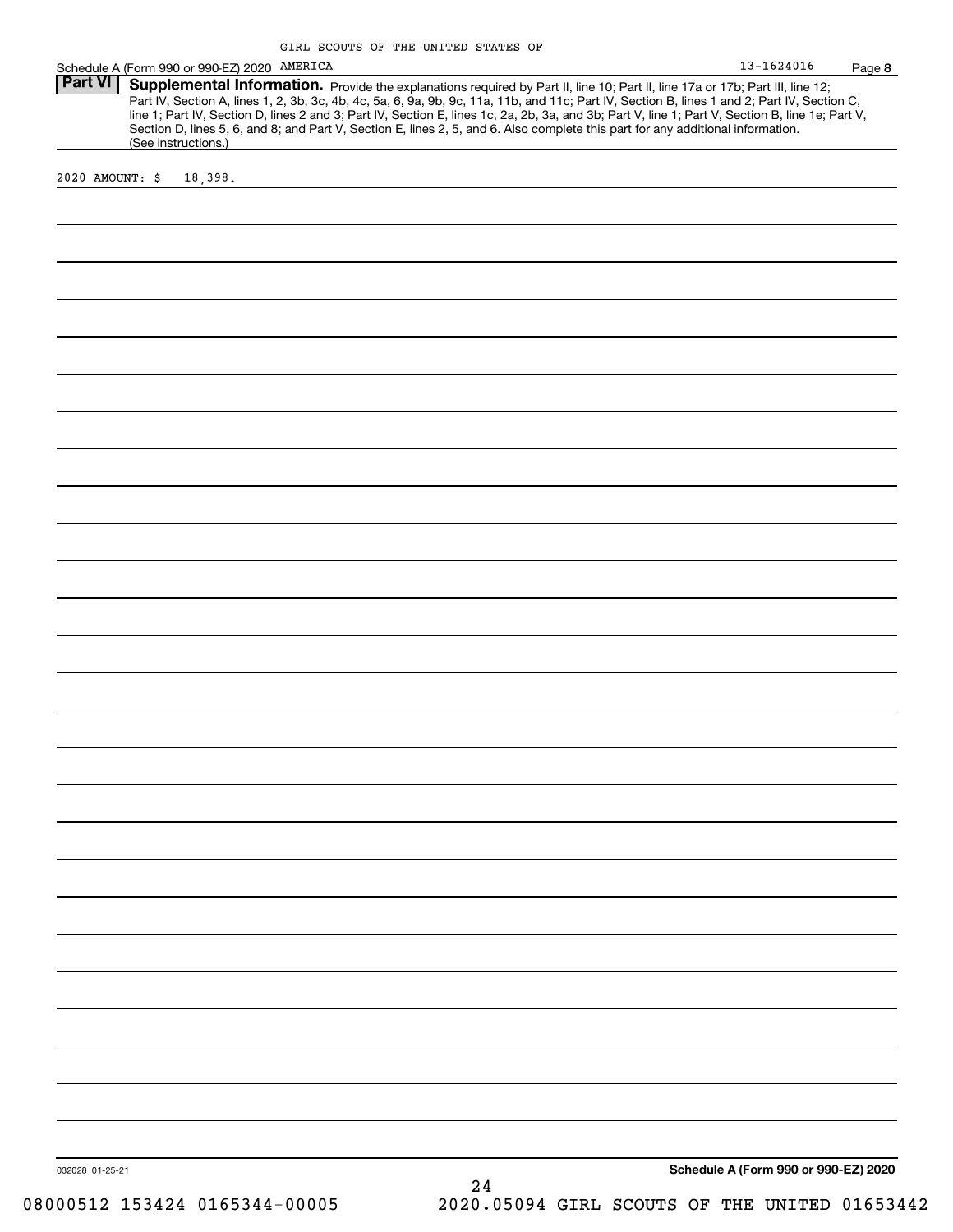| 13-1624016 | Page 8 |
|------------|--------|
|------------|--------|

|                           |                                              | GIRL SCOUTS OF THE UNITED STATES OF                                                                                                                                                                                                                                                                                                                                                                                                                                                                                                                                  |                |      |
|---------------------------|----------------------------------------------|----------------------------------------------------------------------------------------------------------------------------------------------------------------------------------------------------------------------------------------------------------------------------------------------------------------------------------------------------------------------------------------------------------------------------------------------------------------------------------------------------------------------------------------------------------------------|----------------|------|
|                           | Schedule A (Form 990 or 990-EZ) 2020 AMERICA |                                                                                                                                                                                                                                                                                                                                                                                                                                                                                                                                                                      | $13 - 1624016$ | Page |
| Part VI<br>2020 AMOUNT: S | (See instructions.)<br>18,398.               | Supplemental Information. Provide the explanations required by Part II, line 10; Part II, line 17a or 17b; Part III, line 12;<br>Part IV, Section A, lines 1, 2, 3b, 3c, 4b, 4c, 5a, 6, 9a, 9b, 9c, 11a, 11b, and 11c; Part IV, Section B, lines 1 and 2; Part IV, Section C,<br>line 1; Part IV, Section D, lines 2 and 3; Part IV, Section E, lines 1c, 2a, 2b, 3a, and 3b; Part V, line 1; Part V, Section B, line 1e; Part V,<br>Section D, lines 5, 6, and 8; and Part V, Section E, lines 2, 5, and 6. Also complete this part for any additional information. |                |      |
|                           |                                              |                                                                                                                                                                                                                                                                                                                                                                                                                                                                                                                                                                      |                |      |
|                           |                                              |                                                                                                                                                                                                                                                                                                                                                                                                                                                                                                                                                                      |                |      |

032028 01-25-21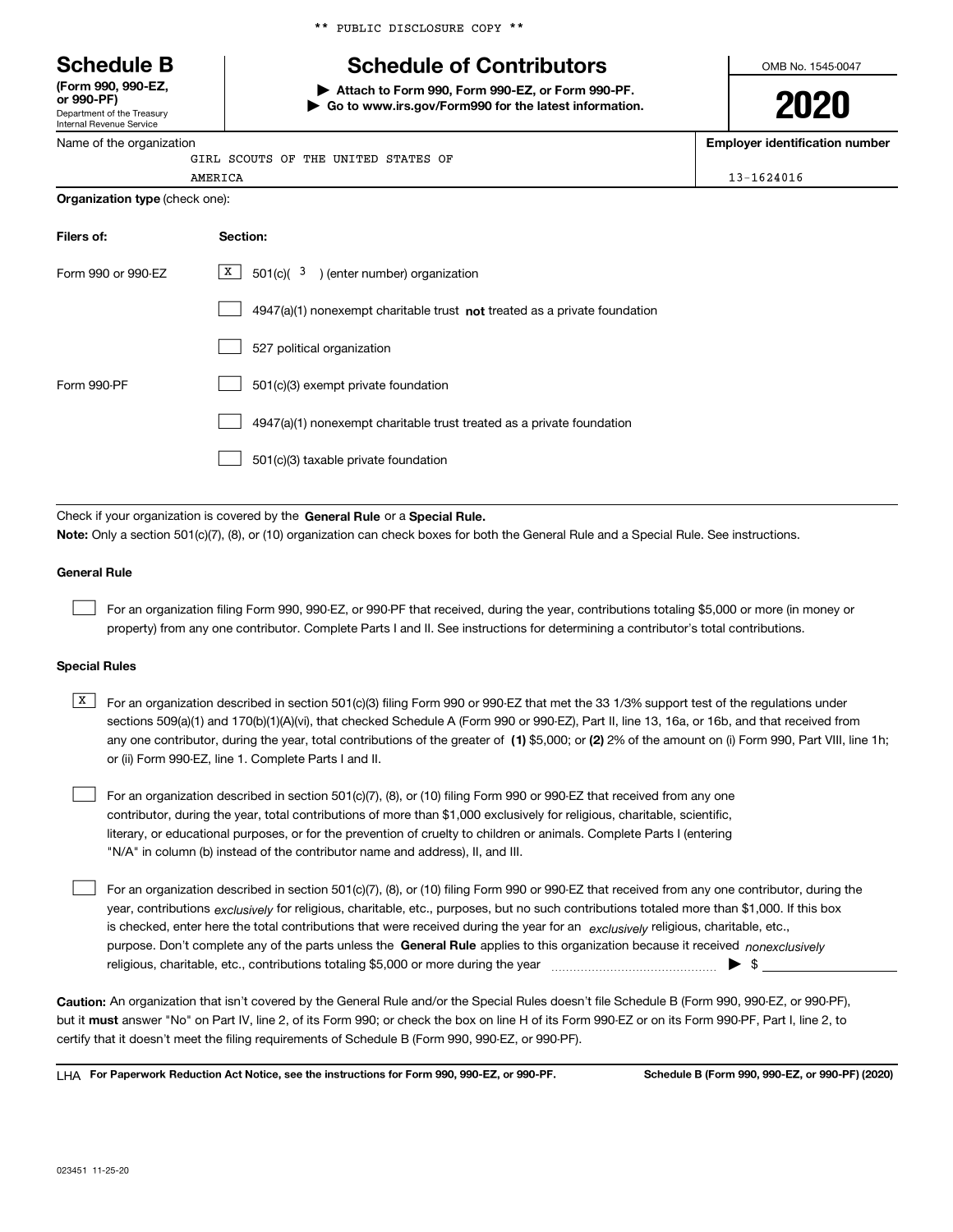Department of the Treasury **(Form 990, 990-EZ, or 990-PF)**

Internal Revenue Service

Name of the organization

\*\* PUBLIC DISCLOSURE COPY \*\*

# **Schedule B Schedule of Contributors**

**| Attach to Form 990, Form 990-EZ, or Form 990-PF. | Go to www.irs.gov/Form990 for the latest information.** OMB No. 1545-0047

**2020**

**Employer identification number**

13-1624016

|         |  |  | GIRL SCOUTS OF THE UNITED STATES OF |  |
|---------|--|--|-------------------------------------|--|
| AMERICA |  |  |                                     |  |

| Filers of:         | Section:                                                                           |
|--------------------|------------------------------------------------------------------------------------|
| Form 990 or 990-EZ | X  <br>$501(c)$ ( $3$ ) (enter number) organization                                |
|                    | $4947(a)(1)$ nonexempt charitable trust <b>not</b> treated as a private foundation |
|                    | 527 political organization                                                         |
| Form 990-PF        | 501(c)(3) exempt private foundation                                                |
|                    | 4947(a)(1) nonexempt charitable trust treated as a private foundation              |
|                    | 501(c)(3) taxable private foundation                                               |
|                    |                                                                                    |

Check if your organization is covered by the **General Rule** or a **Special Rule. Note:**  Only a section 501(c)(7), (8), or (10) organization can check boxes for both the General Rule and a Special Rule. See instructions.

#### **General Rule**

 $\mathcal{L}^{\text{max}}$ 

For an organization filing Form 990, 990-EZ, or 990-PF that received, during the year, contributions totaling \$5,000 or more (in money or property) from any one contributor. Complete Parts I and II. See instructions for determining a contributor's total contributions.

#### **Special Rules**

any one contributor, during the year, total contributions of the greater of  $\,$  (1) \$5,000; or **(2)** 2% of the amount on (i) Form 990, Part VIII, line 1h;  $\overline{X}$  For an organization described in section 501(c)(3) filing Form 990 or 990-EZ that met the 33 1/3% support test of the regulations under sections 509(a)(1) and 170(b)(1)(A)(vi), that checked Schedule A (Form 990 or 990-EZ), Part II, line 13, 16a, or 16b, and that received from or (ii) Form 990-EZ, line 1. Complete Parts I and II.

For an organization described in section 501(c)(7), (8), or (10) filing Form 990 or 990-EZ that received from any one contributor, during the year, total contributions of more than \$1,000 exclusively for religious, charitable, scientific, literary, or educational purposes, or for the prevention of cruelty to children or animals. Complete Parts I (entering "N/A" in column (b) instead of the contributor name and address), II, and III.  $\mathcal{L}^{\text{max}}$ 

purpose. Don't complete any of the parts unless the **General Rule** applies to this organization because it received *nonexclusively* year, contributions <sub>exclusively</sub> for religious, charitable, etc., purposes, but no such contributions totaled more than \$1,000. If this box is checked, enter here the total contributions that were received during the year for an  $\;$ exclusively religious, charitable, etc., For an organization described in section 501(c)(7), (8), or (10) filing Form 990 or 990-EZ that received from any one contributor, during the religious, charitable, etc., contributions totaling \$5,000 or more during the year  $\Box$ — $\Box$   $\Box$  $\mathcal{L}^{\text{max}}$ 

**Caution:**  An organization that isn't covered by the General Rule and/or the Special Rules doesn't file Schedule B (Form 990, 990-EZ, or 990-PF),  **must** but it answer "No" on Part IV, line 2, of its Form 990; or check the box on line H of its Form 990-EZ or on its Form 990-PF, Part I, line 2, to certify that it doesn't meet the filing requirements of Schedule B (Form 990, 990-EZ, or 990-PF).

**For Paperwork Reduction Act Notice, see the instructions for Form 990, 990-EZ, or 990-PF. Schedule B (Form 990, 990-EZ, or 990-PF) (2020)** LHA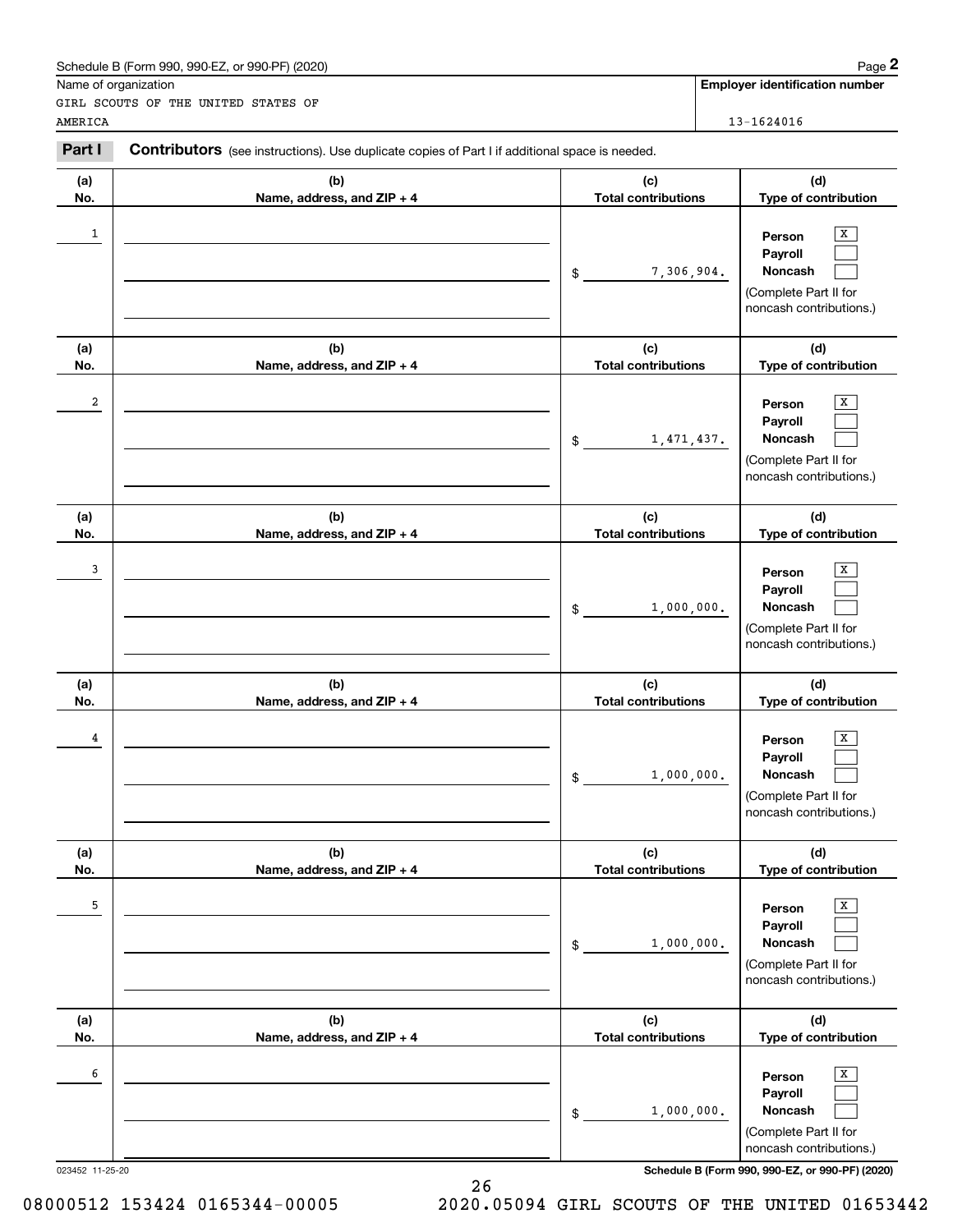|                 | Schedule B (Form 990, 990-EZ, or 990-PF) (2020)                                                |                                   | Page 2                                                                                |
|-----------------|------------------------------------------------------------------------------------------------|-----------------------------------|---------------------------------------------------------------------------------------|
|                 | Name of organization                                                                           |                                   | <b>Employer identification number</b>                                                 |
|                 | GIRL SCOUTS OF THE UNITED STATES OF                                                            |                                   |                                                                                       |
| AMERICA         |                                                                                                |                                   | 13-1624016                                                                            |
| Part I          | Contributors (see instructions). Use duplicate copies of Part I if additional space is needed. |                                   |                                                                                       |
| (a)             | (b)                                                                                            | (c)                               | (d)                                                                                   |
| No.             | Name, address, and ZIP + 4                                                                     | <b>Total contributions</b>        | Type of contribution                                                                  |
| 1               |                                                                                                | 7,306,904.<br>\$                  | х<br>Person<br>Payroll<br>Noncash<br>(Complete Part II for<br>noncash contributions.) |
| (a)             | (b)                                                                                            | (c)                               | (d)                                                                                   |
| No.             | Name, address, and ZIP + 4                                                                     | <b>Total contributions</b>        | Type of contribution                                                                  |
| 2               |                                                                                                | 1,471,437.<br>\$                  | х<br>Person<br>Payroll<br>Noncash<br>(Complete Part II for<br>noncash contributions.) |
| (a)             | (b)                                                                                            | (c)                               | (d)                                                                                   |
| No.             | Name, address, and ZIP + 4                                                                     | <b>Total contributions</b>        | Type of contribution                                                                  |
| 3               |                                                                                                | 1,000,000.<br>\$                  | х<br>Person<br>Payroll<br>Noncash<br>(Complete Part II for<br>noncash contributions.) |
| (a)             | (b)                                                                                            | (c)                               | (d)                                                                                   |
| No.             | Name, address, and ZIP + 4                                                                     | <b>Total contributions</b>        | Type of contribution                                                                  |
| 4               |                                                                                                | 1,000,000.<br>\$                  | х<br>Person<br>Payroll<br>Noncash<br>(Complete Part II for<br>noncash contributions.) |
| (a)<br>No.      | (b)<br>Name, address, and ZIP + 4                                                              | (c)<br><b>Total contributions</b> | (d)<br>Type of contribution                                                           |
| 5               |                                                                                                | 1,000,000.<br>\$                  | Х<br>Person<br>Payroll<br>Noncash<br>(Complete Part II for<br>noncash contributions.) |
| (a)<br>No.      | (b)<br>Name, address, and ZIP + 4                                                              | (c)<br><b>Total contributions</b> | (d)<br>Type of contribution                                                           |
| 6               |                                                                                                | 1,000,000.<br>\$                  | Х<br>Person<br>Payroll<br>Noncash<br>(Complete Part II for<br>noncash contributions.) |
| 023452 11-25-20 |                                                                                                |                                   | Schedule B (Form 990, 990-EZ, or 990-PF) (2020)                                       |

26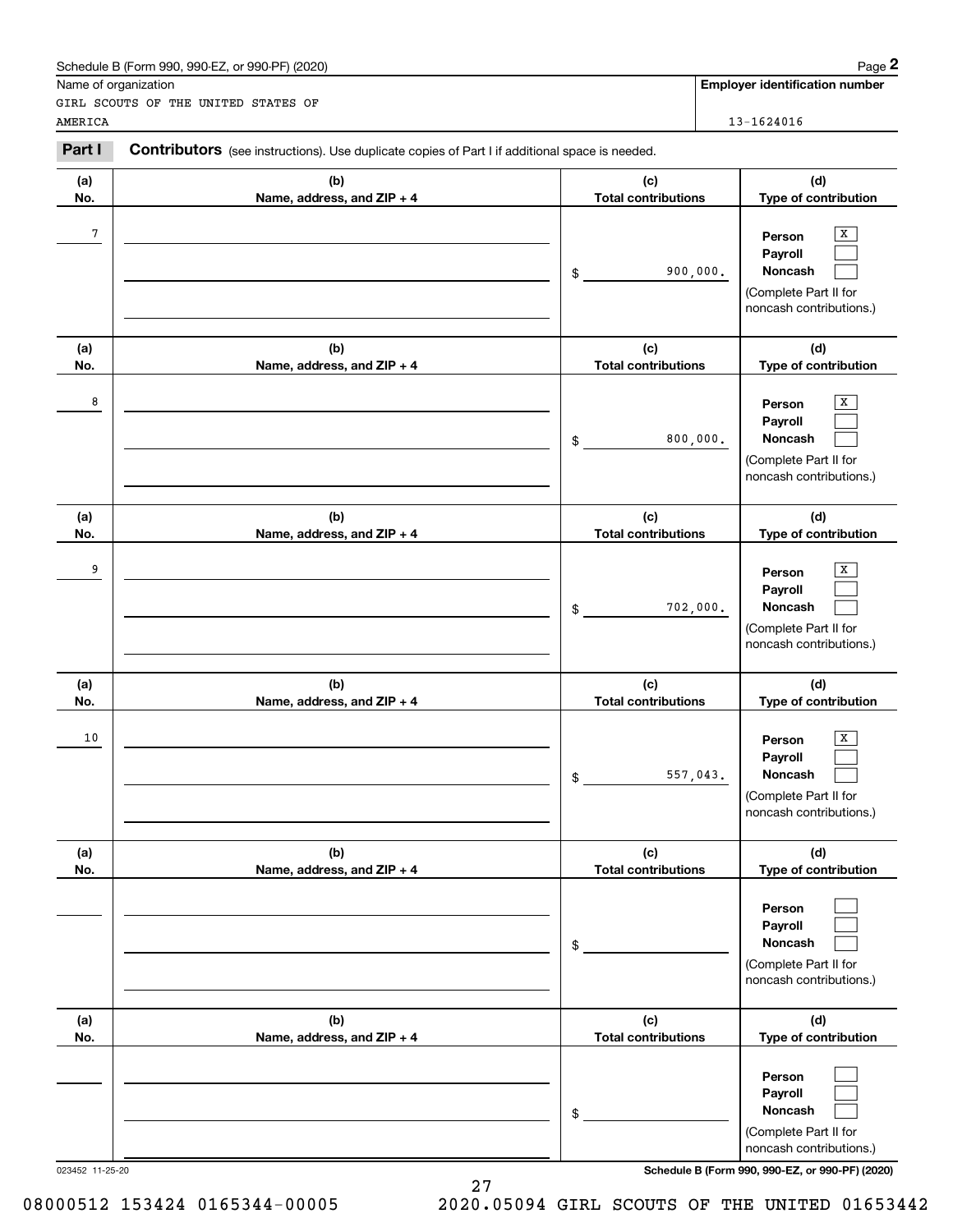|                 | Schedule B (Form 990, 990-EZ, or 990-PF) (2020)                                                |                                   | Page 2                                                                                |
|-----------------|------------------------------------------------------------------------------------------------|-----------------------------------|---------------------------------------------------------------------------------------|
|                 | Name of organization                                                                           |                                   | <b>Employer identification number</b>                                                 |
| AMERICA         | GIRL SCOUTS OF THE UNITED STATES OF                                                            |                                   | 13-1624016                                                                            |
|                 |                                                                                                |                                   |                                                                                       |
| Part I          | Contributors (see instructions). Use duplicate copies of Part I if additional space is needed. |                                   |                                                                                       |
| (a)             | (b)                                                                                            | (c)                               | (d)                                                                                   |
| No.             | Name, address, and ZIP + 4                                                                     | <b>Total contributions</b>        | Type of contribution                                                                  |
| 7               |                                                                                                | 900,000.<br>\$                    | х<br>Person<br>Payroll<br>Noncash<br>(Complete Part II for<br>noncash contributions.) |
| (a)             | (b)                                                                                            | (c)                               | (d)                                                                                   |
| No.             | Name, address, and ZIP + 4                                                                     | <b>Total contributions</b>        | Type of contribution                                                                  |
| 8               |                                                                                                | 800,000.<br>\$                    | х<br>Person<br>Payroll<br>Noncash<br>(Complete Part II for<br>noncash contributions.) |
| (a)             | (b)                                                                                            | (c)                               | (d)                                                                                   |
| No.             | Name, address, and ZIP + 4                                                                     | <b>Total contributions</b>        | Type of contribution                                                                  |
| 9               |                                                                                                | 702,000.<br>\$                    | х<br>Person<br>Payroll<br>Noncash<br>(Complete Part II for<br>noncash contributions.) |
| (a)<br>No.      | (b)<br>Name, address, and ZIP + 4                                                              | (c)<br><b>Total contributions</b> | (d)<br>Type of contribution                                                           |
| 10              |                                                                                                | 557,043.<br>\$                    | х<br>Person<br>Payroll<br>Noncash<br>(Complete Part II for<br>noncash contributions.) |
| (a)<br>No.      | (b)<br>Name, address, and ZIP + 4                                                              | (c)<br><b>Total contributions</b> | (d)<br>Type of contribution                                                           |
|                 |                                                                                                | \$                                | Person<br>Payroll<br>Noncash<br>(Complete Part II for<br>noncash contributions.)      |
| (a)<br>No.      | (b)<br>Name, address, and ZIP + 4                                                              | (c)<br><b>Total contributions</b> | (d)<br>Type of contribution                                                           |
|                 |                                                                                                | \$                                | Person<br>Payroll<br>Noncash<br>(Complete Part II for<br>noncash contributions.)      |
| 023452 11-25-20 |                                                                                                |                                   | Schedule B (Form 990, 990-EZ, or 990-PF) (2020)                                       |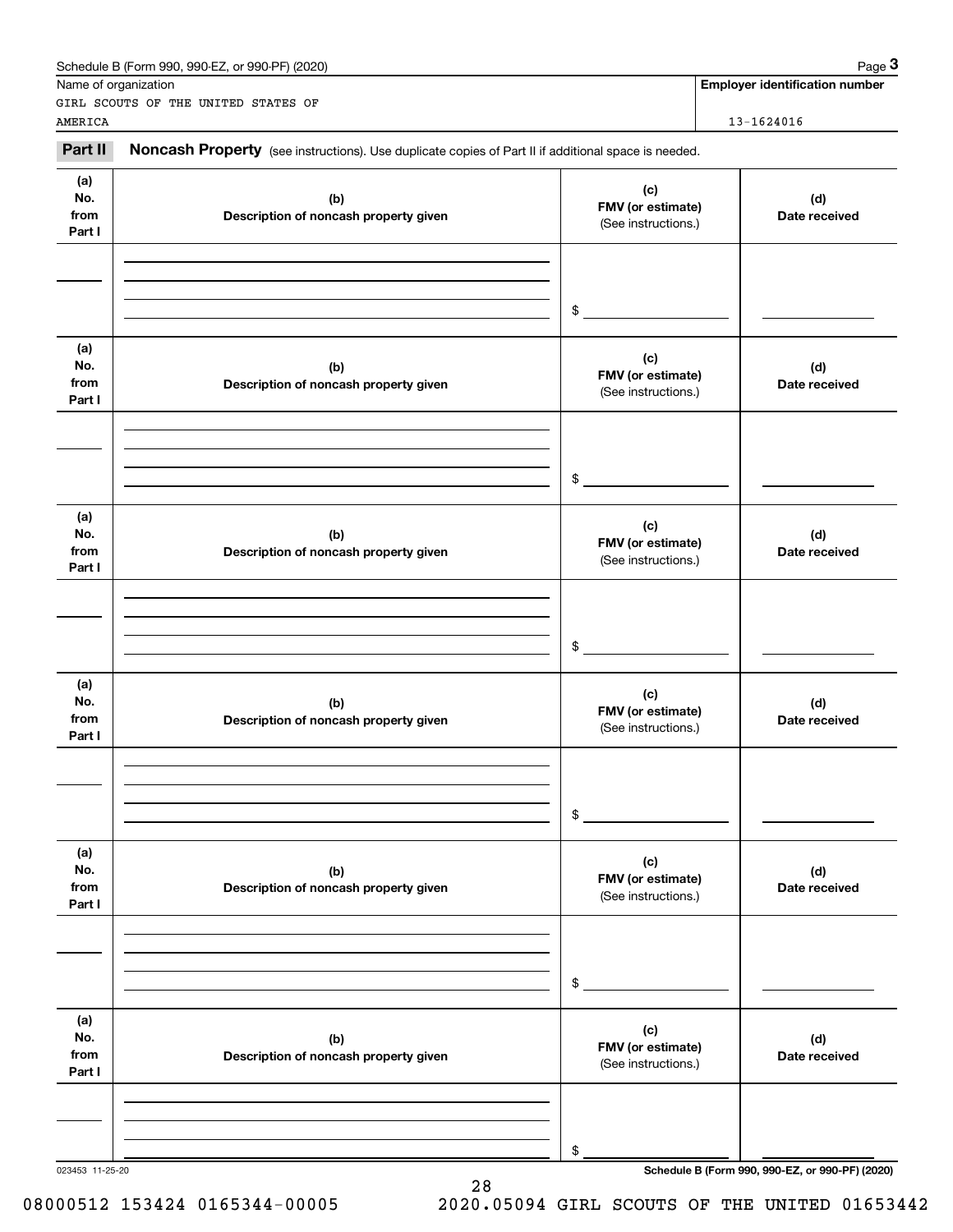|                              | Schedule B (Form 990, 990-EZ, or 990-PF) (2020)                                                     |                                                 | Page 3                                |
|------------------------------|-----------------------------------------------------------------------------------------------------|-------------------------------------------------|---------------------------------------|
| Name of organization         |                                                                                                     |                                                 | <b>Employer identification number</b> |
| AMERICA                      | GIRL SCOUTS OF THE UNITED STATES OF                                                                 |                                                 | 13-1624016                            |
| Part II                      | Noncash Property (see instructions). Use duplicate copies of Part II if additional space is needed. |                                                 |                                       |
| (a)<br>No.<br>from<br>Part I | (c)<br>(b)<br>FMV (or estimate)<br>Description of noncash property given<br>(See instructions.)     |                                                 | (d)<br>Date received                  |
|                              |                                                                                                     | \$                                              |                                       |
| (a)<br>No.<br>from<br>Part I | (b)<br>Description of noncash property given                                                        | (c)<br>FMV (or estimate)<br>(See instructions.) | (d)<br>Date received                  |
|                              |                                                                                                     | \$                                              |                                       |
| (a)<br>No.<br>from<br>Part I | (b)<br>Description of noncash property given                                                        | (c)<br>FMV (or estimate)<br>(See instructions.) | (d)<br>Date received                  |
|                              |                                                                                                     | \$                                              |                                       |
| (a)<br>No.<br>from<br>Part I | (b)<br>Description of noncash property given                                                        | (c)<br>FMV (or estimate)<br>(See instructions.) | (d)<br>Date received                  |
|                              |                                                                                                     | \$                                              |                                       |
| (a)<br>No.<br>from<br>Part I | (b)<br>Description of noncash property given                                                        | (c)<br>FMV (or estimate)<br>(See instructions.) | (d)<br>Date received                  |
|                              |                                                                                                     | \$                                              |                                       |
| (a)<br>No.<br>from<br>Part I | (b)<br>Description of noncash property given                                                        | (c)<br>FMV (or estimate)<br>(See instructions.) | (d)<br>Date received                  |
|                              |                                                                                                     | \$                                              |                                       |

28

023453 11-25-20 **Schedule B (Form 990, 990-EZ, or 990-PF) (2020)**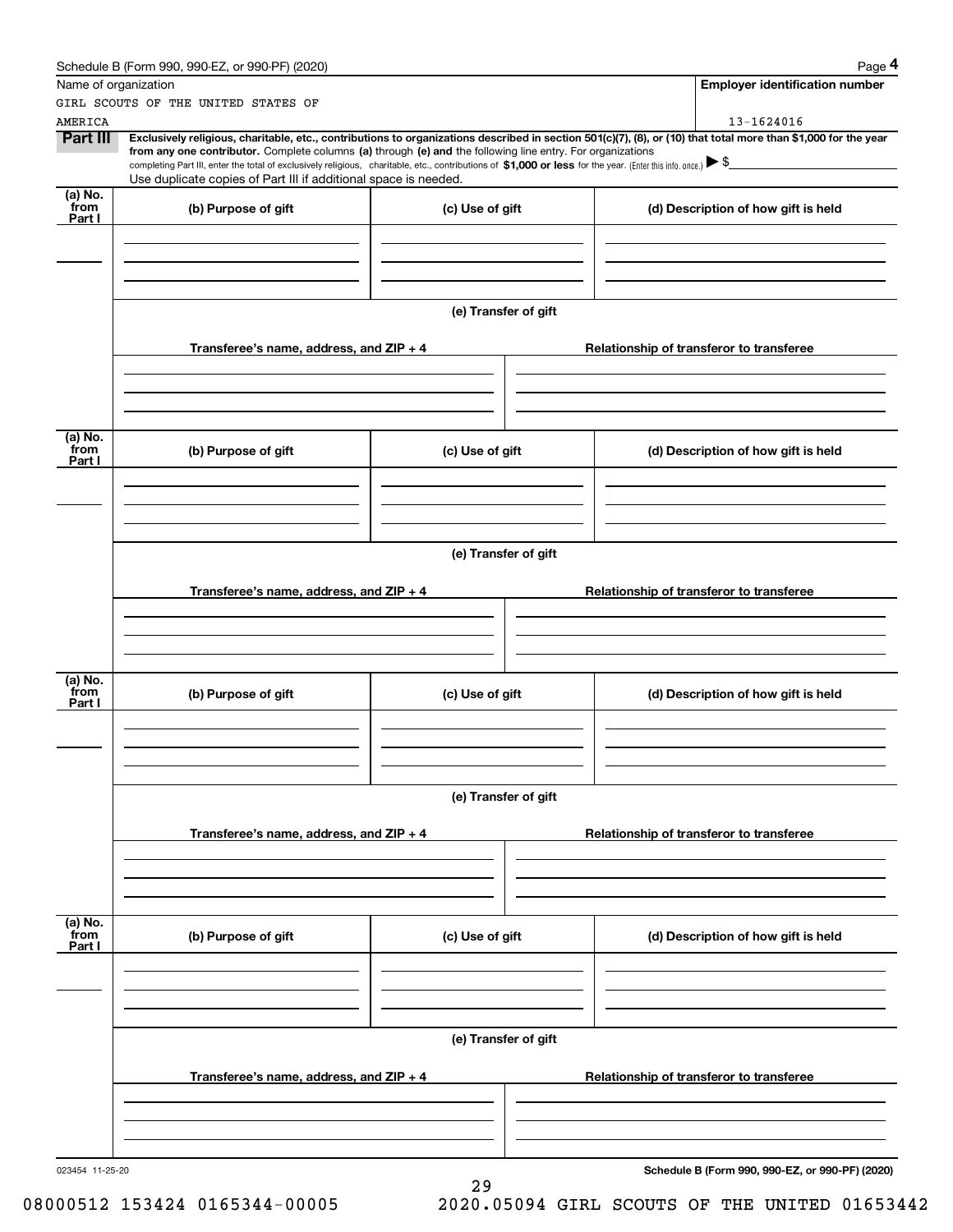|                 | Schedule B (Form 990, 990-EZ, or 990-PF) (2020)                                                                                                                                                                                                                              |                      |                                          | Page 4                                          |  |  |  |
|-----------------|------------------------------------------------------------------------------------------------------------------------------------------------------------------------------------------------------------------------------------------------------------------------------|----------------------|------------------------------------------|-------------------------------------------------|--|--|--|
|                 | Name of organization                                                                                                                                                                                                                                                         |                      |                                          | <b>Employer identification number</b>           |  |  |  |
|                 | GIRL SCOUTS OF THE UNITED STATES OF                                                                                                                                                                                                                                          |                      |                                          |                                                 |  |  |  |
| AMERICA         |                                                                                                                                                                                                                                                                              |                      |                                          | 13-1624016                                      |  |  |  |
| Part III        | Exclusively religious, charitable, etc., contributions to organizations described in section 501(c)(7), (8), or (10) that total more than \$1,000 for the year<br>from any one contributor. Complete columns (a) through (e) and the following line entry. For organizations |                      |                                          |                                                 |  |  |  |
|                 | completing Part III, enter the total of exclusively religious, charitable, etc., contributions of \$1,000 or less for the year. (Enter this info. once.) \\$                                                                                                                 |                      |                                          |                                                 |  |  |  |
|                 | Use duplicate copies of Part III if additional space is needed.                                                                                                                                                                                                              |                      |                                          |                                                 |  |  |  |
| (a) No.<br>from | (b) Purpose of gift                                                                                                                                                                                                                                                          | (c) Use of gift      |                                          | (d) Description of how gift is held             |  |  |  |
| Part I          |                                                                                                                                                                                                                                                                              |                      |                                          |                                                 |  |  |  |
|                 |                                                                                                                                                                                                                                                                              |                      |                                          |                                                 |  |  |  |
|                 |                                                                                                                                                                                                                                                                              |                      |                                          |                                                 |  |  |  |
|                 |                                                                                                                                                                                                                                                                              |                      |                                          |                                                 |  |  |  |
|                 |                                                                                                                                                                                                                                                                              | (e) Transfer of gift |                                          |                                                 |  |  |  |
|                 |                                                                                                                                                                                                                                                                              |                      |                                          |                                                 |  |  |  |
|                 | Transferee's name, address, and ZIP + 4                                                                                                                                                                                                                                      |                      |                                          | Relationship of transferor to transferee        |  |  |  |
|                 |                                                                                                                                                                                                                                                                              |                      |                                          |                                                 |  |  |  |
|                 |                                                                                                                                                                                                                                                                              |                      |                                          |                                                 |  |  |  |
|                 |                                                                                                                                                                                                                                                                              |                      |                                          |                                                 |  |  |  |
|                 |                                                                                                                                                                                                                                                                              |                      |                                          |                                                 |  |  |  |
| (a) No.<br>from | (b) Purpose of gift                                                                                                                                                                                                                                                          | (c) Use of gift      |                                          | (d) Description of how gift is held             |  |  |  |
| Part I          |                                                                                                                                                                                                                                                                              |                      |                                          |                                                 |  |  |  |
|                 |                                                                                                                                                                                                                                                                              |                      |                                          |                                                 |  |  |  |
|                 |                                                                                                                                                                                                                                                                              |                      |                                          |                                                 |  |  |  |
|                 |                                                                                                                                                                                                                                                                              |                      |                                          |                                                 |  |  |  |
|                 | (e) Transfer of gift                                                                                                                                                                                                                                                         |                      |                                          |                                                 |  |  |  |
|                 |                                                                                                                                                                                                                                                                              |                      |                                          |                                                 |  |  |  |
|                 | Transferee's name, address, and ZIP + 4                                                                                                                                                                                                                                      |                      | Relationship of transferor to transferee |                                                 |  |  |  |
|                 |                                                                                                                                                                                                                                                                              |                      |                                          |                                                 |  |  |  |
|                 |                                                                                                                                                                                                                                                                              |                      |                                          |                                                 |  |  |  |
|                 |                                                                                                                                                                                                                                                                              |                      |                                          |                                                 |  |  |  |
| (a) No.         |                                                                                                                                                                                                                                                                              |                      |                                          |                                                 |  |  |  |
| from            | (b) Purpose of gift                                                                                                                                                                                                                                                          | (c) Use of gift      |                                          | (d) Description of how gift is held             |  |  |  |
| Part I          |                                                                                                                                                                                                                                                                              |                      |                                          |                                                 |  |  |  |
|                 |                                                                                                                                                                                                                                                                              |                      |                                          |                                                 |  |  |  |
|                 |                                                                                                                                                                                                                                                                              |                      |                                          |                                                 |  |  |  |
|                 |                                                                                                                                                                                                                                                                              |                      |                                          |                                                 |  |  |  |
|                 |                                                                                                                                                                                                                                                                              | (e) Transfer of gift |                                          |                                                 |  |  |  |
|                 |                                                                                                                                                                                                                                                                              |                      |                                          |                                                 |  |  |  |
|                 | Transferee's name, address, and ZIP + 4                                                                                                                                                                                                                                      |                      |                                          | Relationship of transferor to transferee        |  |  |  |
|                 |                                                                                                                                                                                                                                                                              |                      |                                          |                                                 |  |  |  |
|                 |                                                                                                                                                                                                                                                                              |                      |                                          |                                                 |  |  |  |
|                 |                                                                                                                                                                                                                                                                              |                      |                                          |                                                 |  |  |  |
| (a) No.         |                                                                                                                                                                                                                                                                              |                      |                                          |                                                 |  |  |  |
| from<br>Part I  | (b) Purpose of gift                                                                                                                                                                                                                                                          | (c) Use of gift      |                                          | (d) Description of how gift is held             |  |  |  |
|                 |                                                                                                                                                                                                                                                                              |                      |                                          |                                                 |  |  |  |
|                 |                                                                                                                                                                                                                                                                              |                      |                                          |                                                 |  |  |  |
|                 |                                                                                                                                                                                                                                                                              |                      |                                          |                                                 |  |  |  |
|                 |                                                                                                                                                                                                                                                                              |                      |                                          |                                                 |  |  |  |
|                 | (e) Transfer of gift                                                                                                                                                                                                                                                         |                      |                                          |                                                 |  |  |  |
|                 |                                                                                                                                                                                                                                                                              |                      |                                          |                                                 |  |  |  |
|                 | Transferee's name, address, and $ZIP + 4$                                                                                                                                                                                                                                    |                      |                                          | Relationship of transferor to transferee        |  |  |  |
|                 |                                                                                                                                                                                                                                                                              |                      |                                          |                                                 |  |  |  |
|                 |                                                                                                                                                                                                                                                                              |                      |                                          |                                                 |  |  |  |
|                 |                                                                                                                                                                                                                                                                              |                      |                                          |                                                 |  |  |  |
| 023454 11-25-20 |                                                                                                                                                                                                                                                                              |                      |                                          | Schedule B (Form 990, 990-EZ, or 990-PF) (2020) |  |  |  |
|                 |                                                                                                                                                                                                                                                                              | 29                   |                                          |                                                 |  |  |  |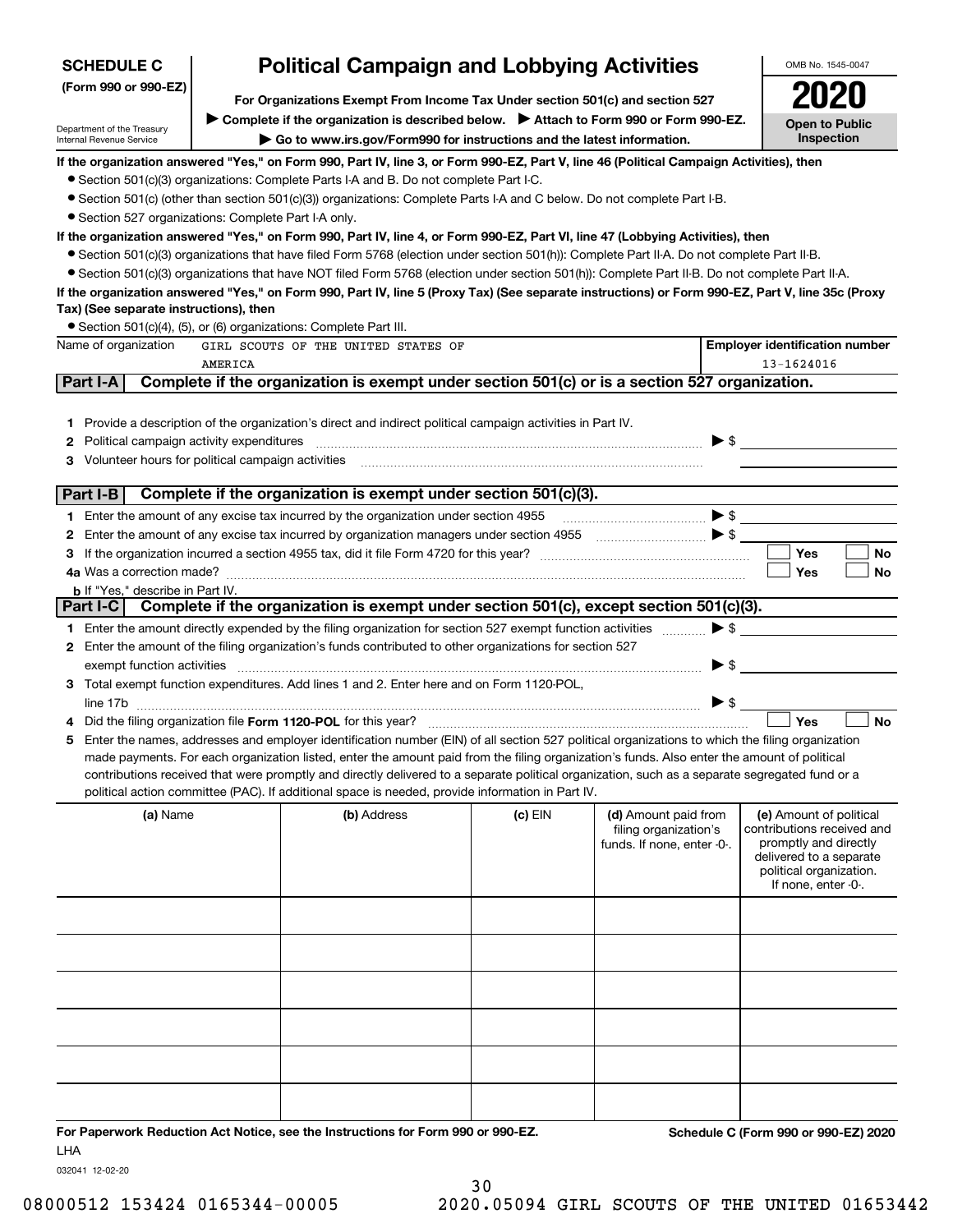| <b>Political Campaign and Lobbying Activities</b><br><b>SCHEDULE C</b>                                                           |         |                                                                                                                                                   |         |                                                                                                                                                                                                                                                                                                                                                                     |                          | OMB No. 1545-0047                                     |  |  |
|----------------------------------------------------------------------------------------------------------------------------------|---------|---------------------------------------------------------------------------------------------------------------------------------------------------|---------|---------------------------------------------------------------------------------------------------------------------------------------------------------------------------------------------------------------------------------------------------------------------------------------------------------------------------------------------------------------------|--------------------------|-------------------------------------------------------|--|--|
| (Form 990 or 990-EZ)<br>For Organizations Exempt From Income Tax Under section 501(c) and section 527                            |         |                                                                                                                                                   |         |                                                                                                                                                                                                                                                                                                                                                                     |                          |                                                       |  |  |
|                                                                                                                                  |         | ▶ Complete if the organization is described below. ▶ Attach to Form 990 or Form 990-EZ.                                                           |         |                                                                                                                                                                                                                                                                                                                                                                     |                          | <b>Open to Public</b>                                 |  |  |
| Department of the Treasury<br>Go to www.irs.gov/Form990 for instructions and the latest information.<br>Internal Revenue Service |         |                                                                                                                                                   |         |                                                                                                                                                                                                                                                                                                                                                                     |                          | Inspection                                            |  |  |
|                                                                                                                                  |         | If the organization answered "Yes," on Form 990, Part IV, line 3, or Form 990-EZ, Part V, line 46 (Political Campaign Activities), then           |         |                                                                                                                                                                                                                                                                                                                                                                     |                          |                                                       |  |  |
|                                                                                                                                  |         | • Section 501(c)(3) organizations: Complete Parts I-A and B. Do not complete Part I-C.                                                            |         |                                                                                                                                                                                                                                                                                                                                                                     |                          |                                                       |  |  |
|                                                                                                                                  |         | ● Section 501(c) (other than section 501(c)(3)) organizations: Complete Parts I-A and C below. Do not complete Part I-B.                          |         |                                                                                                                                                                                                                                                                                                                                                                     |                          |                                                       |  |  |
| • Section 527 organizations: Complete Part I-A only.                                                                             |         |                                                                                                                                                   |         |                                                                                                                                                                                                                                                                                                                                                                     |                          |                                                       |  |  |
|                                                                                                                                  |         | If the organization answered "Yes," on Form 990, Part IV, line 4, or Form 990-EZ, Part VI, line 47 (Lobbying Activities), then                    |         |                                                                                                                                                                                                                                                                                                                                                                     |                          |                                                       |  |  |
|                                                                                                                                  |         | • Section 501(c)(3) organizations that have filed Form 5768 (election under section 501(h)): Complete Part II-A. Do not complete Part II-B.       |         |                                                                                                                                                                                                                                                                                                                                                                     |                          |                                                       |  |  |
|                                                                                                                                  |         | • Section 501(c)(3) organizations that have NOT filed Form 5768 (election under section 501(h)): Complete Part II-B. Do not complete Part II-A.   |         |                                                                                                                                                                                                                                                                                                                                                                     |                          |                                                       |  |  |
|                                                                                                                                  |         | If the organization answered "Yes," on Form 990, Part IV, line 5 (Proxy Tax) (See separate instructions) or Form 990-EZ, Part V, line 35c (Proxy  |         |                                                                                                                                                                                                                                                                                                                                                                     |                          |                                                       |  |  |
| Tax) (See separate instructions), then                                                                                           |         |                                                                                                                                                   |         |                                                                                                                                                                                                                                                                                                                                                                     |                          |                                                       |  |  |
|                                                                                                                                  |         | • Section 501(c)(4), (5), or (6) organizations: Complete Part III.                                                                                |         |                                                                                                                                                                                                                                                                                                                                                                     |                          |                                                       |  |  |
| Name of organization                                                                                                             |         | GIRL SCOUTS OF THE UNITED STATES OF                                                                                                               |         |                                                                                                                                                                                                                                                                                                                                                                     |                          | <b>Employer identification number</b>                 |  |  |
|                                                                                                                                  | AMERICA |                                                                                                                                                   |         |                                                                                                                                                                                                                                                                                                                                                                     | 13-1624016               |                                                       |  |  |
| Part I-A                                                                                                                         |         | Complete if the organization is exempt under section 501(c) or is a section 527 organization.                                                     |         |                                                                                                                                                                                                                                                                                                                                                                     |                          |                                                       |  |  |
|                                                                                                                                  |         |                                                                                                                                                   |         |                                                                                                                                                                                                                                                                                                                                                                     |                          |                                                       |  |  |
|                                                                                                                                  |         | 1 Provide a description of the organization's direct and indirect political campaign activities in Part IV.                                       |         |                                                                                                                                                                                                                                                                                                                                                                     |                          |                                                       |  |  |
| <b>2</b> Political campaign activity expenditures                                                                                |         |                                                                                                                                                   |         |                                                                                                                                                                                                                                                                                                                                                                     | $\triangleright$ \$      |                                                       |  |  |
| 3 Volunteer hours for political campaign activities                                                                              |         |                                                                                                                                                   |         |                                                                                                                                                                                                                                                                                                                                                                     |                          |                                                       |  |  |
| Part I-B                                                                                                                         |         | Complete if the organization is exempt under section 501(c)(3).                                                                                   |         |                                                                                                                                                                                                                                                                                                                                                                     |                          |                                                       |  |  |
|                                                                                                                                  |         | 1 Enter the amount of any excise tax incurred by the organization under section 4955                                                              |         | $\begin{picture}(20,10) \put(0,0){\vector(1,0){100}} \put(15,0){\vector(1,0){100}} \put(15,0){\vector(1,0){100}} \put(15,0){\vector(1,0){100}} \put(15,0){\vector(1,0){100}} \put(15,0){\vector(1,0){100}} \put(15,0){\vector(1,0){100}} \put(15,0){\vector(1,0){100}} \put(15,0){\vector(1,0){100}} \put(15,0){\vector(1,0){100}} \put(15,0){\vector(1,0){100}} \$ |                          |                                                       |  |  |
|                                                                                                                                  |         | 2 Enter the amount of any excise tax incurred by organization managers under section 4955                                                         |         | $\bullet$ $\bullet$ $\bullet$ $\bullet$                                                                                                                                                                                                                                                                                                                             |                          |                                                       |  |  |
|                                                                                                                                  |         |                                                                                                                                                   |         |                                                                                                                                                                                                                                                                                                                                                                     |                          | Yes<br>No                                             |  |  |
|                                                                                                                                  |         |                                                                                                                                                   |         |                                                                                                                                                                                                                                                                                                                                                                     |                          | Yes<br>No                                             |  |  |
| <b>b</b> If "Yes," describe in Part IV.                                                                                          |         |                                                                                                                                                   |         |                                                                                                                                                                                                                                                                                                                                                                     |                          |                                                       |  |  |
|                                                                                                                                  |         | Part I-C Complete if the organization is exempt under section 501(c), except section 501(c)(3).                                                   |         |                                                                                                                                                                                                                                                                                                                                                                     |                          |                                                       |  |  |
|                                                                                                                                  |         | 1 Enter the amount directly expended by the filing organization for section 527 exempt function activities                                        |         |                                                                                                                                                                                                                                                                                                                                                                     | $\blacktriangleright$ \$ |                                                       |  |  |
|                                                                                                                                  |         | 2 Enter the amount of the filing organization's funds contributed to other organizations for section 527                                          |         |                                                                                                                                                                                                                                                                                                                                                                     |                          |                                                       |  |  |
| exempt function activities                                                                                                       |         |                                                                                                                                                   |         |                                                                                                                                                                                                                                                                                                                                                                     | $\blacktriangleright$ \$ |                                                       |  |  |
|                                                                                                                                  |         | 3 Total exempt function expenditures. Add lines 1 and 2. Enter here and on Form 1120-POL,                                                         |         |                                                                                                                                                                                                                                                                                                                                                                     |                          |                                                       |  |  |
|                                                                                                                                  |         |                                                                                                                                                   |         |                                                                                                                                                                                                                                                                                                                                                                     | $\blacktriangleright$ \$ |                                                       |  |  |
|                                                                                                                                  |         | Did the filing organization file Form 1120-POL for this year?                                                                                     |         |                                                                                                                                                                                                                                                                                                                                                                     |                          | Yes<br><b>No</b>                                      |  |  |
|                                                                                                                                  |         | 5 Enter the names, addresses and employer identification number (EIN) of all section 527 political organizations to which the filing organization |         |                                                                                                                                                                                                                                                                                                                                                                     |                          |                                                       |  |  |
|                                                                                                                                  |         | made payments. For each organization listed, enter the amount paid from the filing organization's funds. Also enter the amount of political       |         |                                                                                                                                                                                                                                                                                                                                                                     |                          |                                                       |  |  |
|                                                                                                                                  |         | contributions received that were promptly and directly delivered to a separate political organization, such as a separate segregated fund or a    |         |                                                                                                                                                                                                                                                                                                                                                                     |                          |                                                       |  |  |
|                                                                                                                                  |         | political action committee (PAC). If additional space is needed, provide information in Part IV.                                                  |         |                                                                                                                                                                                                                                                                                                                                                                     |                          |                                                       |  |  |
| (a) Name                                                                                                                         |         | (b) Address                                                                                                                                       | (c) EIN | (d) Amount paid from<br>filing organization's                                                                                                                                                                                                                                                                                                                       |                          | (e) Amount of political<br>contributions received and |  |  |
|                                                                                                                                  |         |                                                                                                                                                   |         | funds. If none, enter -0-.                                                                                                                                                                                                                                                                                                                                          |                          | promptly and directly                                 |  |  |
|                                                                                                                                  |         |                                                                                                                                                   |         |                                                                                                                                                                                                                                                                                                                                                                     |                          | delivered to a separate                               |  |  |
|                                                                                                                                  |         |                                                                                                                                                   |         |                                                                                                                                                                                                                                                                                                                                                                     |                          | political organization.<br>If none, enter -0-.        |  |  |
|                                                                                                                                  |         |                                                                                                                                                   |         |                                                                                                                                                                                                                                                                                                                                                                     |                          |                                                       |  |  |
|                                                                                                                                  |         |                                                                                                                                                   |         |                                                                                                                                                                                                                                                                                                                                                                     |                          |                                                       |  |  |
|                                                                                                                                  |         |                                                                                                                                                   |         |                                                                                                                                                                                                                                                                                                                                                                     |                          |                                                       |  |  |
|                                                                                                                                  |         |                                                                                                                                                   |         |                                                                                                                                                                                                                                                                                                                                                                     |                          |                                                       |  |  |
|                                                                                                                                  |         |                                                                                                                                                   |         |                                                                                                                                                                                                                                                                                                                                                                     |                          |                                                       |  |  |
|                                                                                                                                  |         |                                                                                                                                                   |         |                                                                                                                                                                                                                                                                                                                                                                     |                          |                                                       |  |  |
|                                                                                                                                  |         |                                                                                                                                                   |         |                                                                                                                                                                                                                                                                                                                                                                     |                          |                                                       |  |  |
|                                                                                                                                  |         |                                                                                                                                                   |         |                                                                                                                                                                                                                                                                                                                                                                     |                          |                                                       |  |  |
|                                                                                                                                  |         |                                                                                                                                                   |         |                                                                                                                                                                                                                                                                                                                                                                     |                          |                                                       |  |  |
|                                                                                                                                  |         |                                                                                                                                                   |         |                                                                                                                                                                                                                                                                                                                                                                     |                          |                                                       |  |  |
|                                                                                                                                  |         |                                                                                                                                                   |         |                                                                                                                                                                                                                                                                                                                                                                     |                          |                                                       |  |  |
|                                                                                                                                  |         |                                                                                                                                                   |         |                                                                                                                                                                                                                                                                                                                                                                     |                          |                                                       |  |  |

**For Paperwork Reduction Act Notice, see the Instructions for Form 990 or 990-EZ. Schedule C (Form 990 or 990-EZ) 2020** LHA

032041 12-02-20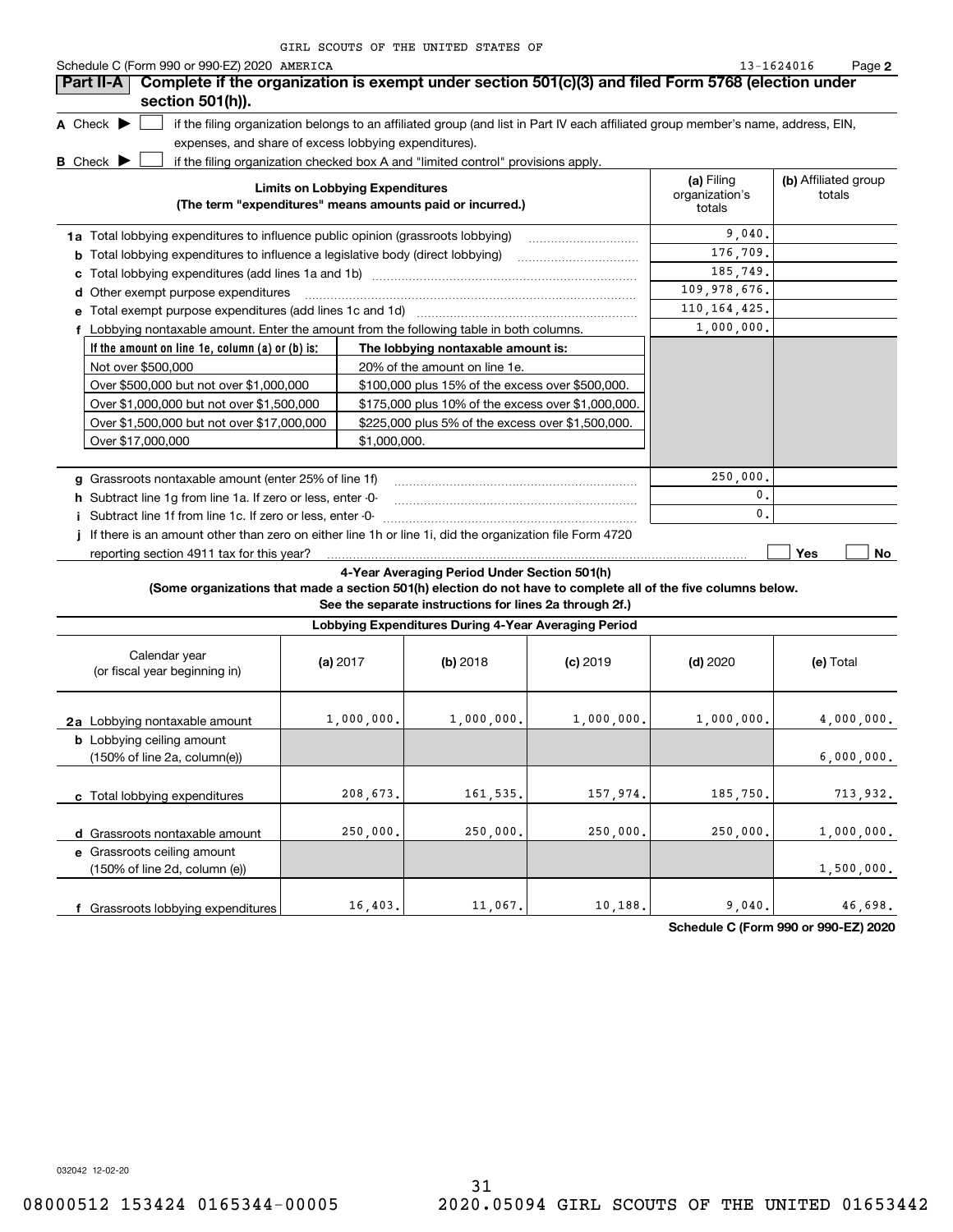|                                      | Schedule C (Form 990 or 990-EZ) 2020 AMERICA                                     |                                                                                                                                   |                                        | 13-1624016                     | Page 2 |
|--------------------------------------|----------------------------------------------------------------------------------|-----------------------------------------------------------------------------------------------------------------------------------|----------------------------------------|--------------------------------|--------|
| Part II-A                            |                                                                                  | Complete if the organization is exempt under section 501(c)(3) and filed Form 5768 (election under                                |                                        |                                |        |
|                                      | section 501(h)).                                                                 |                                                                                                                                   |                                        |                                |        |
| A Check $\blacktriangleright$        |                                                                                  | if the filing organization belongs to an affiliated group (and list in Part IV each affiliated group member's name, address, EIN, |                                        |                                |        |
|                                      | expenses, and share of excess lobbying expenditures).                            |                                                                                                                                   |                                        |                                |        |
| <b>B</b> Check $\blacktriangleright$ |                                                                                  | if the filing organization checked box A and "limited control" provisions apply.                                                  |                                        |                                |        |
|                                      |                                                                                  | <b>Limits on Lobbying Expenditures</b><br>(The term "expenditures" means amounts paid or incurred.)                               | (a) Filing<br>organization's<br>totals | (b) Affiliated group<br>totals |        |
|                                      | 1a Total lobbying expenditures to influence public opinion (grassroots lobbying) |                                                                                                                                   | 9.040.                                 |                                |        |
| b                                    |                                                                                  | Total lobbying expenditures to influence a legislative body (direct lobbying)                                                     | 176,709.                               |                                |        |
|                                      |                                                                                  |                                                                                                                                   | 185,749.                               |                                |        |
|                                      | d Other exempt purpose expenditures                                              |                                                                                                                                   | 109,978,676.                           |                                |        |
|                                      |                                                                                  |                                                                                                                                   | 110, 164, 425.                         |                                |        |
|                                      |                                                                                  | Lobbying nontaxable amount. Enter the amount from the following table in both columns.                                            | 1,000,000.                             |                                |        |
|                                      | If the amount on line 1e, column (a) or (b) is:                                  | The lobbying nontaxable amount is:                                                                                                |                                        |                                |        |
|                                      | Not over \$500,000                                                               | 20% of the amount on line 1e.                                                                                                     |                                        |                                |        |
|                                      | Over \$500,000 but not over \$1,000,000                                          | \$100,000 plus 15% of the excess over \$500,000.                                                                                  |                                        |                                |        |
|                                      | Over \$1,000,000 but not over \$1,500,000                                        | \$175,000 plus 10% of the excess over \$1,000,000.                                                                                |                                        |                                |        |
|                                      | Over \$1,500,000 but not over \$17,000,000                                       | \$225,000 plus 5% of the excess over \$1,500,000.                                                                                 |                                        |                                |        |
|                                      | Over \$17,000,000                                                                | \$1,000,000.                                                                                                                      |                                        |                                |        |
|                                      | g Grassroots nontaxable amount (enter 25% of line 1f)                            |                                                                                                                                   | 250,000.                               |                                |        |
|                                      | h Subtract line 1g from line 1a. If zero or less, enter -0-                      |                                                                                                                                   | 0.                                     |                                |        |
|                                      | Subtract line 1f from line 1c. If zero or less, enter -0-                        |                                                                                                                                   | 0.                                     |                                |        |
|                                      |                                                                                  | j If there is an amount other than zero on either line 1h or line 1i, did the organization file Form 4720                         |                                        |                                |        |
|                                      |                                                                                  |                                                                                                                                   |                                        | Yes                            | No     |

### **4-Year Averaging Period Under Section 501(h)**

**(Some organizations that made a section 501(h) election do not have to complete all of the five columns below.**

**See the separate instructions for lines 2a through 2f.)**

| Lobbying Expenditures During 4-Year Averaging Period                                 |            |            |            |            |            |  |  |  |  |
|--------------------------------------------------------------------------------------|------------|------------|------------|------------|------------|--|--|--|--|
| Calendar year<br>(or fiscal year beginning in)                                       | (a) $2017$ | (b) 2018   | $(c)$ 2019 | $(d)$ 2020 | (e) Total  |  |  |  |  |
| 2a Lobbying nontaxable amount                                                        | 1,000,000. | 1,000,000. | 1,000,000. | 1,000,000. | 4,000,000. |  |  |  |  |
| <b>b</b> Lobbying ceiling amount<br>$(150\% \text{ of line } 2a, \text{ column}(e))$ |            |            |            |            | 6,000,000. |  |  |  |  |
| Total lobbying expenditures                                                          | 208,673.   | 161,535.   | 157,974.   | 185,750.   | 713,932.   |  |  |  |  |
| Grassroots nontaxable amount<br>d                                                    | 250,000.   | 250,000.   | 250,000.   | 250,000.   | 1,000,000. |  |  |  |  |
| e Grassroots ceiling amount<br>(150% of line 2d, column (e))                         |            |            |            |            | 1,500,000. |  |  |  |  |
| Grassroots lobbying expenditures                                                     | 16,403.    | 11,067.    | 10,188.    | 9,040.     | 46,698.    |  |  |  |  |

**Schedule C (Form 990 or 990-EZ) 2020**

032042 12-02-20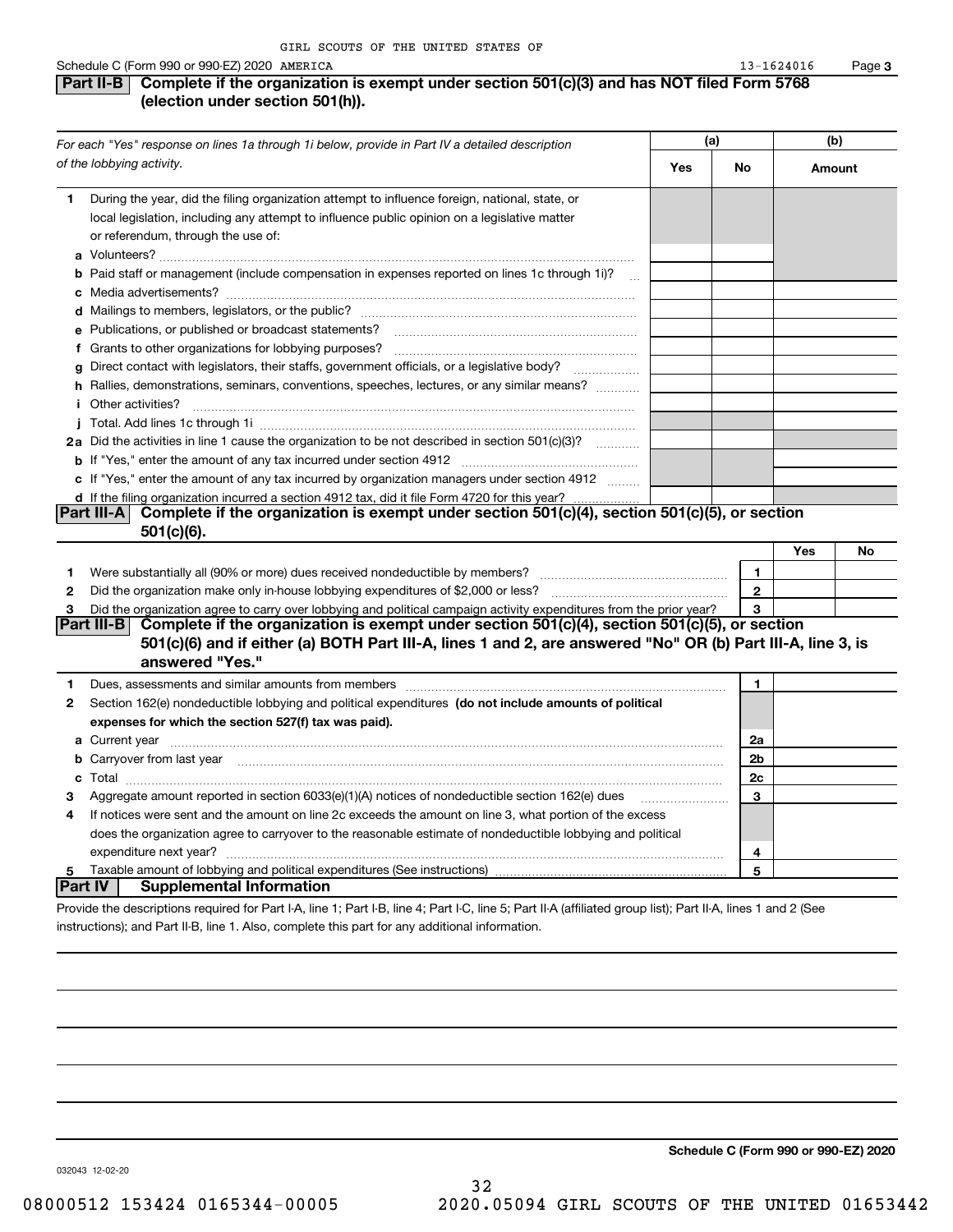### **Part II-B** Complete if the organization is exempt under section 501(c)(3) and has NOT filed Form 5768 **(election under section 501(h)).** 13-1624016

| For each "Yes" response on lines 1a through 1i below, provide in Part IV a detailed description<br>of the lobbying activity. |                                                                                                                                                                                                                                                  | (a)       |                | (b)    |    |  |  |  |  |
|------------------------------------------------------------------------------------------------------------------------------|--------------------------------------------------------------------------------------------------------------------------------------------------------------------------------------------------------------------------------------------------|-----------|----------------|--------|----|--|--|--|--|
|                                                                                                                              |                                                                                                                                                                                                                                                  | Yes<br>No |                | Amount |    |  |  |  |  |
| 1.                                                                                                                           | During the year, did the filing organization attempt to influence foreign, national, state, or<br>local legislation, including any attempt to influence public opinion on a legislative matter<br>or referendum, through the use of:             |           |                |        |    |  |  |  |  |
|                                                                                                                              | <b>b</b> Paid staff or management (include compensation in expenses reported on lines 1c through 1i)?                                                                                                                                            |           |                |        |    |  |  |  |  |
|                                                                                                                              |                                                                                                                                                                                                                                                  |           |                |        |    |  |  |  |  |
|                                                                                                                              | e Publications, or published or broadcast statements?                                                                                                                                                                                            |           |                |        |    |  |  |  |  |
|                                                                                                                              |                                                                                                                                                                                                                                                  |           |                |        |    |  |  |  |  |
|                                                                                                                              | g Direct contact with legislators, their staffs, government officials, or a legislative body?                                                                                                                                                    |           |                |        |    |  |  |  |  |
|                                                                                                                              | h Rallies, demonstrations, seminars, conventions, speeches, lectures, or any similar means?                                                                                                                                                      |           |                |        |    |  |  |  |  |
|                                                                                                                              |                                                                                                                                                                                                                                                  |           |                |        |    |  |  |  |  |
|                                                                                                                              |                                                                                                                                                                                                                                                  |           |                |        |    |  |  |  |  |
|                                                                                                                              | 2a Did the activities in line 1 cause the organization to be not described in section 501(c)(3)?                                                                                                                                                 |           |                |        |    |  |  |  |  |
|                                                                                                                              |                                                                                                                                                                                                                                                  |           |                |        |    |  |  |  |  |
|                                                                                                                              | c If "Yes," enter the amount of any tax incurred by organization managers under section 4912                                                                                                                                                     |           |                |        |    |  |  |  |  |
|                                                                                                                              | d If the filing organization incurred a section 4912 tax, did it file Form 4720 for this year?                                                                                                                                                   |           |                |        |    |  |  |  |  |
|                                                                                                                              | Complete if the organization is exempt under section 501(c)(4), section 501(c)(5), or section<br>Part III-A I<br>501(c)(6).                                                                                                                      |           |                |        |    |  |  |  |  |
|                                                                                                                              |                                                                                                                                                                                                                                                  |           |                | Yes    | No |  |  |  |  |
| 1                                                                                                                            | Were substantially all (90% or more) dues received nondeductible by members?                                                                                                                                                                     |           | $\mathbf{1}$   |        |    |  |  |  |  |
| 2                                                                                                                            | Did the organization make only in-house lobbying expenditures of \$2,000 or less?                                                                                                                                                                |           | $\overline{2}$ |        |    |  |  |  |  |
| 3                                                                                                                            | Did the organization agree to carry over lobbying and political campaign activity expenditures from the prior year?                                                                                                                              |           | 3              |        |    |  |  |  |  |
|                                                                                                                              | Part III-B Complete if the organization is exempt under section $501(c)(4)$ , section $501(c)(5)$ , or section<br>501(c)(6) and if either (a) BOTH Part III-A, lines 1 and 2, are answered "No" OR (b) Part III-A, line 3, is<br>answered "Yes." |           |                |        |    |  |  |  |  |
| 1                                                                                                                            | Dues, assessments and similar amounts from members [11] matter content to the state of the state of the state of the state of the state of the state of the state of the state of the state of the state of the state of the s                   |           | $\mathbf{1}$   |        |    |  |  |  |  |
| $\mathbf{2}$                                                                                                                 | Section 162(e) nondeductible lobbying and political expenditures (do not include amounts of political                                                                                                                                            |           |                |        |    |  |  |  |  |
|                                                                                                                              | expenses for which the section 527(f) tax was paid).                                                                                                                                                                                             |           |                |        |    |  |  |  |  |
|                                                                                                                              |                                                                                                                                                                                                                                                  |           | 2a             |        |    |  |  |  |  |
|                                                                                                                              | b Carryover from last year manufactured and content to content the content of the content of the content of the content of the content of the content of the content of the content of the content of the content of the conte                   |           | 2b             |        |    |  |  |  |  |
|                                                                                                                              |                                                                                                                                                                                                                                                  |           | 2c             |        |    |  |  |  |  |
| з                                                                                                                            | Aggregate amount reported in section 6033(e)(1)(A) notices of nondeductible section 162(e) dues                                                                                                                                                  |           | 3              |        |    |  |  |  |  |
| 4                                                                                                                            | If notices were sent and the amount on line 2c exceeds the amount on line 3, what portion of the excess                                                                                                                                          |           |                |        |    |  |  |  |  |
|                                                                                                                              | does the organization agree to carryover to the reasonable estimate of nondeductible lobbying and political                                                                                                                                      |           |                |        |    |  |  |  |  |
|                                                                                                                              |                                                                                                                                                                                                                                                  |           | 4              |        |    |  |  |  |  |
| 5                                                                                                                            |                                                                                                                                                                                                                                                  |           | 5              |        |    |  |  |  |  |
|                                                                                                                              | <b>Supplemental Information</b><br>∣Part IV ∣                                                                                                                                                                                                    |           |                |        |    |  |  |  |  |
|                                                                                                                              | dela the eleganizations resulting discriment LA Line di Deut LD, line A. Deut LO, line E. Deut H.A. (efficient morris light). Deut H.A. Jinger dieu                                                                                              |           |                |        |    |  |  |  |  |

Provide the descriptions required for Part I-A, line 1; Part I-B, line 4; Part I-C, line 5; Part II-A (affiliated group list); Part II-A, lines 1 and 2 (See instructions); and Part II-B, line 1. Also, complete this part for any additional information.

**Schedule C (Form 990 or 990-EZ) 2020**

032043 12-02-20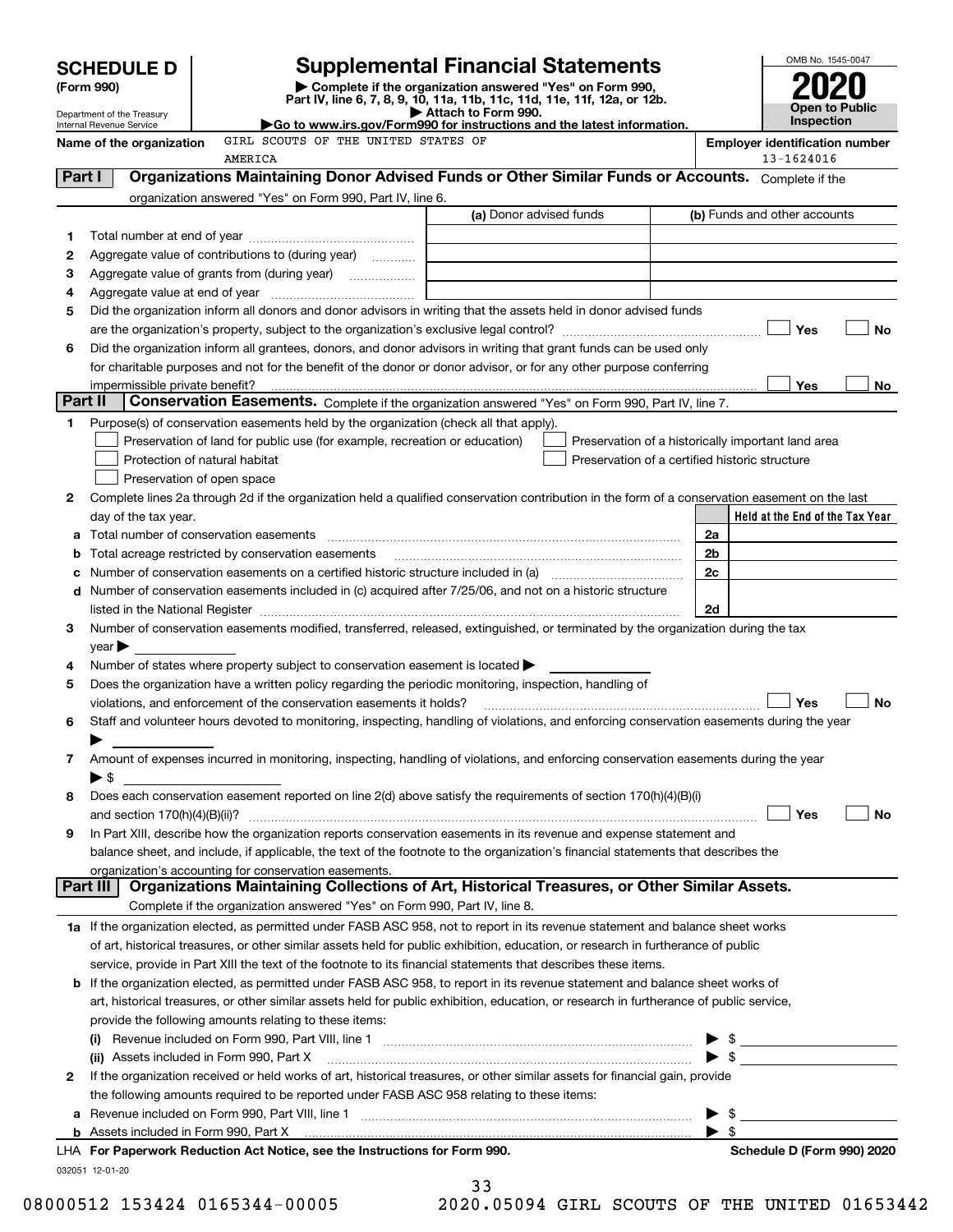|                                                        |                                                                                                                                         |                                                                                                                                      | <b>Supplemental Financial Statements</b>                                                                                                                                                                                      |                                                     | OMB No. 1545-0047                          |  |  |
|--------------------------------------------------------|-----------------------------------------------------------------------------------------------------------------------------------------|--------------------------------------------------------------------------------------------------------------------------------------|-------------------------------------------------------------------------------------------------------------------------------------------------------------------------------------------------------------------------------|-----------------------------------------------------|--------------------------------------------|--|--|
| <b>SCHEDULE D</b><br>(Form 990)                        |                                                                                                                                         | Complete if the organization answered "Yes" on Form 990,<br>Part IV, line 6, 7, 8, 9, 10, 11a, 11b, 11c, 11d, 11e, 11f, 12a, or 12b. |                                                                                                                                                                                                                               |                                                     |                                            |  |  |
| Department of the Treasury<br>Internal Revenue Service |                                                                                                                                         |                                                                                                                                      | Attach to Form 990.<br>Go to www.irs.gov/Form990 for instructions and the latest information.                                                                                                                                 |                                                     | <b>Open to Public</b><br><b>Inspection</b> |  |  |
| Name of the organization                               |                                                                                                                                         | GIRL SCOUTS OF THE UNITED STATES OF<br>AMERICA                                                                                       |                                                                                                                                                                                                                               | <b>Employer identification number</b><br>13-1624016 |                                            |  |  |
| Part I                                                 |                                                                                                                                         |                                                                                                                                      | Organizations Maintaining Donor Advised Funds or Other Similar Funds or Accounts. Complete if the                                                                                                                             |                                                     |                                            |  |  |
|                                                        |                                                                                                                                         | organization answered "Yes" on Form 990, Part IV, line 6.                                                                            |                                                                                                                                                                                                                               |                                                     |                                            |  |  |
|                                                        |                                                                                                                                         |                                                                                                                                      | (a) Donor advised funds                                                                                                                                                                                                       |                                                     | (b) Funds and other accounts               |  |  |
| 1                                                      |                                                                                                                                         |                                                                                                                                      |                                                                                                                                                                                                                               |                                                     |                                            |  |  |
| 2                                                      |                                                                                                                                         | Aggregate value of contributions to (during year)                                                                                    |                                                                                                                                                                                                                               |                                                     |                                            |  |  |
| 3                                                      |                                                                                                                                         |                                                                                                                                      | the control of the control of the control of the control of the control of the control of                                                                                                                                     |                                                     |                                            |  |  |
| 4                                                      |                                                                                                                                         |                                                                                                                                      |                                                                                                                                                                                                                               |                                                     |                                            |  |  |
| 5                                                      |                                                                                                                                         |                                                                                                                                      | Did the organization inform all donors and donor advisors in writing that the assets held in donor advised funds                                                                                                              |                                                     |                                            |  |  |
|                                                        |                                                                                                                                         |                                                                                                                                      |                                                                                                                                                                                                                               |                                                     | Yes<br>No                                  |  |  |
| 6                                                      |                                                                                                                                         |                                                                                                                                      | Did the organization inform all grantees, donors, and donor advisors in writing that grant funds can be used only                                                                                                             |                                                     |                                            |  |  |
|                                                        |                                                                                                                                         |                                                                                                                                      | for charitable purposes and not for the benefit of the donor or donor advisor, or for any other purpose conferring                                                                                                            |                                                     |                                            |  |  |
|                                                        | impermissible private benefit?                                                                                                          |                                                                                                                                      |                                                                                                                                                                                                                               |                                                     | Yes<br>No                                  |  |  |
| Part II                                                |                                                                                                                                         |                                                                                                                                      | Conservation Easements. Complete if the organization answered "Yes" on Form 990, Part IV, line 7.                                                                                                                             |                                                     |                                            |  |  |
| 1                                                      |                                                                                                                                         | Purpose(s) of conservation easements held by the organization (check all that apply).                                                |                                                                                                                                                                                                                               |                                                     |                                            |  |  |
|                                                        |                                                                                                                                         | Preservation of land for public use (for example, recreation or education)                                                           | Preservation of a historically important land area                                                                                                                                                                            |                                                     |                                            |  |  |
|                                                        | Protection of natural habitat                                                                                                           |                                                                                                                                      | Preservation of a certified historic structure                                                                                                                                                                                |                                                     |                                            |  |  |
|                                                        | Preservation of open space                                                                                                              |                                                                                                                                      |                                                                                                                                                                                                                               |                                                     |                                            |  |  |
| 2                                                      |                                                                                                                                         |                                                                                                                                      | Complete lines 2a through 2d if the organization held a qualified conservation contribution in the form of a conservation easement on the last                                                                                |                                                     |                                            |  |  |
|                                                        | day of the tax year.                                                                                                                    |                                                                                                                                      |                                                                                                                                                                                                                               |                                                     | Held at the End of the Tax Year            |  |  |
| а                                                      |                                                                                                                                         |                                                                                                                                      |                                                                                                                                                                                                                               | 2a                                                  |                                            |  |  |
| b                                                      |                                                                                                                                         | Total acreage restricted by conservation easements                                                                                   |                                                                                                                                                                                                                               | 2 <sub>b</sub>                                      |                                            |  |  |
| с                                                      |                                                                                                                                         |                                                                                                                                      | Number of conservation easements on a certified historic structure included in (a) manufacture included in (a)                                                                                                                | 2 <sub>c</sub>                                      |                                            |  |  |
| d                                                      |                                                                                                                                         |                                                                                                                                      | Number of conservation easements included in (c) acquired after 7/25/06, and not on a historic structure                                                                                                                      |                                                     |                                            |  |  |
|                                                        |                                                                                                                                         |                                                                                                                                      | listed in the National Register [11, 1200] [12] The National Register [11, 1200] [12] The National Register [11, 1200] [12] The National Register [11, 1200] [12] The National Register [11, 1200] [12] The National Register | 2d                                                  |                                            |  |  |
| 3                                                      |                                                                                                                                         |                                                                                                                                      | Number of conservation easements modified, transferred, released, extinguished, or terminated by the organization during the tax                                                                                              |                                                     |                                            |  |  |
|                                                        | year                                                                                                                                    |                                                                                                                                      |                                                                                                                                                                                                                               |                                                     |                                            |  |  |
| 4                                                      |                                                                                                                                         | Number of states where property subject to conservation easement is located                                                          |                                                                                                                                                                                                                               |                                                     |                                            |  |  |
| 5                                                      |                                                                                                                                         |                                                                                                                                      | Does the organization have a written policy regarding the periodic monitoring, inspection, handling of                                                                                                                        |                                                     |                                            |  |  |
|                                                        |                                                                                                                                         | violations, and enforcement of the conservation easements it holds?                                                                  |                                                                                                                                                                                                                               |                                                     | Yes<br><b>No</b>                           |  |  |
| 6                                                      |                                                                                                                                         |                                                                                                                                      | Staff and volunteer hours devoted to monitoring, inspecting, handling of violations, and enforcing conservation easements during the year                                                                                     |                                                     |                                            |  |  |
|                                                        |                                                                                                                                         |                                                                                                                                      |                                                                                                                                                                                                                               |                                                     |                                            |  |  |
| 7                                                      |                                                                                                                                         |                                                                                                                                      | Amount of expenses incurred in monitoring, inspecting, handling of violations, and enforcing conservation easements during the year                                                                                           |                                                     |                                            |  |  |
|                                                        | $\blacktriangleright$ \$                                                                                                                |                                                                                                                                      | Does each conservation easement reported on line 2(d) above satisfy the requirements of section 170(h)(4)(B)(i)                                                                                                               |                                                     |                                            |  |  |
| 8                                                      |                                                                                                                                         |                                                                                                                                      |                                                                                                                                                                                                                               |                                                     | Yes<br>No                                  |  |  |
| 9                                                      |                                                                                                                                         |                                                                                                                                      | In Part XIII, describe how the organization reports conservation easements in its revenue and expense statement and                                                                                                           |                                                     |                                            |  |  |
|                                                        |                                                                                                                                         |                                                                                                                                      | balance sheet, and include, if applicable, the text of the footnote to the organization's financial statements that describes the                                                                                             |                                                     |                                            |  |  |
|                                                        |                                                                                                                                         | organization's accounting for conservation easements.                                                                                |                                                                                                                                                                                                                               |                                                     |                                            |  |  |
|                                                        | Part III                                                                                                                                |                                                                                                                                      | Organizations Maintaining Collections of Art, Historical Treasures, or Other Similar Assets.                                                                                                                                  |                                                     |                                            |  |  |
|                                                        |                                                                                                                                         | Complete if the organization answered "Yes" on Form 990, Part IV, line 8.                                                            |                                                                                                                                                                                                                               |                                                     |                                            |  |  |
|                                                        |                                                                                                                                         |                                                                                                                                      | 1a If the organization elected, as permitted under FASB ASC 958, not to report in its revenue statement and balance sheet works                                                                                               |                                                     |                                            |  |  |
|                                                        |                                                                                                                                         |                                                                                                                                      | of art, historical treasures, or other similar assets held for public exhibition, education, or research in furtherance of public                                                                                             |                                                     |                                            |  |  |
|                                                        |                                                                                                                                         |                                                                                                                                      | service, provide in Part XIII the text of the footnote to its financial statements that describes these items.                                                                                                                |                                                     |                                            |  |  |
|                                                        |                                                                                                                                         |                                                                                                                                      | <b>b</b> If the organization elected, as permitted under FASB ASC 958, to report in its revenue statement and balance sheet works of                                                                                          |                                                     |                                            |  |  |
|                                                        | art, historical treasures, or other similar assets held for public exhibition, education, or research in furtherance of public service, |                                                                                                                                      |                                                                                                                                                                                                                               |                                                     |                                            |  |  |
|                                                        |                                                                                                                                         | provide the following amounts relating to these items:                                                                               |                                                                                                                                                                                                                               |                                                     |                                            |  |  |
|                                                        |                                                                                                                                         |                                                                                                                                      |                                                                                                                                                                                                                               |                                                     | $\triangleright$ \$                        |  |  |
|                                                        |                                                                                                                                         |                                                                                                                                      |                                                                                                                                                                                                                               |                                                     |                                            |  |  |
| 2                                                      |                                                                                                                                         |                                                                                                                                      | If the organization received or held works of art, historical treasures, or other similar assets for financial gain, provide                                                                                                  |                                                     |                                            |  |  |
|                                                        |                                                                                                                                         | the following amounts required to be reported under FASB ASC 958 relating to these items:                                            |                                                                                                                                                                                                                               |                                                     |                                            |  |  |
|                                                        |                                                                                                                                         |                                                                                                                                      | a Revenue included on Form 990, Part VIII, line 1 [2000] [2000] [2000] [2000] [3000] [3000] [3000] [3000] [3000                                                                                                               | - \$                                                |                                            |  |  |
|                                                        |                                                                                                                                         |                                                                                                                                      | b Assets included in Form 990, Part X [11] Marten and Martin Martin Marten and Martin Martin Martin Martin Mar                                                                                                                | $\blacktriangleright$ s                             |                                            |  |  |
|                                                        |                                                                                                                                         | LHA For Paperwork Reduction Act Notice, see the Instructions for Form 990.                                                           |                                                                                                                                                                                                                               |                                                     | Schedule D (Form 990) 2020                 |  |  |
|                                                        | 032051 12-01-20                                                                                                                         |                                                                                                                                      |                                                                                                                                                                                                                               |                                                     |                                            |  |  |

33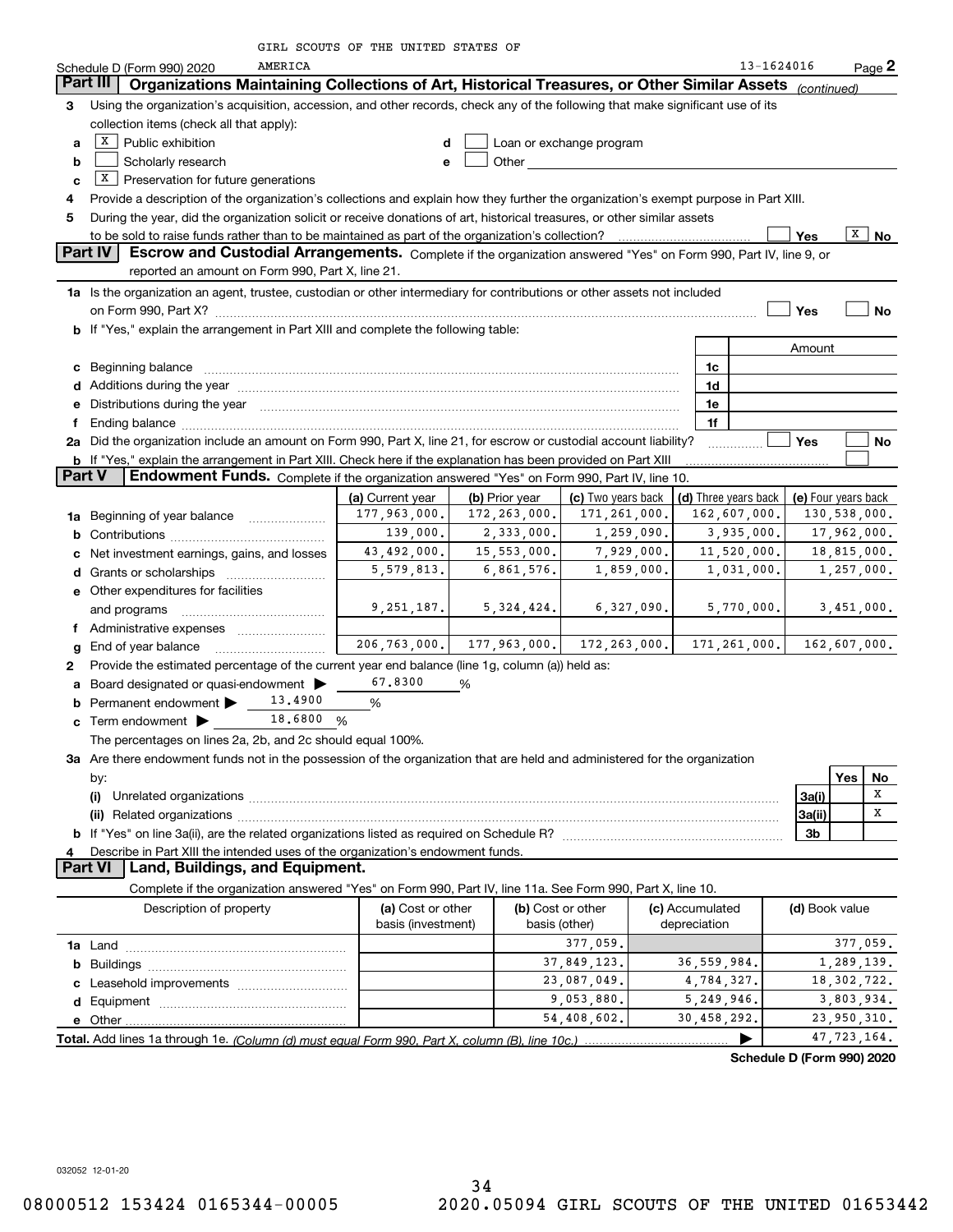| GIRL SCOUTS OF THE UNITED STATES OF |  |  |  |  |  |  |  |
|-------------------------------------|--|--|--|--|--|--|--|
|-------------------------------------|--|--|--|--|--|--|--|

|               | AMERICA<br>Schedule D (Form 990) 2020                                                                                                                                                                                         |                            |                           |                    |                 | 13-1624016           |                | Page 2              |  |  |  |
|---------------|-------------------------------------------------------------------------------------------------------------------------------------------------------------------------------------------------------------------------------|----------------------------|---------------------------|--------------------|-----------------|----------------------|----------------|---------------------|--|--|--|
|               | Organizations Maintaining Collections of Art, Historical Treasures, or Other Similar Assets (continued)<br>Part III                                                                                                           |                            |                           |                    |                 |                      |                |                     |  |  |  |
| З.            | Using the organization's acquisition, accession, and other records, check any of the following that make significant use of its                                                                                               |                            |                           |                    |                 |                      |                |                     |  |  |  |
|               | collection items (check all that apply):                                                                                                                                                                                      |                            |                           |                    |                 |                      |                |                     |  |  |  |
| a             | $X$ Public exhibition<br>Loan or exchange program<br>d                                                                                                                                                                        |                            |                           |                    |                 |                      |                |                     |  |  |  |
| b             | Other<br>Scholarly research<br>e                                                                                                                                                                                              |                            |                           |                    |                 |                      |                |                     |  |  |  |
| c             | $X$ Preservation for future generations                                                                                                                                                                                       |                            |                           |                    |                 |                      |                |                     |  |  |  |
| 4             | Provide a description of the organization's collections and explain how they further the organization's exempt purpose in Part XIII.                                                                                          |                            |                           |                    |                 |                      |                |                     |  |  |  |
| 5             | During the year, did the organization solicit or receive donations of art, historical treasures, or other similar assets                                                                                                      |                            |                           |                    |                 |                      |                |                     |  |  |  |
|               | X<br>Yes<br>No<br>Escrow and Custodial Arrangements. Complete if the organization answered "Yes" on Form 990, Part IV, line 9, or                                                                                             |                            |                           |                    |                 |                      |                |                     |  |  |  |
|               | <b>Part IV</b>                                                                                                                                                                                                                |                            |                           |                    |                 |                      |                |                     |  |  |  |
|               | reported an amount on Form 990, Part X, line 21.                                                                                                                                                                              |                            |                           |                    |                 |                      |                |                     |  |  |  |
|               | 1a Is the organization an agent, trustee, custodian or other intermediary for contributions or other assets not included                                                                                                      |                            |                           |                    |                 |                      |                |                     |  |  |  |
|               |                                                                                                                                                                                                                               |                            |                           |                    |                 |                      | Yes            | No                  |  |  |  |
|               | <b>b</b> If "Yes," explain the arrangement in Part XIII and complete the following table:                                                                                                                                     |                            |                           |                    |                 |                      |                |                     |  |  |  |
|               |                                                                                                                                                                                                                               |                            |                           |                    |                 |                      | Amount         |                     |  |  |  |
|               | c Beginning balance                                                                                                                                                                                                           |                            |                           |                    | 1c<br>1d        |                      |                |                     |  |  |  |
|               | e Distributions during the year manufactured and a control of the year manufactured and the year manufactured and the year manufactured and the year manufactured and the year manufactured and the year manufactured and the |                            |                           |                    | 1e              |                      |                |                     |  |  |  |
|               |                                                                                                                                                                                                                               |                            |                           |                    | 1f              |                      |                |                     |  |  |  |
|               | 2a Did the organization include an amount on Form 990, Part X, line 21, for escrow or custodial account liability?                                                                                                            |                            |                           |                    |                 |                      | Yes            | No                  |  |  |  |
|               | b If "Yes," explain the arrangement in Part XIII. Check here if the explanation has been provided on Part XIII                                                                                                                |                            |                           |                    |                 |                      |                |                     |  |  |  |
| <b>Part V</b> | Endowment Funds. Complete if the organization answered "Yes" on Form 990, Part IV, line 10.                                                                                                                                   |                            |                           |                    |                 |                      |                |                     |  |  |  |
|               |                                                                                                                                                                                                                               | (a) Current year           | (b) Prior year            | (c) Two years back |                 | (d) Three years back |                | (e) Four years back |  |  |  |
|               | 1a Beginning of year balance                                                                                                                                                                                                  | 177,963,000.               | 172,263,000.              | 171,261,000.       |                 | 162,607,000.         |                | 130,538,000.        |  |  |  |
|               |                                                                                                                                                                                                                               | 139,000.                   | 2,333,000.                | 1,259,090.         |                 | 3,935,000.           |                | 17,962,000.         |  |  |  |
|               | c Net investment earnings, gains, and losses                                                                                                                                                                                  | 43,492,000.                | 15,553,000.               | 7,929,000.         |                 | 11,520,000.          |                | 18,815,000.         |  |  |  |
|               |                                                                                                                                                                                                                               | 5,579,813.                 | 6,861,576.                | 1,859,000.         |                 | 1,031,000.           |                | 1,257,000.          |  |  |  |
|               | e Other expenditures for facilities                                                                                                                                                                                           |                            |                           |                    |                 |                      |                |                     |  |  |  |
|               | and programs                                                                                                                                                                                                                  | 9, 251, 187.               | 5,324,424.                | 6,327,090.         |                 | 5,770,000.           |                | 3,451,000.          |  |  |  |
|               | f Administrative expenses                                                                                                                                                                                                     |                            |                           |                    |                 |                      |                |                     |  |  |  |
|               | g End of year balance                                                                                                                                                                                                         | 206, 763, 000.             | 177,963,000. 172,263,000. |                    |                 | 171, 261, 000.       |                | 162,607,000.        |  |  |  |
| 2             | Provide the estimated percentage of the current year end balance (line 1g, column (a)) held as:                                                                                                                               |                            |                           |                    |                 |                      |                |                     |  |  |  |
|               | a Board designated or quasi-endowment >                                                                                                                                                                                       | 67.8300                    | %                         |                    |                 |                      |                |                     |  |  |  |
|               | 13,4900<br>Permanent endowment                                                                                                                                                                                                | %                          |                           |                    |                 |                      |                |                     |  |  |  |
|               | c Term endowment $\blacktriangleright$ 18.6800 %                                                                                                                                                                              |                            |                           |                    |                 |                      |                |                     |  |  |  |
|               | The percentages on lines 2a, 2b, and 2c should equal 100%.                                                                                                                                                                    |                            |                           |                    |                 |                      |                |                     |  |  |  |
|               | 3a Are there endowment funds not in the possession of the organization that are held and administered for the organization                                                                                                    |                            |                           |                    |                 |                      |                |                     |  |  |  |
|               | by:                                                                                                                                                                                                                           |                            |                           |                    |                 |                      |                | Yes<br>No           |  |  |  |
|               | (i)                                                                                                                                                                                                                           |                            |                           |                    |                 |                      | 3a(i)          | x<br>х              |  |  |  |
|               |                                                                                                                                                                                                                               |                            |                           |                    |                 |                      | 3a(ii)         |                     |  |  |  |
|               |                                                                                                                                                                                                                               |                            |                           |                    |                 |                      | 3b             |                     |  |  |  |
|               | Describe in Part XIII the intended uses of the organization's endowment funds.<br>Part VI   Land, Buildings, and Equipment.                                                                                                   |                            |                           |                    |                 |                      |                |                     |  |  |  |
|               | Complete if the organization answered "Yes" on Form 990, Part IV, line 11a. See Form 990, Part X, line 10.                                                                                                                    |                            |                           |                    |                 |                      |                |                     |  |  |  |
|               | Description of property                                                                                                                                                                                                       | (a) Cost or other          |                           | (b) Cost or other  | (c) Accumulated |                      | (d) Book value |                     |  |  |  |
|               |                                                                                                                                                                                                                               | basis (investment)         | basis (other)             |                    | depreciation    |                      |                |                     |  |  |  |
|               | 377,059.<br>377,059.                                                                                                                                                                                                          |                            |                           |                    |                 |                      |                |                     |  |  |  |
|               |                                                                                                                                                                                                                               | 37,849,123.<br>36,559,984. |                           |                    |                 | 1,289,139.           |                |                     |  |  |  |
|               |                                                                                                                                                                                                                               |                            |                           | 23,087,049.        | 4,784,327.      |                      |                | 18, 302, 722.       |  |  |  |
|               |                                                                                                                                                                                                                               |                            |                           | 9,053,880.         | 5,249,946.      |                      |                | 3,803,934.          |  |  |  |
|               |                                                                                                                                                                                                                               |                            |                           | 54,408,602.        | 30,458,292.     |                      |                | 23,950,310.         |  |  |  |
|               |                                                                                                                                                                                                                               |                            |                           |                    |                 | ▶                    |                | 47,723,164.         |  |  |  |

**Schedule D (Form 990) 2020**

032052 12-01-20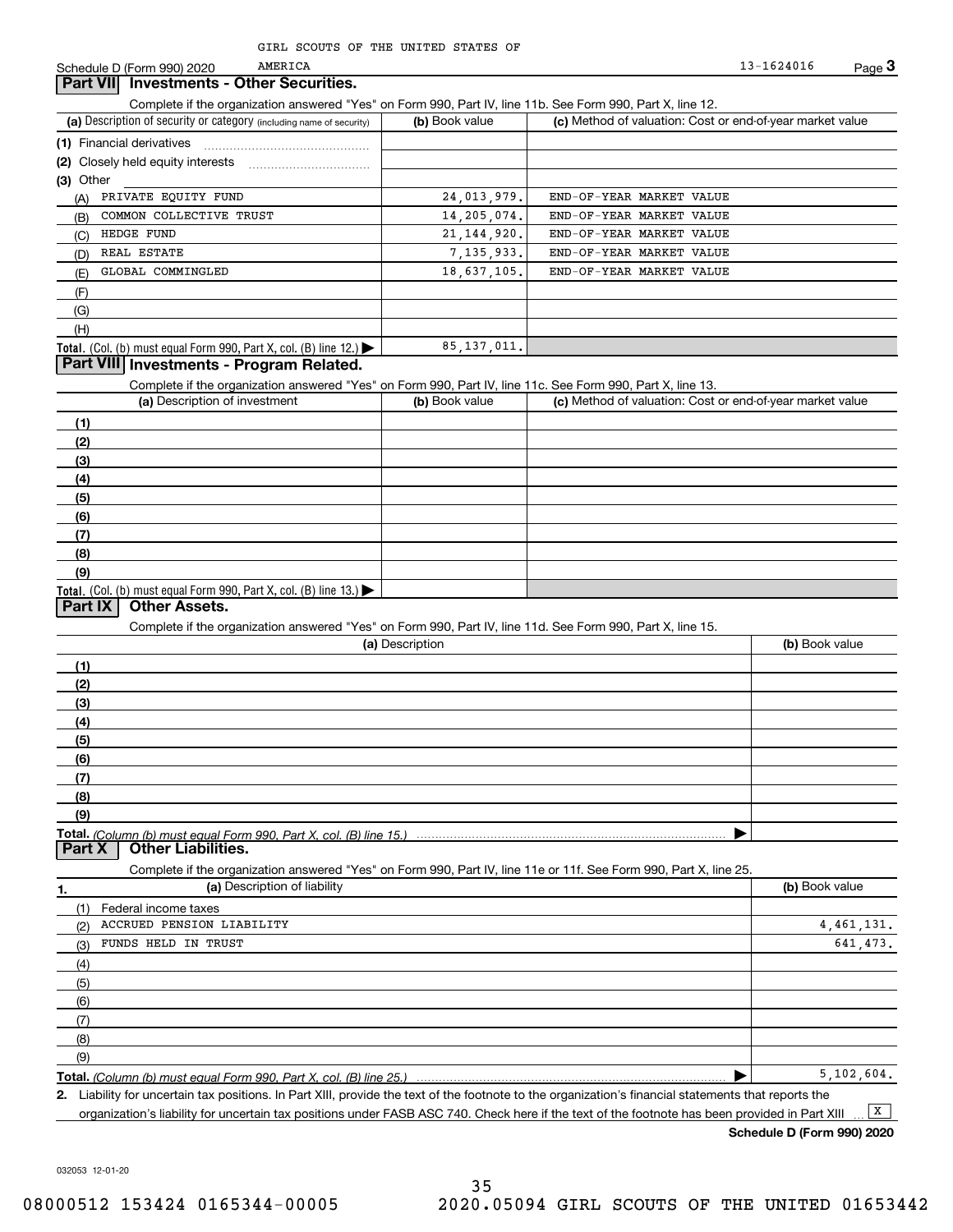Schedule D (Form 990) 2020 AMERICA 23-1624016 Page 3 13-1624016

# **Part VII Investments - Other Securities.**

AMERICA

Complete if the organization answered "Yes" on Form 990, Part IV, line 11b. See Form 990, Part X, line 12.

| (a) Description of security or category (including name of security)       | (b) Book value | (c) Method of valuation: Cost or end-of-year market value |
|----------------------------------------------------------------------------|----------------|-----------------------------------------------------------|
| (1) Financial derivatives                                                  |                |                                                           |
| (2) Closely held equity interests                                          |                |                                                           |
| (3) Other                                                                  |                |                                                           |
| PRIVATE EQUITY FUND<br>(A)                                                 | 24,013,979.    | END-OF-YEAR MARKET VALUE                                  |
| COMMON COLLECTIVE TRUST<br>(B)                                             | 14, 205, 074.  | END-OF-YEAR MARKET VALUE                                  |
| HEDGE FUND<br>(C)                                                          | 21, 144, 920.  | END-OF-YEAR MARKET VALUE                                  |
| REAL ESTATE<br>(D)                                                         | 7, 135, 933.   | END-OF-YEAR MARKET VALUE                                  |
| GLOBAL COMMINGLED<br>(E)                                                   | 18,637,105.    | END-OF-YEAR MARKET VALUE                                  |
| (F)                                                                        |                |                                                           |
| (G)                                                                        |                |                                                           |
| (H)                                                                        |                |                                                           |
| <b>Total.</b> (Col. (b) must equal Form 990, Part X, col. (B) line $12$ .) | 85, 137, 011.  |                                                           |

# **Part VIII Investments - Program Related.**

Complete if the organization answered "Yes" on Form 990, Part IV, line 11c. See Form 990, Part X, line 13.

| (a) Description of investment                                       | (b) Book value | (c) Method of valuation: Cost or end-of-year market value |
|---------------------------------------------------------------------|----------------|-----------------------------------------------------------|
| (1)                                                                 |                |                                                           |
| (2)                                                                 |                |                                                           |
| $\frac{1}{2}$                                                       |                |                                                           |
| (4)                                                                 |                |                                                           |
| $\frac{1}{2}$                                                       |                |                                                           |
| (6)                                                                 |                |                                                           |
| $\sqrt{(7)}$                                                        |                |                                                           |
| (8)                                                                 |                |                                                           |
| (9)                                                                 |                |                                                           |
| Total. (Col. (b) must equal Form 990, Part X, col. (B) line $13.$ ) |                |                                                           |

## **Part IX Other Assets.**

Complete if the organization answered "Yes" on Form 990, Part IV, line 11d. See Form 990, Part X, line 15.

| (a) Description                                                                                                                                                                                                                      | (b) Book value |
|--------------------------------------------------------------------------------------------------------------------------------------------------------------------------------------------------------------------------------------|----------------|
| (1)                                                                                                                                                                                                                                  |                |
| (2)                                                                                                                                                                                                                                  |                |
| (3)                                                                                                                                                                                                                                  |                |
| (4)                                                                                                                                                                                                                                  |                |
| (5)                                                                                                                                                                                                                                  |                |
| (6)                                                                                                                                                                                                                                  |                |
|                                                                                                                                                                                                                                      |                |
| (8)                                                                                                                                                                                                                                  |                |
| (9)                                                                                                                                                                                                                                  |                |
| Total. (Column (b) must equal Form 990, Part X, col. (B) line 15.) $\ldots$ $\ldots$ $\ldots$ $\ldots$ $\ldots$ $\ldots$ $\ldots$ $\ldots$ $\ldots$ $\ldots$ $\ldots$ $\ldots$ $\ldots$ $\ldots$ $\ldots$ $\ldots$ $\ldots$ $\ldots$ |                |

**Part X Other Liabilities.**

Complete if the organization answered "Yes" on Form 990, Part IV, line 11e or 11f. See Form 990, Part X, line 25.

| 1.                | (a) Description of liability | (b) Book value |
|-------------------|------------------------------|----------------|
|                   | (1) Federal income taxes     |                |
| (2)               | ACCRUED PENSION LIABILITY    | 4,461,131.     |
| (3)               | FUNDS HELD IN TRUST          | 641.473.       |
| (4)               |                              |                |
| $\frac{1}{2}$ (5) |                              |                |
| (6)               |                              |                |
| (7)               |                              |                |
| (8)               |                              |                |
| (9)               |                              |                |
|                   |                              | 5, 102, 604.   |

*(Column (b) must equal Form 990, Part X, col. (B) line 25.)* 

**2.**Liability for uncertain tax positions. In Part XIII, provide the text of the footnote to the organization's financial statements that reports the organization's liability for uncertain tax positions under FASB ASC 740. Check here if the text of the footnote has been provided in Part XIII  $\boxed{\mathbf{X}}$ 

**Schedule D (Form 990) 2020**

032053 12-01-20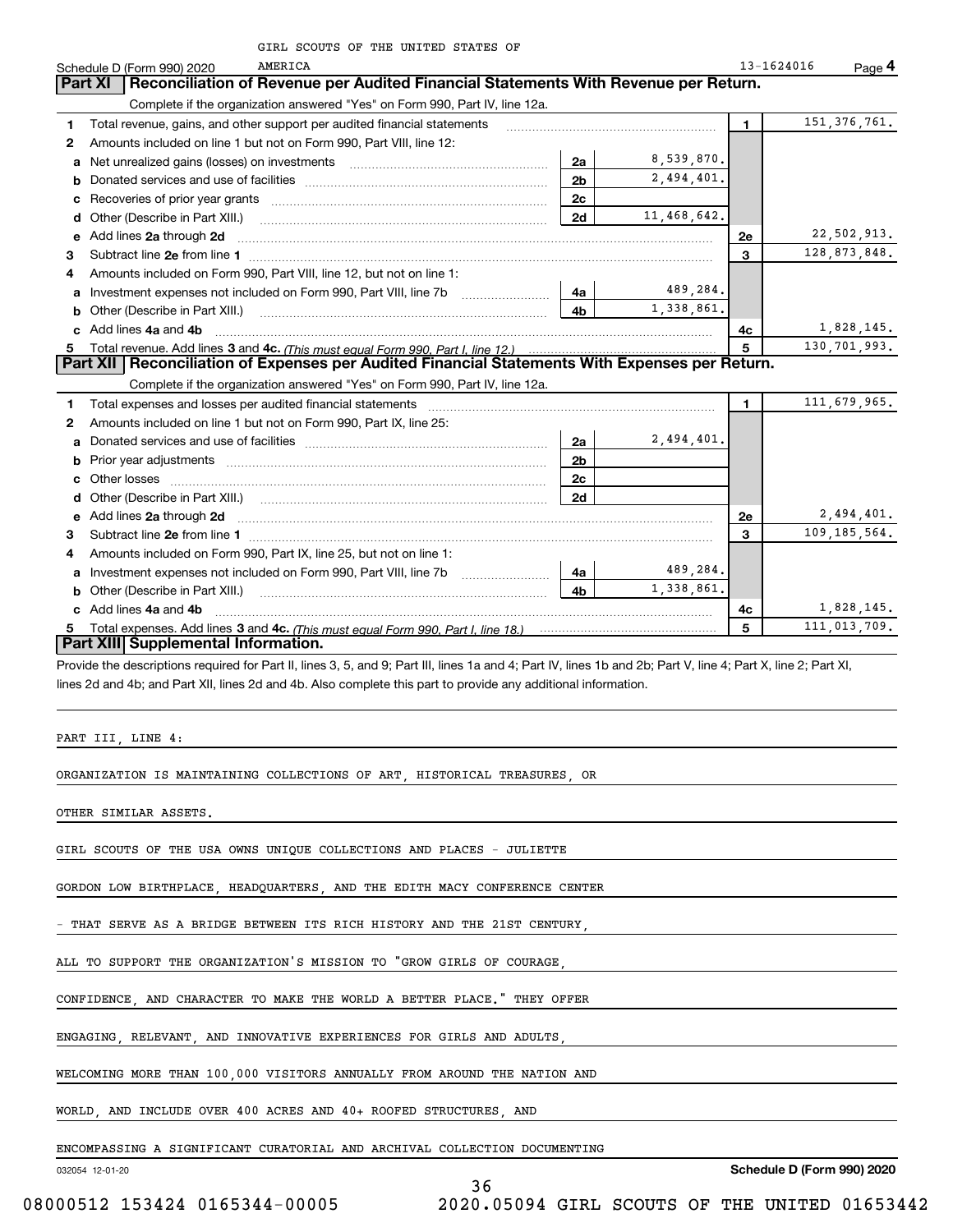| GIRL SCOUTS OF THE UNITED STATES OF |  |
|-------------------------------------|--|
|-------------------------------------|--|

|              |                                     | GIRL SCOUTS OF THE UNITED STATES OF                                                                                                                                                                                                           |                |             |              |                |
|--------------|-------------------------------------|-----------------------------------------------------------------------------------------------------------------------------------------------------------------------------------------------------------------------------------------------|----------------|-------------|--------------|----------------|
|              | Schedule D (Form 990) 2020          | AMERICA                                                                                                                                                                                                                                       |                |             | 13-1624016   | Page 4         |
|              | <b>Part XI</b>                      | Reconciliation of Revenue per Audited Financial Statements With Revenue per Return.                                                                                                                                                           |                |             |              |                |
|              |                                     | Complete if the organization answered "Yes" on Form 990, Part IV, line 12a.                                                                                                                                                                   |                |             |              |                |
| 1            |                                     | Total revenue, gains, and other support per audited financial statements                                                                                                                                                                      |                |             | 1.           | 151, 376, 761. |
| 2            |                                     | Amounts included on line 1 but not on Form 990, Part VIII, line 12:                                                                                                                                                                           |                |             |              |                |
| a            |                                     | Net unrealized gains (losses) on investments [11] matter contracts and the unrealized gains (losses) on investments                                                                                                                           | 2a             | 8,539,870.  |              |                |
| b            |                                     |                                                                                                                                                                                                                                               | 2 <sub>b</sub> | 2,494,401.  |              |                |
| с            |                                     |                                                                                                                                                                                                                                               | 2c             |             |              |                |
| d            |                                     | Other (Describe in Part XIII.) <b>COLOGIST: (2014)</b> (2014) <b>COLOGIST: (2014)</b> (2014) <b>COLOGIST: (2014)</b> (2014) (2014) (2014) (2014) (2014) (2014) (2014) (2014) (2014) (2014) (2014) (2014) (2014) (2014) (2014) (2014) (2014) ( | 2d             | 11,468,642. |              |                |
| e            | Add lines 2a through 2d             |                                                                                                                                                                                                                                               |                |             | <b>2e</b>    | 22,502,913.    |
| 3            |                                     |                                                                                                                                                                                                                                               |                |             | 3            | 128,873,848.   |
| 4            |                                     | Amounts included on Form 990, Part VIII, line 12, but not on line 1:                                                                                                                                                                          |                |             |              |                |
| a            |                                     | Investment expenses not included on Form 990, Part VIII, line 7b [1000000000000000000000000000000000                                                                                                                                          | 4a l           | 489,284.    |              |                |
|              |                                     | Other (Describe in Part XIII.) <b>Construction Contract Construction</b> Chemical Construction Chemical Chemical Chemical Chemical Chemical Chemical Chemical Chemical Chemical Chemical Chemical Chemical Chemical Chemical Chemic           | 4h             | 1,338,861.  |              |                |
|              | Add lines 4a and 4b                 |                                                                                                                                                                                                                                               |                |             | 4с           | 1,828,145.     |
| 5.           |                                     |                                                                                                                                                                                                                                               |                |             | 5            | 130,701,993.   |
|              |                                     | Part XII   Reconciliation of Expenses per Audited Financial Statements With Expenses per Return.                                                                                                                                              |                |             |              |                |
|              |                                     | Complete if the organization answered "Yes" on Form 990, Part IV, line 12a.                                                                                                                                                                   |                |             |              |                |
| 1            |                                     |                                                                                                                                                                                                                                               |                |             | $\mathbf{1}$ | 111,679,965.   |
| $\mathbf{2}$ |                                     | Amounts included on line 1 but not on Form 990, Part IX, line 25:                                                                                                                                                                             |                |             |              |                |
| a            |                                     |                                                                                                                                                                                                                                               | 2a             | 2,494,401.  |              |                |
|              |                                     |                                                                                                                                                                                                                                               | 2 <sub>b</sub> |             |              |                |
| c            |                                     |                                                                                                                                                                                                                                               | 2 <sub>c</sub> |             |              |                |
| d            |                                     |                                                                                                                                                                                                                                               | 2d             |             |              |                |
| е            |                                     | Add lines 2a through 2d <b>manufactures</b> in the contract of the contract of the contract of the contract of the contract of the contract of the contract of the contract of the contract of the contract of the contract of the            |                |             | 2e           | 2,494,401.     |
| З.           |                                     |                                                                                                                                                                                                                                               |                |             | 3            | 109,185,564.   |
| 4            |                                     | Amounts included on Form 990, Part IX, line 25, but not on line 1:                                                                                                                                                                            |                |             |              |                |
|              |                                     |                                                                                                                                                                                                                                               | 4a             | 489,284.    |              |                |
| b            | Other (Describe in Part XIII.)      |                                                                                                                                                                                                                                               | 4 <sub>b</sub> | 1,338,861.  |              |                |
|              | c Add lines 4a and 4b               |                                                                                                                                                                                                                                               |                |             | 4c           | 1,828,145.     |
|              |                                     |                                                                                                                                                                                                                                               |                |             | 5            | 111,013,709.   |
|              | Part XIII Supplemental Information. |                                                                                                                                                                                                                                               |                |             |              |                |

Provide the descriptions required for Part II, lines 3, 5, and 9; Part III, lines 1a and 4; Part IV, lines 1b and 2b; Part V, line 4; Part X, line 2; Part XI, lines 2d and 4b; and Part XII, lines 2d and 4b. Also complete this part to provide any additional information.

36

PART III, LINE 4:

ORGANIZATION IS MAINTAINING COLLECTIONS OF ART, HISTORICAL TREASURES, OR

OTHER SIMILAR ASSETS.

GIRL SCOUTS OF THE USA OWNS UNIQUE COLLECTIONS AND PLACES - JULIETTE

GORDON LOW BIRTHPLACE, HEADQUARTERS, AND THE EDITH MACY CONFERENCE CENTER

THAT SERVE AS A BRIDGE BETWEEN ITS RICH HISTORY AND THE 21ST CENTURY,

ALL TO SUPPORT THE ORGANIZATION'S MISSION TO "GROW GIRLS OF COURAGE,

CONFIDENCE, AND CHARACTER TO MAKE THE WORLD A BETTER PLACE." THEY OFFER

ENGAGING, RELEVANT, AND INNOVATIVE EXPERIENCES FOR GIRLS AND ADULTS,

WELCOMING MORE THAN 100,000 VISITORS ANNUALLY FROM AROUND THE NATION AND

WORLD, AND INCLUDE OVER 400 ACRES AND 40+ ROOFED STRUCTURES, AND

ENCOMPASSING A SIGNIFICANT CURATORIAL AND ARCHIVAL COLLECTION DOCUMENTING

032054 12-01-20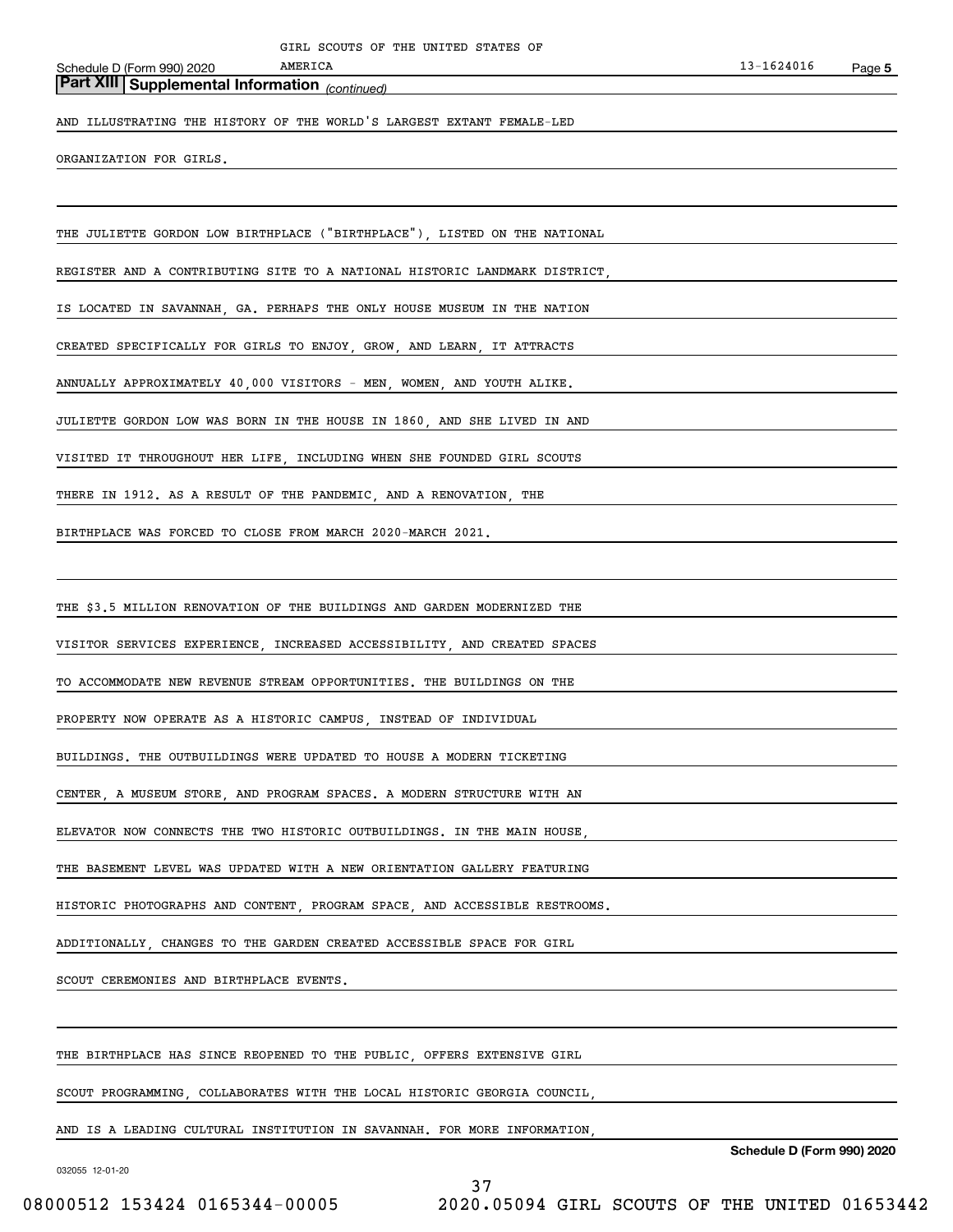Schedule D (Form 990) 2020

# *(continued)* **Part XIII Supplemental Information**

AND ILLUSTRATING THE HISTORY OF THE WORLD'S LARGEST EXTANT FEMALE-LED

**AMERICA** 

ORGANIZATION FOR GIRLS.

THE JULIETTE GORDON LOW BIRTHPLACE ("BIRTHPLACE"), LISTED ON THE NATIONAL

REGISTER AND A CONTRIBUTING SITE TO A NATIONAL HISTORIC LANDMARK DISTRICT,

IS LOCATED IN SAVANNAH, GA. PERHAPS THE ONLY HOUSE MUSEUM IN THE NATION

CREATED SPECIFICALLY FOR GIRLS TO ENJOY, GROW, AND LEARN, IT ATTRACTS

ANNUALLY APPROXIMATELY 40,000 VISITORS - MEN, WOMEN, AND YOUTH ALIKE.

JULIETTE GORDON LOW WAS BORN IN THE HOUSE IN 1860, AND SHE LIVED IN AND

VISITED IT THROUGHOUT HER LIFE, INCLUDING WHEN SHE FOUNDED GIRL SCOUTS

THERE IN 1912. AS A RESULT OF THE PANDEMIC, AND A RENOVATION, THE

BIRTHPLACE WAS FORCED TO CLOSE FROM MARCH 2020-MARCH 2021.

THE \$3.5 MILLION RENOVATION OF THE BUILDINGS AND GARDEN MODERNIZED THE

VISITOR SERVICES EXPERIENCE, INCREASED ACCESSIBILITY, AND CREATED SPACES

TO ACCOMMODATE NEW REVENUE STREAM OPPORTUNITIES. THE BUILDINGS ON THE

PROPERTY NOW OPERATE AS A HISTORIC CAMPUS, INSTEAD OF INDIVIDUAL

BUILDINGS. THE OUTBUILDINGS WERE UPDATED TO HOUSE A MODERN TICKETING

CENTER, A MUSEUM STORE, AND PROGRAM SPACES. A MODERN STRUCTURE WITH AN

ELEVATOR NOW CONNECTS THE TWO HISTORIC OUTBUILDINGS. IN THE MAIN HOUSE,

THE BASEMENT LEVEL WAS UPDATED WITH A NEW ORIENTATION GALLERY FEATURING

HISTORIC PHOTOGRAPHS AND CONTENT, PROGRAM SPACE, AND ACCESSIBLE RESTROOMS.

ADDITIONALLY, CHANGES TO THE GARDEN CREATED ACCESSIBLE SPACE FOR GIRL

SCOUT CEREMONIES AND BIRTHPLACE EVENTS.

THE BIRTHPLACE HAS SINCE REOPENED TO THE PUBLIC, OFFERS EXTENSIVE GIRL

SCOUT PROGRAMMING, COLLABORATES WITH THE LOCAL HISTORIC GEORGIA COUNCIL,

AND IS A LEADING CULTURAL INSTITUTION IN SAVANNAH. FOR MORE INFORMATION,

**Schedule D (Form 990) 2020**

032055 12-01-20

37 08000512 153424 0165344-00005 2020.05094 GIRL SCOUTS OF THE UNITED 01653442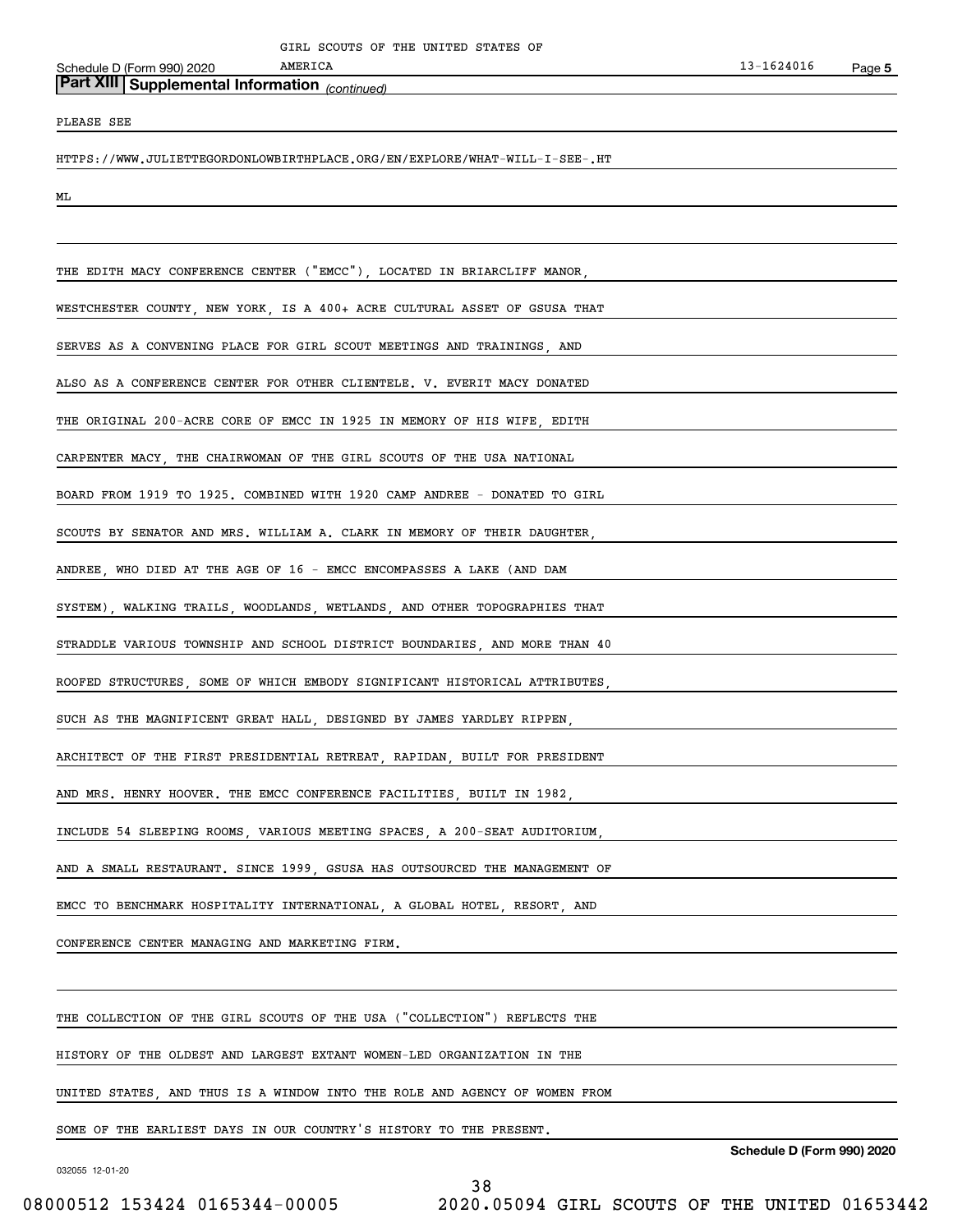*(continued)* **Part XIII Supplemental Information** 

PLEASE SEE

HTTPS://WWW.JULIETTEGORDONLOWBIRTHPLACE.ORG/EN/EXPLORE/WHAT-WILL-I-SEE-.HT

ML

THE EDITH MACY CONFERENCE CENTER ("EMCC"), LOCATED IN BRIARCLIFF MANOR, WESTCHESTER COUNTY, NEW YORK, IS A 400+ ACRE CULTURAL ASSET OF GSUSA THAT SERVES AS A CONVENING PLACE FOR GIRL SCOUT MEETINGS AND TRAININGS AND ALSO AS A CONFERENCE CENTER FOR OTHER CLIENTELE. V. EVERIT MACY DONATED THE ORIGINAL 200-ACRE CORE OF EMCC IN 1925 IN MEMORY OF HIS WIFE, EDITH CARPENTER MACY, THE CHAIRWOMAN OF THE GIRL SCOUTS OF THE USA NATIONAL BOARD FROM 1919 TO 1925. COMBINED WITH 1920 CAMP ANDREE - DONATED TO GIRL SCOUTS BY SENATOR AND MRS. WILLIAM A. CLARK IN MEMORY OF THEIR DAUGHTER, ANDREE, WHO DIED AT THE AGE OF 16 - EMCC ENCOMPASSES A LAKE (AND DAM SYSTEM), WALKING TRAILS, WOODLANDS, WETLANDS, AND OTHER TOPOGRAPHIES THAT STRADDLE VARIOUS TOWNSHIP AND SCHOOL DISTRICT BOUNDARIES, AND MORE THAN 40 ROOFED STRUCTURES, SOME OF WHICH EMBODY SIGNIFICANT HISTORICAL ATTRIBUTES, SUCH AS THE MAGNIFICENT GREAT HALL, DESIGNED BY JAMES YARDLEY RIPPEN, ARCHITECT OF THE FIRST PRESIDENTIAL RETREAT, RAPIDAN, BUILT FOR PRESIDENT AND MRS. HENRY HOOVER. THE EMCC CONFERENCE FACILITIES, BUILT IN 1982, INCLUDE 54 SLEEPING ROOMS, VARIOUS MEETING SPACES, A 200-SEAT AUDITORIUM, AND A SMALL RESTAURANT. SINCE 1999, GSUSA HAS OUTSOURCED THE MANAGEMENT OF EMCC TO BENCHMARK HOSPITALITY INTERNATIONAL, A GLOBAL HOTEL, RESORT, AND CONFERENCE CENTER MANAGING AND MARKETING FIRM. THE COLLECTION OF THE GIRL SCOUTS OF THE USA ("COLLECTION") REFLECTS THE HISTORY OF THE OLDEST AND LARGEST EXTANT WOMEN-LED ORGANIZATION IN THE UNITED STATES, AND THUS IS A WINDOW INTO THE ROLE AND AGENCY OF WOMEN FROM

38

SOME OF THE EARLIEST DAYS IN OUR COUNTRY'S HISTORY TO THE PRESENT.

032055 12-01-20

**Schedule D (Form 990) 2020**

08000512 153424 0165344-00005 2020.05094 GIRL SCOUTS OF THE UNITED 01653442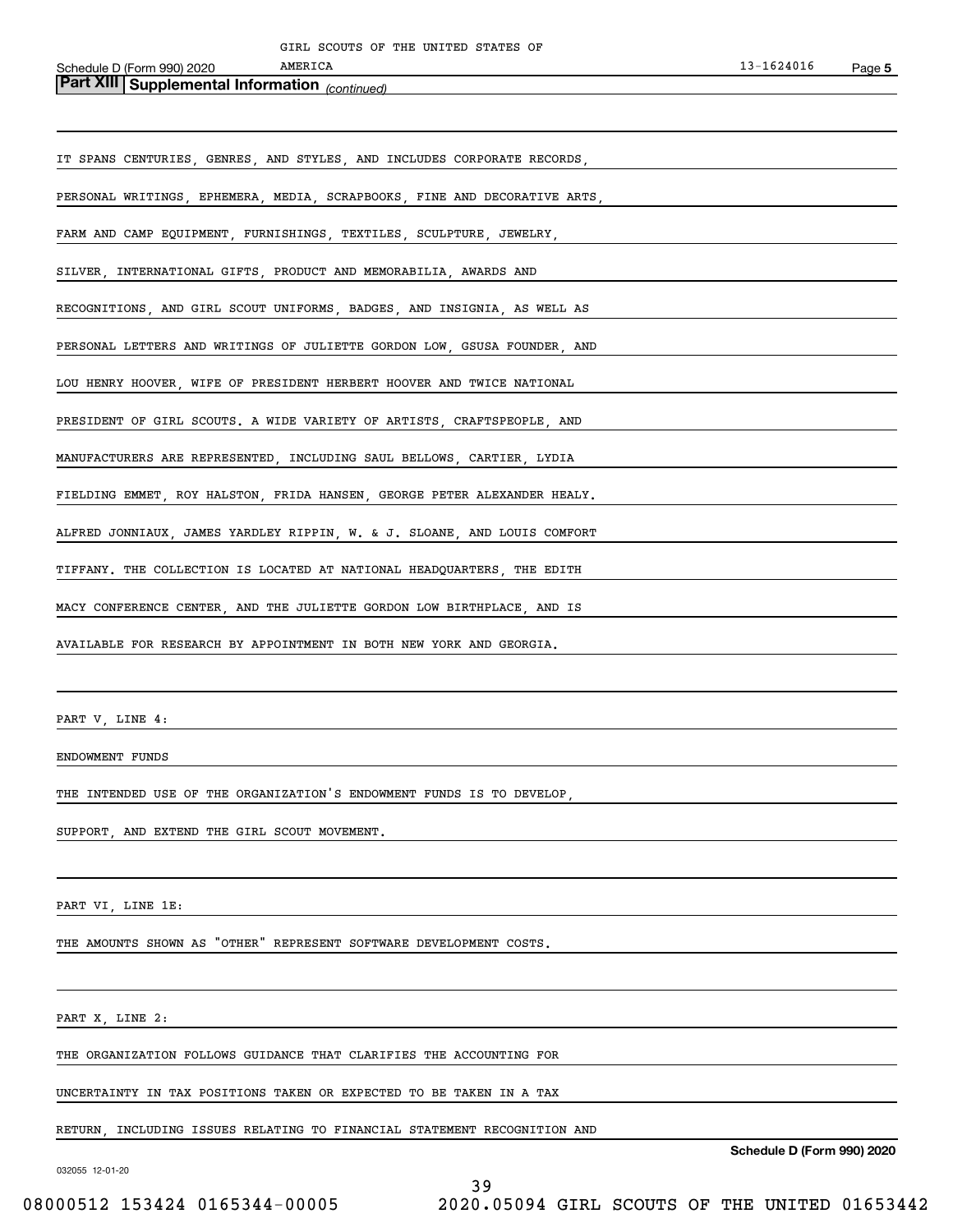# *(continued)* **Part XIII Supplemental Information**

| IT SPANS CENTURIES, GENRES, AND STYLES, AND INCLUDES CORPORATE RECORDS,   |
|---------------------------------------------------------------------------|
| PERSONAL WRITINGS, EPHEMERA, MEDIA, SCRAPBOOKS, FINE AND DECORATIVE ARTS, |
| FARM AND CAMP EQUIPMENT, FURNISHINGS, TEXTILES, SCULPTURE, JEWELRY,       |
| SILVER, INTERNATIONAL GIFTS, PRODUCT AND MEMORABILIA, AWARDS AND          |
| RECOGNITIONS, AND GIRL SCOUT UNIFORMS, BADGES, AND INSIGNIA, AS WELL AS   |
| PERSONAL LETTERS AND WRITINGS OF JULIETTE GORDON LOW, GSUSA FOUNDER, AND  |
| LOU HENRY HOOVER, WIFE OF PRESIDENT HERBERT HOOVER AND TWICE NATIONAL     |
| PRESIDENT OF GIRL SCOUTS. A WIDE VARIETY OF ARTISTS, CRAFTSPEOPLE, AND    |
| MANUFACTURERS ARE REPRESENTED, INCLUDING SAUL BELLOWS, CARTIER, LYDIA     |
| FIELDING EMMET, ROY HALSTON, FRIDA HANSEN, GEORGE PETER ALEXANDER HEALY.  |
| ALFRED JONNIAUX, JAMES YARDLEY RIPPIN, W. & J. SLOANE, AND LOUIS COMFORT  |
| TIFFANY. THE COLLECTION IS LOCATED AT NATIONAL HEADQUARTERS, THE EDITH    |
| MACY CONFERENCE CENTER, AND THE JULIETTE GORDON LOW BIRTHPLACE, AND IS    |
| AVAILABLE FOR RESEARCH BY APPOINTMENT IN BOTH NEW YORK AND GEORGIA.       |
|                                                                           |

PART V, LINE 4:

ENDOWMENT FUNDS

THE INTENDED USE OF THE ORGANIZATION'S ENDOWMENT FUNDS IS TO DEVELOP,

SUPPORT, AND EXTEND THE GIRL SCOUT MOVEMENT.

PART VI, LINE 1E:

THE AMOUNTS SHOWN AS "OTHER" REPRESENT SOFTWARE DEVELOPMENT COSTS.

### PART X, LINE 2:

THE ORGANIZATION FOLLOWS GUIDANCE THAT CLARIFIES THE ACCOUNTING FOR

UNCERTAINTY IN TAX POSITIONS TAKEN OR EXPECTED TO BE TAKEN IN A TAX

RETURN, INCLUDING ISSUES RELATING TO FINANCIAL STATEMENT RECOGNITION AND

032055 12-01-20

**Schedule D (Form 990) 2020**

39 08000512 153424 0165344-00005 2020.05094 GIRL SCOUTS OF THE UNITED 01653442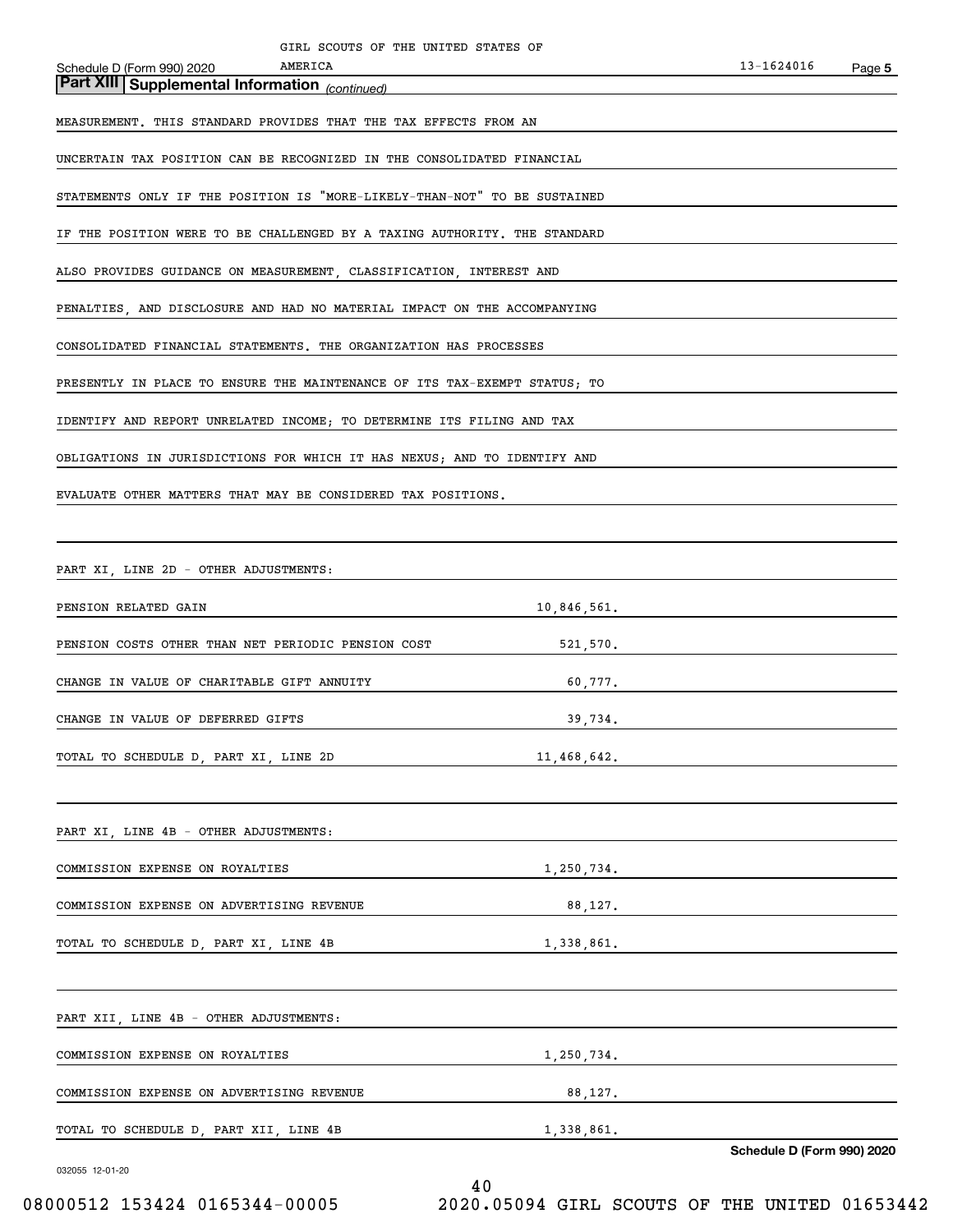*(continued)* **Part XIII Supplemental Information**  Schedule D (Form 990) 2020 MEASUREMENT. THIS STANDARD PROVIDES THAT THE TAX EFFECTS FROM AN UNCERTAIN TAX POSITION CAN BE RECOGNIZED IN THE CONSOLIDATED FINANCIAL STATEMENTS ONLY IF THE POSITION IS "MORE-LIKELY-THAN-NOT" TO BE SUSTAINED IF THE POSITION WERE TO BE CHALLENGED BY A TAXING AUTHORITY. THE STANDARD ALSO PROVIDES GUIDANCE ON MEASUREMENT, CLASSIFICATION, INTEREST AND PENALTIES, AND DISCLOSURE AND HAD NO MATERIAL IMPACT ON THE ACCOMPANYING CONSOLIDATED FINANCIAL STATEMENTS. THE ORGANIZATION HAS PROCESSES PRESENTLY IN PLACE TO ENSURE THE MAINTENANCE OF ITS TAX-EXEMPT STATUS; TO IDENTIFY AND REPORT UNRELATED INCOME; TO DETERMINE ITS FILING AND TAX OBLIGATIONS IN JURISDICTIONS FOR WHICH IT HAS NEXUS; AND TO IDENTIFY AND EVALUATE OTHER MATTERS THAT MAY BE CONSIDERED TAX POSITIONS. PART XI, LINE 2D - OTHER ADJUSTMENTS: PENSION RELATED GAIN 10,846,561. PENSION COSTS OTHER THAN NET PERIODIC PENSION COST 521,570. CHANGE IN VALUE OF CHARITABLE GIFT ANNUITY 60,777. CHANGE IN VALUE OF DEFERRED GIFTS 39,734. TOTAL TO SCHEDULE D, PART XI, LINE 2D 11,468,642. **AMERICA** GIRL SCOUTS OF THE UNITED STATES OF

PART XI, LINE 4B - OTHER ADJUSTMENTS: COMMISSION EXPENSE ON ROYALTIES 1,250,734. COMMISSION EXPENSE ON ADVERTISING REVENUE 88,127. TOTAL TO SCHEDULE D, PART XI, LINE 4B 1,338,861. PART XII, LINE 4B - OTHER ADJUSTMENTS:

| COMMISSION EXPENSE ON ROYALTIES           | 1,250,734. |
|-------------------------------------------|------------|
|                                           |            |
| COMMISSION EXPENSE ON ADVERTISING REVENUE | 88.127.    |
|                                           |            |
| TOTAL TO SCHEDULE D. PART XII. LINE 4B    | 1,338,861. |
|                                           |            |

032055 12-01-20

**Schedule D (Form 990) 2020**

08000512 153424 0165344-00005 2020.05094 GIRL SCOUTS OF THE UNITED 01653442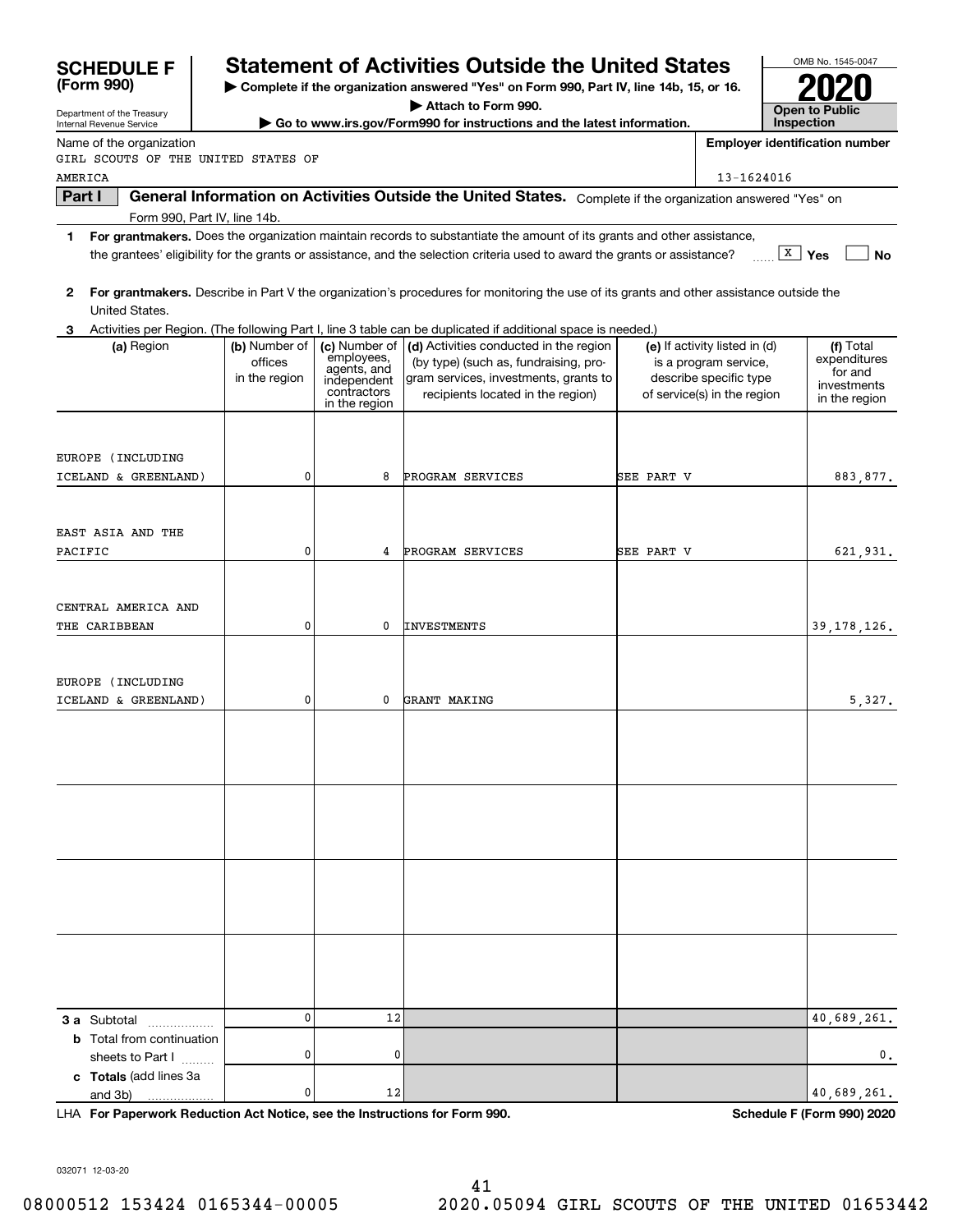| Department of the Treasury                |                              |                            | Attach to Form 990.                                                                                                                                                                                                                                  |            |                                                       | <b>Open to Public</b>                 |
|-------------------------------------------|------------------------------|----------------------------|------------------------------------------------------------------------------------------------------------------------------------------------------------------------------------------------------------------------------------------------------|------------|-------------------------------------------------------|---------------------------------------|
| Internal Revenue Service                  |                              |                            | ► Go to www.irs.gov/Form990 for instructions and the latest information.                                                                                                                                                                             |            |                                                       | Inspection                            |
| Name of the organization                  |                              |                            |                                                                                                                                                                                                                                                      |            |                                                       | <b>Employer identification number</b> |
| GIRL SCOUTS OF THE UNITED STATES OF       |                              |                            |                                                                                                                                                                                                                                                      |            |                                                       |                                       |
| AMERICA                                   |                              |                            |                                                                                                                                                                                                                                                      |            | 13-1624016                                            |                                       |
| Part I                                    |                              |                            | General Information on Activities Outside the United States. Complete if the organization answered "Yes" on                                                                                                                                          |            |                                                       |                                       |
| 1                                         | Form 990, Part IV, line 14b. |                            |                                                                                                                                                                                                                                                      |            |                                                       |                                       |
|                                           |                              |                            | For grantmakers. Does the organization maintain records to substantiate the amount of its grants and other assistance,<br>the grantees' eligibility for the grants or assistance, and the selection criteria used to award the grants or assistance? |            |                                                       | $\boxed{\texttt{X}}$ Yes<br><b>No</b> |
|                                           |                              |                            |                                                                                                                                                                                                                                                      |            |                                                       |                                       |
| 2                                         |                              |                            | For grantmakers. Describe in Part V the organization's procedures for monitoring the use of its grants and other assistance outside the                                                                                                              |            |                                                       |                                       |
| United States.                            |                              |                            |                                                                                                                                                                                                                                                      |            |                                                       |                                       |
| 3.                                        |                              |                            | Activities per Region. (The following Part I, line 3 table can be duplicated if additional space is needed.)                                                                                                                                         |            |                                                       |                                       |
| (a) Region                                | (b) Number of                | (c) Number of              | (d) Activities conducted in the region                                                                                                                                                                                                               |            | (e) If activity listed in (d)                         | (f) Total                             |
|                                           | offices                      | employees,<br>agents, and  | (by type) (such as, fundraising, pro-                                                                                                                                                                                                                |            | is a program service,                                 | expenditures<br>for and               |
|                                           | in the region                | independent<br>contractors | gram services, investments, grants to<br>recipients located in the region)                                                                                                                                                                           |            | describe specific type<br>of service(s) in the region | investments                           |
|                                           |                              | in the region              |                                                                                                                                                                                                                                                      |            |                                                       | in the region                         |
|                                           |                              |                            |                                                                                                                                                                                                                                                      |            |                                                       |                                       |
|                                           |                              |                            |                                                                                                                                                                                                                                                      |            |                                                       |                                       |
| EUROPE (INCLUDING<br>ICELAND & GREENLAND) | 0                            | 8                          | PROGRAM SERVICES                                                                                                                                                                                                                                     | SEE PART V |                                                       | 883,877.                              |
|                                           |                              |                            |                                                                                                                                                                                                                                                      |            |                                                       |                                       |
|                                           |                              |                            |                                                                                                                                                                                                                                                      |            |                                                       |                                       |
| EAST ASIA AND THE                         |                              |                            |                                                                                                                                                                                                                                                      |            |                                                       |                                       |
| PACIFIC                                   | 0                            | 4                          | PROGRAM SERVICES                                                                                                                                                                                                                                     | SEE PART V |                                                       | 621,931.                              |
|                                           |                              |                            |                                                                                                                                                                                                                                                      |            |                                                       |                                       |
|                                           |                              |                            |                                                                                                                                                                                                                                                      |            |                                                       |                                       |
| CENTRAL AMERICA AND                       |                              |                            |                                                                                                                                                                                                                                                      |            |                                                       |                                       |
| <b>THE CARIBBEAN</b>                      | 0                            | 0                          | <b>INVESTMENTS</b>                                                                                                                                                                                                                                   |            |                                                       | 39, 178, 126.                         |
|                                           |                              |                            |                                                                                                                                                                                                                                                      |            |                                                       |                                       |
|                                           |                              |                            |                                                                                                                                                                                                                                                      |            |                                                       |                                       |
| EUROPE (INCLUDING                         |                              |                            |                                                                                                                                                                                                                                                      |            |                                                       |                                       |
| ICELAND & GREENLAND)                      | 0                            | 0                          | GRANT MAKING                                                                                                                                                                                                                                         |            |                                                       | 5,327.                                |
|                                           |                              |                            |                                                                                                                                                                                                                                                      |            |                                                       |                                       |
|                                           |                              |                            |                                                                                                                                                                                                                                                      |            |                                                       |                                       |
|                                           |                              |                            |                                                                                                                                                                                                                                                      |            |                                                       |                                       |
|                                           |                              |                            |                                                                                                                                                                                                                                                      |            |                                                       |                                       |
|                                           |                              |                            |                                                                                                                                                                                                                                                      |            |                                                       |                                       |
|                                           |                              |                            |                                                                                                                                                                                                                                                      |            |                                                       |                                       |
|                                           |                              |                            |                                                                                                                                                                                                                                                      |            |                                                       |                                       |
|                                           |                              |                            |                                                                                                                                                                                                                                                      |            |                                                       |                                       |
|                                           |                              |                            |                                                                                                                                                                                                                                                      |            |                                                       |                                       |
|                                           |                              |                            |                                                                                                                                                                                                                                                      |            |                                                       |                                       |
|                                           |                              |                            |                                                                                                                                                                                                                                                      |            |                                                       |                                       |
|                                           |                              |                            |                                                                                                                                                                                                                                                      |            |                                                       |                                       |
|                                           |                              |                            |                                                                                                                                                                                                                                                      |            |                                                       |                                       |
|                                           |                              |                            |                                                                                                                                                                                                                                                      |            |                                                       |                                       |
| 3 a Subtotal                              | 0                            | 12                         |                                                                                                                                                                                                                                                      |            |                                                       | 40,689,261.                           |
| .<br><b>b</b> Total from continuation     |                              |                            |                                                                                                                                                                                                                                                      |            |                                                       |                                       |
| sheets to Part I                          | 0                            | 0                          |                                                                                                                                                                                                                                                      |            |                                                       | $\mathbf{0}$ .                        |
| c Totals (add lines 3a                    |                              |                            |                                                                                                                                                                                                                                                      |            |                                                       |                                       |
| and 3b)                                   | 0                            | 12                         |                                                                                                                                                                                                                                                      |            |                                                       | 40,689,261.                           |

**For Paperwork Reduction Act Notice, see the Instructions for Form 990. Schedule F (Form 990) 2020** LHA

032071 12-03-20

**(Form 990)**

# **Statement of Activities Outside the United States**

**| Complete if the organization answered "Yes" on Form 990, Part IV, line 14b, 15, or 16.**

OMB No. 1545-0047 **2020**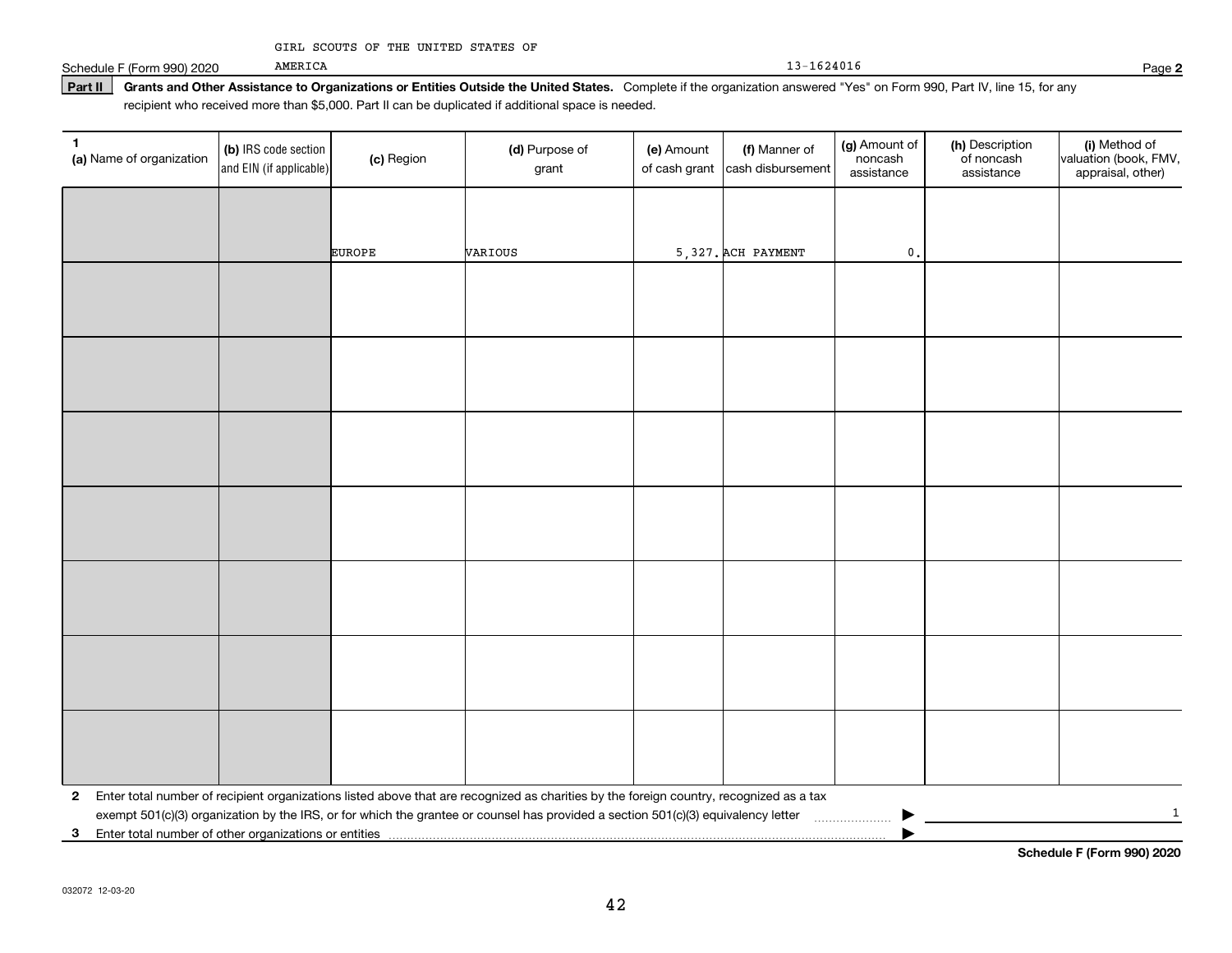13-1624016

Schedule F (Form 990) 2020

Part II | Grants and Other Assistance to Organizations or Entities Outside the United States. Complete if the organization answered "Yes" on Form 990, Part IV, line 15, for any recipient who received more than \$5,000. Part II can be duplicated if additional space is needed.

| $\mathbf 1$<br>(a) Name of organization                 | (b) IRS code section<br>and EIN (if applicable)                                                                                                                                                                                                                                             | (c) Region    | (d) Purpose of<br>grant | (e) Amount<br>of cash grant | (f) Manner of<br>cash disbursement | (g) Amount of<br>noncash<br>assistance | (h) Description<br>of noncash<br>assistance | (i) Method of<br>valuation (book, FMV,<br>appraisal, other) |
|---------------------------------------------------------|---------------------------------------------------------------------------------------------------------------------------------------------------------------------------------------------------------------------------------------------------------------------------------------------|---------------|-------------------------|-----------------------------|------------------------------------|----------------------------------------|---------------------------------------------|-------------------------------------------------------------|
|                                                         |                                                                                                                                                                                                                                                                                             |               |                         |                             |                                    |                                        |                                             |                                                             |
|                                                         |                                                                                                                                                                                                                                                                                             | <b>EUROPE</b> | VARIOUS                 |                             | 5,327. ACH PAYMENT                 | $\mathfrak o$ .                        |                                             |                                                             |
|                                                         |                                                                                                                                                                                                                                                                                             |               |                         |                             |                                    |                                        |                                             |                                                             |
|                                                         |                                                                                                                                                                                                                                                                                             |               |                         |                             |                                    |                                        |                                             |                                                             |
|                                                         |                                                                                                                                                                                                                                                                                             |               |                         |                             |                                    |                                        |                                             |                                                             |
|                                                         |                                                                                                                                                                                                                                                                                             |               |                         |                             |                                    |                                        |                                             |                                                             |
|                                                         |                                                                                                                                                                                                                                                                                             |               |                         |                             |                                    |                                        |                                             |                                                             |
|                                                         |                                                                                                                                                                                                                                                                                             |               |                         |                             |                                    |                                        |                                             |                                                             |
|                                                         |                                                                                                                                                                                                                                                                                             |               |                         |                             |                                    |                                        |                                             |                                                             |
|                                                         |                                                                                                                                                                                                                                                                                             |               |                         |                             |                                    |                                        |                                             |                                                             |
|                                                         |                                                                                                                                                                                                                                                                                             |               |                         |                             |                                    |                                        |                                             |                                                             |
|                                                         |                                                                                                                                                                                                                                                                                             |               |                         |                             |                                    |                                        |                                             |                                                             |
|                                                         |                                                                                                                                                                                                                                                                                             |               |                         |                             |                                    |                                        |                                             |                                                             |
|                                                         |                                                                                                                                                                                                                                                                                             |               |                         |                             |                                    |                                        |                                             |                                                             |
|                                                         |                                                                                                                                                                                                                                                                                             |               |                         |                             |                                    |                                        |                                             |                                                             |
|                                                         |                                                                                                                                                                                                                                                                                             |               |                         |                             |                                    |                                        |                                             |                                                             |
| $\mathbf{2}$                                            | Enter total number of recipient organizations listed above that are recognized as charities by the foreign country, recognized as a tax<br>$\mathbf 1$<br>exempt 501(c)(3) organization by the IRS, or for which the grantee or counsel has provided a section 501(c)(3) equivalency letter |               |                         |                             |                                    |                                        |                                             |                                                             |
| 3 Enter total number of other organizations or entities |                                                                                                                                                                                                                                                                                             |               |                         |                             |                                    |                                        |                                             |                                                             |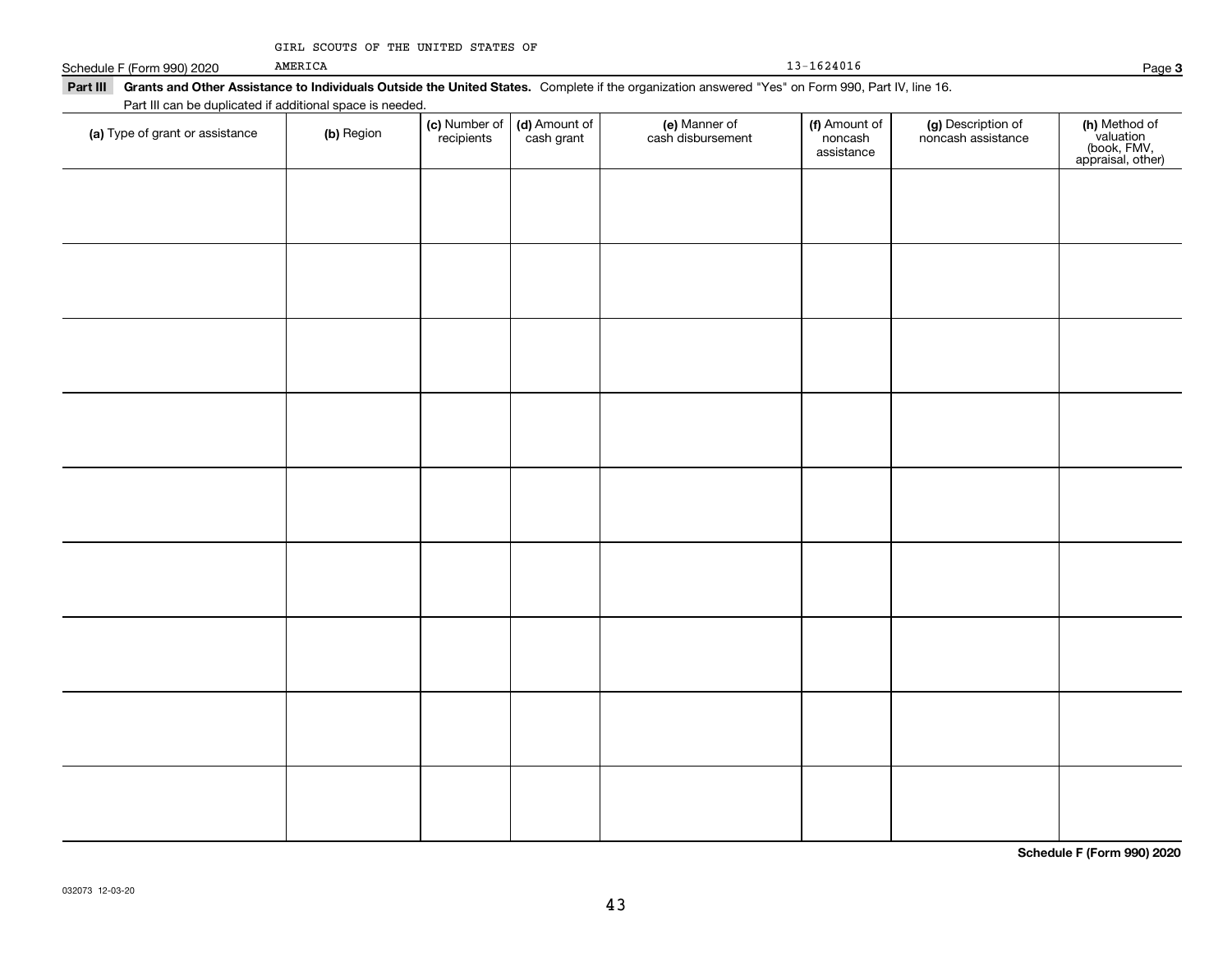|  |  |  |  | GIRL SCOUTS OF THE UNITED STATES OF |  |  |
|--|--|--|--|-------------------------------------|--|--|
|--|--|--|--|-------------------------------------|--|--|

|                 | Schedule F (Form 990) 2020 | AMERICA                                                   | 13-1624016                                                                                                                                       | Page |
|-----------------|----------------------------|-----------------------------------------------------------|--------------------------------------------------------------------------------------------------------------------------------------------------|------|
| <b>Part III</b> |                            |                                                           | Grants and Other Assistance to Individuals Outside the United States. Complete if the organization answered "Yes" on Form 990, Part IV, line 16. |      |
|                 |                            | Part III can be duplicated if additional space is needed. |                                                                                                                                                  |      |

| (b) Region | (c) Number of<br>recipients | (d) Amount of<br>cash grant | (e) Manner of<br>cash disbursement | (f) Amount of<br>noncash<br>assistance | (g) Description of<br>noncash assistance | (h) Method of<br>valuation<br>(book, FMV,<br>appraisal, other) |
|------------|-----------------------------|-----------------------------|------------------------------------|----------------------------------------|------------------------------------------|----------------------------------------------------------------|
|            |                             |                             |                                    |                                        |                                          |                                                                |
|            |                             |                             |                                    |                                        |                                          |                                                                |
|            |                             |                             |                                    |                                        |                                          |                                                                |
|            |                             |                             |                                    |                                        |                                          |                                                                |
|            |                             |                             |                                    |                                        |                                          |                                                                |
|            |                             |                             |                                    |                                        |                                          |                                                                |
|            |                             |                             |                                    |                                        |                                          |                                                                |
|            |                             |                             |                                    |                                        |                                          |                                                                |
|            |                             |                             |                                    |                                        |                                          |                                                                |
|            |                             |                             |                                    |                                        |                                          |                                                                |
|            |                             |                             |                                    |                                        |                                          |                                                                |
|            |                             |                             |                                    |                                        |                                          |                                                                |
|            |                             |                             |                                    |                                        |                                          |                                                                |
|            |                             |                             |                                    |                                        |                                          |                                                                |
|            |                             |                             |                                    |                                        |                                          |                                                                |

**Schedule F (Form 990) 2020**

**3**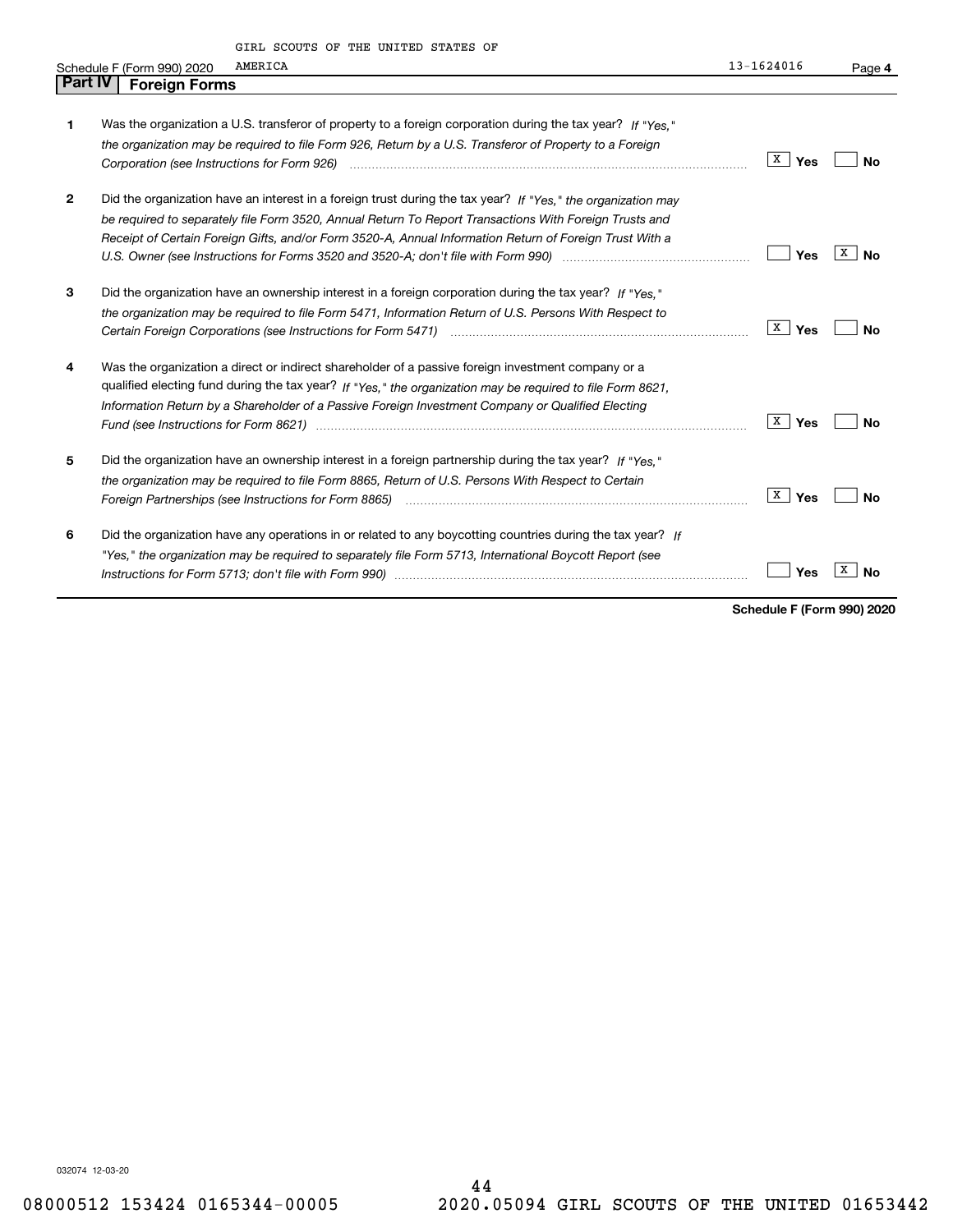GIRL SCOUTS OF THE UNITED STATES OF

|                | GIRL SCOUTS OF THE UNITED STATES OF                                                                                            |                     |                  |
|----------------|--------------------------------------------------------------------------------------------------------------------------------|---------------------|------------------|
|                | AMERICA<br>Schedule F (Form 990) 2020                                                                                          | $13 - 1624016$      | Page 4           |
| <b>Part IV</b> | <b>Foreign Forms</b>                                                                                                           |                     |                  |
|                |                                                                                                                                |                     |                  |
| 1              | Was the organization a U.S. transferor of property to a foreign corporation during the tax year? If "Yes."                     |                     |                  |
|                | the organization may be required to file Form 926, Return by a U.S. Transferor of Property to a Foreign                        |                     |                  |
|                | Corporation (see Instructions for Form 926) (and the content of the content of the corporation (see Instructions for Form 926) | $\mathbf{X}$<br>Yes | <b>No</b>        |
|                |                                                                                                                                |                     |                  |
| 2              | Did the organization have an interest in a foreign trust during the tax year? If "Yes," the organization may                   |                     |                  |
|                | be required to separately file Form 3520, Annual Return To Report Transactions With Foreign Trusts and                         |                     |                  |
|                | Receipt of Certain Foreign Gifts, and/or Form 3520-A, Annual Information Return of Foreign Trust With a                        |                     |                  |
|                |                                                                                                                                | Yes                 | X  <br><b>No</b> |
|                |                                                                                                                                |                     |                  |
| 3              | Did the organization have an ownership interest in a foreign corporation during the tax year? If "Yes."                        |                     |                  |
|                | the organization may be required to file Form 5471, Information Return of U.S. Persons With Respect to                         |                     |                  |
|                |                                                                                                                                | X  <br>Yes          | <b>No</b>        |
|                |                                                                                                                                |                     |                  |
| 4              | Was the organization a direct or indirect shareholder of a passive foreign investment company or a                             |                     |                  |
|                | qualified electing fund during the tax year? If "Yes," the organization may be required to file Form 8621.                     |                     |                  |
|                | Information Return by a Shareholder of a Passive Foreign Investment Company or Qualified Electing                              |                     |                  |
|                |                                                                                                                                | X  <br>Yes          | <b>No</b>        |
| 5              | Did the organization have an ownership interest in a foreign partnership during the tax year? If "Yes."                        |                     |                  |
|                | the organization may be required to file Form 8865, Return of U.S. Persons With Respect to Certain                             |                     |                  |
|                | Foreign Partnerships (see Instructions for Form 8865) <i>mand contained contained contained to reserve the setter</i>          | X  <br>Yes          | <b>No</b>        |
|                |                                                                                                                                |                     |                  |
| 6              | Did the organization have any operations in or related to any boycotting countries during the tax year? If                     |                     |                  |
|                | "Yes," the organization may be required to separately file Form 5713, International Boycott Report (see                        |                     |                  |
|                |                                                                                                                                | Yes                 | х<br>Nο          |
|                |                                                                                                                                |                     |                  |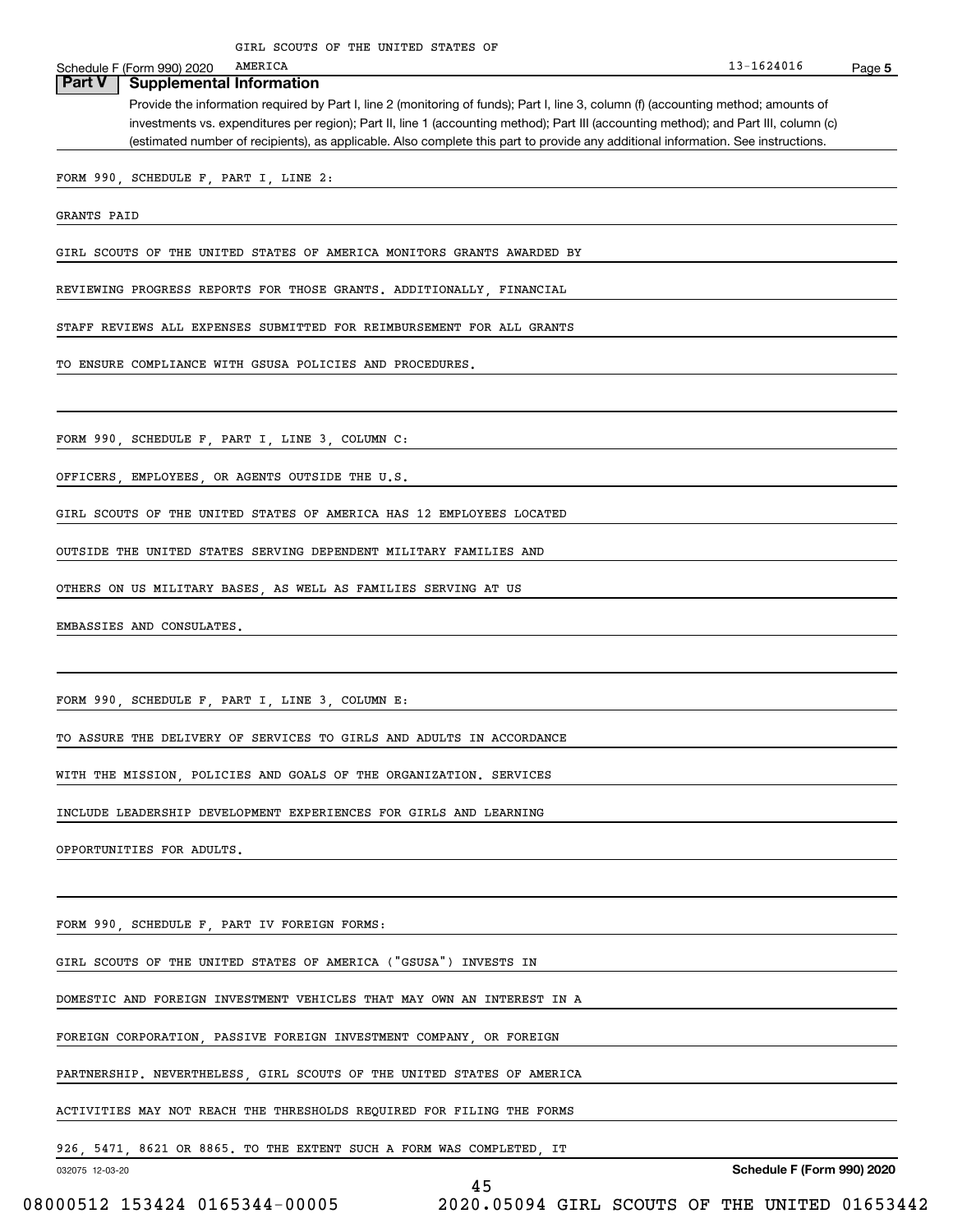Schedule F (Form 990) 2020 AMERICA

**5** 13-1624016

## **Part V Supplemental Information**

Provide the information required by Part I, line 2 (monitoring of funds); Part I, line 3, column (f) (accounting method; amounts of investments vs. expenditures per region); Part II, line 1 (accounting method); Part III (accounting method); and Part III, column (c) (estimated number of recipients), as applicable. Also complete this part to provide any additional information. See instructions.

FORM 990, SCHEDULE F, PART I, LINE 2:

GRANTS PAID

GIRL SCOUTS OF THE UNITED STATES OF AMERICA MONITORS GRANTS AWARDED BY

REVIEWING PROGRESS REPORTS FOR THOSE GRANTS. ADDITIONALLY, FINANCIAL

STAFF REVIEWS ALL EXPENSES SUBMITTED FOR REIMBURSEMENT FOR ALL GRANTS

TO ENSURE COMPLIANCE WITH GSUSA POLICIES AND PROCEDURES.

FORM 990, SCHEDULE F, PART I, LINE 3, COLUMN C:

OFFICERS, EMPLOYEES, OR AGENTS OUTSIDE THE U.S.

GIRL SCOUTS OF THE UNITED STATES OF AMERICA HAS 12 EMPLOYEES LOCATED

OUTSIDE THE UNITED STATES SERVING DEPENDENT MILITARY FAMILIES AND

OTHERS ON US MILITARY BASES, AS WELL AS FAMILIES SERVING AT US

EMBASSIES AND CONSULATES.

FORM 990, SCHEDULE F, PART I, LINE 3, COLUMN E:

TO ASSURE THE DELIVERY OF SERVICES TO GIRLS AND ADULTS IN ACCORDANCE

WITH THE MISSION, POLICIES AND GOALS OF THE ORGANIZATION. SERVICES

INCLUDE LEADERSHIP DEVELOPMENT EXPERIENCES FOR GIRLS AND LEARNING

OPPORTUNITIES FOR ADULTS.

FORM 990, SCHEDULE F, PART IV FOREIGN FORMS:

GIRL SCOUTS OF THE UNITED STATES OF AMERICA ("GSUSA") INVESTS IN

DOMESTIC AND FOREIGN INVESTMENT VEHICLES THAT MAY OWN AN INTEREST IN A

FOREIGN CORPORATION, PASSIVE FOREIGN INVESTMENT COMPANY, OR FOREIGN

PARTNERSHIP. NEVERTHELESS GIRL SCOUTS OF THE UNITED STATES OF AMERICA

ACTIVITIES MAY NOT REACH THE THRESHOLDS REQUIRED FOR FILING THE FORMS

926, 5471, 8621 OR 8865. TO THE EXTENT SUCH A FORM WAS COMPLETED, IT

032075 12-03-20

**Schedule F (Form 990) 2020**

45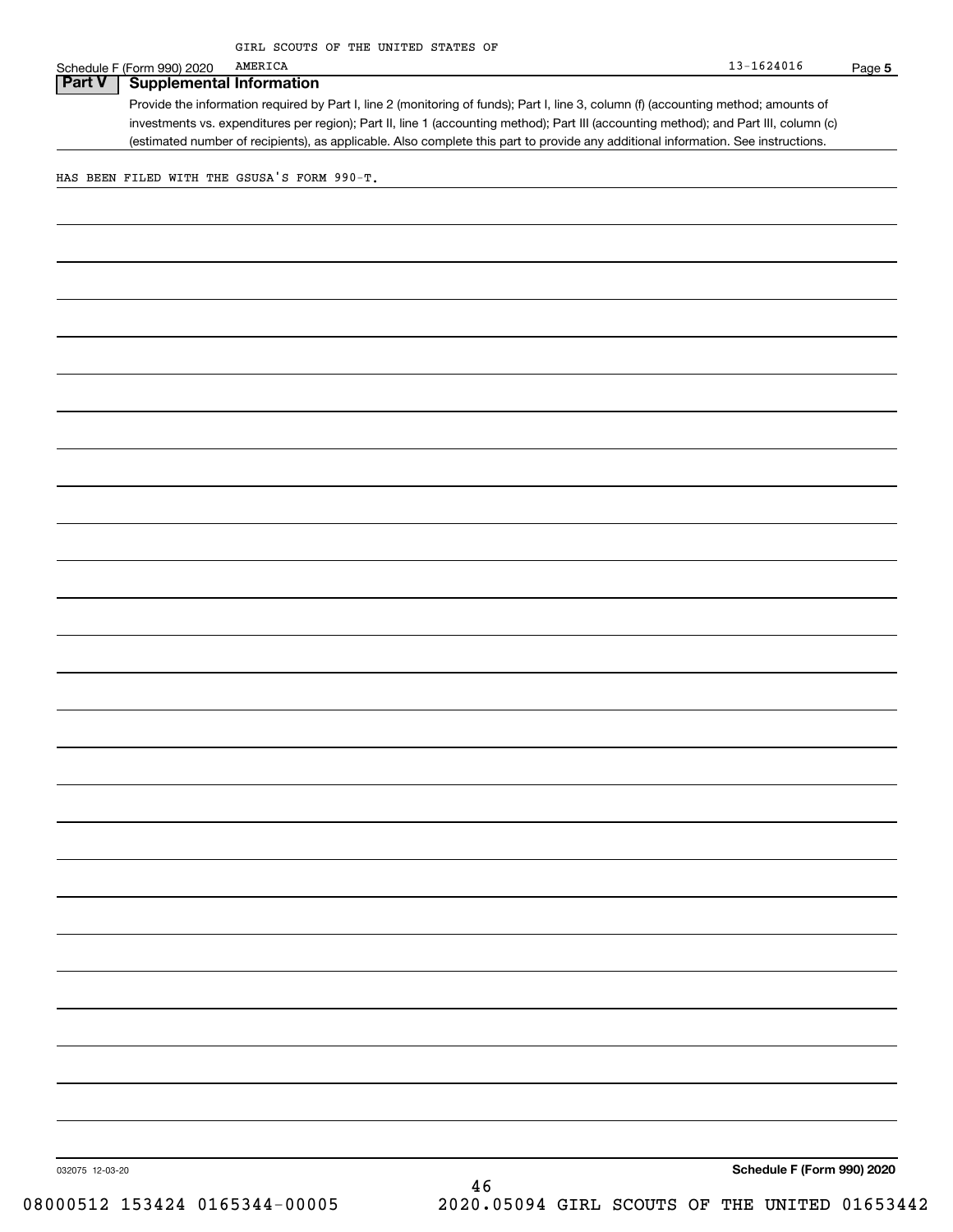Schedule F (Form 990) 2020 AMERICA

# **Part V Supplemental Information**

Provide the information required by Part I, line 2 (monitoring of funds); Part I, line 3, column (f) (accounting method; amounts of investments vs. expenditures per region); Part II, line 1 (accounting method); Part III (accounting method); and Part III, column (c) (estimated number of recipients), as applicable. Also complete this part to provide any additional information. See instructions.

HAS BEEN FILED WITH THE GSUSA'S FORM 990-T.

**Schedule F (Form 990) 2020**

032075 12-03-20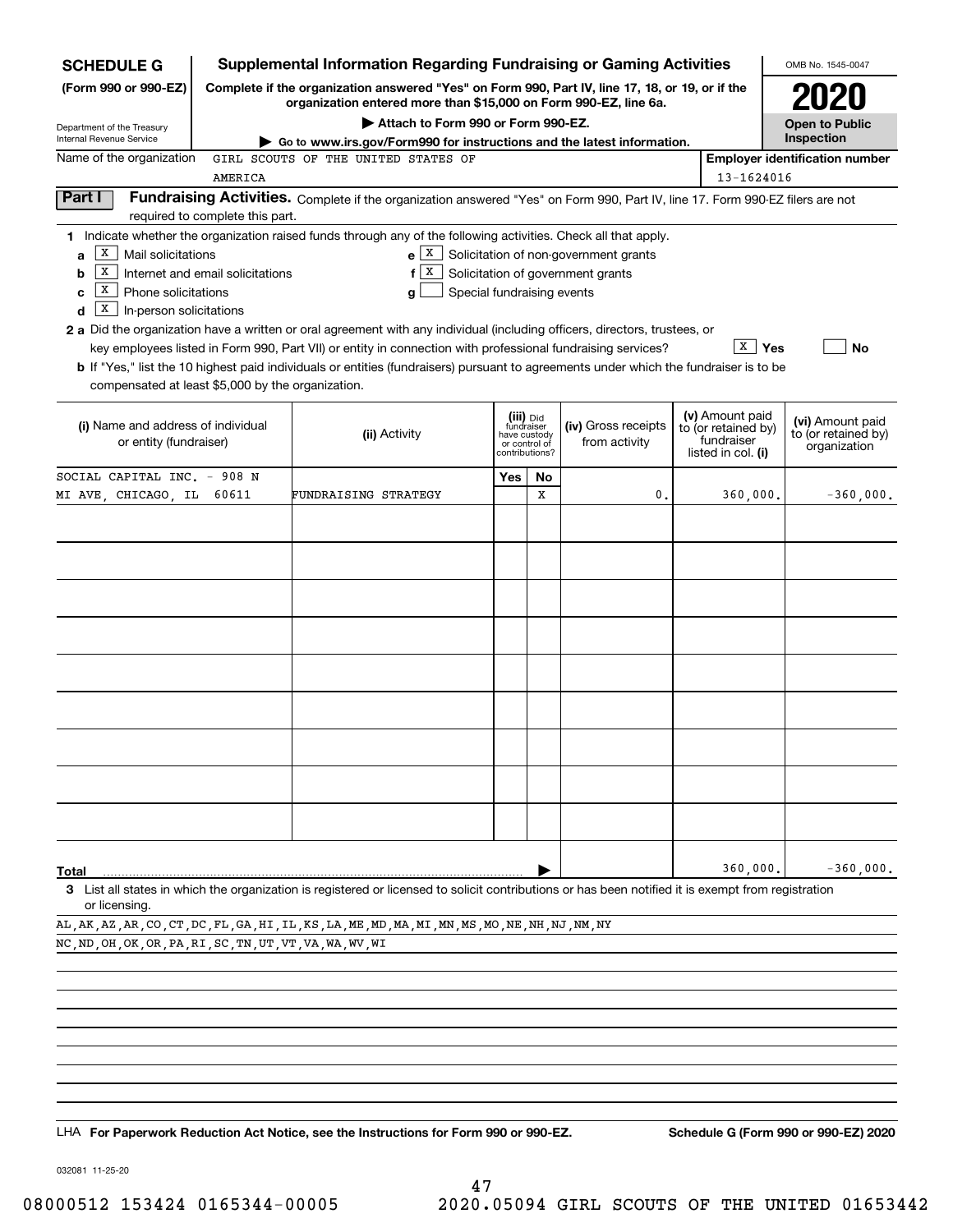| <b>SCHEDULE G</b>                                                                                                    |                                  | <b>Supplemental Information Regarding Fundraising or Gaming Activities</b>                                                                                                                                                                                                                                                                                                                                                                                                                                                                                       |                                                                                             |    |                                                                            |                                                                            | OMB No. 1545-0047                                       |
|----------------------------------------------------------------------------------------------------------------------|----------------------------------|------------------------------------------------------------------------------------------------------------------------------------------------------------------------------------------------------------------------------------------------------------------------------------------------------------------------------------------------------------------------------------------------------------------------------------------------------------------------------------------------------------------------------------------------------------------|---------------------------------------------------------------------------------------------|----|----------------------------------------------------------------------------|----------------------------------------------------------------------------|---------------------------------------------------------|
| (Form 990 or 990-EZ)                                                                                                 |                                  | Complete if the organization answered "Yes" on Form 990, Part IV, line 17, 18, or 19, or if the<br>organization entered more than \$15,000 on Form 990-EZ, line 6a.                                                                                                                                                                                                                                                                                                                                                                                              |                                                                                             |    |                                                                            |                                                                            |                                                         |
| Department of the Treasury                                                                                           |                                  | Attach to Form 990 or Form 990-EZ.                                                                                                                                                                                                                                                                                                                                                                                                                                                                                                                               |                                                                                             |    |                                                                            |                                                                            | <b>Open to Public</b>                                   |
| <b>Internal Revenue Service</b>                                                                                      |                                  | Go to www.irs.gov/Form990 for instructions and the latest information.                                                                                                                                                                                                                                                                                                                                                                                                                                                                                           |                                                                                             |    |                                                                            |                                                                            | Inspection                                              |
| Name of the organization                                                                                             |                                  | GIRL SCOUTS OF THE UNITED STATES OF                                                                                                                                                                                                                                                                                                                                                                                                                                                                                                                              |                                                                                             |    |                                                                            |                                                                            | <b>Employer identification number</b>                   |
|                                                                                                                      | AMERICA                          |                                                                                                                                                                                                                                                                                                                                                                                                                                                                                                                                                                  |                                                                                             |    |                                                                            | 13-1624016                                                                 |                                                         |
| Part I                                                                                                               | required to complete this part.  | Fundraising Activities. Complete if the organization answered "Yes" on Form 990, Part IV, line 17. Form 990-EZ filers are not                                                                                                                                                                                                                                                                                                                                                                                                                                    |                                                                                             |    |                                                                            |                                                                            |                                                         |
| х<br>Mail solicitations<br>a<br> X <br>b<br>  X  <br>Phone solicitations<br>c<br>  X<br>In-person solicitations<br>d | Internet and email solicitations | 1 Indicate whether the organization raised funds through any of the following activities. Check all that apply.<br>$e \mid X$<br>X<br>f<br>Special fundraising events<br>g<br>2 a Did the organization have a written or oral agreement with any individual (including officers, directors, trustees, or<br>key employees listed in Form 990, Part VII) or entity in connection with professional fundraising services?<br>b If "Yes," list the 10 highest paid individuals or entities (fundraisers) pursuant to agreements under which the fundraiser is to be |                                                                                             |    | Solicitation of non-government grants<br>Solicitation of government grants | х<br>Yes                                                                   | No                                                      |
| compensated at least \$5,000 by the organization.                                                                    |                                  |                                                                                                                                                                                                                                                                                                                                                                                                                                                                                                                                                                  |                                                                                             |    |                                                                            |                                                                            |                                                         |
| (i) Name and address of individual<br>or entity (fundraiser)                                                         |                                  | (ii) Activity                                                                                                                                                                                                                                                                                                                                                                                                                                                                                                                                                    | (iii) Did<br>fundraiser<br>have custody<br>from activity<br>or control of<br>contributions? |    | (iv) Gross receipts                                                        | (v) Amount paid<br>to (or retained by)<br>fundraiser<br>listed in col. (i) | (vi) Amount paid<br>to (or retained by)<br>organization |
| SOCIAL CAPITAL INC. - 908 N                                                                                          |                                  |                                                                                                                                                                                                                                                                                                                                                                                                                                                                                                                                                                  | Yes                                                                                         | No |                                                                            |                                                                            |                                                         |
| MI AVE, CHICAGO, IL 60611                                                                                            |                                  | FUNDRAISING STRATEGY                                                                                                                                                                                                                                                                                                                                                                                                                                                                                                                                             |                                                                                             | х  | 0.                                                                         | 360,000.                                                                   | $-360,000.$                                             |
|                                                                                                                      |                                  |                                                                                                                                                                                                                                                                                                                                                                                                                                                                                                                                                                  |                                                                                             |    |                                                                            |                                                                            |                                                         |
|                                                                                                                      |                                  |                                                                                                                                                                                                                                                                                                                                                                                                                                                                                                                                                                  |                                                                                             |    |                                                                            |                                                                            |                                                         |
|                                                                                                                      |                                  |                                                                                                                                                                                                                                                                                                                                                                                                                                                                                                                                                                  |                                                                                             |    |                                                                            |                                                                            |                                                         |
|                                                                                                                      |                                  |                                                                                                                                                                                                                                                                                                                                                                                                                                                                                                                                                                  |                                                                                             |    |                                                                            |                                                                            |                                                         |
|                                                                                                                      |                                  |                                                                                                                                                                                                                                                                                                                                                                                                                                                                                                                                                                  |                                                                                             |    |                                                                            |                                                                            |                                                         |
|                                                                                                                      |                                  |                                                                                                                                                                                                                                                                                                                                                                                                                                                                                                                                                                  |                                                                                             |    |                                                                            |                                                                            |                                                         |
|                                                                                                                      |                                  |                                                                                                                                                                                                                                                                                                                                                                                                                                                                                                                                                                  |                                                                                             |    |                                                                            |                                                                            |                                                         |
|                                                                                                                      |                                  |                                                                                                                                                                                                                                                                                                                                                                                                                                                                                                                                                                  |                                                                                             |    |                                                                            |                                                                            |                                                         |
|                                                                                                                      |                                  |                                                                                                                                                                                                                                                                                                                                                                                                                                                                                                                                                                  |                                                                                             |    |                                                                            |                                                                            |                                                         |
| Total                                                                                                                |                                  |                                                                                                                                                                                                                                                                                                                                                                                                                                                                                                                                                                  |                                                                                             |    |                                                                            | 360,000                                                                    | $-360,000.$                                             |
|                                                                                                                      |                                  | 3 List all states in which the organization is registered or licensed to solicit contributions or has been notified it is exempt from registration                                                                                                                                                                                                                                                                                                                                                                                                               |                                                                                             |    |                                                                            |                                                                            |                                                         |
| or licensing.                                                                                                        |                                  |                                                                                                                                                                                                                                                                                                                                                                                                                                                                                                                                                                  |                                                                                             |    |                                                                            |                                                                            |                                                         |

AL,AK,AZ,AR,CO,CT,DC,FL,GA,HI,IL,KS,LA,ME,MD,MA,MI,MN,MS,MO,NE,NH,NJ,NM,NY NC,ND,OH,OK,OR,PA,RI,SC,TN,UT,VT,VA,WA,WV,WI

LHA For Paperwork Reduction Act Notice, see the Instructions for Form 990 or 990-EZ. Schedule G (Form 990 or 990-EZ) 2020

032081 11-25-20

47 08000512 153424 0165344-00005 2020.05094 GIRL SCOUTS OF THE UNITED 01653442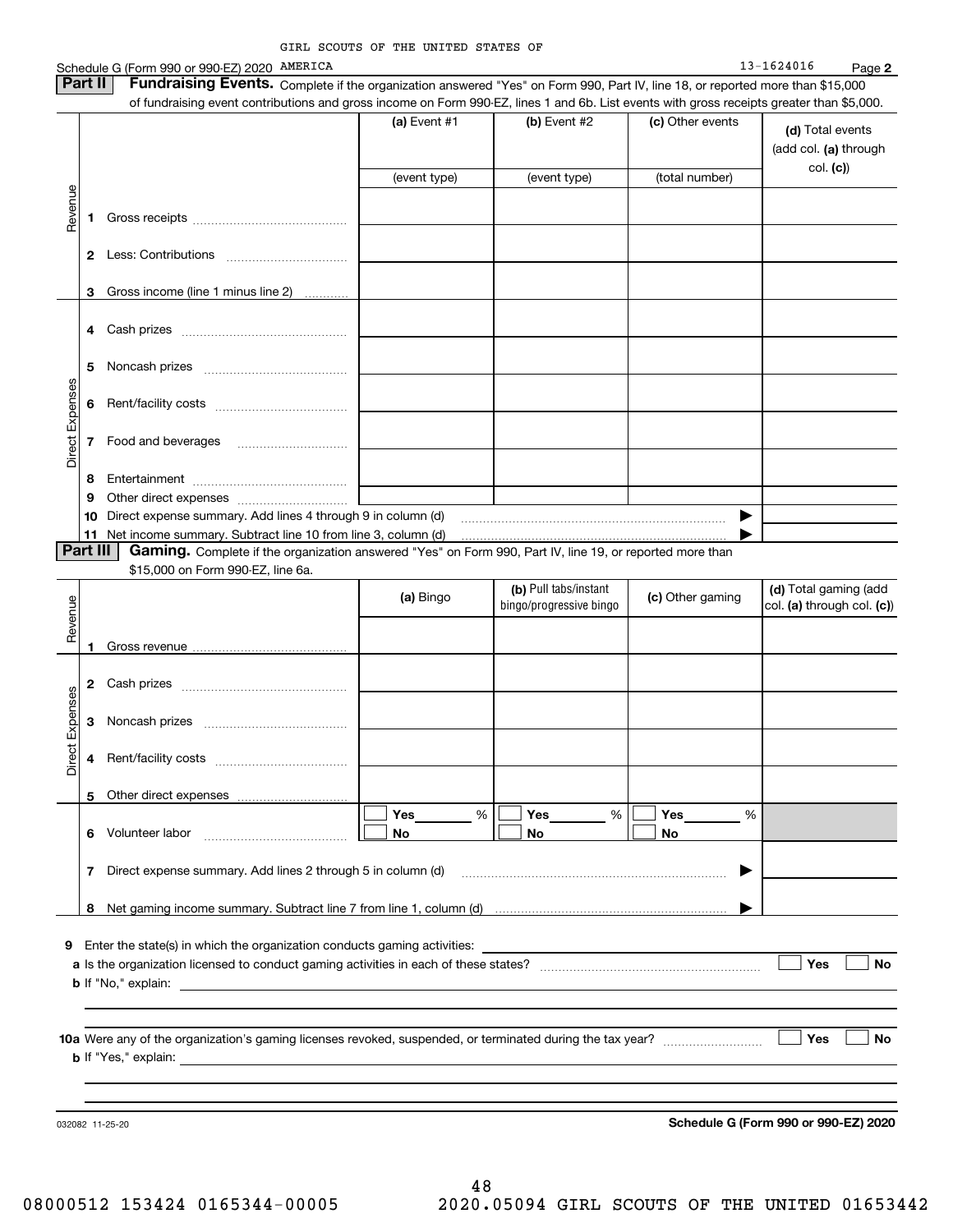|                 |          | Schedule G (Form 990 or 990-EZ) 2020 AMERICA                                                                                                                                                                                                                               |                 |                         |                                 | 13-1624016<br>Page 2       |
|-----------------|----------|----------------------------------------------------------------------------------------------------------------------------------------------------------------------------------------------------------------------------------------------------------------------------|-----------------|-------------------------|---------------------------------|----------------------------|
|                 | Part II  | Fundraising Events. Complete if the organization answered "Yes" on Form 990, Part IV, line 18, or reported more than \$15,000<br>of fundraising event contributions and gross income on Form 990-EZ, lines 1 and 6b. List events with gross receipts greater than \$5,000. |                 |                         |                                 |                            |
|                 |          |                                                                                                                                                                                                                                                                            | (a) Event $#1$  | (b) Event #2            | (c) Other events                |                            |
|                 |          |                                                                                                                                                                                                                                                                            |                 |                         |                                 | (d) Total events           |
|                 |          |                                                                                                                                                                                                                                                                            |                 |                         |                                 | (add col. (a) through      |
|                 |          |                                                                                                                                                                                                                                                                            | (event type)    | (event type)            | (total number)                  | col. (c)                   |
| Revenue         |          |                                                                                                                                                                                                                                                                            |                 |                         |                                 |                            |
|                 | 1        |                                                                                                                                                                                                                                                                            |                 |                         |                                 |                            |
|                 |          |                                                                                                                                                                                                                                                                            |                 |                         |                                 |                            |
|                 |          |                                                                                                                                                                                                                                                                            |                 |                         |                                 |                            |
|                 |          |                                                                                                                                                                                                                                                                            |                 |                         |                                 |                            |
|                 | 3        | Gross income (line 1 minus line 2)                                                                                                                                                                                                                                         |                 |                         |                                 |                            |
|                 | 4        |                                                                                                                                                                                                                                                                            |                 |                         |                                 |                            |
|                 |          |                                                                                                                                                                                                                                                                            |                 |                         |                                 |                            |
|                 | 5        |                                                                                                                                                                                                                                                                            |                 |                         |                                 |                            |
|                 |          |                                                                                                                                                                                                                                                                            |                 |                         |                                 |                            |
|                 | 6        |                                                                                                                                                                                                                                                                            |                 |                         |                                 |                            |
|                 |          |                                                                                                                                                                                                                                                                            |                 |                         |                                 |                            |
| Direct Expenses | 7        | Food and beverages                                                                                                                                                                                                                                                         |                 |                         |                                 |                            |
|                 |          |                                                                                                                                                                                                                                                                            |                 |                         |                                 |                            |
|                 | 8        |                                                                                                                                                                                                                                                                            |                 |                         |                                 |                            |
|                 | 9<br>10  | Direct expense summary. Add lines 4 through 9 in column (d)                                                                                                                                                                                                                |                 |                         | ▶                               |                            |
|                 | 11       | Net income summary. Subtract line 10 from line 3, column (d)                                                                                                                                                                                                               |                 |                         |                                 |                            |
|                 | Part III | Gaming. Complete if the organization answered "Yes" on Form 990, Part IV, line 19, or reported more than                                                                                                                                                                   |                 |                         |                                 |                            |
|                 |          | \$15,000 on Form 990-EZ, line 6a.                                                                                                                                                                                                                                          |                 |                         |                                 |                            |
|                 |          |                                                                                                                                                                                                                                                                            | (a) Bingo       | (b) Pull tabs/instant   | (c) Other gaming                | (d) Total gaming (add      |
|                 |          |                                                                                                                                                                                                                                                                            |                 | bingo/progressive bingo |                                 | col. (a) through col. (c)) |
| Revenue         |          |                                                                                                                                                                                                                                                                            |                 |                         |                                 |                            |
|                 | 1        |                                                                                                                                                                                                                                                                            |                 |                         |                                 |                            |
|                 | 2        |                                                                                                                                                                                                                                                                            |                 |                         |                                 |                            |
|                 |          |                                                                                                                                                                                                                                                                            |                 |                         |                                 |                            |
| Expenses        | 3        |                                                                                                                                                                                                                                                                            |                 |                         |                                 |                            |
| $\ddot{ }$      |          |                                                                                                                                                                                                                                                                            |                 |                         |                                 |                            |
| Direc           | 4        | Rent/facility costs                                                                                                                                                                                                                                                        |                 |                         |                                 |                            |
|                 |          |                                                                                                                                                                                                                                                                            |                 |                         |                                 |                            |
|                 | 5        |                                                                                                                                                                                                                                                                            |                 |                         |                                 |                            |
|                 | 6        | Volunteer labor                                                                                                                                                                                                                                                            | Yes<br>%<br>No. | Yes___<br>%<br>No.      | $Yes$ <sub>___</sub><br>%<br>No |                            |
|                 |          |                                                                                                                                                                                                                                                                            |                 |                         |                                 |                            |
|                 | 7        | Direct expense summary. Add lines 2 through 5 in column (d)                                                                                                                                                                                                                |                 |                         | ▶                               |                            |
|                 |          |                                                                                                                                                                                                                                                                            |                 |                         |                                 |                            |
|                 | 8        |                                                                                                                                                                                                                                                                            |                 |                         |                                 |                            |
|                 |          |                                                                                                                                                                                                                                                                            |                 |                         |                                 |                            |
| 9               |          | Enter the state(s) in which the organization conducts gaming activities:                                                                                                                                                                                                   |                 |                         |                                 |                            |
|                 |          |                                                                                                                                                                                                                                                                            |                 |                         |                                 | Yes<br>No                  |
|                 |          | <b>b</b> If "No," explain:                                                                                                                                                                                                                                                 |                 |                         |                                 |                            |
|                 |          |                                                                                                                                                                                                                                                                            |                 |                         |                                 |                            |
|                 |          |                                                                                                                                                                                                                                                                            |                 |                         |                                 | Yes<br>No                  |
|                 |          | <b>b</b> If "Yes," explain: _                                                                                                                                                                                                                                              |                 |                         |                                 |                            |
|                 |          |                                                                                                                                                                                                                                                                            |                 |                         |                                 |                            |
|                 |          |                                                                                                                                                                                                                                                                            |                 |                         |                                 |                            |

032082 11-25-20

**Schedule G (Form 990 or 990-EZ) 2020**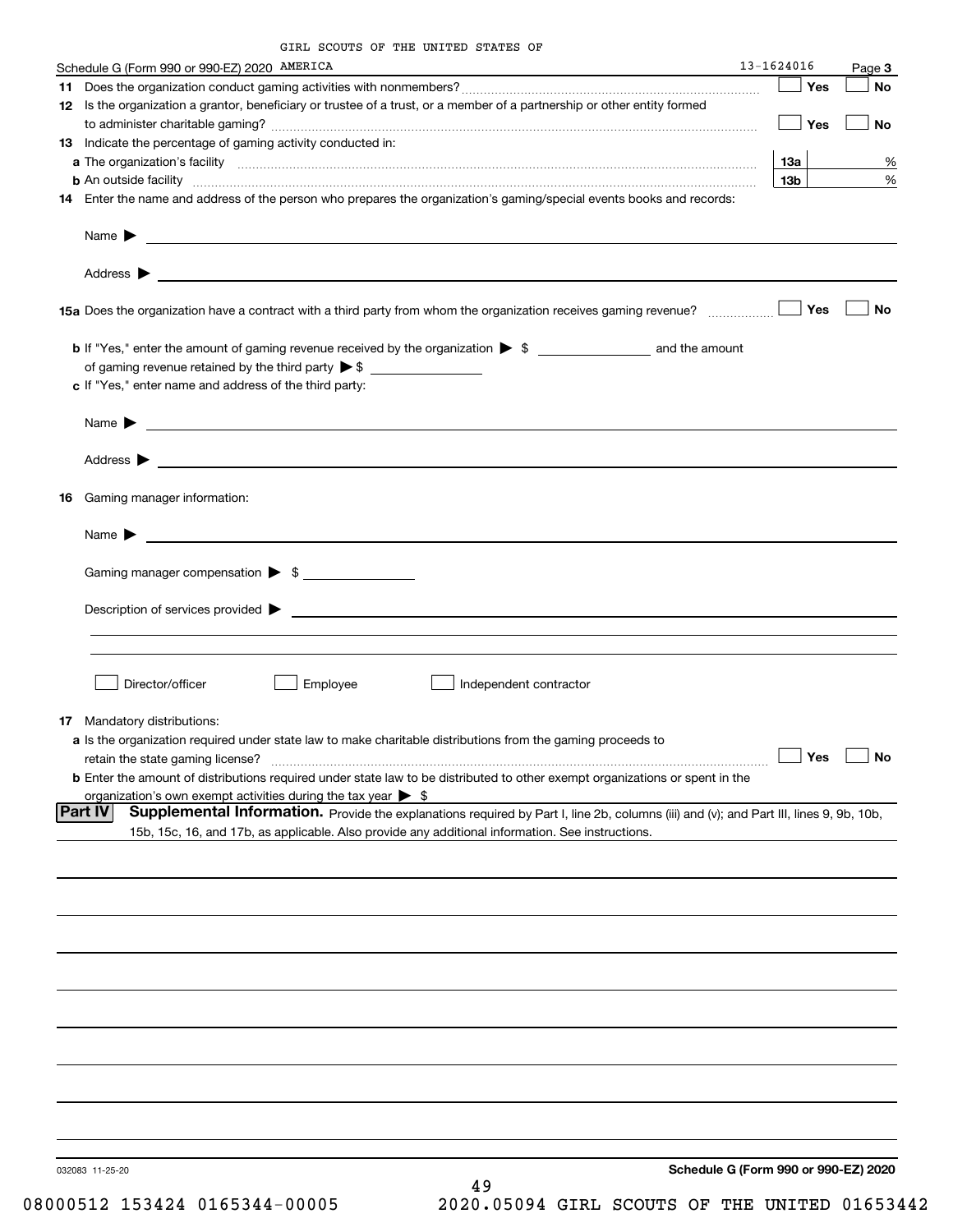GIRL SCOUTS OF THE UNITED STATES OF

|    | Schedule G (Form 990 or 990-EZ) 2020 AMERICA                                                                                                                                                                                              | 13-1624016 |                 | Page 3               |
|----|-------------------------------------------------------------------------------------------------------------------------------------------------------------------------------------------------------------------------------------------|------------|-----------------|----------------------|
|    |                                                                                                                                                                                                                                           |            | Yes             | No                   |
|    | 12 Is the organization a grantor, beneficiary or trustee of a trust, or a member of a partnership or other entity formed                                                                                                                  |            |                 |                      |
|    |                                                                                                                                                                                                                                           |            | $\Box$ Yes      | No                   |
|    | 13 Indicate the percentage of gaming activity conducted in:                                                                                                                                                                               |            |                 |                      |
|    |                                                                                                                                                                                                                                           |            | 13a             | %                    |
|    | <b>b</b> An outside facility <b>contained and the contract of the contract of the contract of the contract of the contract of the contract of the contract of the contract of the contract of the contract of the contract of the con</b> |            | 13 <sub>b</sub> | %                    |
|    | 14 Enter the name and address of the person who prepares the organization's gaming/special events books and records:                                                                                                                      |            |                 |                      |
|    |                                                                                                                                                                                                                                           |            |                 |                      |
|    |                                                                                                                                                                                                                                           |            |                 |                      |
|    |                                                                                                                                                                                                                                           |            | Yes             | No                   |
|    |                                                                                                                                                                                                                                           |            |                 |                      |
|    |                                                                                                                                                                                                                                           |            |                 |                      |
|    | c If "Yes," enter name and address of the third party:                                                                                                                                                                                    |            |                 |                      |
|    |                                                                                                                                                                                                                                           |            |                 |                      |
|    |                                                                                                                                                                                                                                           |            |                 |                      |
|    | Name $\blacktriangleright$ $\lrcorner$                                                                                                                                                                                                    |            |                 |                      |
|    |                                                                                                                                                                                                                                           |            |                 |                      |
|    |                                                                                                                                                                                                                                           |            |                 |                      |
| 16 | Gaming manager information:                                                                                                                                                                                                               |            |                 |                      |
|    |                                                                                                                                                                                                                                           |            |                 |                      |
|    | Name $\blacktriangleright$                                                                                                                                                                                                                |            |                 |                      |
|    | Gaming manager compensation > \$                                                                                                                                                                                                          |            |                 |                      |
|    |                                                                                                                                                                                                                                           |            |                 |                      |
|    | Description of services provided states and the contract of the contract of the contract of the contract of the contract of the contract of the contract of the contract of the contract of the contract of the contract of th            |            |                 |                      |
|    |                                                                                                                                                                                                                                           |            |                 |                      |
|    |                                                                                                                                                                                                                                           |            |                 |                      |
|    | Director/officer<br>Employee<br>Independent contractor                                                                                                                                                                                    |            |                 |                      |
|    |                                                                                                                                                                                                                                           |            |                 |                      |
| 17 | Mandatory distributions:                                                                                                                                                                                                                  |            |                 |                      |
|    | a Is the organization required under state law to make charitable distributions from the gaming proceeds to                                                                                                                               |            |                 |                      |
|    | retain the state gaming license?                                                                                                                                                                                                          |            |                 | $\Box$ Yes $\Box$ No |
|    | <b>b</b> Enter the amount of distributions required under state law to be distributed to other exempt organizations or spent in the                                                                                                       |            |                 |                      |
|    | organization's own exempt activities during the tax year $\triangleright$ \$                                                                                                                                                              |            |                 |                      |
|    | Supplemental Information. Provide the explanations required by Part I, line 2b, columns (iii) and (v); and Part III, lines 9, 9b, 10b,<br> Part IV                                                                                        |            |                 |                      |
|    | 15b, 15c, 16, and 17b, as applicable. Also provide any additional information. See instructions.                                                                                                                                          |            |                 |                      |
|    |                                                                                                                                                                                                                                           |            |                 |                      |
|    |                                                                                                                                                                                                                                           |            |                 |                      |
|    |                                                                                                                                                                                                                                           |            |                 |                      |
|    |                                                                                                                                                                                                                                           |            |                 |                      |
|    |                                                                                                                                                                                                                                           |            |                 |                      |
|    |                                                                                                                                                                                                                                           |            |                 |                      |
|    |                                                                                                                                                                                                                                           |            |                 |                      |
|    |                                                                                                                                                                                                                                           |            |                 |                      |
|    |                                                                                                                                                                                                                                           |            |                 |                      |
|    |                                                                                                                                                                                                                                           |            |                 |                      |
|    |                                                                                                                                                                                                                                           |            |                 |                      |
|    | Schedule G (Form 990 or 990-EZ) 2020<br>032083 11-25-20                                                                                                                                                                                   |            |                 |                      |
|    | 49                                                                                                                                                                                                                                        |            |                 |                      |

08000512 153424 0165344-00005 2020.05094 GIRL SCOUTS OF THE UNITED 01653442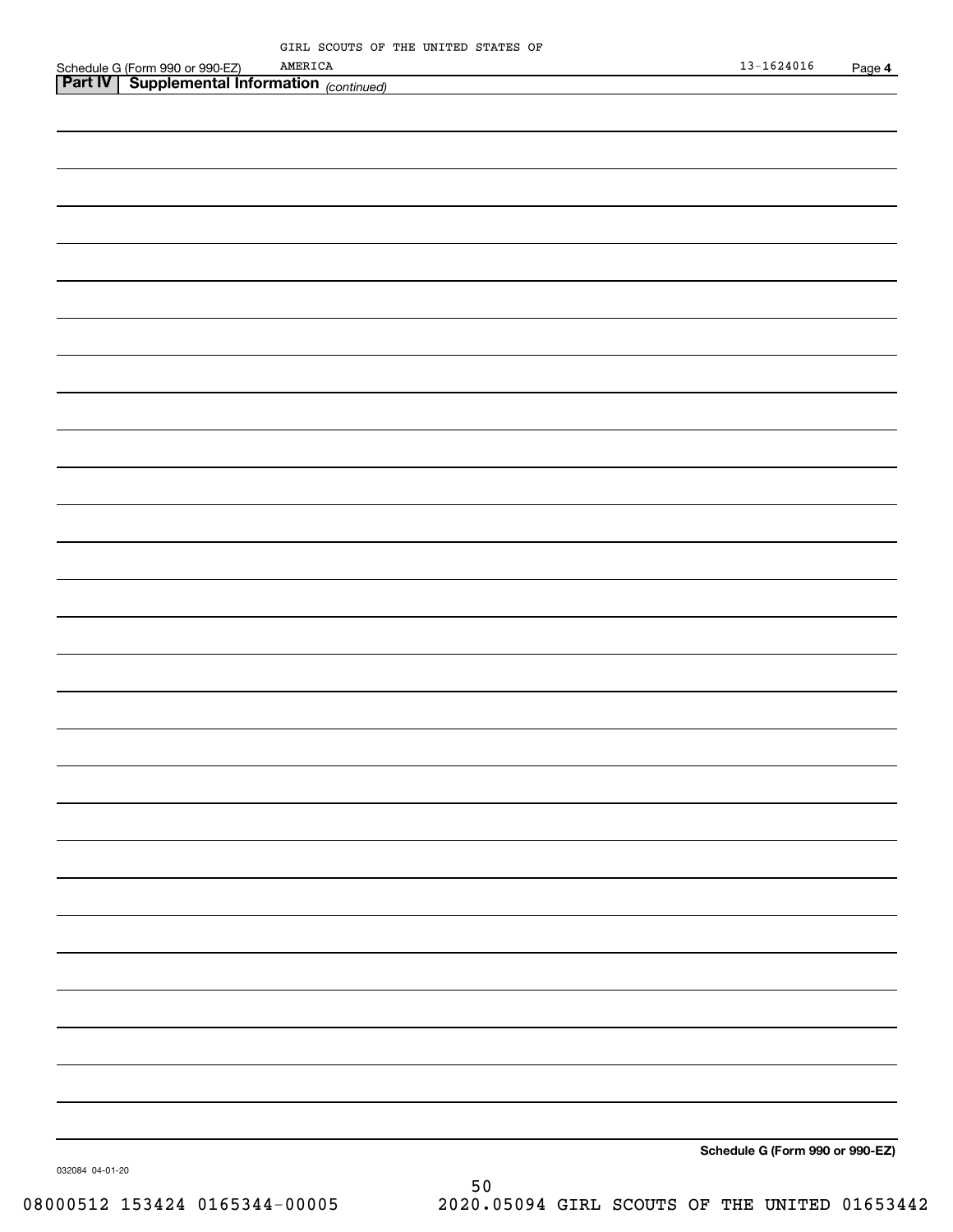| Schedule<br>990 or<br>` (Form | AMERICA<br>$.990-EZ$         | 1624016<br>⊤ ⊃ ت⊥ | Page |
|-------------------------------|------------------------------|-------------------|------|
| <b>Part IV</b><br>ים ה        | ⊥ Informatior<br>(continued) |                   |      |
|                               |                              |                   |      |

|                 | Schedule G (Form 990 or 990-EZ) |
|-----------------|---------------------------------|
| 032084 04-01-20 |                                 |

50 08000512 153424 0165344-00005 2020.05094 GIRL SCOUTS OF THE UNITED 01653442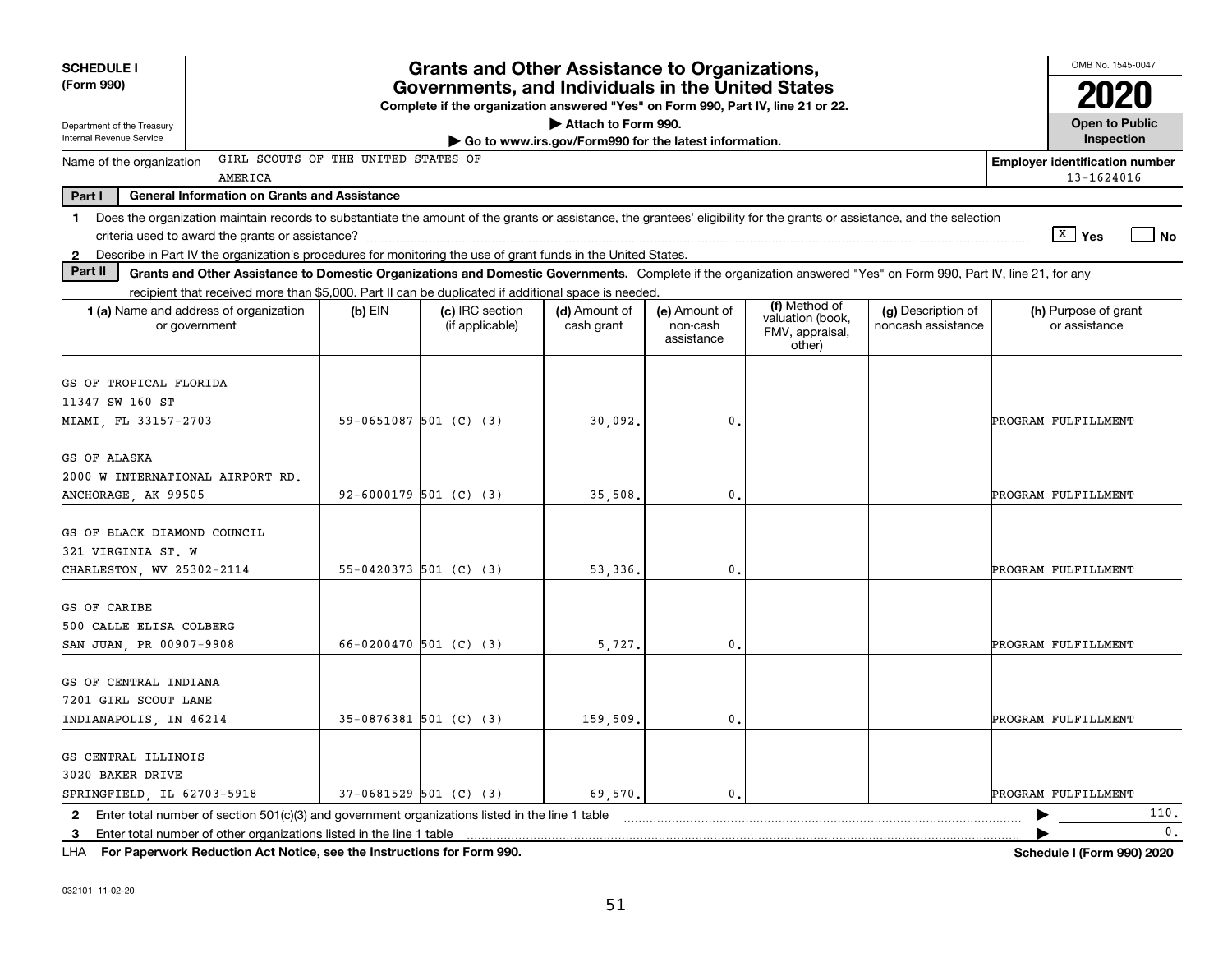| <b>SCHEDULE I</b><br><b>Grants and Other Assistance to Organizations,</b>                                                                                                      |                                                                                                                                                                  |                                                   |                             |                                         |                                                                | OMB No. 1545-0047                        |                                                     |  |  |
|--------------------------------------------------------------------------------------------------------------------------------------------------------------------------------|------------------------------------------------------------------------------------------------------------------------------------------------------------------|---------------------------------------------------|-----------------------------|-----------------------------------------|----------------------------------------------------------------|------------------------------------------|-----------------------------------------------------|--|--|
| (Form 990)                                                                                                                                                                     |                                                                                                                                                                  | Governments, and Individuals in the United States |                             |                                         |                                                                |                                          |                                                     |  |  |
| Department of the Treasury<br>Internal Revenue Service                                                                                                                         | Complete if the organization answered "Yes" on Form 990, Part IV, line 21 or 22.<br>Attach to Form 990.<br>Go to www.irs.gov/Form990 for the latest information. |                                                   |                             |                                         |                                                                |                                          |                                                     |  |  |
| GIRL SCOUTS OF THE UNITED STATES OF                                                                                                                                            |                                                                                                                                                                  |                                                   |                             |                                         |                                                                |                                          | Inspection                                          |  |  |
| Name of the organization<br>AMERICA                                                                                                                                            |                                                                                                                                                                  |                                                   |                             |                                         |                                                                |                                          | <b>Employer identification number</b><br>13-1624016 |  |  |
| Part I<br><b>General Information on Grants and Assistance</b>                                                                                                                  |                                                                                                                                                                  |                                                   |                             |                                         |                                                                |                                          |                                                     |  |  |
| Does the organization maintain records to substantiate the amount of the grants or assistance, the grantees' eligibility for the grants or assistance, and the selection<br>1. |                                                                                                                                                                  |                                                   |                             |                                         |                                                                |                                          | $X$ Yes<br><b>No</b>                                |  |  |
| Describe in Part IV the organization's procedures for monitoring the use of grant funds in the United States.<br>$\mathbf{2}$<br>Part II                                       |                                                                                                                                                                  |                                                   |                             |                                         |                                                                |                                          |                                                     |  |  |
| Grants and Other Assistance to Domestic Organizations and Domestic Governments. Complete if the organization answered "Yes" on Form 990, Part IV, line 21, for any             |                                                                                                                                                                  |                                                   |                             |                                         |                                                                |                                          |                                                     |  |  |
| recipient that received more than \$5,000. Part II can be duplicated if additional space is needed.<br>1 (a) Name and address of organization<br>or government                 | (b) $EIN$                                                                                                                                                        | (c) IRC section<br>(if applicable)                | (d) Amount of<br>cash grant | (e) Amount of<br>non-cash<br>assistance | (f) Method of<br>valuation (book,<br>FMV, appraisal,<br>other) | (g) Description of<br>noncash assistance | (h) Purpose of grant<br>or assistance               |  |  |
| GS OF TROPICAL FLORIDA<br>11347 SW 160 ST<br>MIAMI, FL 33157-2703                                                                                                              | 59-0651087 501 (C) (3)                                                                                                                                           |                                                   | 30,092.                     | 0.                                      |                                                                |                                          | PROGRAM FULFILLMENT                                 |  |  |
| GS OF ALASKA<br>2000 W INTERNATIONAL AIRPORT RD.<br>ANCHORAGE, AK 99505                                                                                                        | 92-6000179 501 (C) (3)                                                                                                                                           |                                                   | 35,508                      | 0.                                      |                                                                |                                          | PROGRAM FULFILLMENT                                 |  |  |
| GS OF BLACK DIAMOND COUNCIL<br>321 VIRGINIA ST. W<br>CHARLESTON, WV 25302-2114                                                                                                 | $55-0420373$ 501 (C) (3)                                                                                                                                         |                                                   | 53,336.                     | 0.                                      |                                                                |                                          | PROGRAM FULFILLMENT                                 |  |  |
| GS OF CARIBE<br>500 CALLE ELISA COLBERG<br>SAN JUAN, PR 00907-9908                                                                                                             | 66-0200470 501 (C) (3)                                                                                                                                           |                                                   | 5,727.                      | 0.                                      |                                                                |                                          | PROGRAM FULFILLMENT                                 |  |  |
| GS OF CENTRAL INDIANA<br>7201 GIRL SCOUT LANE<br>INDIANAPOLIS, IN 46214                                                                                                        | $35-0876381$ 501 (C) (3)                                                                                                                                         |                                                   | 159,509                     | 0.                                      |                                                                |                                          | PROGRAM FULFILLMENT                                 |  |  |
| GS CENTRAL ILLINOIS<br>3020 BAKER DRIVE<br>SPRINGFIELD, IL 62703-5918                                                                                                          | $37-0681529$ 501 (C) (3)                                                                                                                                         |                                                   | 69,570.                     | 0.                                      |                                                                |                                          | PROGRAM FULFILLMENT                                 |  |  |
| Enter total number of section 501(c)(3) and government organizations listed in the line 1 table<br>$\mathbf{2}$                                                                |                                                                                                                                                                  |                                                   |                             |                                         |                                                                |                                          | 110.                                                |  |  |
| Enter total number of other organizations listed in the line 1 table<br>3                                                                                                      |                                                                                                                                                                  |                                                   |                             |                                         |                                                                |                                          | $\mathbf{0}$ .                                      |  |  |

51

**For Paperwork Reduction Act Notice, see the Instructions for Form 990. Schedule I (Form 990) 2020** LHA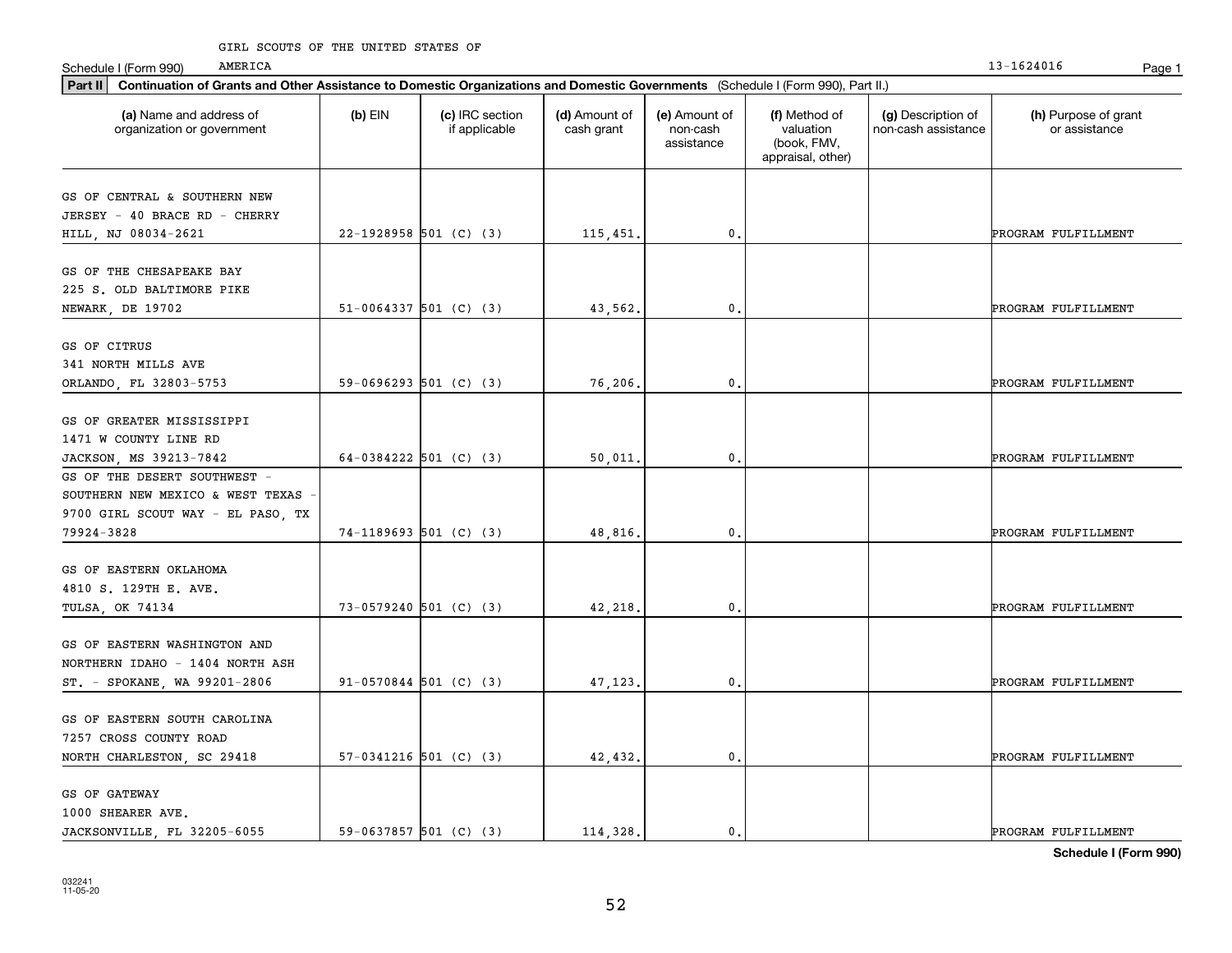| Part II   Continuation of Grants and Other Assistance to Domestic Organizations and Domestic Governments (Schedule I (Form 990), Part II.) |                            |                                  |                             |                                         |                                                                |                                           |                                       |
|--------------------------------------------------------------------------------------------------------------------------------------------|----------------------------|----------------------------------|-----------------------------|-----------------------------------------|----------------------------------------------------------------|-------------------------------------------|---------------------------------------|
| (a) Name and address of<br>organization or government                                                                                      | $(b)$ EIN                  | (c) IRC section<br>if applicable | (d) Amount of<br>cash grant | (e) Amount of<br>non-cash<br>assistance | (f) Method of<br>valuation<br>(book, FMV,<br>appraisal, other) | (g) Description of<br>non-cash assistance | (h) Purpose of grant<br>or assistance |
| GS OF CENTRAL & SOUTHERN NEW                                                                                                               |                            |                                  |                             |                                         |                                                                |                                           |                                       |
| JERSEY - 40 BRACE RD - CHERRY                                                                                                              |                            |                                  |                             |                                         |                                                                |                                           |                                       |
| HILL, NJ 08034-2621                                                                                                                        | 22-1928958 501 (C) (3)     |                                  | 115,451.                    | $\mathbf 0$ .                           |                                                                |                                           | PROGRAM FULFILLMENT                   |
|                                                                                                                                            |                            |                                  |                             |                                         |                                                                |                                           |                                       |
| GS OF THE CHESAPEAKE BAY                                                                                                                   |                            |                                  |                             |                                         |                                                                |                                           |                                       |
| 225 S. OLD BALTIMORE PIKE                                                                                                                  |                            |                                  |                             |                                         |                                                                |                                           |                                       |
| NEWARK, DE 19702                                                                                                                           | $51-0064337$ 501 (C) (3)   |                                  | 43,562.                     | $^{\circ}$ .                            |                                                                |                                           | PROGRAM FULFILLMENT                   |
|                                                                                                                                            |                            |                                  |                             |                                         |                                                                |                                           |                                       |
| GS OF CITRUS                                                                                                                               |                            |                                  |                             |                                         |                                                                |                                           |                                       |
| 341 NORTH MILLS AVE                                                                                                                        |                            |                                  |                             |                                         |                                                                |                                           |                                       |
| ORLANDO, FL 32803-5753                                                                                                                     | 59-0696293 501 (C) (3)     |                                  | 76,206.                     | $\mathbf 0$ .                           |                                                                |                                           | PROGRAM FULFILLMENT                   |
|                                                                                                                                            |                            |                                  |                             |                                         |                                                                |                                           |                                       |
| GS OF GREATER MISSISSIPPI                                                                                                                  |                            |                                  |                             |                                         |                                                                |                                           |                                       |
| 1471 W COUNTY LINE RD                                                                                                                      |                            |                                  |                             |                                         |                                                                |                                           |                                       |
| JACKSON, MS 39213-7842                                                                                                                     | 64-0384222 501 (C) (3)     |                                  | 50,011                      | $\mathbf{0}$ .                          |                                                                |                                           | PROGRAM FULFILLMENT                   |
| GS OF THE DESERT SOUTHWEST -                                                                                                               |                            |                                  |                             |                                         |                                                                |                                           |                                       |
| SOUTHERN NEW MEXICO & WEST TEXAS                                                                                                           |                            |                                  |                             |                                         |                                                                |                                           |                                       |
| 9700 GIRL SCOUT WAY - EL PASO, TX                                                                                                          |                            |                                  |                             |                                         |                                                                |                                           |                                       |
| 79924-3828                                                                                                                                 | $74-1189693$ 501 (C) (3)   |                                  | 48,816.                     | $\mathbf{0}$                            |                                                                |                                           | PROGRAM FULFILLMENT                   |
|                                                                                                                                            |                            |                                  |                             |                                         |                                                                |                                           |                                       |
| GS OF EASTERN OKLAHOMA                                                                                                                     |                            |                                  |                             |                                         |                                                                |                                           |                                       |
| 4810 S. 129TH E. AVE.                                                                                                                      |                            |                                  |                             |                                         |                                                                |                                           |                                       |
| TULSA, OK 74134                                                                                                                            | $73-0579240$ 501 (C) (3)   |                                  | 42,218.                     | $^{\circ}$ .                            |                                                                |                                           | PROGRAM FULFILLMENT                   |
|                                                                                                                                            |                            |                                  |                             |                                         |                                                                |                                           |                                       |
| GS OF EASTERN WASHINGTON AND                                                                                                               |                            |                                  |                             |                                         |                                                                |                                           |                                       |
| NORTHERN IDAHO - 1404 NORTH ASH                                                                                                            |                            |                                  |                             |                                         |                                                                |                                           |                                       |
| ST. - SPOKANE, WA 99201-2806                                                                                                               | $91-0570844$ 501 (C) (3)   |                                  | 47,123.                     | $\mathbf{0}$ .                          |                                                                |                                           | PROGRAM FULFILLMENT                   |
|                                                                                                                                            |                            |                                  |                             |                                         |                                                                |                                           |                                       |
| GS OF EASTERN SOUTH CAROLINA                                                                                                               |                            |                                  |                             |                                         |                                                                |                                           |                                       |
| 7257 CROSS COUNTY ROAD                                                                                                                     |                            |                                  |                             |                                         |                                                                |                                           |                                       |
| NORTH CHARLESTON, SC 29418                                                                                                                 | $57-0341216$ $501$ (C) (3) |                                  | 42,432.                     | $\mathbf{0}$ .                          |                                                                |                                           | PROGRAM FULFILLMENT                   |
|                                                                                                                                            |                            |                                  |                             |                                         |                                                                |                                           |                                       |
| GS OF GATEWAY                                                                                                                              |                            |                                  |                             |                                         |                                                                |                                           |                                       |
| 1000 SHEARER AVE.                                                                                                                          |                            |                                  |                             |                                         |                                                                |                                           |                                       |
| JACKSONVILLE, FL 32205-6055                                                                                                                | 59-0637857 501 (C) (3)     |                                  | 114,328.                    | $\mathbf{0}$ .                          |                                                                |                                           | PROGRAM FULFILLMENT                   |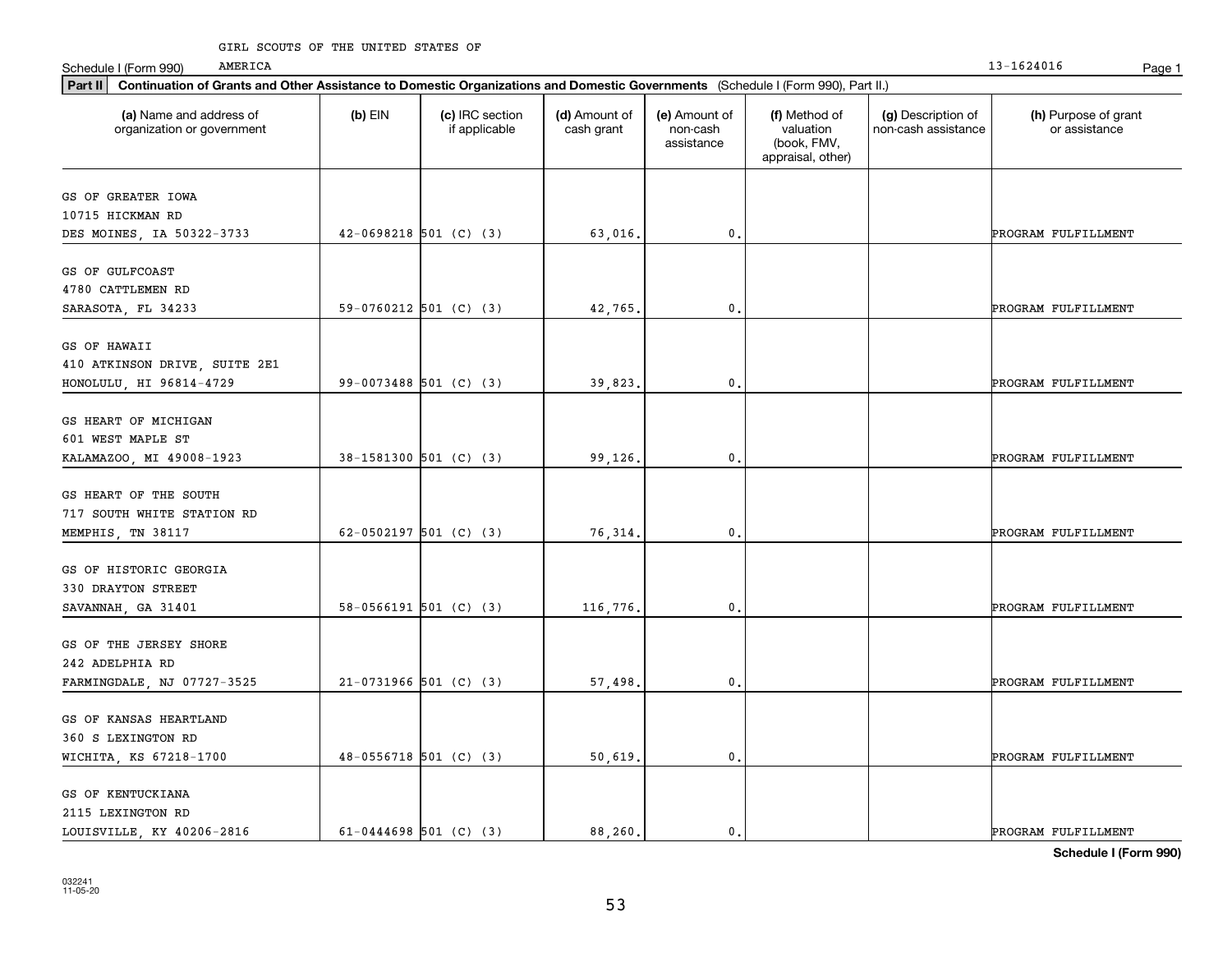#### GIRL SCOUTS OF THE UNITED STATES OF

AMERICA

| Part II   Continuation of Grants and Other Assistance to Domestic Organizations and Domestic Governments (Schedule I (Form 990), Part II.) |                            |                                  |                             |                                         |                                                                |                                           |                                       |
|--------------------------------------------------------------------------------------------------------------------------------------------|----------------------------|----------------------------------|-----------------------------|-----------------------------------------|----------------------------------------------------------------|-------------------------------------------|---------------------------------------|
| (a) Name and address of<br>organization or government                                                                                      | $(b)$ EIN                  | (c) IRC section<br>if applicable | (d) Amount of<br>cash grant | (e) Amount of<br>non-cash<br>assistance | (f) Method of<br>valuation<br>(book, FMV,<br>appraisal, other) | (g) Description of<br>non-cash assistance | (h) Purpose of grant<br>or assistance |
| GS OF GREATER IOWA                                                                                                                         |                            |                                  |                             |                                         |                                                                |                                           |                                       |
| 10715 HICKMAN RD                                                                                                                           |                            |                                  |                             |                                         |                                                                |                                           |                                       |
| DES MOINES, IA 50322-3733                                                                                                                  | $42-0698218$ 501 (C) (3)   |                                  | 63,016.                     | $\mathbf 0$ .                           |                                                                |                                           | PROGRAM FULFILLMENT                   |
|                                                                                                                                            |                            |                                  |                             |                                         |                                                                |                                           |                                       |
| GS OF GULFCOAST                                                                                                                            |                            |                                  |                             |                                         |                                                                |                                           |                                       |
| 4780 CATTLEMEN RD                                                                                                                          |                            |                                  |                             |                                         |                                                                |                                           |                                       |
| SARASOTA, FL 34233                                                                                                                         | 59-0760212 501 (C) (3)     |                                  | 42,765                      | 0.                                      |                                                                |                                           | PROGRAM FULFILLMENT                   |
| GS OF HAWAII                                                                                                                               |                            |                                  |                             |                                         |                                                                |                                           |                                       |
| 410 ATKINSON DRIVE, SUITE 2E1                                                                                                              |                            |                                  |                             |                                         |                                                                |                                           |                                       |
| HONOLULU, HI 96814-4729                                                                                                                    | 99-0073488 501 (C) (3)     |                                  | 39,823.                     | $\mathbf{0}$ .                          |                                                                |                                           | PROGRAM FULFILLMENT                   |
|                                                                                                                                            |                            |                                  |                             |                                         |                                                                |                                           |                                       |
| GS HEART OF MICHIGAN                                                                                                                       |                            |                                  |                             |                                         |                                                                |                                           |                                       |
| 601 WEST MAPLE ST                                                                                                                          |                            |                                  |                             |                                         |                                                                |                                           |                                       |
| KALAMAZOO, MI 49008-1923                                                                                                                   | 38-1581300 501 (C) (3)     |                                  | 99,126.                     | $^{\rm 0}$ .                            |                                                                |                                           | PROGRAM FULFILLMENT                   |
| GS HEART OF THE SOUTH                                                                                                                      |                            |                                  |                             |                                         |                                                                |                                           |                                       |
| 717 SOUTH WHITE STATION RD                                                                                                                 |                            |                                  |                             |                                         |                                                                |                                           |                                       |
| MEMPHIS, TN 38117                                                                                                                          | 62-0502197 501 (C) (3)     |                                  | 76,314.                     | $\mathbf 0$                             |                                                                |                                           | PROGRAM FULFILLMENT                   |
|                                                                                                                                            |                            |                                  |                             |                                         |                                                                |                                           |                                       |
| GS OF HISTORIC GEORGIA                                                                                                                     |                            |                                  |                             |                                         |                                                                |                                           |                                       |
| 330 DRAYTON STREET                                                                                                                         |                            |                                  |                             |                                         |                                                                |                                           |                                       |
| SAVANNAH, GA 31401                                                                                                                         | $58-0566191$ $501$ (C) (3) |                                  | 116,776.                    | $\mathbf 0$ .                           |                                                                |                                           | PROGRAM FULFILLMENT                   |
| GS OF THE JERSEY SHORE                                                                                                                     |                            |                                  |                             |                                         |                                                                |                                           |                                       |
| 242 ADELPHIA RD                                                                                                                            |                            |                                  |                             |                                         |                                                                |                                           |                                       |
| FARMINGDALE, NJ 07727-3525                                                                                                                 | $21-0731966$ 501 (C) (3)   |                                  | 57,498.                     | $\mathbf{0}$ .                          |                                                                |                                           | PROGRAM FULFILLMENT                   |
|                                                                                                                                            |                            |                                  |                             |                                         |                                                                |                                           |                                       |
| GS OF KANSAS HEARTLAND                                                                                                                     |                            |                                  |                             |                                         |                                                                |                                           |                                       |
| 360 S LEXINGTON RD                                                                                                                         |                            |                                  |                             |                                         |                                                                |                                           |                                       |
| WICHITA, KS 67218-1700                                                                                                                     | $48-0556718$ 501 (C) (3)   |                                  | 50,619.                     | $\mathbf{0}$ .                          |                                                                |                                           | PROGRAM FULFILLMENT                   |
| GS OF KENTUCKIANA                                                                                                                          |                            |                                  |                             |                                         |                                                                |                                           |                                       |
| 2115 LEXINGTON RD                                                                                                                          |                            |                                  |                             |                                         |                                                                |                                           |                                       |
|                                                                                                                                            | 61-0444698 501 (C) (3)     |                                  | 88,260.                     | $\mathbf{0}$ .                          |                                                                |                                           | PROGRAM FULFILLMENT                   |
| LOUISVILLE, KY 40206-2816                                                                                                                  |                            |                                  |                             |                                         |                                                                |                                           |                                       |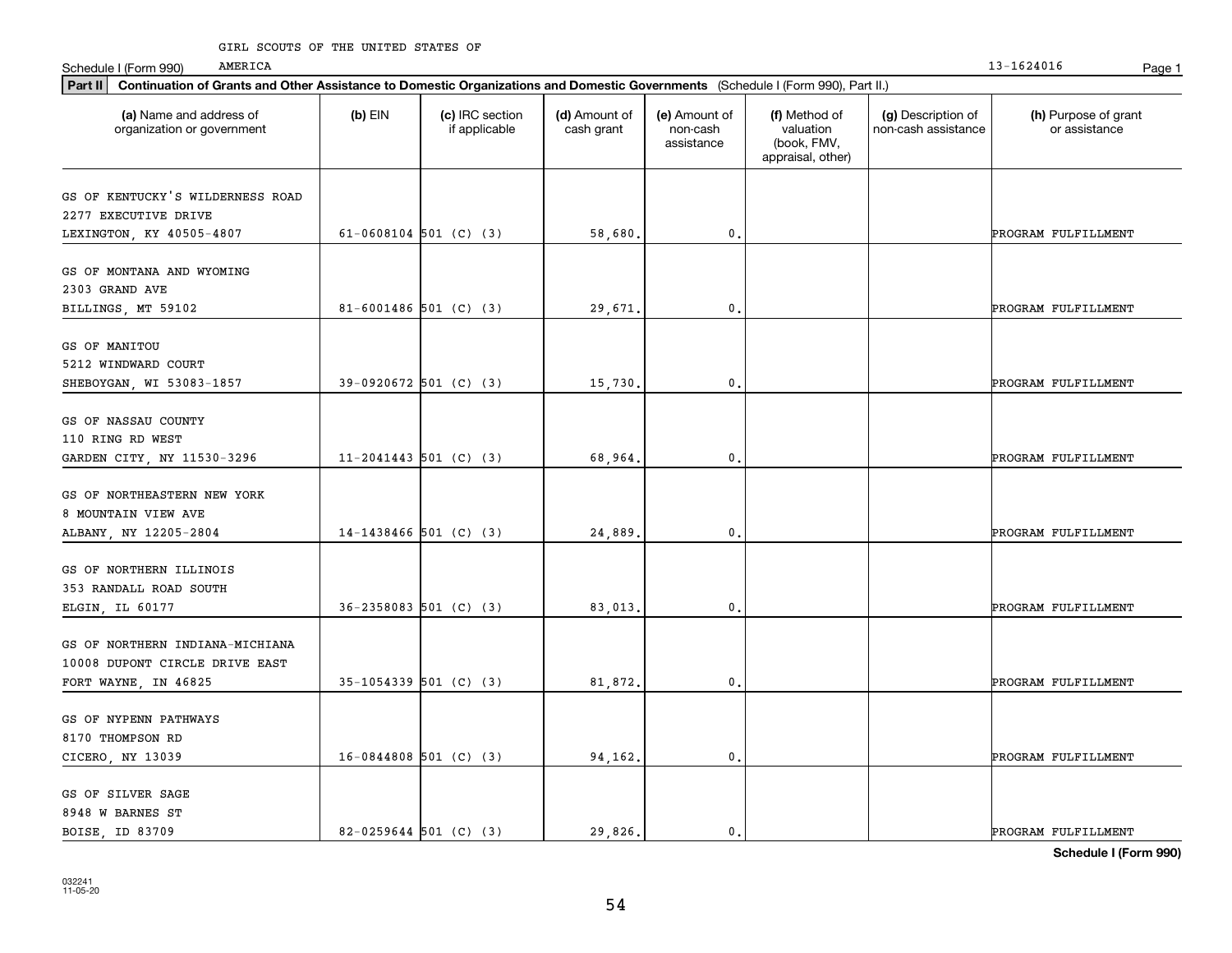| AMERICA<br>Schedule I (Form 990)                                                                                                            |           |                                  |                             |                                         |                                                                |                                           | 13-1624016                            | Page 1 |
|---------------------------------------------------------------------------------------------------------------------------------------------|-----------|----------------------------------|-----------------------------|-----------------------------------------|----------------------------------------------------------------|-------------------------------------------|---------------------------------------|--------|
| Continuation of Grants and Other Assistance to Domestic Organizations and Domestic Governments (Schedule I (Form 990), Part II.)<br>Part II |           |                                  |                             |                                         |                                                                |                                           |                                       |        |
| (a) Name and address of<br>organization or government                                                                                       | $(b)$ EIN | (c) IRC section<br>if applicable | (d) Amount of<br>cash grant | (e) Amount of<br>non-cash<br>assistance | (f) Method of<br>valuation<br>(book, FMV,<br>appraisal, other) | (g) Description of<br>non-cash assistance | (h) Purpose of grant<br>or assistance |        |
| GS OF KENTUCKY'S WILDERNESS ROAD<br>2277 EXECUTIVE DRIVE<br>LEXINGTON, KY 40505-4807                                                        |           | $61-0608104$ 501 (C) (3)         | 58,680.                     | $\mathbf{0}$ .                          |                                                                |                                           | PROGRAM FULFILLMENT                   |        |
| GS OF MONTANA AND WYOMING<br>2303 GRAND AVE<br>BILLINGS, MT 59102                                                                           |           | 81-6001486 501 (C) (3)           | 29.671.                     | $\mathbf{0}$                            |                                                                |                                           | PROGRAM FULFILLMENT                   |        |
| GS OF MANITOU<br>5212 WINDWARD COURT<br>SHEBOYGAN, WI 53083-1857                                                                            |           | 39-0920672 501 (C) (3)           | 15,730.                     | $^{\circ}$ .                            |                                                                |                                           | PROGRAM FULFILLMENT                   |        |
| GS OF NASSAU COUNTY<br>110 RING RD WEST<br>GARDEN CITY, NY 11530-3296                                                                       |           | $11-2041443$ 501 (C) (3)         | 68,964                      | $^{\rm 0}$ .                            |                                                                |                                           | PROGRAM FULFILLMENT                   |        |
| GS OF NORTHEASTERN NEW YORK<br>8 MOUNTAIN VIEW AVE<br>ALBANY, NY 12205-2804                                                                 |           | $14-1438466$ 501 (C) (3)         | 24,889                      | 0.                                      |                                                                |                                           | PROGRAM FULFILLMENT                   |        |
| GS OF NORTHERN ILLINOIS<br>353 RANDALL ROAD SOUTH<br>ELGIN, IL 60177                                                                        |           | $36 - 2358083$ 501 (C) (3)       | 83,013.                     | $^{\rm 0}$ .                            |                                                                |                                           | PROGRAM FULFILLMENT                   |        |
| GS OF NORTHERN INDIANA-MICHIANA<br>10008 DUPONT CIRCLE DRIVE EAST<br>FORT WAYNE, IN 46825                                                   |           | 35-1054339 501 (C) (3)           | 81,872.                     | $^{\rm 0}$ .                            |                                                                |                                           | PROGRAM FULFILLMENT                   |        |
| GS OF NYPENN PATHWAYS<br>8170 THOMPSON RD<br>CICERO, NY 13039                                                                               |           | $16-0844808$ 501 (C) (3)         | 94,162.                     | $\mathbf{0}$ .                          |                                                                |                                           | PROGRAM FULFILLMENT                   |        |
| GS OF SILVER SAGE<br>8948 W BARNES ST<br>BOISE ID 83709                                                                                     |           | $82 - 0259644$ 501 (C) (3)       | 29.826.                     | $\mathbf{0}$ .                          |                                                                |                                           | PROGRAM FULFILLMENT                   |        |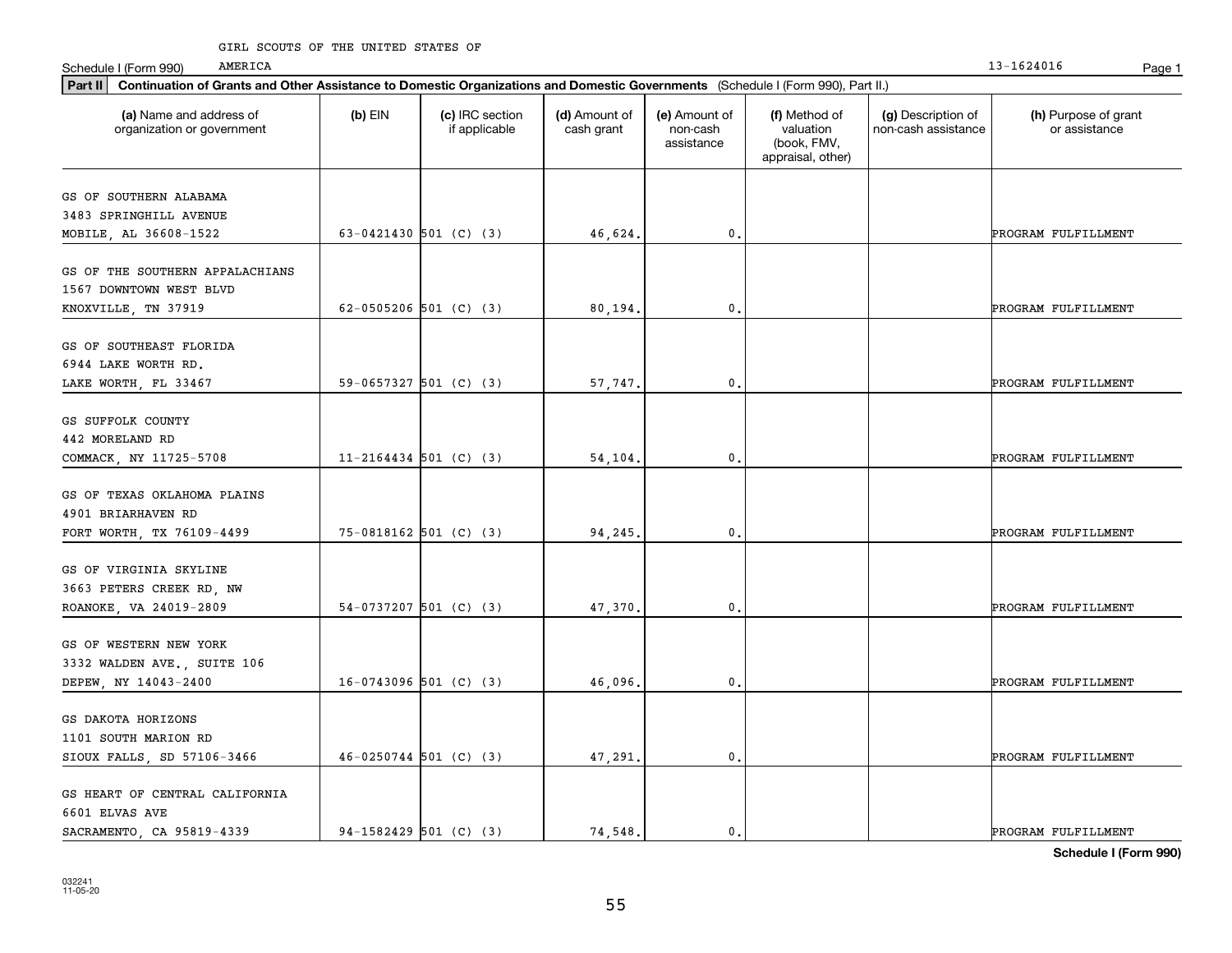| AMERICA<br>Schedule I (Form 990)                                                                                                            |           |                                  |                             |                                         |                                                                |                                           | 13-1624016                            | Page 1 |
|---------------------------------------------------------------------------------------------------------------------------------------------|-----------|----------------------------------|-----------------------------|-----------------------------------------|----------------------------------------------------------------|-------------------------------------------|---------------------------------------|--------|
| Continuation of Grants and Other Assistance to Domestic Organizations and Domestic Governments (Schedule I (Form 990), Part II.)<br>Part II |           |                                  |                             |                                         |                                                                |                                           |                                       |        |
| (a) Name and address of<br>organization or government                                                                                       | $(b)$ EIN | (c) IRC section<br>if applicable | (d) Amount of<br>cash grant | (e) Amount of<br>non-cash<br>assistance | (f) Method of<br>valuation<br>(book, FMV,<br>appraisal, other) | (g) Description of<br>non-cash assistance | (h) Purpose of grant<br>or assistance |        |
| GS OF SOUTHERN ALABAMA                                                                                                                      |           |                                  |                             |                                         |                                                                |                                           |                                       |        |
| 3483 SPRINGHILL AVENUE<br>MOBILE, AL 36608-1522                                                                                             |           | 63-0421430 501 (C) (3)           | 46,624.                     | 0.                                      |                                                                |                                           | PROGRAM FULFILLMENT                   |        |
| GS OF THE SOUTHERN APPALACHIANS<br>1567 DOWNTOWN WEST BLVD                                                                                  |           |                                  |                             |                                         |                                                                |                                           |                                       |        |
| KNOXVILLE, TN 37919                                                                                                                         |           | 62-0505206 501 (C) (3)           | 80,194.                     | 0.                                      |                                                                |                                           | PROGRAM FULFILLMENT                   |        |
| GS OF SOUTHEAST FLORIDA<br>6944 LAKE WORTH RD.                                                                                              |           |                                  |                             |                                         |                                                                |                                           |                                       |        |
| LAKE WORTH, FL 33467                                                                                                                        |           | 59-0657327 501 (C) (3)           | 57,747.                     | $\mathfrak o$ .                         |                                                                |                                           | PROGRAM FULFILLMENT                   |        |
| GS SUFFOLK COUNTY<br>442 MORELAND RD<br>COMMACK, NY 11725-5708                                                                              |           | $11 - 2164434$ 501 (C) (3)       | 54,104.                     | $\mathfrak o$ .                         |                                                                |                                           | PROGRAM FULFILLMENT                   |        |
| GS OF TEXAS OKLAHOMA PLAINS<br>4901 BRIARHAVEN RD                                                                                           |           |                                  |                             |                                         |                                                                |                                           |                                       |        |
| FORT WORTH, TX 76109-4499                                                                                                                   |           | 75-0818162 501 (C) (3)           | 94,245.                     | 0.                                      |                                                                |                                           | PROGRAM FULFILLMENT                   |        |
| GS OF VIRGINIA SKYLINE<br>3663 PETERS CREEK RD, NW<br>ROANOKE, VA 24019-2809                                                                |           | $54-0737207$ 501 (C) (3)         | 47,370.                     | $\mathfrak o$ .                         |                                                                |                                           | PROGRAM FULFILLMENT                   |        |
| GS OF WESTERN NEW YORK<br>3332 WALDEN AVE., SUITE 106                                                                                       |           |                                  |                             |                                         |                                                                |                                           |                                       |        |
| DEPEW, NY 14043-2400                                                                                                                        |           | $16-0743096$ 501 (C) (3)         | 46,096.                     | 0.                                      |                                                                |                                           | PROGRAM FULFILLMENT                   |        |
| GS DAKOTA HORIZONS<br>1101 SOUTH MARION RD<br>SIOUX FALLS, SD 57106-3466                                                                    |           | $46-0250744$ 501 (C) (3)         | 47,291.                     | $\mathbf{0}$ .                          |                                                                |                                           | PROGRAM FULFILLMENT                   |        |
| GS HEART OF CENTRAL CALIFORNIA<br>6601 ELVAS AVE<br>SACRAMENTO, CA 95819-4339                                                               |           | 94-1582429 501 (C) (3)           | 74.548.                     | $\mathbf{0}$ .                          |                                                                |                                           | PROGRAM FULFILLMENT                   |        |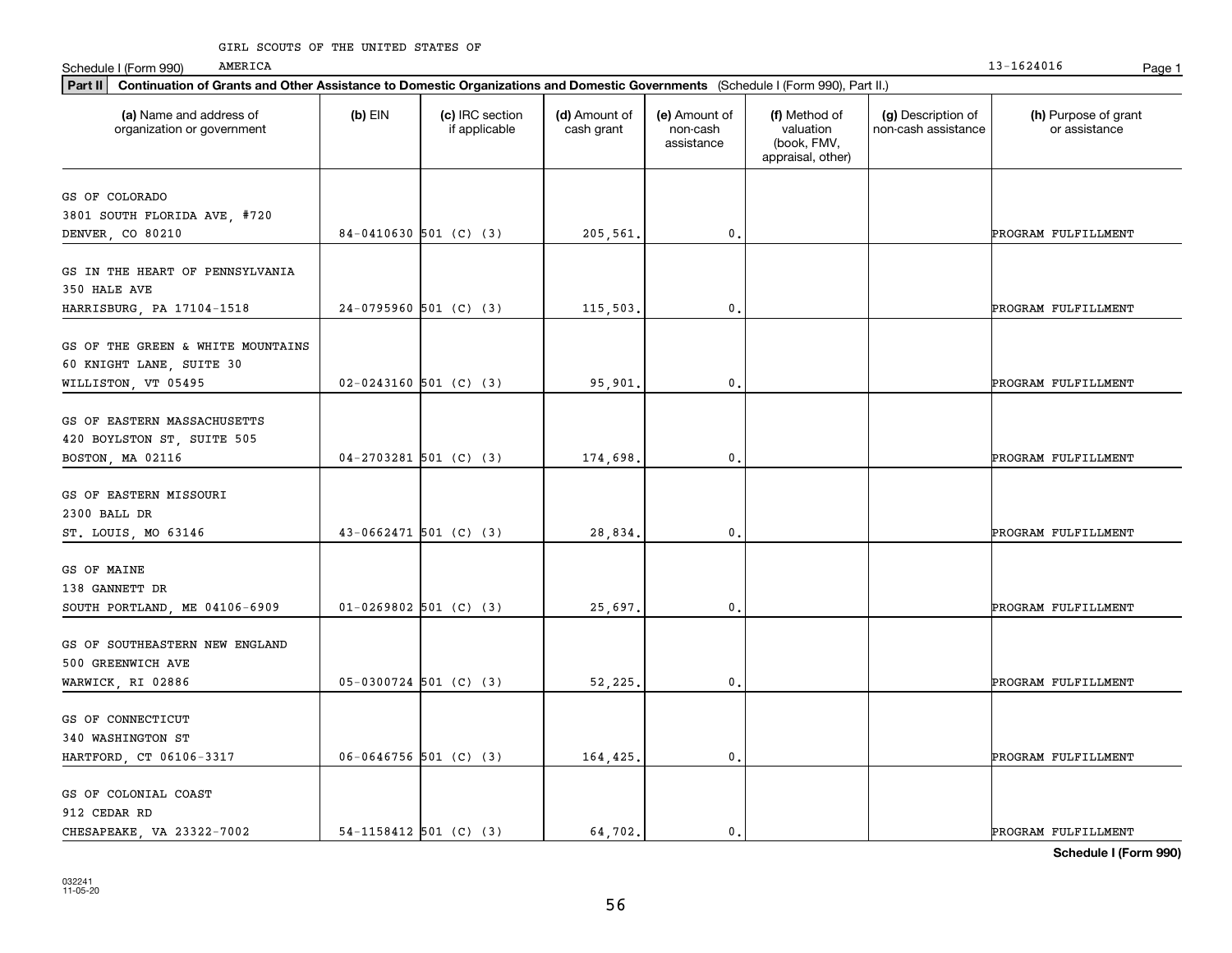| Part II   Continuation of Grants and Other Assistance to Domestic Organizations and Domestic Governments (Schedule I (Form 990), Part II.) |           |                                  |                             |                                         |                                                                |                                           |                                       |
|--------------------------------------------------------------------------------------------------------------------------------------------|-----------|----------------------------------|-----------------------------|-----------------------------------------|----------------------------------------------------------------|-------------------------------------------|---------------------------------------|
| (a) Name and address of<br>organization or government                                                                                      | $(b)$ EIN | (c) IRC section<br>if applicable | (d) Amount of<br>cash grant | (e) Amount of<br>non-cash<br>assistance | (f) Method of<br>valuation<br>(book, FMV,<br>appraisal, other) | (g) Description of<br>non-cash assistance | (h) Purpose of grant<br>or assistance |
| GS OF COLORADO                                                                                                                             |           |                                  |                             |                                         |                                                                |                                           |                                       |
| 3801 SOUTH FLORIDA AVE, #720                                                                                                               |           |                                  |                             |                                         |                                                                |                                           |                                       |
| DENVER, CO 80210                                                                                                                           |           | 84-0410630 501 (C) (3)           | 205,561.                    | $\mathbf{0}$ .                          |                                                                |                                           | PROGRAM FULFILLMENT                   |
|                                                                                                                                            |           |                                  |                             |                                         |                                                                |                                           |                                       |
| GS IN THE HEART OF PENNSYLVANIA                                                                                                            |           |                                  |                             |                                         |                                                                |                                           |                                       |
| 350 HALE AVE                                                                                                                               |           |                                  |                             |                                         |                                                                |                                           |                                       |
| HARRISBURG, PA 17104-1518                                                                                                                  |           | $24-0795960$ 501 (C) (3)         | 115,503,                    | 0.                                      |                                                                |                                           | PROGRAM FULFILLMENT                   |
| GS OF THE GREEN & WHITE MOUNTAINS                                                                                                          |           |                                  |                             |                                         |                                                                |                                           |                                       |
| 60 KNIGHT LANE, SUITE 30                                                                                                                   |           |                                  |                             |                                         |                                                                |                                           |                                       |
| WILLISTON, VT 05495                                                                                                                        |           | $02 - 0243160$ 501 (C) (3)       | 95,901.                     | 0.                                      |                                                                |                                           | PROGRAM FULFILLMENT                   |
|                                                                                                                                            |           |                                  |                             |                                         |                                                                |                                           |                                       |
| GS OF EASTERN MASSACHUSETTS                                                                                                                |           |                                  |                             |                                         |                                                                |                                           |                                       |
| 420 BOYLSTON ST, SUITE 505                                                                                                                 |           |                                  |                             |                                         |                                                                |                                           |                                       |
| BOSTON, MA 02116                                                                                                                           |           | $04-2703281$ 501 (C) (3)         | 174,698.                    | 0.                                      |                                                                |                                           | PROGRAM FULFILLMENT                   |
|                                                                                                                                            |           |                                  |                             |                                         |                                                                |                                           |                                       |
| GS OF EASTERN MISSOURI                                                                                                                     |           |                                  |                             |                                         |                                                                |                                           |                                       |
| 2300 BALL DR                                                                                                                               |           |                                  |                             |                                         |                                                                |                                           |                                       |
| ST. LOUIS, MO 63146                                                                                                                        |           | $43-0662471$ 501 (C) (3)         | 28,834.                     | 0.                                      |                                                                |                                           | PROGRAM FULFILLMENT                   |
| GS OF MAINE                                                                                                                                |           |                                  |                             |                                         |                                                                |                                           |                                       |
| 138 GANNETT DR                                                                                                                             |           |                                  |                             |                                         |                                                                |                                           |                                       |
| SOUTH PORTLAND, ME 04106-6909                                                                                                              |           | $01-0269802$ 501 (C) (3)         | 25,697.                     | 0.                                      |                                                                |                                           | PROGRAM FULFILLMENT                   |
|                                                                                                                                            |           |                                  |                             |                                         |                                                                |                                           |                                       |
| GS OF SOUTHEASTERN NEW ENGLAND                                                                                                             |           |                                  |                             |                                         |                                                                |                                           |                                       |
| 500 GREENWICH AVE                                                                                                                          |           |                                  |                             |                                         |                                                                |                                           |                                       |
| WARWICK, RI 02886                                                                                                                          |           | $05-0300724$ 501 (C) (3)         | 52,225.                     | 0.                                      |                                                                |                                           | PROGRAM FULFILLMENT                   |
|                                                                                                                                            |           |                                  |                             |                                         |                                                                |                                           |                                       |
| GS OF CONNECTICUT                                                                                                                          |           |                                  |                             |                                         |                                                                |                                           |                                       |
| 340 WASHINGTON ST                                                                                                                          |           |                                  |                             |                                         |                                                                |                                           |                                       |
| HARTFORD, CT 06106-3317                                                                                                                    |           | $06-0646756$ 501 (C) (3)         | 164,425.                    | 0.                                      |                                                                |                                           | PROGRAM FULFILLMENT                   |
| GS OF COLONIAL COAST                                                                                                                       |           |                                  |                             |                                         |                                                                |                                           |                                       |
| 912 CEDAR RD                                                                                                                               |           |                                  |                             |                                         |                                                                |                                           |                                       |
| CHESAPEAKE, VA 23322-7002                                                                                                                  |           | $54-1158412$ 501 (C) (3)         | 64.702.                     | 0.                                      |                                                                |                                           | PROGRAM FULFILLMENT                   |
|                                                                                                                                            |           |                                  |                             |                                         |                                                                |                                           |                                       |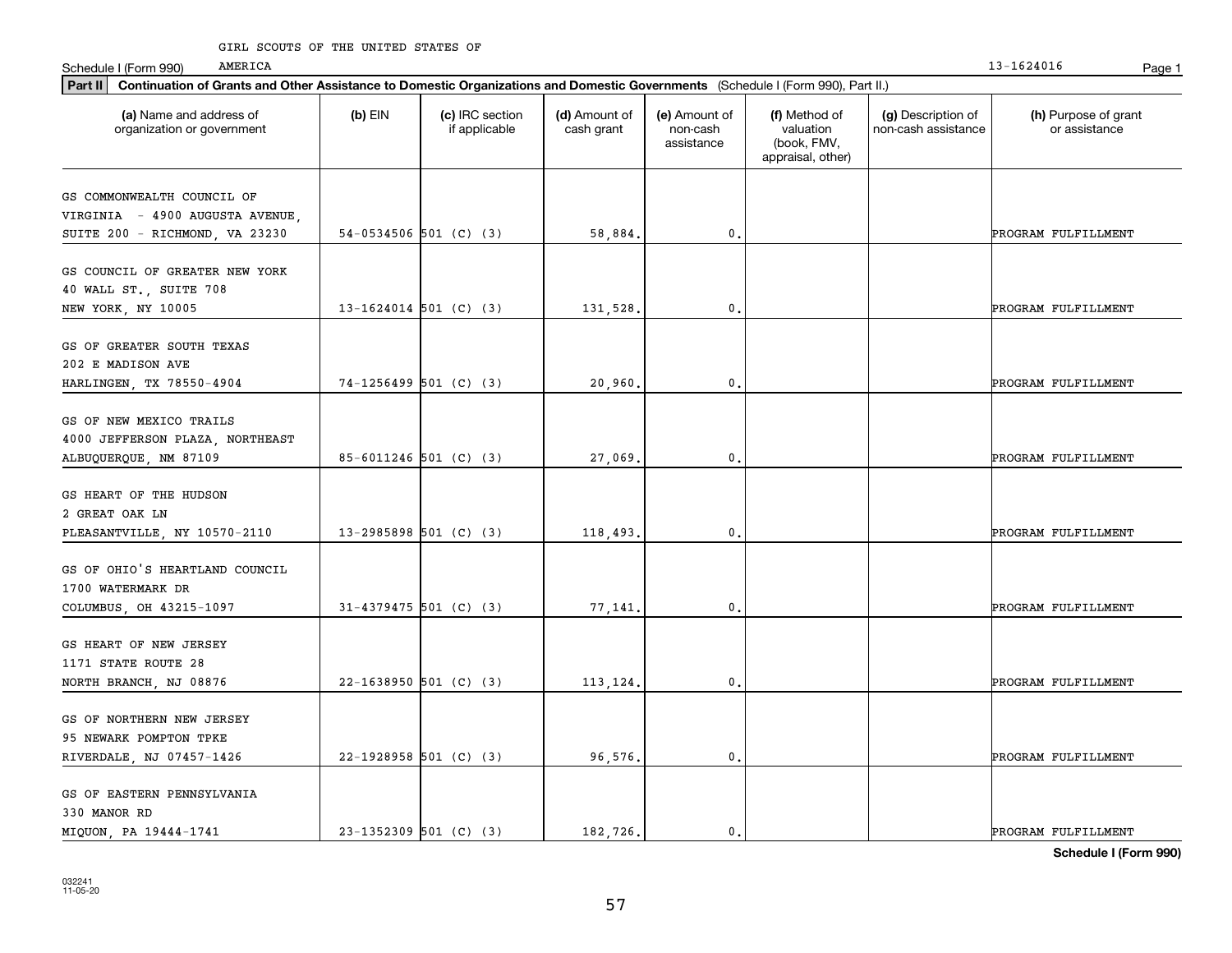| Part II   Continuation of Grants and Other Assistance to Domestic Organizations and Domestic Governments (Schedule I (Form 990), Part II.) |           |                                  |                             |                                         |                                                                |                                           |                                       |
|--------------------------------------------------------------------------------------------------------------------------------------------|-----------|----------------------------------|-----------------------------|-----------------------------------------|----------------------------------------------------------------|-------------------------------------------|---------------------------------------|
| (a) Name and address of<br>organization or government                                                                                      | $(b)$ EIN | (c) IRC section<br>if applicable | (d) Amount of<br>cash grant | (e) Amount of<br>non-cash<br>assistance | (f) Method of<br>valuation<br>(book, FMV,<br>appraisal, other) | (g) Description of<br>non-cash assistance | (h) Purpose of grant<br>or assistance |
| GS COMMONWEALTH COUNCIL OF                                                                                                                 |           |                                  |                             |                                         |                                                                |                                           |                                       |
| VIRGINIA - 4900 AUGUSTA AVENUE                                                                                                             |           |                                  |                             |                                         |                                                                |                                           |                                       |
| SUITE 200 - RICHMOND, VA 23230                                                                                                             |           | $54-0534506$ 501 (C) (3)         | 58,884.                     | $\mathbf{0}$ .                          |                                                                |                                           | PROGRAM FULFILLMENT                   |
|                                                                                                                                            |           |                                  |                             |                                         |                                                                |                                           |                                       |
| GS COUNCIL OF GREATER NEW YORK                                                                                                             |           |                                  |                             |                                         |                                                                |                                           |                                       |
| 40 WALL ST., SUITE 708                                                                                                                     |           |                                  |                             |                                         |                                                                |                                           |                                       |
| NEW YORK, NY 10005                                                                                                                         |           | 13-1624014 501 (C) (3)           | 131,528,                    | $\mathbf{0}$ .                          |                                                                |                                           | PROGRAM FULFILLMENT                   |
|                                                                                                                                            |           |                                  |                             |                                         |                                                                |                                           |                                       |
| GS OF GREATER SOUTH TEXAS                                                                                                                  |           |                                  |                             |                                         |                                                                |                                           |                                       |
| 202 E MADISON AVE                                                                                                                          |           | $74-1256499$ 501 (C) (3)         | 20,960.                     | $\mathbf{0}$ .                          |                                                                |                                           | PROGRAM FULFILLMENT                   |
| HARLINGEN, TX 78550-4904                                                                                                                   |           |                                  |                             |                                         |                                                                |                                           |                                       |
| GS OF NEW MEXICO TRAILS                                                                                                                    |           |                                  |                             |                                         |                                                                |                                           |                                       |
| 4000 JEFFERSON PLAZA, NORTHEAST                                                                                                            |           |                                  |                             |                                         |                                                                |                                           |                                       |
| ALBUQUERQUE, NM 87109                                                                                                                      |           | 85-6011246 501 (C) (3)           | 27,069.                     | $\mathbf 0$ .                           |                                                                |                                           | PROGRAM FULFILLMENT                   |
|                                                                                                                                            |           |                                  |                             |                                         |                                                                |                                           |                                       |
| GS HEART OF THE HUDSON                                                                                                                     |           |                                  |                             |                                         |                                                                |                                           |                                       |
| 2 GREAT OAK LN                                                                                                                             |           |                                  |                             |                                         |                                                                |                                           |                                       |
| PLEASANTVILLE, NY 10570-2110                                                                                                               |           | $13-2985898$ 501 (C) (3)         | 118,493.                    | $\mathbf{0}$                            |                                                                |                                           | PROGRAM FULFILLMENT                   |
|                                                                                                                                            |           |                                  |                             |                                         |                                                                |                                           |                                       |
| GS OF OHIO'S HEARTLAND COUNCIL                                                                                                             |           |                                  |                             |                                         |                                                                |                                           |                                       |
| 1700 WATERMARK DR                                                                                                                          |           |                                  |                             |                                         |                                                                |                                           |                                       |
| COLUMBUS, OH 43215-1097                                                                                                                    |           | $31 - 4379475$ 501 (C) (3)       | 77,141                      | 0.                                      |                                                                |                                           | PROGRAM FULFILLMENT                   |
| GS HEART OF NEW JERSEY                                                                                                                     |           |                                  |                             |                                         |                                                                |                                           |                                       |
| 1171 STATE ROUTE 28                                                                                                                        |           |                                  |                             |                                         |                                                                |                                           |                                       |
| NORTH BRANCH, NJ 08876                                                                                                                     |           | $22 - 1638950$ 501 (C) (3)       | 113,124.                    | $\mathbf{0}$ .                          |                                                                |                                           | PROGRAM FULFILLMENT                   |
|                                                                                                                                            |           |                                  |                             |                                         |                                                                |                                           |                                       |
| GS OF NORTHERN NEW JERSEY                                                                                                                  |           |                                  |                             |                                         |                                                                |                                           |                                       |
| 95 NEWARK POMPTON TPKE                                                                                                                     |           |                                  |                             |                                         |                                                                |                                           |                                       |
| RIVERDALE, NJ 07457-1426                                                                                                                   |           | 22-1928958 501 (C) (3)           | 96,576.                     | $\mathbf{0}$ .                          |                                                                |                                           | PROGRAM FULFILLMENT                   |
|                                                                                                                                            |           |                                  |                             |                                         |                                                                |                                           |                                       |
| GS OF EASTERN PENNSYLVANIA                                                                                                                 |           |                                  |                             |                                         |                                                                |                                           |                                       |
| 330 MANOR RD                                                                                                                               |           |                                  |                             |                                         |                                                                |                                           |                                       |
| MIQUON, PA 19444-1741                                                                                                                      |           | 23-1352309 501 (C) (3)           | 182.726.                    | $\mathbf{0}$ .                          |                                                                |                                           | PROGRAM FULFILLMENT                   |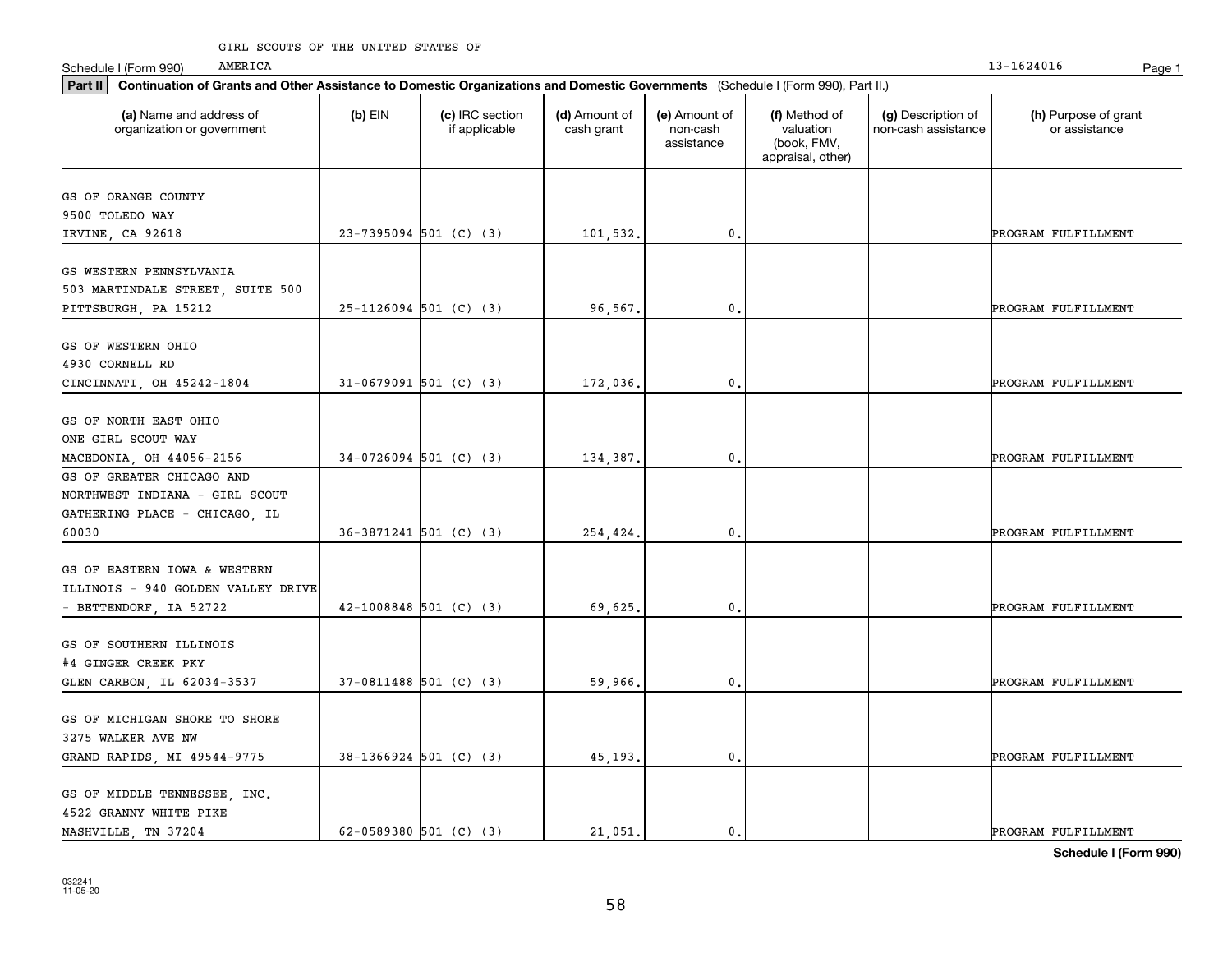#### GIRL SCOUTS OF THE UNITED STATES OF

AMERICA

| Part II   Continuation of Grants and Other Assistance to Domestic Organizations and Domestic Governments (Schedule I (Form 990), Part II.) |                          |                                  |                             |                                         |                                                                |                                           |                                       |
|--------------------------------------------------------------------------------------------------------------------------------------------|--------------------------|----------------------------------|-----------------------------|-----------------------------------------|----------------------------------------------------------------|-------------------------------------------|---------------------------------------|
| (a) Name and address of<br>organization or government                                                                                      | $(b)$ EIN                | (c) IRC section<br>if applicable | (d) Amount of<br>cash grant | (e) Amount of<br>non-cash<br>assistance | (f) Method of<br>valuation<br>(book, FMV,<br>appraisal, other) | (g) Description of<br>non-cash assistance | (h) Purpose of grant<br>or assistance |
| GS OF ORANGE COUNTY                                                                                                                        |                          |                                  |                             |                                         |                                                                |                                           |                                       |
| 9500 TOLEDO WAY                                                                                                                            |                          |                                  |                             |                                         |                                                                |                                           |                                       |
| IRVINE, CA 92618                                                                                                                           | 23-7395094 501 (C) (3)   |                                  | 101,532.                    | 0.                                      |                                                                |                                           | PROGRAM FULFILLMENT                   |
|                                                                                                                                            |                          |                                  |                             |                                         |                                                                |                                           |                                       |
| GS WESTERN PENNSYLVANIA                                                                                                                    |                          |                                  |                             |                                         |                                                                |                                           |                                       |
| 503 MARTINDALE STREET, SUITE 500                                                                                                           |                          |                                  |                             |                                         |                                                                |                                           |                                       |
| PITTSBURGH, PA 15212                                                                                                                       | $25-1126094$ 501 (C) (3) |                                  | 96,567.                     | 0.                                      |                                                                |                                           | PROGRAM FULFILLMENT                   |
| GS OF WESTERN OHIO                                                                                                                         |                          |                                  |                             |                                         |                                                                |                                           |                                       |
| 4930 CORNELL RD                                                                                                                            |                          |                                  |                             |                                         |                                                                |                                           |                                       |
| CINCINNATI, OH 45242-1804                                                                                                                  | $31-0679091$ 501 (C) (3) |                                  | 172,036.                    | 0.                                      |                                                                |                                           | PROGRAM FULFILLMENT                   |
|                                                                                                                                            |                          |                                  |                             |                                         |                                                                |                                           |                                       |
| GS OF NORTH EAST OHIO                                                                                                                      |                          |                                  |                             |                                         |                                                                |                                           |                                       |
| ONE GIRL SCOUT WAY                                                                                                                         |                          |                                  |                             |                                         |                                                                |                                           |                                       |
| MACEDONIA, OH 44056-2156                                                                                                                   | $34-0726094$ 501 (C) (3) |                                  | 134,387.                    | 0.                                      |                                                                |                                           | PROGRAM FULFILLMENT                   |
| GS OF GREATER CHICAGO AND                                                                                                                  |                          |                                  |                             |                                         |                                                                |                                           |                                       |
| NORTHWEST INDIANA - GIRL SCOUT                                                                                                             |                          |                                  |                             |                                         |                                                                |                                           |                                       |
| GATHERING PLACE - CHICAGO, IL                                                                                                              |                          |                                  |                             |                                         |                                                                |                                           |                                       |
| 60030                                                                                                                                      | 36-3871241 501 (C) (3)   |                                  | 254,424.                    | $\mathbf{0}$                            |                                                                |                                           | PROGRAM FULFILLMENT                   |
|                                                                                                                                            |                          |                                  |                             |                                         |                                                                |                                           |                                       |
| GS OF EASTERN IOWA & WESTERN                                                                                                               |                          |                                  |                             |                                         |                                                                |                                           |                                       |
| ILLINOIS - 940 GOLDEN VALLEY DRIVE                                                                                                         |                          |                                  |                             |                                         |                                                                |                                           |                                       |
| - BETTENDORF, IA 52722                                                                                                                     | $42-1008848$ 501 (C) (3) |                                  | 69,625,                     | 0.                                      |                                                                |                                           | PROGRAM FULFILLMENT                   |
|                                                                                                                                            |                          |                                  |                             |                                         |                                                                |                                           |                                       |
| GS OF SOUTHERN ILLINOIS                                                                                                                    |                          |                                  |                             |                                         |                                                                |                                           |                                       |
| #4 GINGER CREEK PKY                                                                                                                        |                          |                                  |                             |                                         |                                                                |                                           |                                       |
| GLEN CARBON, IL 62034-3537                                                                                                                 | 37-0811488 501 (C) (3)   |                                  | 59,966.                     | 0.                                      |                                                                |                                           | PROGRAM FULFILLMENT                   |
| GS OF MICHIGAN SHORE TO SHORE                                                                                                              |                          |                                  |                             |                                         |                                                                |                                           |                                       |
| 3275 WALKER AVE NW                                                                                                                         |                          |                                  |                             |                                         |                                                                |                                           |                                       |
| GRAND RAPIDS, MI 49544-9775                                                                                                                | $38-1366924$ 501 (C) (3) |                                  | 45,193.                     | 0.                                      |                                                                |                                           | PROGRAM FULFILLMENT                   |
|                                                                                                                                            |                          |                                  |                             |                                         |                                                                |                                           |                                       |
| GS OF MIDDLE TENNESSEE, INC.                                                                                                               |                          |                                  |                             |                                         |                                                                |                                           |                                       |
| 4522 GRANNY WHITE PIKE                                                                                                                     |                          |                                  |                             |                                         |                                                                |                                           |                                       |
| NASHVILLE, TN 37204                                                                                                                        | 62-0589380 501 (C) (3)   |                                  | 21.051.                     | $\mathfrak{o}$ .                        |                                                                |                                           | PROGRAM FULFILLMENT                   |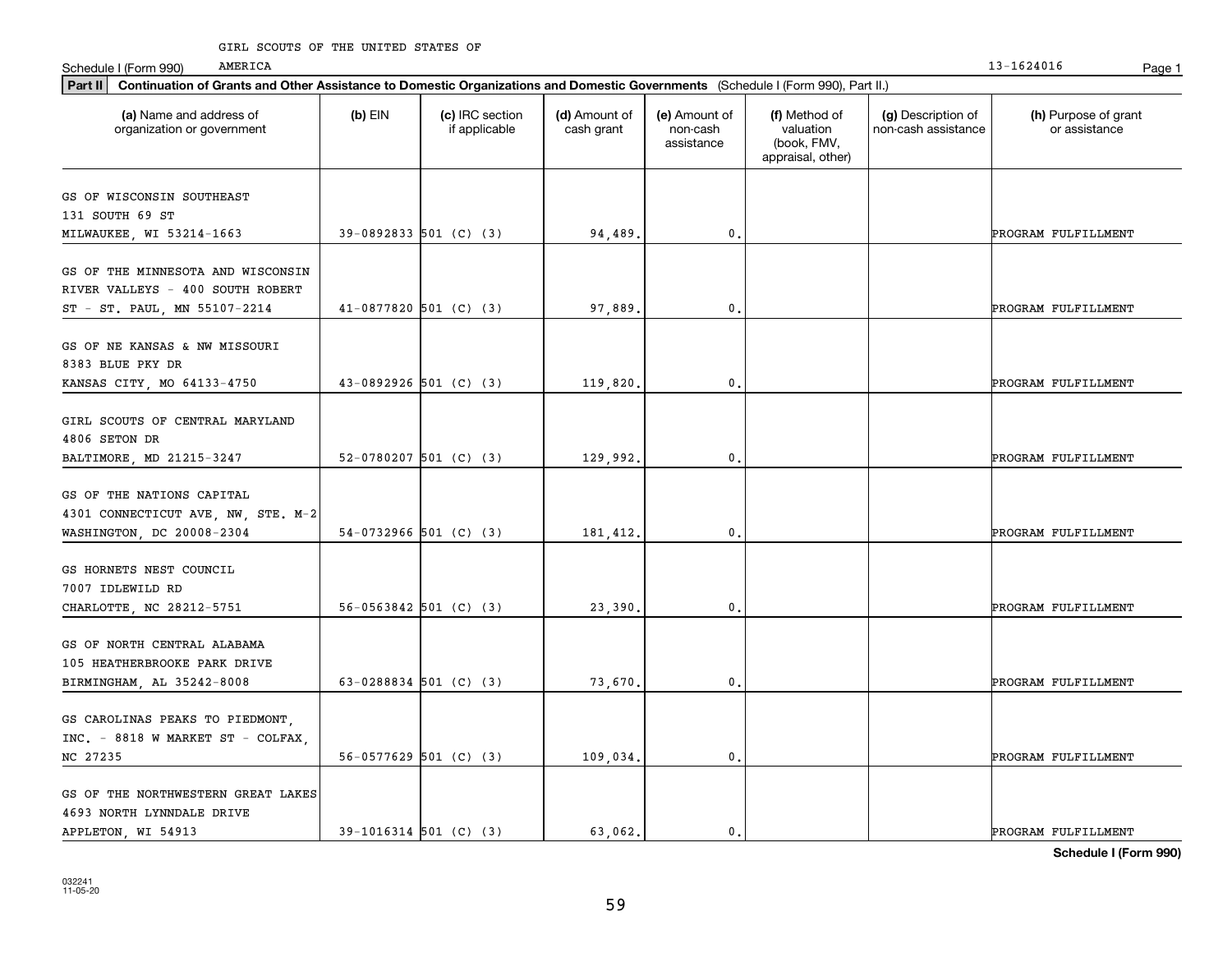| Part II   Continuation of Grants and Other Assistance to Domestic Organizations and Domestic Governments (Schedule I (Form 990), Part II.) |           |                                  |                             |                                         |                                                                |                                           |                                       |
|--------------------------------------------------------------------------------------------------------------------------------------------|-----------|----------------------------------|-----------------------------|-----------------------------------------|----------------------------------------------------------------|-------------------------------------------|---------------------------------------|
| (a) Name and address of<br>organization or government                                                                                      | $(b)$ EIN | (c) IRC section<br>if applicable | (d) Amount of<br>cash grant | (e) Amount of<br>non-cash<br>assistance | (f) Method of<br>valuation<br>(book, FMV,<br>appraisal, other) | (g) Description of<br>non-cash assistance | (h) Purpose of grant<br>or assistance |
| GS OF WISCONSIN SOUTHEAST                                                                                                                  |           |                                  |                             |                                         |                                                                |                                           |                                       |
| 131 SOUTH 69 ST                                                                                                                            |           |                                  |                             |                                         |                                                                |                                           |                                       |
| MILWAUKEE, WI 53214-1663                                                                                                                   |           | 39-0892833 501 (C) (3)           | 94,489.                     | $\mathbf{0}$ .                          |                                                                |                                           | PROGRAM FULFILLMENT                   |
| GS OF THE MINNESOTA AND WISCONSIN                                                                                                          |           |                                  |                             |                                         |                                                                |                                           |                                       |
| RIVER VALLEYS - 400 SOUTH ROBERT                                                                                                           |           |                                  |                             |                                         |                                                                |                                           |                                       |
| ST - ST. PAUL, MN 55107-2214                                                                                                               |           | $41-0877820$ 501 (C) (3)         | 97,889                      | $^{\rm 0}$ .                            |                                                                |                                           | PROGRAM FULFILLMENT                   |
| GS OF NE KANSAS & NW MISSOURI                                                                                                              |           |                                  |                             |                                         |                                                                |                                           |                                       |
| 8383 BLUE PKY DR                                                                                                                           |           |                                  |                             |                                         |                                                                |                                           |                                       |
| KANSAS CITY, MO 64133-4750                                                                                                                 |           | $43-0892926$ 501 (C) (3)         | 119,820.                    | $\mathbf{0}$ .                          |                                                                |                                           | PROGRAM FULFILLMENT                   |
|                                                                                                                                            |           |                                  |                             |                                         |                                                                |                                           |                                       |
| GIRL SCOUTS OF CENTRAL MARYLAND                                                                                                            |           |                                  |                             |                                         |                                                                |                                           |                                       |
| 4806 SETON DR                                                                                                                              |           |                                  |                             |                                         |                                                                |                                           |                                       |
| BALTIMORE, MD 21215-3247                                                                                                                   |           | 52-0780207 501 (C) (3)           | 129,992.                    | $^{\rm 0}$ .                            |                                                                |                                           | PROGRAM FULFILLMENT                   |
| GS OF THE NATIONS CAPITAL                                                                                                                  |           |                                  |                             |                                         |                                                                |                                           |                                       |
| 4301 CONNECTICUT AVE, NW, STE. M-2                                                                                                         |           |                                  |                             |                                         |                                                                |                                           |                                       |
| WASHINGTON, DC 20008-2304                                                                                                                  |           | $54-0732966$ 501 (C) (3)         | 181,412.                    | $^{\rm 0}$ .                            |                                                                |                                           | PROGRAM FULFILLMENT                   |
|                                                                                                                                            |           |                                  |                             |                                         |                                                                |                                           |                                       |
| GS HORNETS NEST COUNCIL                                                                                                                    |           |                                  |                             |                                         |                                                                |                                           |                                       |
| 7007 IDLEWILD RD                                                                                                                           |           |                                  |                             |                                         |                                                                |                                           |                                       |
| CHARLOTTE, NC 28212-5751                                                                                                                   |           | $56-0563842$ 501 (C) (3)         | 23,390.                     | $^{\rm 0}$ .                            |                                                                |                                           | PROGRAM FULFILLMENT                   |
| GS OF NORTH CENTRAL ALABAMA                                                                                                                |           |                                  |                             |                                         |                                                                |                                           |                                       |
| 105 HEATHERBROOKE PARK DRIVE                                                                                                               |           |                                  |                             |                                         |                                                                |                                           |                                       |
| BIRMINGHAM, AL 35242-8008                                                                                                                  |           | 63-0288834 501 (C) (3)           | 73,670.                     | 0.                                      |                                                                |                                           | PROGRAM FULFILLMENT                   |
|                                                                                                                                            |           |                                  |                             |                                         |                                                                |                                           |                                       |
| GS CAROLINAS PEAKS TO PIEDMONT,                                                                                                            |           |                                  |                             |                                         |                                                                |                                           |                                       |
| INC. - 8818 W MARKET ST - COLFAX.                                                                                                          |           |                                  |                             |                                         |                                                                |                                           |                                       |
| NC 27235                                                                                                                                   |           | $56-0577629$ 501 (C) (3)         | 109,034.                    | $^{\rm 0}$ .                            |                                                                |                                           | PROGRAM FULFILLMENT                   |
| GS OF THE NORTHWESTERN GREAT LAKES                                                                                                         |           |                                  |                             |                                         |                                                                |                                           |                                       |
| 4693 NORTH LYNNDALE DRIVE                                                                                                                  |           |                                  |                             |                                         |                                                                |                                           |                                       |
| APPLETON, WI 54913                                                                                                                         |           | $39-1016314$ 501 (C) (3)         | 63.062.                     | $\mathbf{0}$ .                          |                                                                |                                           | PROGRAM FULFILLMENT                   |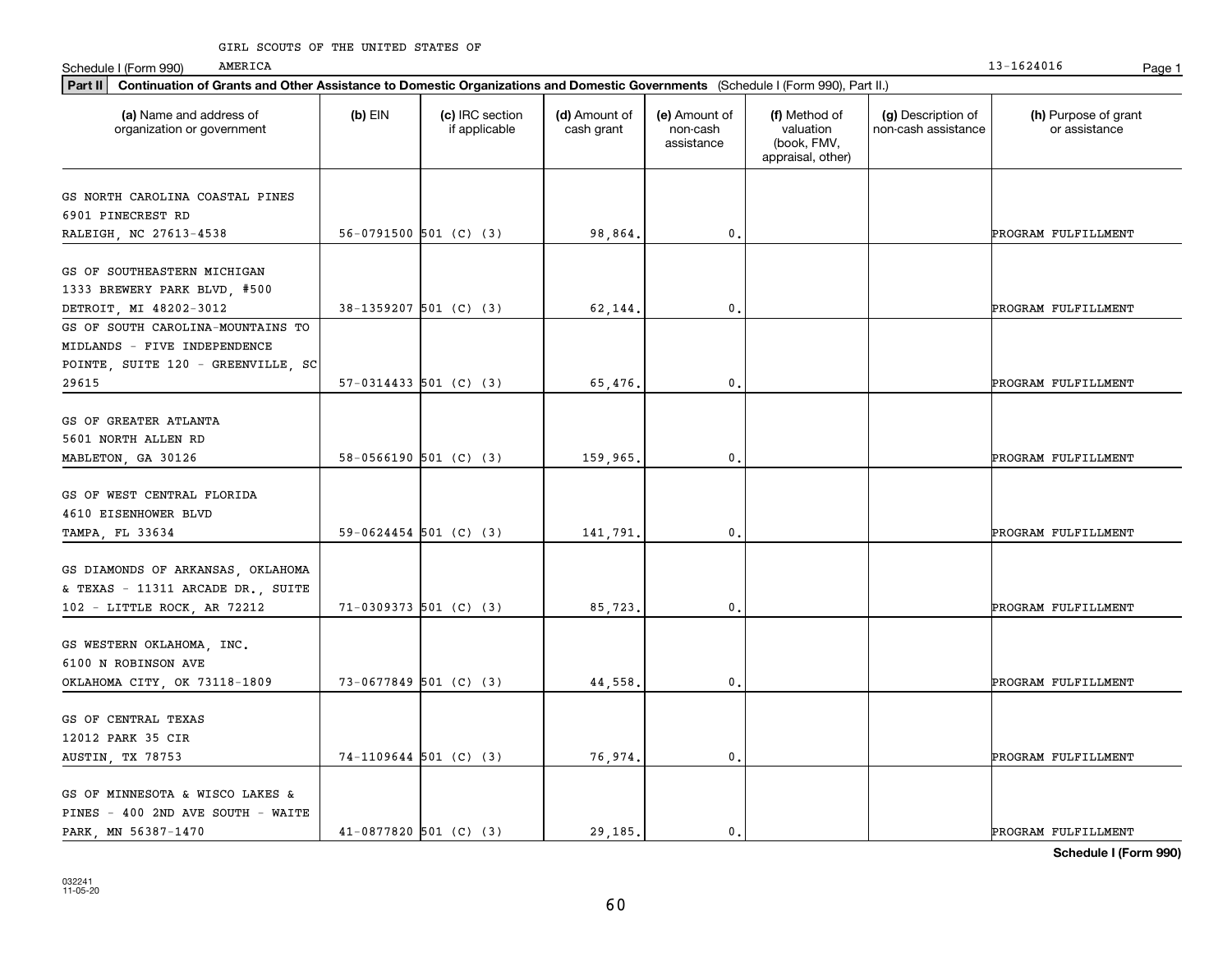#### GIRL SCOUTS OF THE UNITED STATES OF

AMERICA

| Part II   Continuation of Grants and Other Assistance to Domestic Organizations and Domestic Governments (Schedule I (Form 990), Part II.) |           |                                  |                             |                                         |                                                                |                                           |                                       |
|--------------------------------------------------------------------------------------------------------------------------------------------|-----------|----------------------------------|-----------------------------|-----------------------------------------|----------------------------------------------------------------|-------------------------------------------|---------------------------------------|
| (a) Name and address of<br>organization or government                                                                                      | $(b)$ EIN | (c) IRC section<br>if applicable | (d) Amount of<br>cash grant | (e) Amount of<br>non-cash<br>assistance | (f) Method of<br>valuation<br>(book, FMV,<br>appraisal, other) | (g) Description of<br>non-cash assistance | (h) Purpose of grant<br>or assistance |
| GS NORTH CAROLINA COASTAL PINES                                                                                                            |           |                                  |                             |                                         |                                                                |                                           |                                       |
| 6901 PINECREST RD                                                                                                                          |           |                                  |                             |                                         |                                                                |                                           |                                       |
| RALEIGH, NC 27613-4538                                                                                                                     |           | 56-0791500 501 (C) (3)           | 98,864.                     | $\mathbf 0$ .                           |                                                                |                                           | PROGRAM FULFILLMENT                   |
|                                                                                                                                            |           |                                  |                             |                                         |                                                                |                                           |                                       |
| GS OF SOUTHEASTERN MICHIGAN                                                                                                                |           |                                  |                             |                                         |                                                                |                                           |                                       |
| 1333 BREWERY PARK BLVD, #500                                                                                                               |           |                                  |                             |                                         |                                                                |                                           |                                       |
| DETROIT, MI 48202-3012                                                                                                                     |           | $38-1359207$ 501 (C) (3)         | 62,144                      | 0.                                      |                                                                |                                           | PROGRAM FULFILLMENT                   |
| GS OF SOUTH CAROLINA-MOUNTAINS TO                                                                                                          |           |                                  |                             |                                         |                                                                |                                           |                                       |
| MIDLANDS - FIVE INDEPENDENCE                                                                                                               |           |                                  |                             |                                         |                                                                |                                           |                                       |
| POINTE, SUITE 120 - GREENVILLE, SC                                                                                                         |           |                                  |                             |                                         |                                                                |                                           |                                       |
| 29615                                                                                                                                      |           | $57-0314433$ $501$ (C) (3)       | 65,476.                     | $\mathbf{0}$ .                          |                                                                |                                           | PROGRAM FULFILLMENT                   |
|                                                                                                                                            |           |                                  |                             |                                         |                                                                |                                           |                                       |
| GS OF GREATER ATLANTA                                                                                                                      |           |                                  |                             |                                         |                                                                |                                           |                                       |
| 5601 NORTH ALLEN RD                                                                                                                        |           |                                  |                             |                                         |                                                                |                                           |                                       |
| MABLETON, GA 30126                                                                                                                         |           | $58-0566190$ 501 (C) (3)         | 159,965                     | 0.                                      |                                                                |                                           | PROGRAM FULFILLMENT                   |
|                                                                                                                                            |           |                                  |                             |                                         |                                                                |                                           |                                       |
| GS OF WEST CENTRAL FLORIDA                                                                                                                 |           |                                  |                             |                                         |                                                                |                                           |                                       |
| 4610 EISENHOWER BLVD                                                                                                                       |           |                                  |                             |                                         |                                                                |                                           |                                       |
| TAMPA, FL 33634                                                                                                                            |           | $59-0624454$ 501 (C) (3)         | 141,791                     | 0.                                      |                                                                |                                           | PROGRAM FULFILLMENT                   |
|                                                                                                                                            |           |                                  |                             |                                         |                                                                |                                           |                                       |
| GS DIAMONDS OF ARKANSAS, OKLAHOMA<br>& TEXAS - 11311 ARCADE DR., SUITE                                                                     |           |                                  |                             |                                         |                                                                |                                           |                                       |
| 102 - LITTLE ROCK, AR 72212                                                                                                                |           | $71-0309373$ 501 (C) (3)         | 85,723.                     | $\mathbf 0$ .                           |                                                                |                                           | PROGRAM FULFILLMENT                   |
|                                                                                                                                            |           |                                  |                             |                                         |                                                                |                                           |                                       |
| GS WESTERN OKLAHOMA, INC.                                                                                                                  |           |                                  |                             |                                         |                                                                |                                           |                                       |
| 6100 N ROBINSON AVE                                                                                                                        |           |                                  |                             |                                         |                                                                |                                           |                                       |
| OKLAHOMA CITY, OK 73118-1809                                                                                                               |           | 73-0677849 501 (C) (3)           | 44,558                      | 0.                                      |                                                                |                                           | PROGRAM FULFILLMENT                   |
|                                                                                                                                            |           |                                  |                             |                                         |                                                                |                                           |                                       |
| GS OF CENTRAL TEXAS                                                                                                                        |           |                                  |                             |                                         |                                                                |                                           |                                       |
| 12012 PARK 35 CIR                                                                                                                          |           |                                  |                             |                                         |                                                                |                                           |                                       |
| AUSTIN, TX 78753                                                                                                                           |           | 74-1109644 501 (C) (3)           | 76,974.                     | $\mathbf{0}$ .                          |                                                                |                                           | PROGRAM FULFILLMENT                   |
|                                                                                                                                            |           |                                  |                             |                                         |                                                                |                                           |                                       |
| GS OF MINNESOTA & WISCO LAKES &                                                                                                            |           |                                  |                             |                                         |                                                                |                                           |                                       |
| PINES - 400 2ND AVE SOUTH - WAITE                                                                                                          |           |                                  |                             |                                         |                                                                |                                           |                                       |
| PARK, MN 56387-1470                                                                                                                        |           | $41-0877820$ 501 (C) (3)         | 29.185.                     | 0.                                      |                                                                |                                           | PROGRAM FULFILLMENT                   |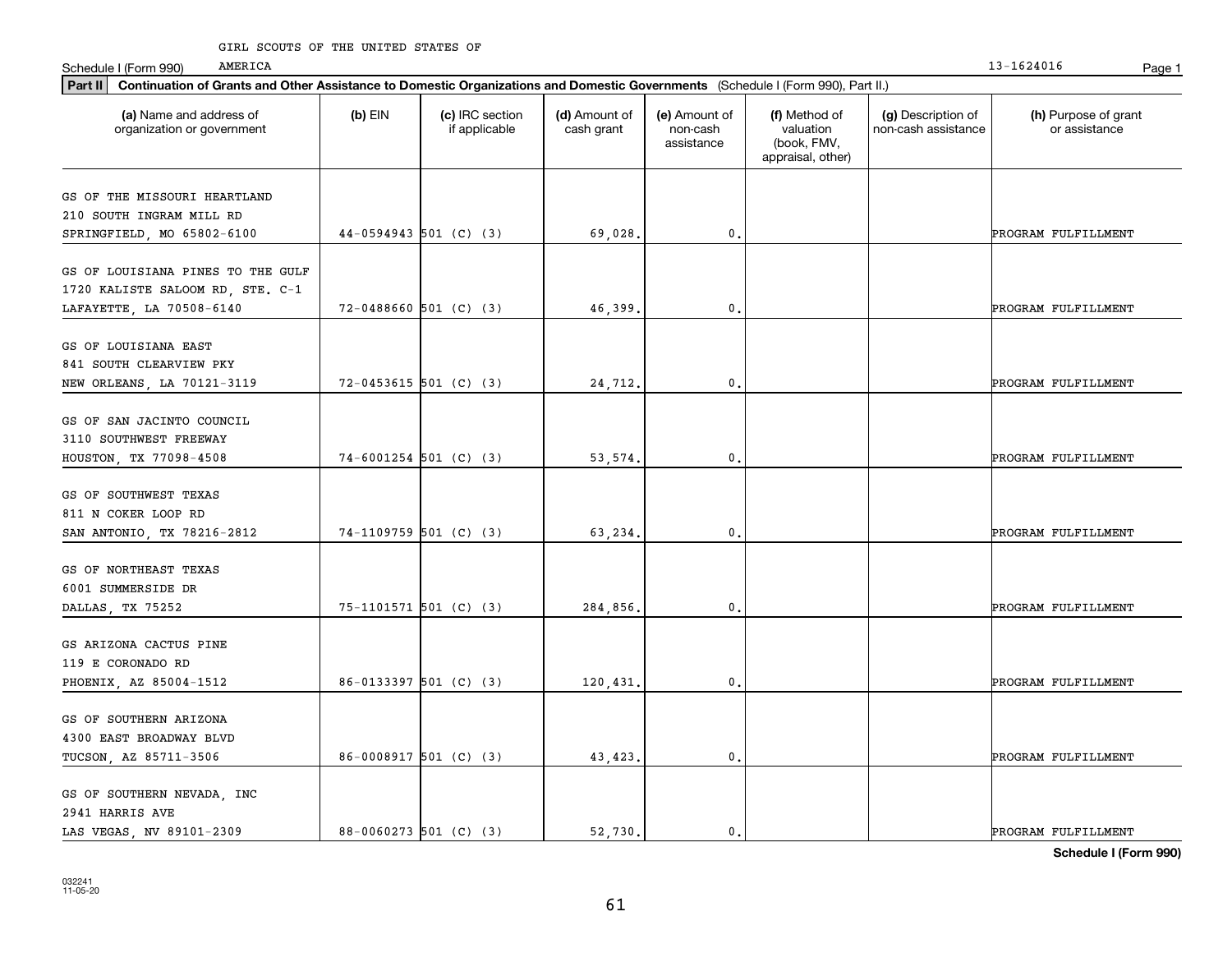#### GIRL SCOUTS OF THE UNITED STATES OF

AMERICA

| Part II   Continuation of Grants and Other Assistance to Domestic Organizations and Domestic Governments (Schedule I (Form 990), Part II.) |                          |                                  |                             |                                         |                                                                |                                           |                                       |
|--------------------------------------------------------------------------------------------------------------------------------------------|--------------------------|----------------------------------|-----------------------------|-----------------------------------------|----------------------------------------------------------------|-------------------------------------------|---------------------------------------|
| (a) Name and address of<br>organization or government                                                                                      | $(b)$ EIN                | (c) IRC section<br>if applicable | (d) Amount of<br>cash grant | (e) Amount of<br>non-cash<br>assistance | (f) Method of<br>valuation<br>(book, FMV,<br>appraisal, other) | (g) Description of<br>non-cash assistance | (h) Purpose of grant<br>or assistance |
| GS OF THE MISSOURI HEARTLAND                                                                                                               |                          |                                  |                             |                                         |                                                                |                                           |                                       |
| 210 SOUTH INGRAM MILL RD                                                                                                                   |                          |                                  |                             |                                         |                                                                |                                           |                                       |
| SPRINGFIELD, MO 65802-6100                                                                                                                 | 44-0594943 501 (C) (3)   |                                  | 69,028.                     | $\mathbf{0}$                            |                                                                |                                           | PROGRAM FULFILLMENT                   |
|                                                                                                                                            |                          |                                  |                             |                                         |                                                                |                                           |                                       |
| GS OF LOUISIANA PINES TO THE GULF<br>1720 KALISTE SALOOM RD, STE. C-1                                                                      |                          |                                  |                             |                                         |                                                                |                                           |                                       |
| LAFAYETTE, LA 70508-6140                                                                                                                   | $72-0488660$ 501 (C) (3) |                                  | 46,399                      | $^{\rm 0}$ .                            |                                                                |                                           | PROGRAM FULFILLMENT                   |
| GS OF LOUISIANA EAST                                                                                                                       |                          |                                  |                             |                                         |                                                                |                                           |                                       |
| 841 SOUTH CLEARVIEW PKY                                                                                                                    |                          |                                  |                             |                                         |                                                                |                                           |                                       |
| NEW ORLEANS, LA 70121-3119                                                                                                                 | $72-0453615$ 501 (C) (3) |                                  | 24,712.                     | $\mathbf{0}$ .                          |                                                                |                                           | PROGRAM FULFILLMENT                   |
|                                                                                                                                            |                          |                                  |                             |                                         |                                                                |                                           |                                       |
| GS OF SAN JACINTO COUNCIL                                                                                                                  |                          |                                  |                             |                                         |                                                                |                                           |                                       |
| 3110 SOUTHWEST FREEWAY                                                                                                                     |                          |                                  |                             |                                         |                                                                |                                           |                                       |
| HOUSTON, TX 77098-4508                                                                                                                     | $74-6001254$ 501 (C) (3) |                                  | 53, 574.                    | $^{\rm 0}$ .                            |                                                                |                                           | PROGRAM FULFILLMENT                   |
|                                                                                                                                            |                          |                                  |                             |                                         |                                                                |                                           |                                       |
| GS OF SOUTHWEST TEXAS                                                                                                                      |                          |                                  |                             |                                         |                                                                |                                           |                                       |
| 811 N COKER LOOP RD                                                                                                                        |                          |                                  |                             |                                         |                                                                |                                           |                                       |
| SAN ANTONIO, TX 78216-2812                                                                                                                 | $74-1109759$ 501 (C) (3) |                                  | 63,234.                     | $\mathbf{0}$                            |                                                                |                                           | PROGRAM FULFILLMENT                   |
| GS OF NORTHEAST TEXAS                                                                                                                      |                          |                                  |                             |                                         |                                                                |                                           |                                       |
| 6001 SUMMERSIDE DR                                                                                                                         |                          |                                  |                             |                                         |                                                                |                                           |                                       |
| DALLAS, TX 75252                                                                                                                           | 75-1101571 501 (C) (3)   |                                  | 284,856.                    | $\mathbf 0$ .                           |                                                                |                                           | PROGRAM FULFILLMENT                   |
|                                                                                                                                            |                          |                                  |                             |                                         |                                                                |                                           |                                       |
| GS ARIZONA CACTUS PINE                                                                                                                     |                          |                                  |                             |                                         |                                                                |                                           |                                       |
| 119 E CORONADO RD                                                                                                                          |                          |                                  |                             |                                         |                                                                |                                           |                                       |
| PHOENIX, AZ 85004-1512                                                                                                                     | $86-0133397$ 501 (C) (3) |                                  | 120,431                     | $\mathbf{0}$ .                          |                                                                |                                           | PROGRAM FULFILLMENT                   |
|                                                                                                                                            |                          |                                  |                             |                                         |                                                                |                                           |                                       |
| GS OF SOUTHERN ARIZONA                                                                                                                     |                          |                                  |                             |                                         |                                                                |                                           |                                       |
| 4300 EAST BROADWAY BLVD                                                                                                                    |                          |                                  |                             |                                         |                                                                |                                           |                                       |
| TUCSON, AZ 85711-3506                                                                                                                      | 86-0008917 501 (C) (3)   |                                  | 43, 423.                    | $\mathbf 0$ .                           |                                                                |                                           | PROGRAM FULFILLMENT                   |
|                                                                                                                                            |                          |                                  |                             |                                         |                                                                |                                           |                                       |
| GS OF SOUTHERN NEVADA, INC                                                                                                                 |                          |                                  |                             |                                         |                                                                |                                           |                                       |
| 2941 HARRIS AVE                                                                                                                            |                          |                                  |                             |                                         |                                                                |                                           |                                       |
| LAS VEGAS, NV 89101-2309                                                                                                                   | 88-0060273 501 (C) (3)   |                                  | 52,730.                     | $^{\rm 0}$ .                            |                                                                |                                           | PROGRAM FULFILLMENT                   |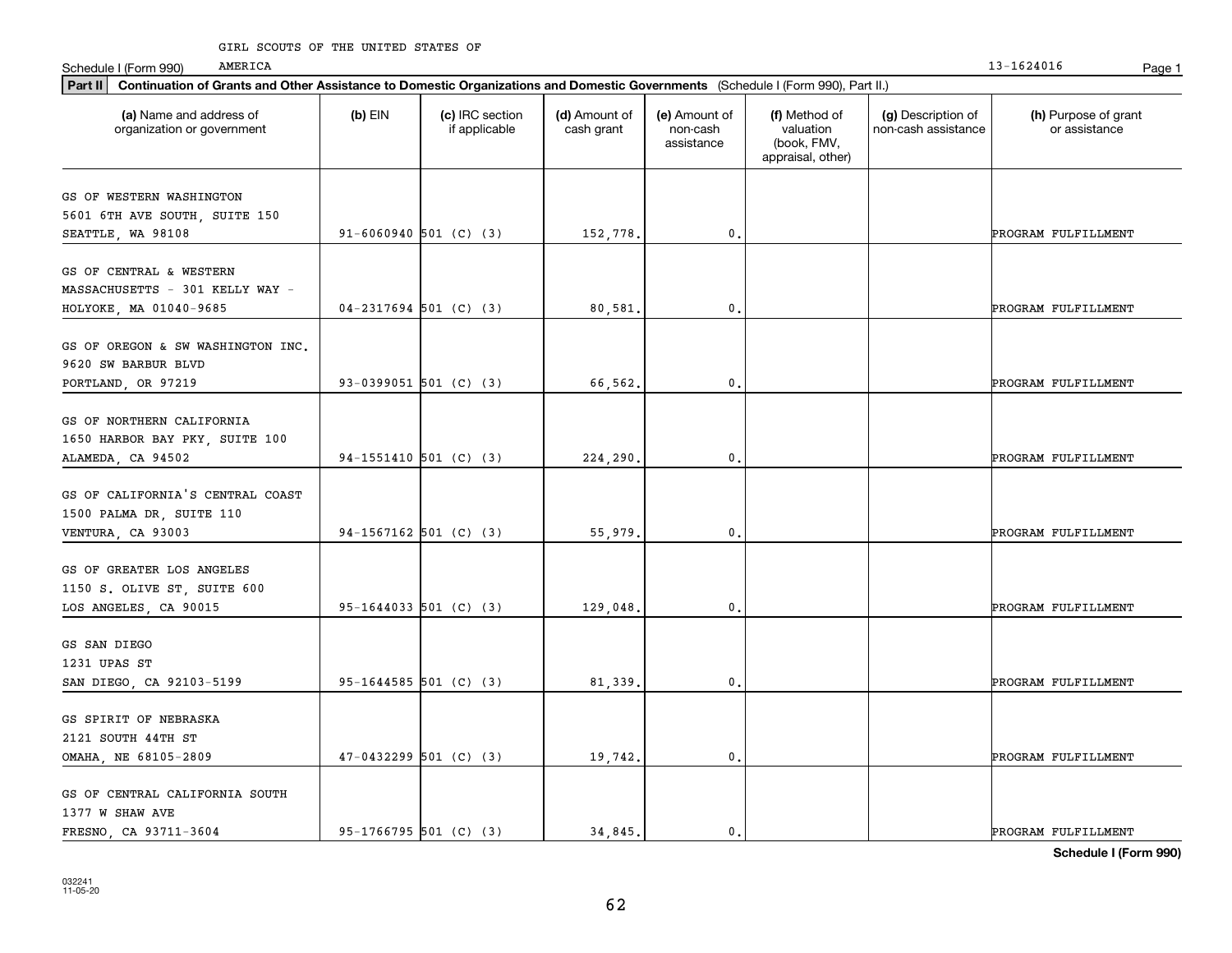| Part II   Continuation of Grants and Other Assistance to Domestic Organizations and Domestic Governments (Schedule I (Form 990), Part II.) |                            |                                  |                             |                                         |                                                                |                                           |                                       |
|--------------------------------------------------------------------------------------------------------------------------------------------|----------------------------|----------------------------------|-----------------------------|-----------------------------------------|----------------------------------------------------------------|-------------------------------------------|---------------------------------------|
| (a) Name and address of<br>organization or government                                                                                      | $(b)$ EIN                  | (c) IRC section<br>if applicable | (d) Amount of<br>cash grant | (e) Amount of<br>non-cash<br>assistance | (f) Method of<br>valuation<br>(book, FMV,<br>appraisal, other) | (g) Description of<br>non-cash assistance | (h) Purpose of grant<br>or assistance |
| GS OF WESTERN WASHINGTON                                                                                                                   |                            |                                  |                             |                                         |                                                                |                                           |                                       |
| 5601 6TH AVE SOUTH, SUITE 150                                                                                                              |                            |                                  |                             |                                         |                                                                |                                           |                                       |
| SEATTLE, WA 98108                                                                                                                          | $91 - 6060940$ 501 (C) (3) |                                  | 152,778.                    | $\mathbf{0}$ .                          |                                                                |                                           | PROGRAM FULFILLMENT                   |
|                                                                                                                                            |                            |                                  |                             |                                         |                                                                |                                           |                                       |
| GS OF CENTRAL & WESTERN                                                                                                                    |                            |                                  |                             |                                         |                                                                |                                           |                                       |
| MASSACHUSETTS - 301 KELLY WAY -                                                                                                            |                            |                                  |                             |                                         |                                                                |                                           |                                       |
| HOLYOKE, MA 01040-9685                                                                                                                     | $04-2317694$ 501 (C) (3)   |                                  | 80,581                      | 0.                                      |                                                                |                                           | PROGRAM FULFILLMENT                   |
|                                                                                                                                            |                            |                                  |                             |                                         |                                                                |                                           |                                       |
| GS OF OREGON & SW WASHINGTON INC.                                                                                                          |                            |                                  |                             |                                         |                                                                |                                           |                                       |
| 9620 SW BARBUR BLVD<br>PORTLAND, OR 97219                                                                                                  | 93-0399051 501 (C) (3)     |                                  | 66,562.                     | $\mathbf{0}$ .                          |                                                                |                                           | PROGRAM FULFILLMENT                   |
|                                                                                                                                            |                            |                                  |                             |                                         |                                                                |                                           |                                       |
| GS OF NORTHERN CALIFORNIA                                                                                                                  |                            |                                  |                             |                                         |                                                                |                                           |                                       |
| 1650 HARBOR BAY PKY, SUITE 100                                                                                                             |                            |                                  |                             |                                         |                                                                |                                           |                                       |
| ALAMEDA, CA 94502                                                                                                                          | 94-1551410 501 (C) (3)     |                                  | 224,290.                    | 0.                                      |                                                                |                                           | PROGRAM FULFILLMENT                   |
|                                                                                                                                            |                            |                                  |                             |                                         |                                                                |                                           |                                       |
| GS OF CALIFORNIA'S CENTRAL COAST                                                                                                           |                            |                                  |                             |                                         |                                                                |                                           |                                       |
| 1500 PALMA DR, SUITE 110                                                                                                                   |                            |                                  |                             |                                         |                                                                |                                           |                                       |
| VENTURA, CA 93003                                                                                                                          | 94-1567162 501 (C) (3)     |                                  | 55,979.                     | $\mathbf 0$ .                           |                                                                |                                           | PROGRAM FULFILLMENT                   |
| GS OF GREATER LOS ANGELES                                                                                                                  |                            |                                  |                             |                                         |                                                                |                                           |                                       |
| 1150 S. OLIVE ST, SUITE 600                                                                                                                |                            |                                  |                             |                                         |                                                                |                                           |                                       |
| LOS ANGELES, CA 90015                                                                                                                      | 95-1644033 501 (C) (3)     |                                  | 129,048.                    | 0.                                      |                                                                |                                           | PROGRAM FULFILLMENT                   |
|                                                                                                                                            |                            |                                  |                             |                                         |                                                                |                                           |                                       |
| GS SAN DIEGO                                                                                                                               |                            |                                  |                             |                                         |                                                                |                                           |                                       |
| 1231 UPAS ST                                                                                                                               |                            |                                  |                             |                                         |                                                                |                                           |                                       |
| SAN DIEGO, CA 92103-5199                                                                                                                   | 95-1644585 501 (C) (3)     |                                  | 81,339.                     | 0.                                      |                                                                |                                           | PROGRAM FULFILLMENT                   |
|                                                                                                                                            |                            |                                  |                             |                                         |                                                                |                                           |                                       |
| GS SPIRIT OF NEBRASKA                                                                                                                      |                            |                                  |                             |                                         |                                                                |                                           |                                       |
| 2121 SOUTH 44TH ST                                                                                                                         |                            |                                  |                             |                                         |                                                                |                                           |                                       |
| OMAHA, NE 68105-2809                                                                                                                       | $47-0432299$ 501 (C) (3)   |                                  | 19,742.                     | $\mathbf{0}$ .                          |                                                                |                                           | PROGRAM FULFILLMENT                   |
| GS OF CENTRAL CALIFORNIA SOUTH                                                                                                             |                            |                                  |                             |                                         |                                                                |                                           |                                       |
| 1377 W SHAW AVE                                                                                                                            |                            |                                  |                             |                                         |                                                                |                                           |                                       |
| FRESNO, CA 93711-3604                                                                                                                      | 95-1766795 501 (C) (3)     |                                  | 34,845.                     | $\mathbf{0}$ .                          |                                                                |                                           | PROGRAM FULFILLMENT                   |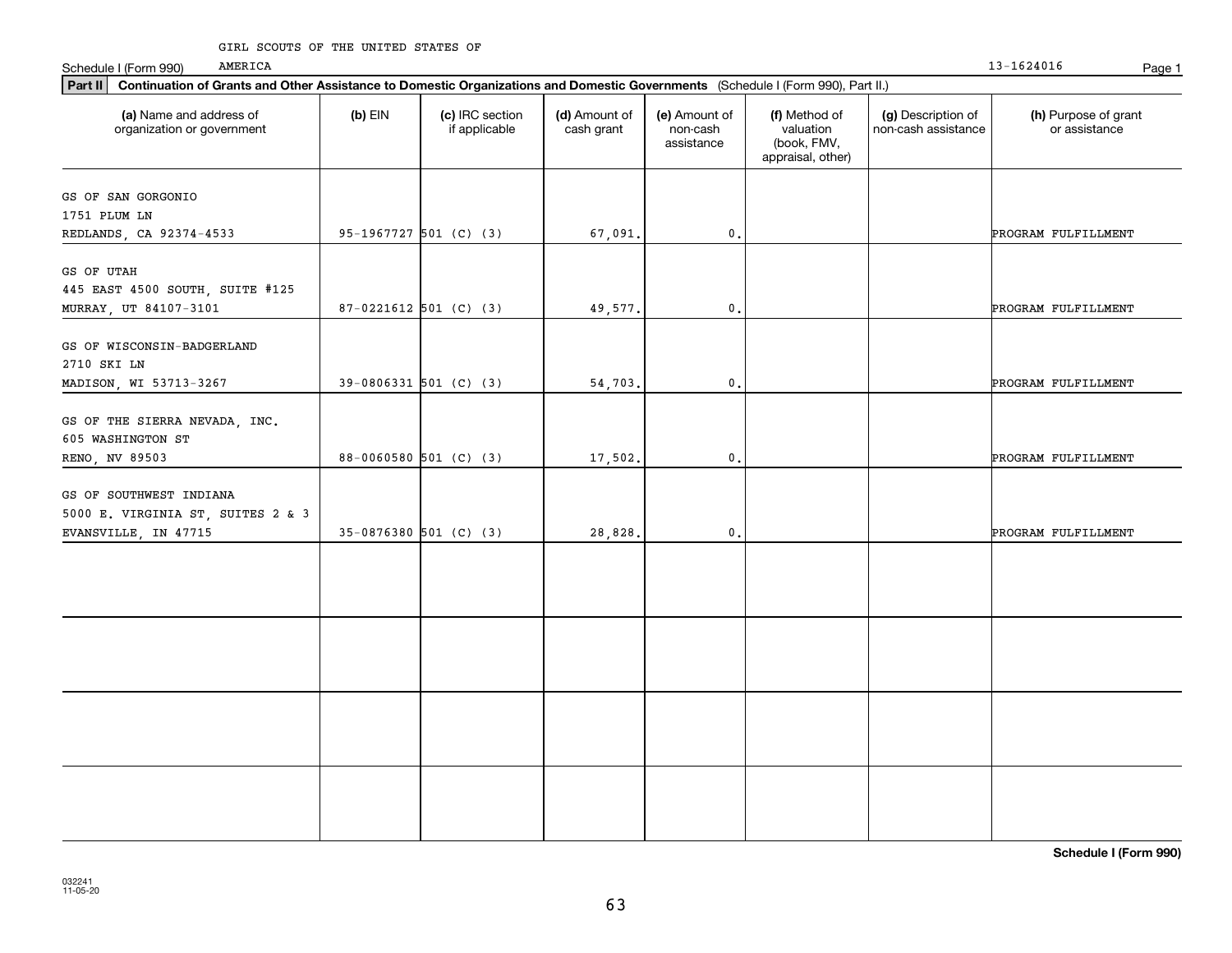### GIRL SCOUTS OF THE UNITED STATES OF

AMERICA

| Part II   Continuation of Grants and Other Assistance to Domestic Organizations and Domestic Governments (Schedule I (Form 990), Part II.) |                          |                                  |                             |                                         |                                                                |                                           |                                       |
|--------------------------------------------------------------------------------------------------------------------------------------------|--------------------------|----------------------------------|-----------------------------|-----------------------------------------|----------------------------------------------------------------|-------------------------------------------|---------------------------------------|
| (a) Name and address of<br>organization or government                                                                                      | $(b)$ EIN                | (c) IRC section<br>if applicable | (d) Amount of<br>cash grant | (e) Amount of<br>non-cash<br>assistance | (f) Method of<br>valuation<br>(book, FMV,<br>appraisal, other) | (g) Description of<br>non-cash assistance | (h) Purpose of grant<br>or assistance |
| GS OF SAN GORGONIO                                                                                                                         |                          |                                  |                             |                                         |                                                                |                                           |                                       |
| 1751 PLUM LN                                                                                                                               |                          |                                  |                             |                                         |                                                                |                                           |                                       |
| REDLANDS, CA 92374-4533                                                                                                                    | 95-1967727 501 (C) (3)   |                                  | 67,091.                     | $\mathfrak o$ .                         |                                                                |                                           | PROGRAM FULFILLMENT                   |
|                                                                                                                                            |                          |                                  |                             |                                         |                                                                |                                           |                                       |
| GS OF UTAH                                                                                                                                 |                          |                                  |                             |                                         |                                                                |                                           |                                       |
| 445 EAST 4500 SOUTH, SUITE #125                                                                                                            |                          |                                  |                             |                                         |                                                                |                                           |                                       |
| MURRAY, UT 84107-3101                                                                                                                      | $87-0221612$ 501 (C) (3) |                                  | 49,577.                     | 0.                                      |                                                                |                                           | PROGRAM FULFILLMENT                   |
|                                                                                                                                            |                          |                                  |                             |                                         |                                                                |                                           |                                       |
| GS OF WISCONSIN-BADGERLAND                                                                                                                 |                          |                                  |                             |                                         |                                                                |                                           |                                       |
| 2710 SKI LN                                                                                                                                |                          |                                  |                             |                                         |                                                                |                                           |                                       |
| MADISON, WI 53713-3267                                                                                                                     | $39-0806331$ 501 (C) (3) |                                  | 54,703.                     | $\mathbf{0}$ .                          |                                                                |                                           | PROGRAM FULFILLMENT                   |
|                                                                                                                                            |                          |                                  |                             |                                         |                                                                |                                           |                                       |
| GS OF THE SIERRA NEVADA, INC.<br>605 WASHINGTON ST                                                                                         |                          |                                  |                             |                                         |                                                                |                                           |                                       |
| RENO, NV 89503                                                                                                                             | $88-0060580$ 501 (C) (3) |                                  | 17,502.                     | $\mathsf{0}\,.$                         |                                                                |                                           | PROGRAM FULFILLMENT                   |
|                                                                                                                                            |                          |                                  |                             |                                         |                                                                |                                           |                                       |
| GS OF SOUTHWEST INDIANA                                                                                                                    |                          |                                  |                             |                                         |                                                                |                                           |                                       |
| 5000 E. VIRGINIA ST, SUITES 2 & 3                                                                                                          |                          |                                  |                             |                                         |                                                                |                                           |                                       |
| EVANSVILLE, IN 47715                                                                                                                       | $35-0876380$ 501 (C) (3) |                                  | 28,828.                     | $\mathbf 0$ .                           |                                                                |                                           | PROGRAM FULFILLMENT                   |
|                                                                                                                                            |                          |                                  |                             |                                         |                                                                |                                           |                                       |
|                                                                                                                                            |                          |                                  |                             |                                         |                                                                |                                           |                                       |
|                                                                                                                                            |                          |                                  |                             |                                         |                                                                |                                           |                                       |
|                                                                                                                                            |                          |                                  |                             |                                         |                                                                |                                           |                                       |
|                                                                                                                                            |                          |                                  |                             |                                         |                                                                |                                           |                                       |
|                                                                                                                                            |                          |                                  |                             |                                         |                                                                |                                           |                                       |
|                                                                                                                                            |                          |                                  |                             |                                         |                                                                |                                           |                                       |
|                                                                                                                                            |                          |                                  |                             |                                         |                                                                |                                           |                                       |
|                                                                                                                                            |                          |                                  |                             |                                         |                                                                |                                           |                                       |
|                                                                                                                                            |                          |                                  |                             |                                         |                                                                |                                           |                                       |
|                                                                                                                                            |                          |                                  |                             |                                         |                                                                |                                           |                                       |
|                                                                                                                                            |                          |                                  |                             |                                         |                                                                |                                           |                                       |
|                                                                                                                                            |                          |                                  |                             |                                         |                                                                |                                           |                                       |
|                                                                                                                                            |                          |                                  |                             |                                         |                                                                |                                           |                                       |
|                                                                                                                                            |                          |                                  |                             |                                         |                                                                |                                           |                                       |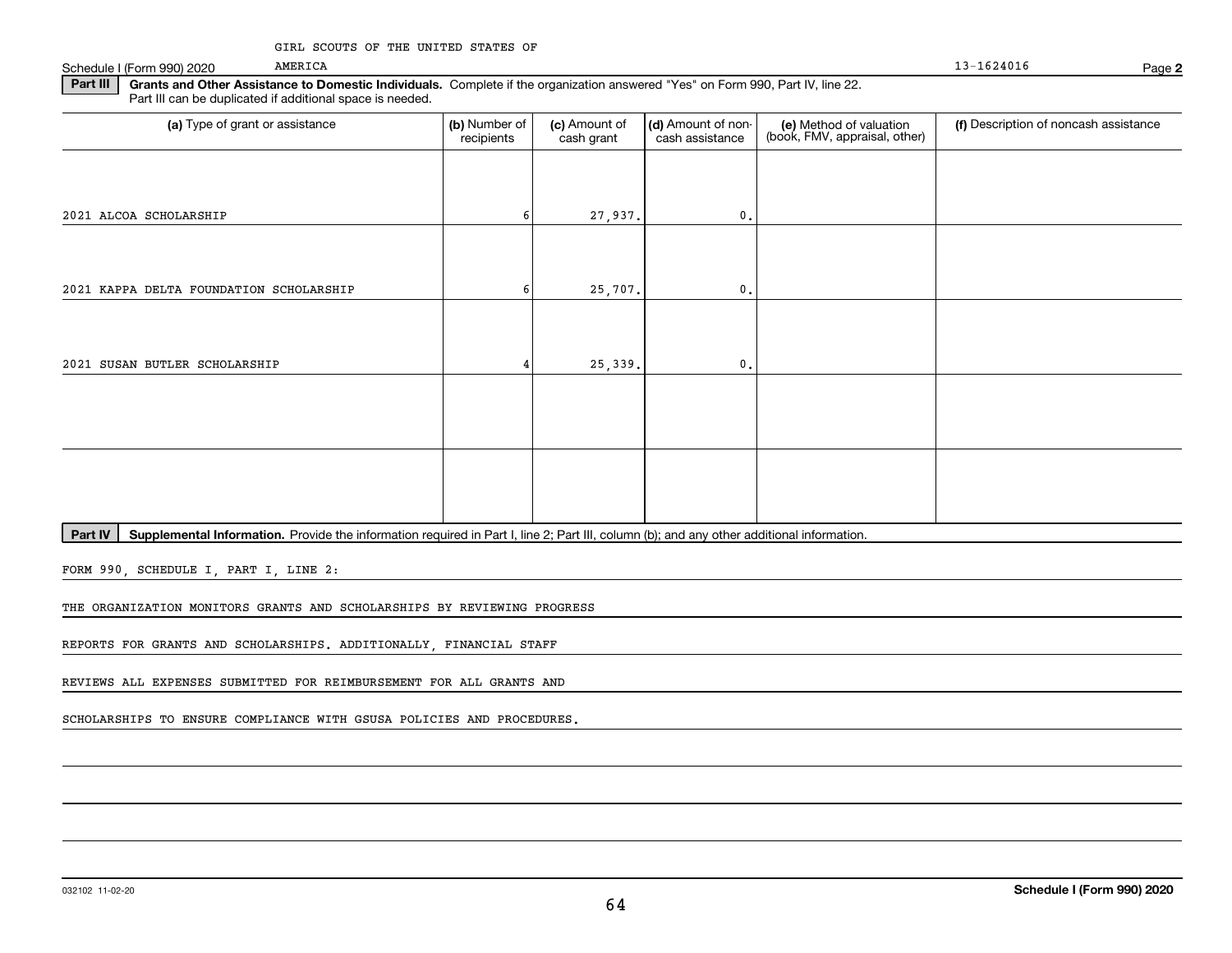Schedule I (Form 990) 2020

#### 13-1624016

**2**

**Part III | Grants and Other Assistance to Domestic Individuals. Complete if the organization answered "Yes" on Form 990, Part IV, line 22.** Part III can be duplicated if additional space is needed.

| (a) Type of grant or assistance         | (b) Number of<br>recipients | (c) Amount of<br>cash grant | (d) Amount of non-<br>cash assistance | (e) Method of valuation<br>(book, FMV, appraisal, other) | (f) Description of noncash assistance |
|-----------------------------------------|-----------------------------|-----------------------------|---------------------------------------|----------------------------------------------------------|---------------------------------------|
|                                         |                             |                             |                                       |                                                          |                                       |
| 2021 ALCOA SCHOLARSHIP                  |                             | 27,937.                     | $\mathbf{0}$ .                        |                                                          |                                       |
|                                         |                             |                             |                                       |                                                          |                                       |
| 2021 KAPPA DELTA FOUNDATION SCHOLARSHIP |                             | 25,707.                     | $\mathbf{0}$ .                        |                                                          |                                       |
|                                         |                             |                             |                                       |                                                          |                                       |
| 2021 SUSAN BUTLER SCHOLARSHIP           |                             | 25,339.                     | $\mathbf{0}$ .                        |                                                          |                                       |
|                                         |                             |                             |                                       |                                                          |                                       |
|                                         |                             |                             |                                       |                                                          |                                       |
|                                         |                             |                             |                                       |                                                          |                                       |
|                                         |                             |                             |                                       |                                                          |                                       |

Part IV | Supplemental Information. Provide the information required in Part I, line 2; Part III, column (b); and any other additional information.

FORM 990, SCHEDULE I, PART I, LINE 2:

THE ORGANIZATION MONITORS GRANTS AND SCHOLARSHIPS BY REVIEWING PROGRESS

REPORTS FOR GRANTS AND SCHOLARSHIPS. ADDITIONALLY, FINANCIAL STAFF

REVIEWS ALL EXPENSES SUBMITTED FOR REIMBURSEMENT FOR ALL GRANTS AND

SCHOLARSHIPS TO ENSURE COMPLIANCE WITH GSUSA POLICIES AND PROCEDURES.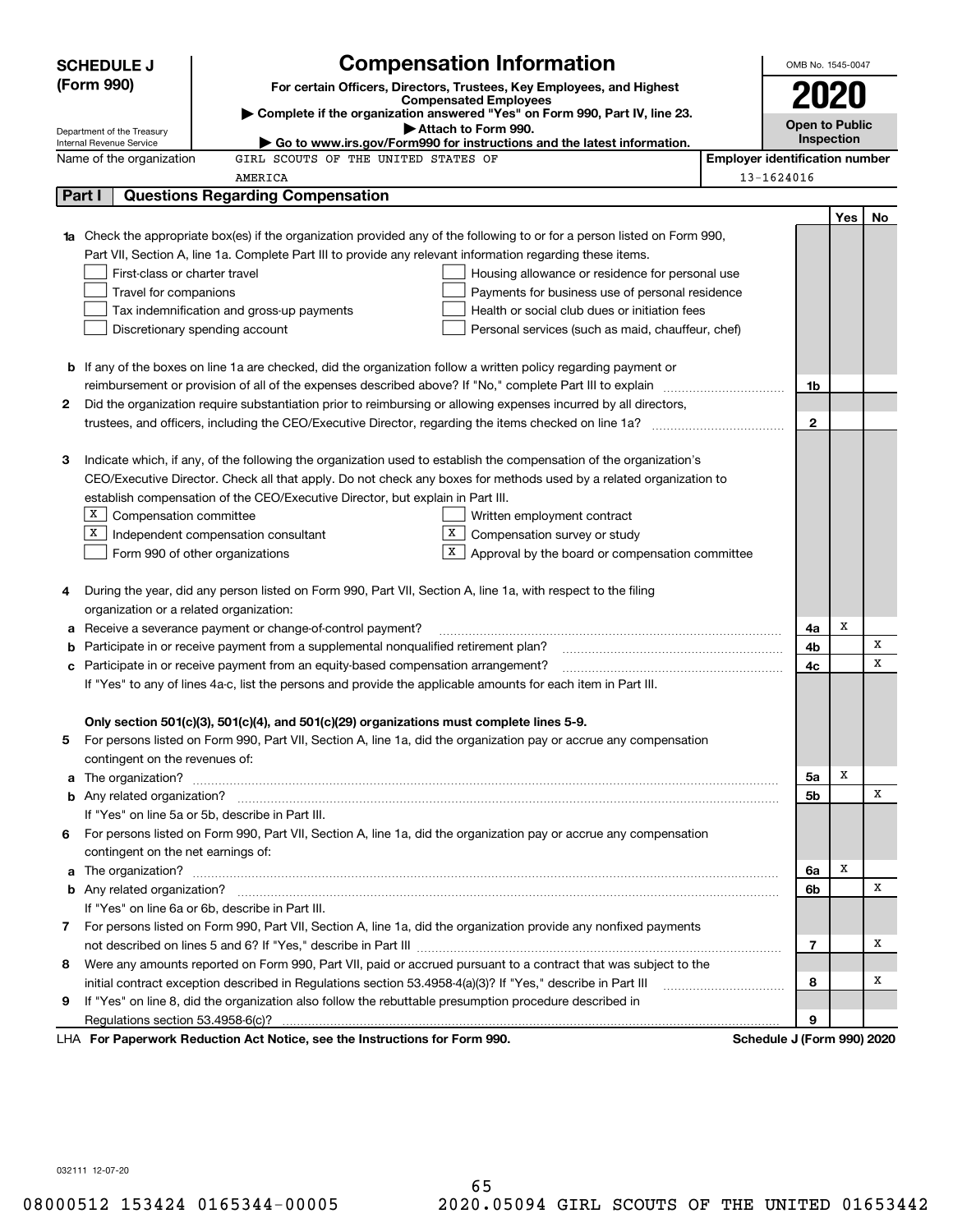|                                                                                                                                                                                                                                          | <b>SCHEDULE J</b>                                                                                                                                                                                                                    |                                                                                                               | <b>Compensation Information</b>                                                                                        |                                       | OMB No. 1545-0047          |     |    |  |
|------------------------------------------------------------------------------------------------------------------------------------------------------------------------------------------------------------------------------------------|--------------------------------------------------------------------------------------------------------------------------------------------------------------------------------------------------------------------------------------|---------------------------------------------------------------------------------------------------------------|------------------------------------------------------------------------------------------------------------------------|---------------------------------------|----------------------------|-----|----|--|
|                                                                                                                                                                                                                                          | (Form 990)                                                                                                                                                                                                                           |                                                                                                               | For certain Officers, Directors, Trustees, Key Employees, and Highest                                                  |                                       |                            |     |    |  |
|                                                                                                                                                                                                                                          |                                                                                                                                                                                                                                      |                                                                                                               | <b>Compensated Employees</b>                                                                                           |                                       | 2020                       |     |    |  |
|                                                                                                                                                                                                                                          | Department of the Treasury                                                                                                                                                                                                           |                                                                                                               | Complete if the organization answered "Yes" on Form 990, Part IV, line 23.<br>Attach to Form 990.                      |                                       | <b>Open to Public</b>      |     |    |  |
|                                                                                                                                                                                                                                          | Internal Revenue Service                                                                                                                                                                                                             |                                                                                                               | $\blacktriangleright$ Go to www.irs.gov/Form990 for instructions and the latest information.                           |                                       | Inspection                 |     |    |  |
|                                                                                                                                                                                                                                          | Name of the organization                                                                                                                                                                                                             | GIRL SCOUTS OF THE UNITED STATES OF                                                                           |                                                                                                                        | <b>Employer identification number</b> |                            |     |    |  |
|                                                                                                                                                                                                                                          |                                                                                                                                                                                                                                      | AMERICA                                                                                                       |                                                                                                                        |                                       | 13-1624016                 |     |    |  |
|                                                                                                                                                                                                                                          | Part I                                                                                                                                                                                                                               | Questions Regarding Compensation                                                                              |                                                                                                                        |                                       |                            |     |    |  |
|                                                                                                                                                                                                                                          |                                                                                                                                                                                                                                      |                                                                                                               |                                                                                                                        |                                       |                            | Yes | No |  |
|                                                                                                                                                                                                                                          |                                                                                                                                                                                                                                      |                                                                                                               | Check the appropriate box(es) if the organization provided any of the following to or for a person listed on Form 990, |                                       |                            |     |    |  |
|                                                                                                                                                                                                                                          |                                                                                                                                                                                                                                      | Part VII, Section A, line 1a. Complete Part III to provide any relevant information regarding these items.    |                                                                                                                        |                                       |                            |     |    |  |
|                                                                                                                                                                                                                                          | First-class or charter travel<br>Housing allowance or residence for personal use                                                                                                                                                     |                                                                                                               |                                                                                                                        |                                       |                            |     |    |  |
|                                                                                                                                                                                                                                          | Travel for companions<br>Payments for business use of personal residence                                                                                                                                                             |                                                                                                               |                                                                                                                        |                                       |                            |     |    |  |
|                                                                                                                                                                                                                                          |                                                                                                                                                                                                                                      | Tax indemnification and gross-up payments                                                                     | Health or social club dues or initiation fees                                                                          |                                       |                            |     |    |  |
|                                                                                                                                                                                                                                          |                                                                                                                                                                                                                                      | Discretionary spending account                                                                                | Personal services (such as maid, chauffeur, chef)                                                                      |                                       |                            |     |    |  |
|                                                                                                                                                                                                                                          |                                                                                                                                                                                                                                      |                                                                                                               |                                                                                                                        |                                       |                            |     |    |  |
| <b>b</b> If any of the boxes on line 1a are checked, did the organization follow a written policy regarding payment or<br>reimbursement or provision of all of the expenses described above? If "No," complete Part III to explain<br>1b |                                                                                                                                                                                                                                      |                                                                                                               |                                                                                                                        |                                       |                            |     |    |  |
|                                                                                                                                                                                                                                          |                                                                                                                                                                                                                                      |                                                                                                               |                                                                                                                        |                                       |                            |     |    |  |
|                                                                                                                                                                                                                                          | Did the organization require substantiation prior to reimbursing or allowing expenses incurred by all directors,<br>2                                                                                                                |                                                                                                               |                                                                                                                        |                                       |                            |     |    |  |
|                                                                                                                                                                                                                                          | $\mathbf{2}$                                                                                                                                                                                                                         |                                                                                                               |                                                                                                                        |                                       |                            |     |    |  |
| З                                                                                                                                                                                                                                        |                                                                                                                                                                                                                                      |                                                                                                               | Indicate which, if any, of the following the organization used to establish the compensation of the organization's     |                                       |                            |     |    |  |
|                                                                                                                                                                                                                                          |                                                                                                                                                                                                                                      |                                                                                                               | CEO/Executive Director. Check all that apply. Do not check any boxes for methods used by a related organization to     |                                       |                            |     |    |  |
|                                                                                                                                                                                                                                          |                                                                                                                                                                                                                                      | establish compensation of the CEO/Executive Director, but explain in Part III.                                |                                                                                                                        |                                       |                            |     |    |  |
|                                                                                                                                                                                                                                          | $X$ Compensation committee                                                                                                                                                                                                           |                                                                                                               | Written employment contract                                                                                            |                                       |                            |     |    |  |
|                                                                                                                                                                                                                                          | х<br>X  <br>Compensation survey or study<br>Independent compensation consultant                                                                                                                                                      |                                                                                                               |                                                                                                                        |                                       |                            |     |    |  |
|                                                                                                                                                                                                                                          | X  <br>Approval by the board or compensation committee<br>Form 990 of other organizations                                                                                                                                            |                                                                                                               |                                                                                                                        |                                       |                            |     |    |  |
|                                                                                                                                                                                                                                          |                                                                                                                                                                                                                                      |                                                                                                               |                                                                                                                        |                                       |                            |     |    |  |
| 4                                                                                                                                                                                                                                        |                                                                                                                                                                                                                                      | During the year, did any person listed on Form 990, Part VII, Section A, line 1a, with respect to the filing  |                                                                                                                        |                                       |                            |     |    |  |
|                                                                                                                                                                                                                                          | organization or a related organization:                                                                                                                                                                                              |                                                                                                               |                                                                                                                        |                                       |                            |     |    |  |
| а                                                                                                                                                                                                                                        |                                                                                                                                                                                                                                      | Receive a severance payment or change-of-control payment?                                                     |                                                                                                                        |                                       | 4a                         | х   |    |  |
| b                                                                                                                                                                                                                                        |                                                                                                                                                                                                                                      | Participate in or receive payment from a supplemental nonqualified retirement plan?                           |                                                                                                                        |                                       | 4b                         |     | x  |  |
| с                                                                                                                                                                                                                                        |                                                                                                                                                                                                                                      | Participate in or receive payment from an equity-based compensation arrangement?                              |                                                                                                                        |                                       | 4c                         |     | X  |  |
|                                                                                                                                                                                                                                          |                                                                                                                                                                                                                                      | If "Yes" to any of lines 4a-c, list the persons and provide the applicable amounts for each item in Part III. |                                                                                                                        |                                       |                            |     |    |  |
|                                                                                                                                                                                                                                          |                                                                                                                                                                                                                                      |                                                                                                               |                                                                                                                        |                                       |                            |     |    |  |
|                                                                                                                                                                                                                                          |                                                                                                                                                                                                                                      | Only section 501(c)(3), 501(c)(4), and 501(c)(29) organizations must complete lines 5-9.                      |                                                                                                                        |                                       |                            |     |    |  |
| 5                                                                                                                                                                                                                                        |                                                                                                                                                                                                                                      |                                                                                                               | For persons listed on Form 990, Part VII, Section A, line 1a, did the organization pay or accrue any compensation      |                                       |                            |     |    |  |
|                                                                                                                                                                                                                                          | contingent on the revenues of:                                                                                                                                                                                                       |                                                                                                               |                                                                                                                        |                                       |                            |     |    |  |
| a                                                                                                                                                                                                                                        |                                                                                                                                                                                                                                      |                                                                                                               | The organization? <b>With the organization? Constitution of the organization</b> of the organization?                  |                                       | 5a                         | Х   |    |  |
|                                                                                                                                                                                                                                          |                                                                                                                                                                                                                                      |                                                                                                               |                                                                                                                        |                                       | 5b                         |     | X  |  |
|                                                                                                                                                                                                                                          |                                                                                                                                                                                                                                      | If "Yes" on line 5a or 5b, describe in Part III.                                                              |                                                                                                                        |                                       |                            |     |    |  |
| 6                                                                                                                                                                                                                                        |                                                                                                                                                                                                                                      |                                                                                                               | For persons listed on Form 990, Part VII, Section A, line 1a, did the organization pay or accrue any compensation      |                                       |                            |     |    |  |
|                                                                                                                                                                                                                                          | contingent on the net earnings of:                                                                                                                                                                                                   |                                                                                                               |                                                                                                                        |                                       |                            | Х   |    |  |
| a                                                                                                                                                                                                                                        | The organization? <b>With the contract of the contract of the contract of the contract of the contract of the contract of the contract of the contract of the contract of the contract of the contract of the contract of the co</b> |                                                                                                               |                                                                                                                        |                                       |                            |     |    |  |
|                                                                                                                                                                                                                                          |                                                                                                                                                                                                                                      |                                                                                                               |                                                                                                                        |                                       | 6b                         |     | х  |  |
|                                                                                                                                                                                                                                          |                                                                                                                                                                                                                                      | If "Yes" on line 6a or 6b, describe in Part III.                                                              |                                                                                                                        |                                       |                            |     |    |  |
|                                                                                                                                                                                                                                          |                                                                                                                                                                                                                                      |                                                                                                               | 7 For persons listed on Form 990, Part VII, Section A, line 1a, did the organization provide any nonfixed payments     |                                       |                            |     |    |  |
|                                                                                                                                                                                                                                          |                                                                                                                                                                                                                                      |                                                                                                               |                                                                                                                        |                                       | 7                          |     | х  |  |
| Were any amounts reported on Form 990, Part VII, paid or accrued pursuant to a contract that was subject to the<br>8                                                                                                                     |                                                                                                                                                                                                                                      |                                                                                                               |                                                                                                                        |                                       |                            |     |    |  |
|                                                                                                                                                                                                                                          | initial contract exception described in Regulations section 53.4958-4(a)(3)? If "Yes," describe in Part III                                                                                                                          |                                                                                                               |                                                                                                                        |                                       |                            |     |    |  |
| 9                                                                                                                                                                                                                                        | If "Yes" on line 8, did the organization also follow the rebuttable presumption procedure described in                                                                                                                               |                                                                                                               |                                                                                                                        |                                       |                            |     |    |  |
|                                                                                                                                                                                                                                          |                                                                                                                                                                                                                                      |                                                                                                               |                                                                                                                        |                                       | 9                          |     |    |  |
|                                                                                                                                                                                                                                          |                                                                                                                                                                                                                                      | LHA For Paperwork Reduction Act Notice, see the Instructions for Form 990.                                    |                                                                                                                        |                                       | Schedule J (Form 990) 2020 |     |    |  |

032111 12-07-20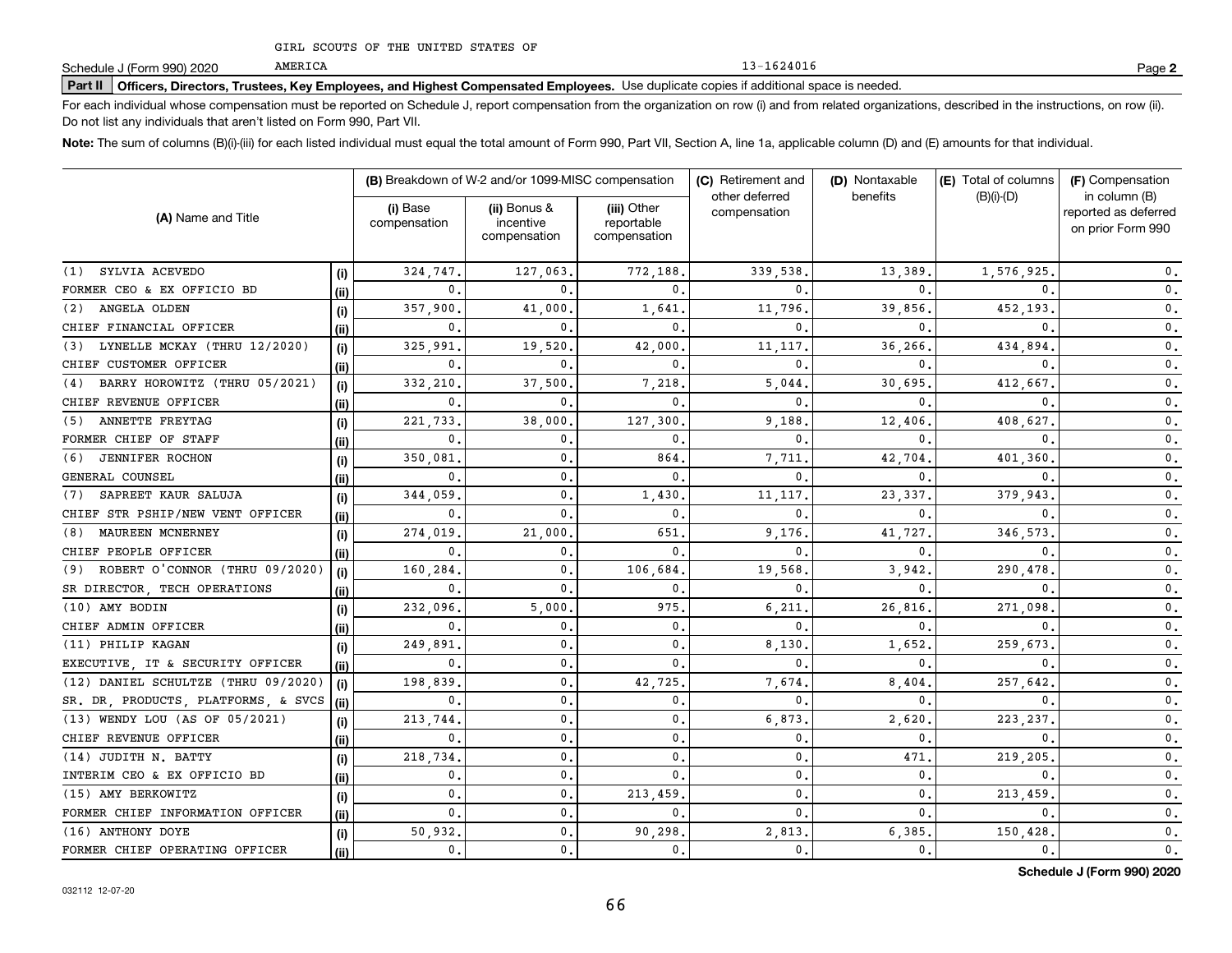13-1624016

# **Part II Officers, Directors, Trustees, Key Employees, and Highest Compensated Employees.**  Schedule J (Form 990) 2020 Page Use duplicate copies if additional space is needed.

For each individual whose compensation must be reported on Schedule J, report compensation from the organization on row (i) and from related organizations, described in the instructions, on row (ii). Do not list any individuals that aren't listed on Form 990, Part VII.

**Note:**  The sum of columns (B)(i)-(iii) for each listed individual must equal the total amount of Form 990, Part VII, Section A, line 1a, applicable column (D) and (E) amounts for that individual.

|                                       |      |                | (B) Breakdown of W-2 and/or 1099-MISC compensation<br>(C) Retirement and |                                           |                                | (D) Nontaxable | (E) Total of columns | (F) Compensation                                           |
|---------------------------------------|------|----------------|--------------------------------------------------------------------------|-------------------------------------------|--------------------------------|----------------|----------------------|------------------------------------------------------------|
| (A) Name and Title                    |      |                | (ii) Bonus &<br>incentive<br>compensation                                | (iii) Other<br>reportable<br>compensation | other deferred<br>compensation | benefits       | $(B)(i)-(D)$         | in column (B)<br>reported as deferred<br>on prior Form 990 |
| SYLVIA ACEVEDO<br>(1)                 | (i)  | 324.747.       | 127,063                                                                  | 772,188                                   | 339,538                        | 13,389         | 1,576,925            | $\mathbf{0}$ .                                             |
| FORMER CEO & EX OFFICIO BD            | (ii) | 0.             | $\Omega$                                                                 | $\Omega$                                  | 0                              | $\Omega$       | O.                   | $\mathbf 0$ .                                              |
| ANGELA OLDEN<br>(2)                   | (i)  | 357,900        | 41,000                                                                   | 1,641                                     | 11,796                         | 39,856         | 452,193              | $\mathbf{0}$ .                                             |
| CHIEF FINANCIAL OFFICER               | (ii) | $\mathbf 0$ .  | 0                                                                        | $\mathbf{0}$ .                            | 0                              | 0              | $\Omega$             | 0.                                                         |
| LYNELLE MCKAY (THRU 12/2020)<br>(3)   | (i)  | 325,991        | 19,520                                                                   | 42,000                                    | 11,117                         | 36,266         | 434,894              | $\mathbf{0}$ .                                             |
| CHIEF CUSTOMER OFFICER                | (ii) | $\mathbf{0}$   | 0                                                                        | $\mathbf{0}$ .                            | 0                              | 0              | $\Omega$             | $\mathbf{0}$ .                                             |
| BARRY HOROWITZ (THRU 05/2021)<br>(4)  | (i)  | 332,210        | 37,500                                                                   | 7,218                                     | 5,044                          | 30,695         | 412,667              | 0.                                                         |
| CHIEF REVENUE OFFICER                 | (ii) | $\mathbf{0}$   | 0.                                                                       | 0.                                        | 0                              | 0              | 0                    | 0.                                                         |
| ANNETTE FREYTAG<br>(5)                | (i)  | 221,733        | 38,000                                                                   | 127,300                                   | 9,188                          | 12,406         | 408,627              | $\mathbf{0}$ .                                             |
| FORMER CHIEF OF STAFF                 | (ii) | 0.             | 0.                                                                       | $\mathbf{0}$ .                            | 0                              | 0              | $\Omega$             | $\mathbf{0}$ .                                             |
| <b>JENNIFER ROCHON</b><br>(6)         | (i)  | 350,081        | $\mathbf{0}$ .                                                           | 864                                       | 7.711                          | 42.704         | 401,360              | 0.                                                         |
| GENERAL COUNSEL                       | (ii) | $\mathbf{0}$   | $\mathbf 0$ .                                                            | 0.                                        | 0                              | 0              | 0                    | 0.                                                         |
| SAPREET KAUR SALUJA<br>(7)            | (i)  | 344,059        | 0.                                                                       | 1,430                                     | 11,117                         | 23,337         | 379,943              | 0.                                                         |
| CHIEF STR PSHIP/NEW VENT OFFICER      | (ii) | $\mathbf 0$ .  | 0                                                                        | 0.                                        | 0                              | 0              | 0                    | $\mathbf{0}$ .                                             |
| MAUREEN MCNERNEY<br>(8)               | (i)  | 274,019        | 21,000                                                                   | 651                                       | 9.176                          | 41,727         | 346.573              | $\mathbf{0}$ .                                             |
| CHIEF PEOPLE OFFICER                  | (ii) | $\mathbf{0}$   | 0                                                                        | 0.                                        | 0                              | 0              | 0                    | 0.                                                         |
| ROBERT O'CONNOR (THRU 09/2020)<br>(9) | (i)  | 160,284        | $\mathbf{0}$                                                             | 106,684                                   | 19,568                         | 3,942          | 290,478              | 0.                                                         |
| SR DIRECTOR, TECH OPERATIONS          | (ii) | $\mathbf{0}$   | $\mathbf 0$                                                              | 0.                                        | 0                              | 0              | 0                    | $\mathbf{0}$ .                                             |
| (10) AMY BODIN                        | (i)  | 232,096.       | 5,000                                                                    | 975                                       | 6,211                          | 26,816         | 271,098              | $\mathbf 0$ .                                              |
| CHIEF ADMIN OFFICER                   | (ii) | $\mathbf{0}$   | $\mathbf{0}$                                                             | 0.                                        | 0                              | 0              | 0                    | 0.                                                         |
| (11) PHILIP KAGAN                     | (i)  | 249,891        | 0.                                                                       | 0.                                        | 8,130                          | 1,652          | 259,673              | 0.                                                         |
| EXECUTIVE, IT & SECURITY OFFICER      | (ii) | 0.             | 0.                                                                       | $\mathbf{0}$ .                            | 0                              | 0              | 0                    | $\mathbf{0}$ .                                             |
| (12) DANIEL SCHULTZE (THRU 09/2020)   | (i)  | 198,839        | 0.                                                                       | 42,725                                    | 7,674                          | 8,404          | 257.642              | $\mathbf{0}$ .                                             |
| SR. DR. PRODUCTS, PLATFORMS, & SVCS   | (ii) | $\mathbf{0}$ . | $\mathbf{0}$ .                                                           | $\mathbf 0$ .                             | 0                              | 0              | $\mathbf{0}$         | $\mathbf 0$ .                                              |
| (13) WENDY LOU (AS OF 05/2021)        | (i)  | 213,744        | $\mathbf{0}$ .                                                           | $\mathbf{0}$ .                            | 6,873                          | 2,620          | 223, 237             | $\mathbf 0$ .                                              |
| CHIEF REVENUE OFFICER                 | (i)  | $\mathbf{0}$ . | $\mathbf{0}$ .                                                           | $\mathbf{0}$ .                            | 0.                             | 0              | 0                    | $\mathbf 0$ .                                              |
| (14) JUDITH N. BATTY                  | (i)  | 218,734        | 0.                                                                       | $\mathbf{0}$ .                            | 0                              | 471            | 219,205              | $\mathbf 0$ .                                              |
| INTERIM CEO & EX OFFICIO BD           | (ii) | 0.             | $\mathbf{0}$ .                                                           | $\mathbf{0}$ .                            | 0.                             | $\mathbf 0$ .  | $\mathbf{0}$         | $\mathbf{0}$ .                                             |
| (15) AMY BERKOWITZ                    | (i)  | 0.             | $\mathbf{0}$ .                                                           | 213,459                                   | $\mathbf{0}$ .                 | $\mathbf{0}$ . | 213,459              | $\mathbf{0}$ .                                             |
| FORMER CHIEF INFORMATION OFFICER      | (ii) | $\mathbf{0}$ . | $\mathbf{0}$ .                                                           | $\mathbf 0$ .                             | 0                              | $\mathbf{0}$ . | $\mathbf{0}$         | $\mathbf 0$ .                                              |
| (16) ANTHONY DOYE                     | (i)  | 50,932.        | $\mathbf{0}$ .                                                           | 90,298.                                   | 2,813                          | 6,385          | 150,428              | $\mathfrak o$ .                                            |
| FORMER CHIEF OPERATING OFFICER        | (ii) | 0.             | $\mathbf{0}$ .                                                           | $\mathbf{0}$ .                            | 0.                             | $\mathbf{0}$ . | 0.                   | $\mathbf 0$ .                                              |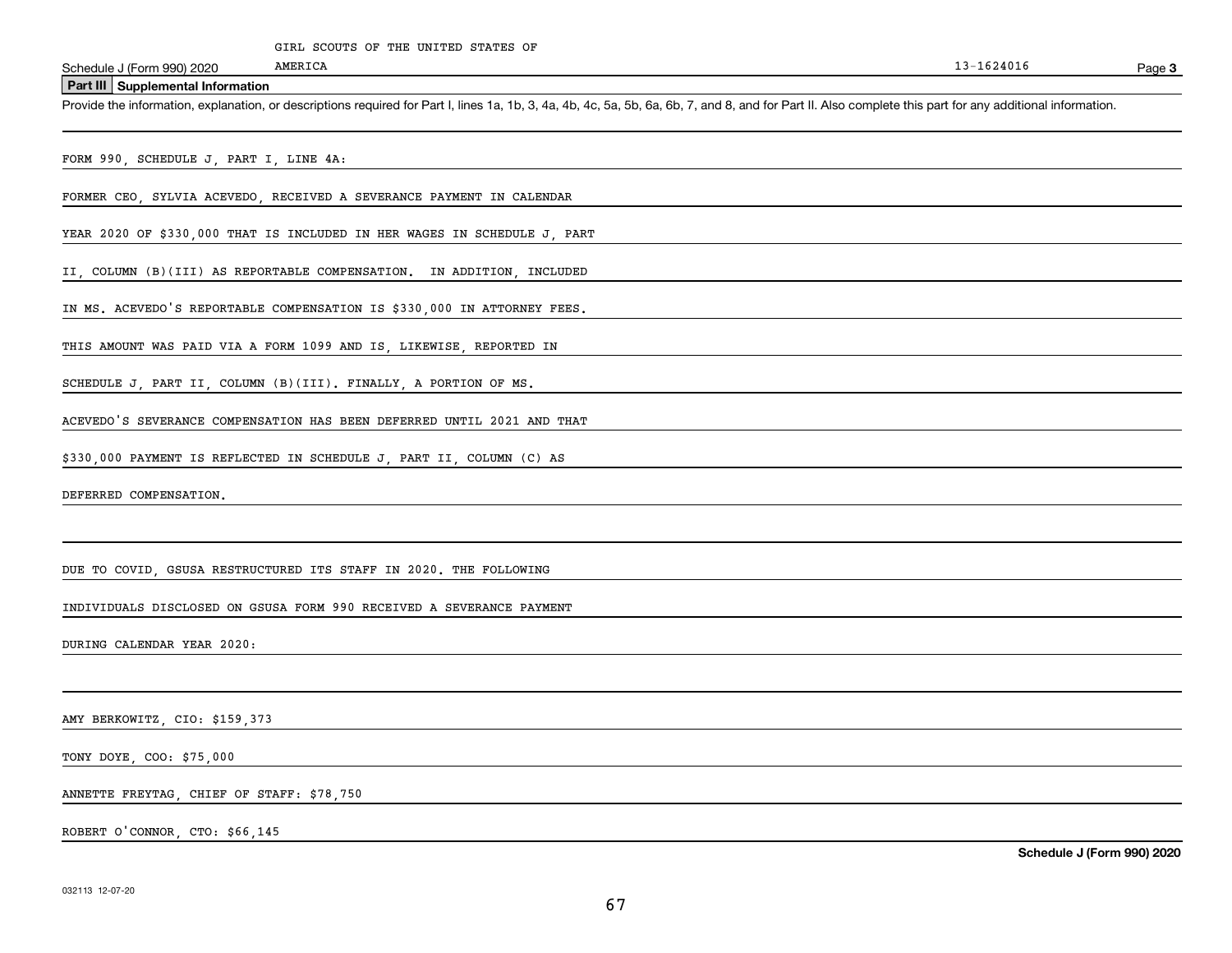**Part III Supplemental Information**

Schedule J (Form 990) 2020 MMERICA<br>**Part III** Supplemental Information<br>Provide the information, explanation, or descriptions required for Part I, lines 1a, 1b, 3, 4a, 4b, 4c, 5a, 5b, 6a, 6b, 7, and 8, and for Part II. Also

FORM 990, SCHEDULE J, PART I, LINE 4A:

FORMER CEO, SYLVIA ACEVEDO, RECEIVED A SEVERANCE PAYMENT IN CALENDAR

AMERICA

YEAR 2020 OF \$330,000 THAT IS INCLUDED IN HER WAGES IN SCHEDULE J, PART

II, COLUMN (B)(III) AS REPORTABLE COMPENSATION. IN ADDITION, INCLUDED

IN MS. ACEVEDO'S REPORTABLE COMPENSATION IS \$330,000 IN ATTORNEY FEES.

THIS AMOUNT WAS PAID VIA A FORM 1099 AND IS, LIKEWISE, REPORTED IN

SCHEDULE J, PART II, COLUMN (B)(III). FINALLY, A PORTION OF MS.

ACEVEDO'S SEVERANCE COMPENSATION HAS BEEN DEFERRED UNTIL 2021 AND THAT

\$330,000 PAYMENT IS REFLECTED IN SCHEDULE J, PART II, COLUMN (C) AS

DEFERRED COMPENSATION.

DUE TO COVID, GSUSA RESTRUCTURED ITS STAFF IN 2020. THE FOLLOWING

INDIVIDUALS DISCLOSED ON GSUSA FORM 990 RECEIVED A SEVERANCE PAYMENT

DURING CALENDAR YEAR 2020:

AMY BERKOWITZ, CIO: \$159,373

TONY DOYE, COO: \$75,000

ANNETTE FREYTAG, CHIEF OF STAFF: \$78,750

ROBERT O'CONNOR, CTO: \$66,145

Page 3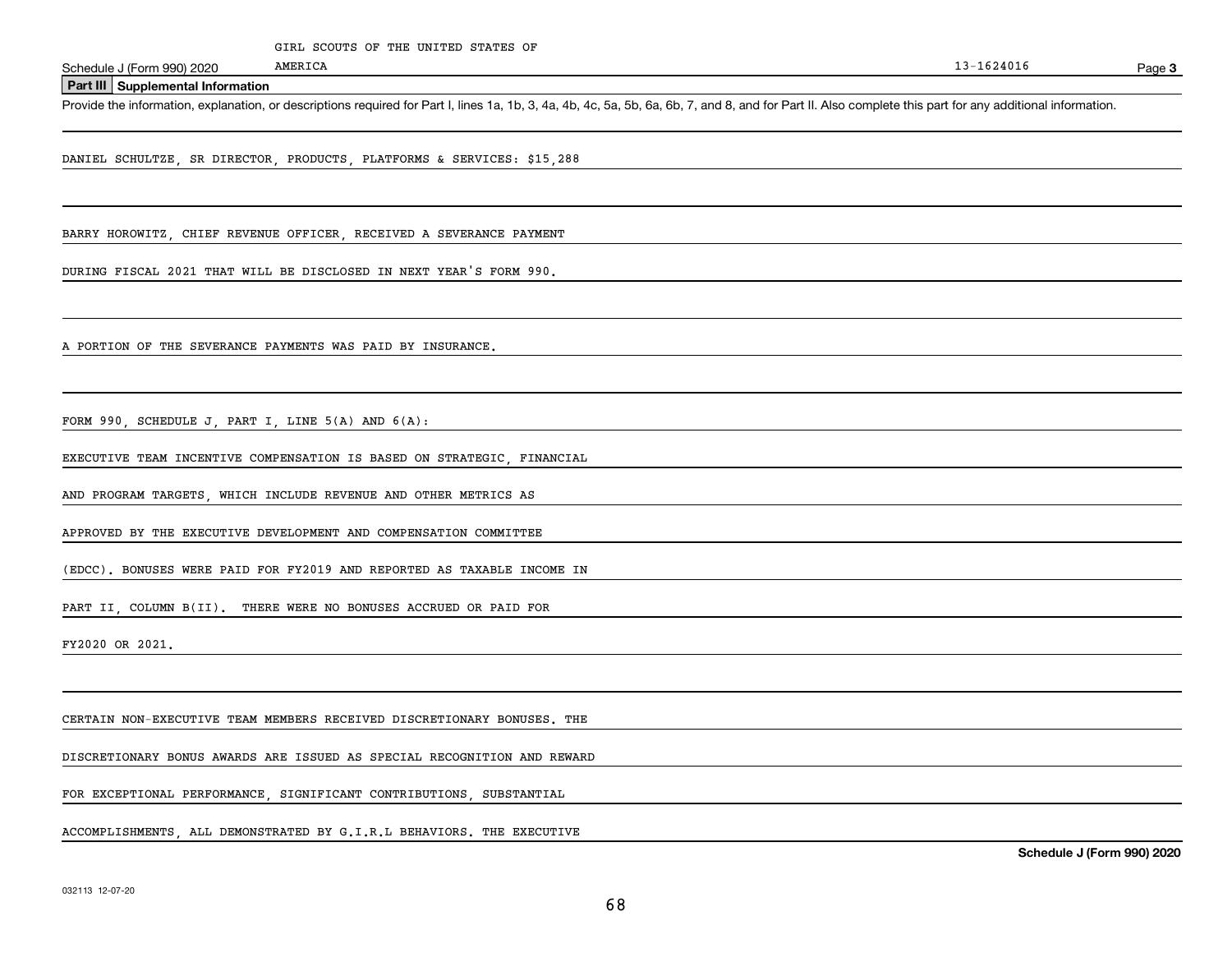**Part III Supplemental Information**

Schedule J (Form 990) 2020 MMERICA<br>**Part III** Supplemental Information<br>Provide the information, explanation, or descriptions required for Part I, lines 1a, 1b, 3, 4a, 4b, 4c, 5a, 5b, 6a, 6b, 7, and 8, and for Part II. Also

DANIEL SCHULTZE, SR DIRECTOR, PRODUCTS, PLATFORMS & SERVICES: \$15,288

AMERICA

BARRY HOROWITZ, CHIEF REVENUE OFFICER, RECEIVED A SEVERANCE PAYMENT

DURING FISCAL 2021 THAT WILL BE DISCLOSED IN NEXT YEAR'S FORM 990.

A PORTION OF THE SEVERANCE PAYMENTS WAS PAID BY INSURANCE.

FORM 990, SCHEDULE J, PART I, LINE 5(A) AND  $6(A)$ :

EXECUTIVE TEAM INCENTIVE COMPENSATION IS BASED ON STRATEGIC, FINANCIAL

AND PROGRAM TARGETS, WHICH INCLUDE REVENUE AND OTHER METRICS AS

APPROVED BY THE EXECUTIVE DEVELOPMENT AND COMPENSATION COMMITTEE

(EDCC). BONUSES WERE PAID FOR FY2019 AND REPORTED AS TAXABLE INCOME IN

PART II, COLUMN B(II). THERE WERE NO BONUSES ACCRUED OR PAID FOR

FY2020 OR 2021.

CERTAIN NON-EXECUTIVE TEAM MEMBERS RECEIVED DISCRETIONARY BONUSES. THE

DISCRETIONARY BONUS AWARDS ARE ISSUED AS SPECIAL RECOGNITION AND REWARD

FOR EXCEPTIONAL PERFORMANCE, SIGNIFICANT CONTRIBUTIONS, SUBSTANTIAL

ACCOMPLISHMENTS, ALL DEMONSTRATED BY G.I.R.L BEHAVIORS. THE EXECUTIVE

 $13-1624016$ 

Page 3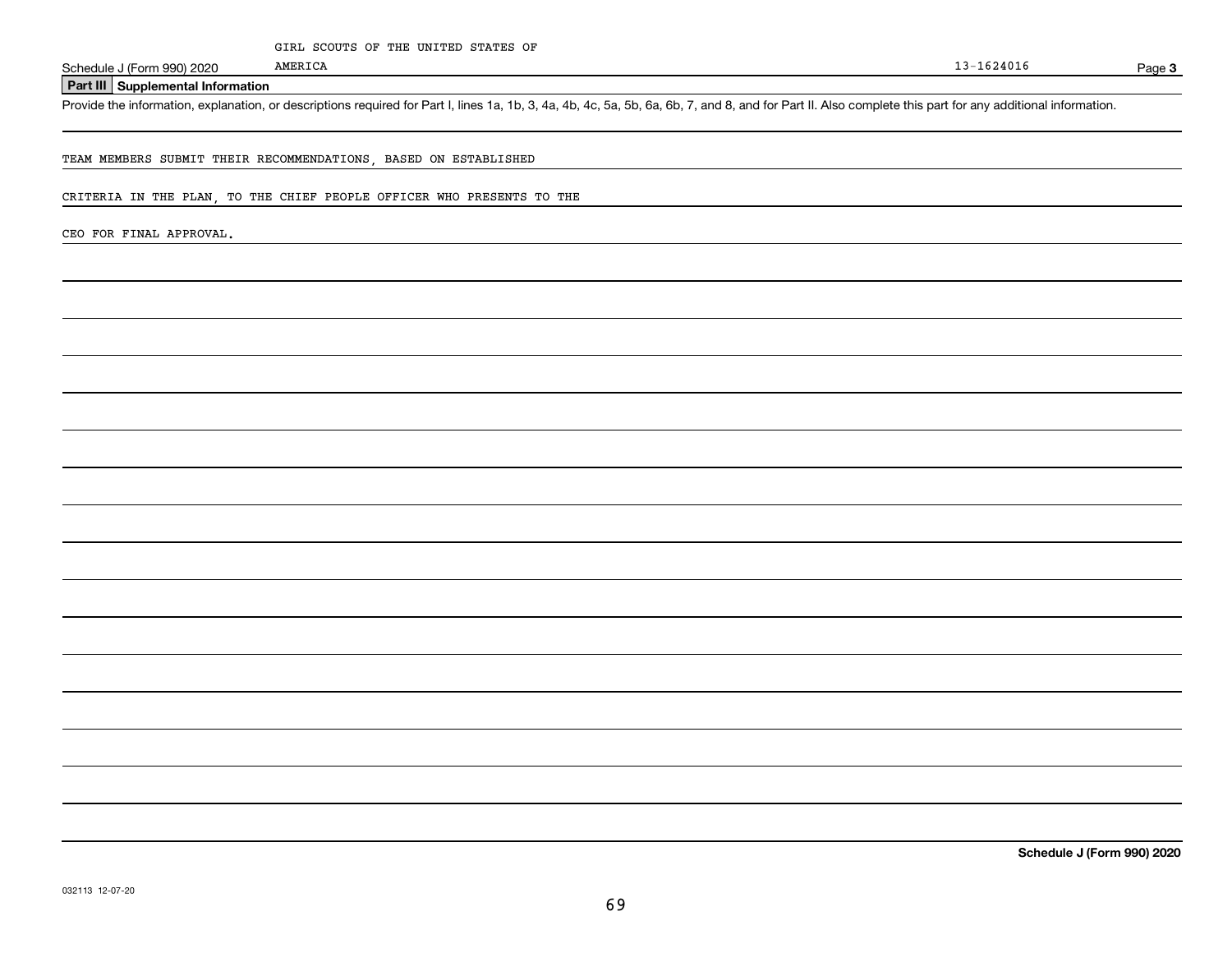Page 3

**Part III Supplemental Information**

Schedule J (Form 990) 2020 MMERICA<br>**Part III** Supplemental Information<br>Provide the information, explanation, or descriptions required for Part I, lines 1a, 1b, 3, 4a, 4b, 4c, 5a, 5b, 6a, 6b, 7, and 8, and for Part II. Also

TEAM MEMBERS SUBMIT THEIR RECOMMENDATIONS, BASED ON ESTABLISHED

AMERICA

CRITERIA IN THE PLAN, TO THE CHIEF PEOPLE OFFICER WHO PRESENTS TO THE

CEO FOR FINAL APPROVAL.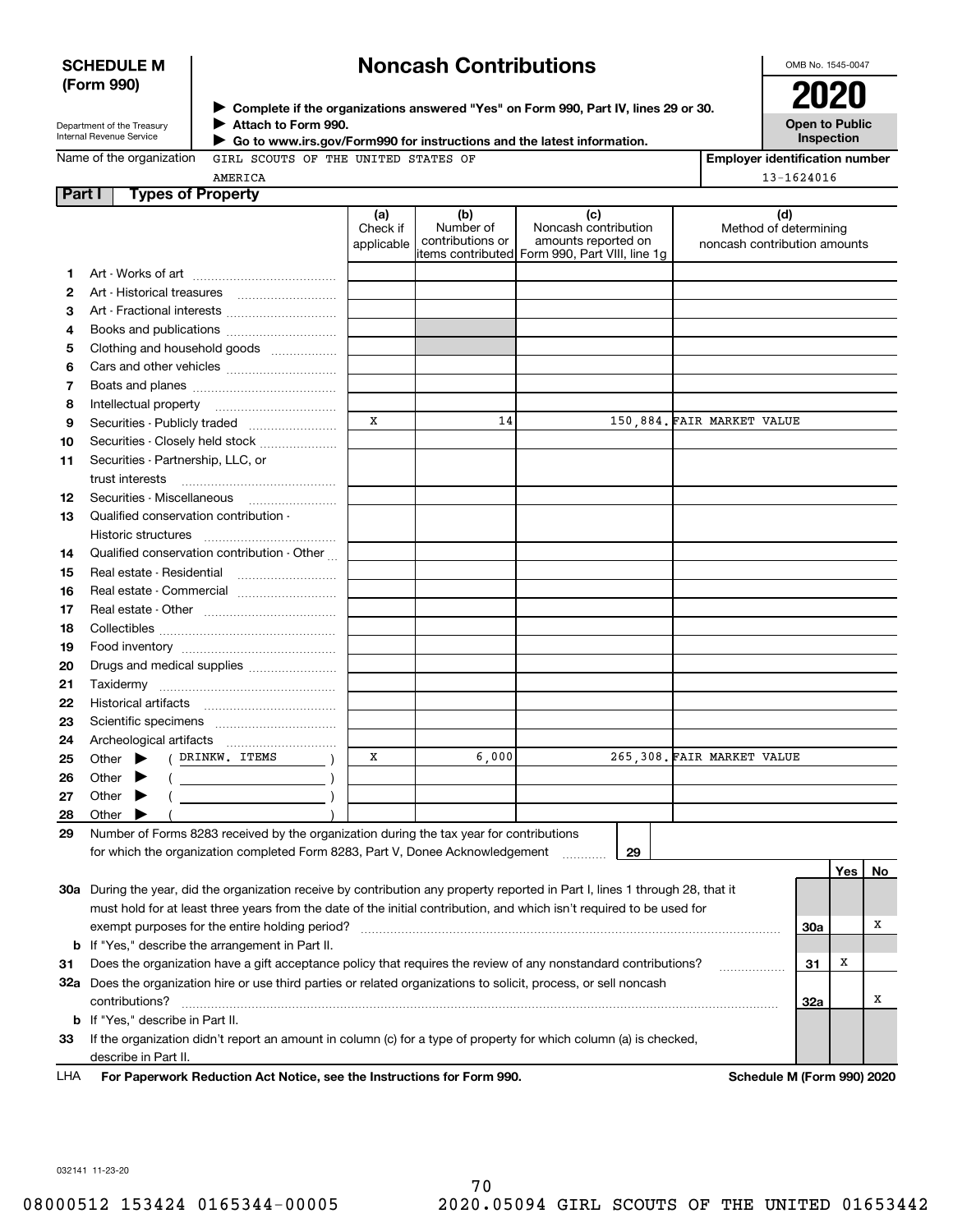## **SCHEDULE M (Form 990)**

# **Noncash Contributions**

OMB No. 1545-0047

| Department of the Treasury |
|----------------------------|
| Internal Revenue Service   |

**Complete if the organizations answered "Yes" on Form 990, Part IV, lines 29 or 30.** <sup>J</sup>**2020 Attach to Form 990.** J

**Open to Public Inspection**

| Name of the organization GIRL SC |         |  |
|----------------------------------|---------|--|
|                                  | AMERICA |  |

 **Go to www.irs.gov/Form990 for instructions and the latest information.** J

|  | ion GIRL SCOUTS OF THE UNITED STATES OF |  |  |  |
|--|-----------------------------------------|--|--|--|

| <b>Employer identification number</b> |  |  |  |  |  |  |
|---------------------------------------|--|--|--|--|--|--|
| 13-1624016                            |  |  |  |  |  |  |

| Method of determining<br>noncash contribution amounts |            |
|-------------------------------------------------------|------------|
|                                                       |            |
|                                                       |            |
|                                                       |            |
|                                                       |            |
|                                                       |            |
|                                                       |            |
|                                                       |            |
|                                                       |            |
|                                                       |            |
|                                                       |            |
|                                                       |            |
|                                                       |            |
|                                                       |            |
|                                                       |            |
|                                                       |            |
|                                                       |            |
|                                                       |            |
|                                                       |            |
|                                                       |            |
|                                                       |            |
|                                                       |            |
|                                                       |            |
|                                                       |            |
|                                                       |            |
|                                                       |            |
|                                                       |            |
|                                                       |            |
|                                                       |            |
|                                                       |            |
|                                                       |            |
|                                                       |            |
|                                                       |            |
|                                                       |            |
|                                                       |            |
|                                                       |            |
|                                                       | No         |
|                                                       |            |
|                                                       |            |
|                                                       | х          |
|                                                       |            |
|                                                       |            |
|                                                       |            |
|                                                       | х          |
|                                                       |            |
|                                                       |            |
|                                                       |            |
|                                                       |            |
|                                                       | Yes  <br>X |

032141 11-23-20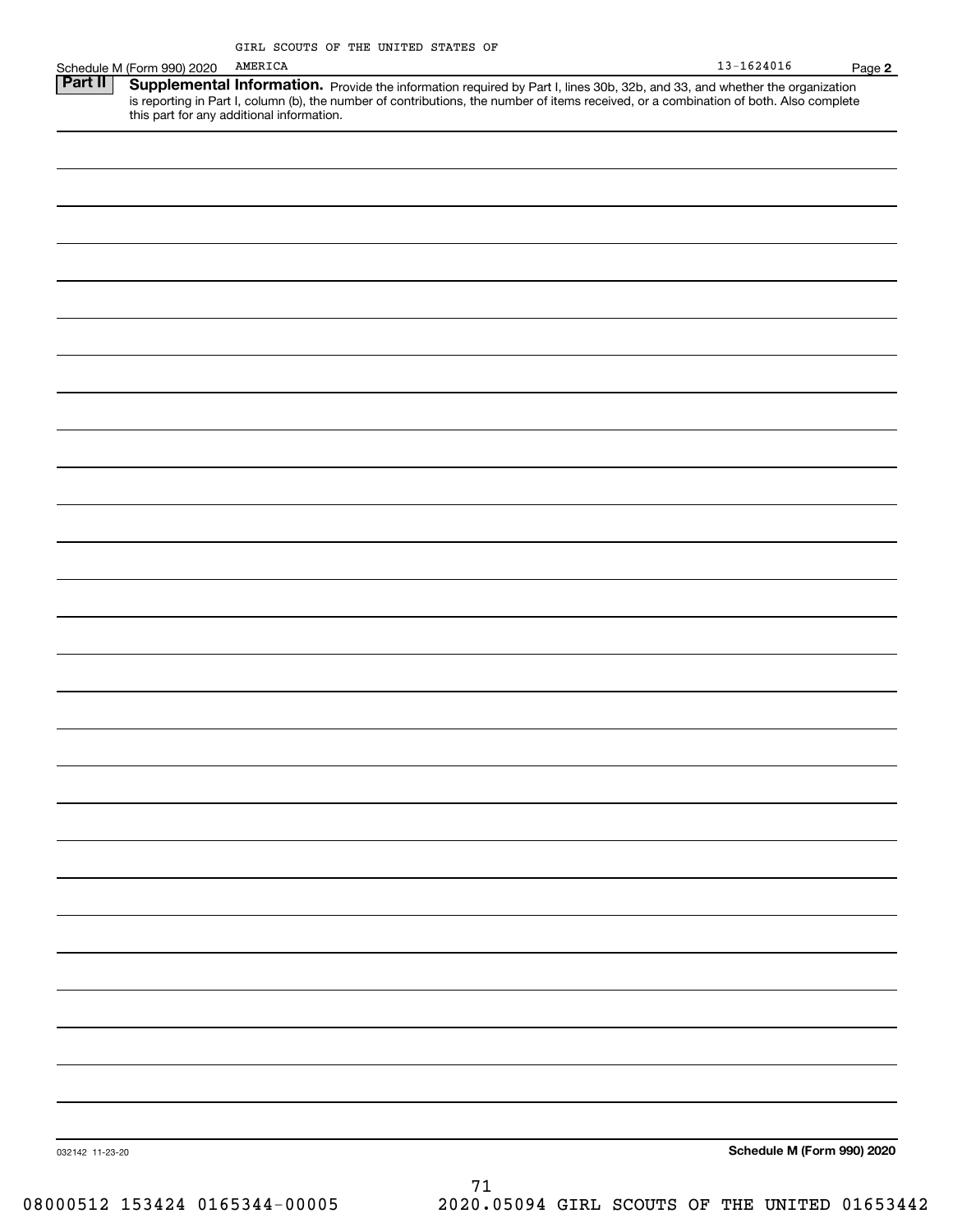|                 |                            | GIRL SCOUTS OF THE UNITED STATES OF                                                                                                                                                                                                                                              |                            |
|-----------------|----------------------------|----------------------------------------------------------------------------------------------------------------------------------------------------------------------------------------------------------------------------------------------------------------------------------|----------------------------|
|                 | Schedule M (Form 990) 2020 | AMERICA                                                                                                                                                                                                                                                                          | $13 - 1624016$<br>Page 2   |
| <b>Part II</b>  |                            | <b>Supplemental Information.</b> Provide the information required by Part I, lines 30b, 32b, and 33, and whether the organization is reporting in Part I, column (b), the number of contributions, the number of items received, or<br>this part for any additional information. |                            |
|                 |                            |                                                                                                                                                                                                                                                                                  |                            |
|                 |                            |                                                                                                                                                                                                                                                                                  |                            |
|                 |                            |                                                                                                                                                                                                                                                                                  |                            |
|                 |                            |                                                                                                                                                                                                                                                                                  |                            |
|                 |                            |                                                                                                                                                                                                                                                                                  |                            |
|                 |                            |                                                                                                                                                                                                                                                                                  |                            |
|                 |                            |                                                                                                                                                                                                                                                                                  |                            |
|                 |                            |                                                                                                                                                                                                                                                                                  |                            |
|                 |                            |                                                                                                                                                                                                                                                                                  |                            |
|                 |                            |                                                                                                                                                                                                                                                                                  |                            |
|                 |                            |                                                                                                                                                                                                                                                                                  |                            |
|                 |                            |                                                                                                                                                                                                                                                                                  |                            |
|                 |                            |                                                                                                                                                                                                                                                                                  |                            |
|                 |                            |                                                                                                                                                                                                                                                                                  |                            |
|                 |                            |                                                                                                                                                                                                                                                                                  |                            |
|                 |                            |                                                                                                                                                                                                                                                                                  |                            |
|                 |                            |                                                                                                                                                                                                                                                                                  |                            |
|                 |                            |                                                                                                                                                                                                                                                                                  |                            |
|                 |                            |                                                                                                                                                                                                                                                                                  |                            |
|                 |                            |                                                                                                                                                                                                                                                                                  |                            |
|                 |                            |                                                                                                                                                                                                                                                                                  |                            |
|                 |                            |                                                                                                                                                                                                                                                                                  |                            |
|                 |                            |                                                                                                                                                                                                                                                                                  |                            |
|                 |                            |                                                                                                                                                                                                                                                                                  |                            |
|                 |                            |                                                                                                                                                                                                                                                                                  |                            |
|                 |                            |                                                                                                                                                                                                                                                                                  |                            |
|                 |                            |                                                                                                                                                                                                                                                                                  |                            |
|                 |                            |                                                                                                                                                                                                                                                                                  |                            |
|                 |                            |                                                                                                                                                                                                                                                                                  |                            |
|                 |                            |                                                                                                                                                                                                                                                                                  |                            |
| 032142 11-23-20 |                            |                                                                                                                                                                                                                                                                                  | Schedule M (Form 990) 2020 |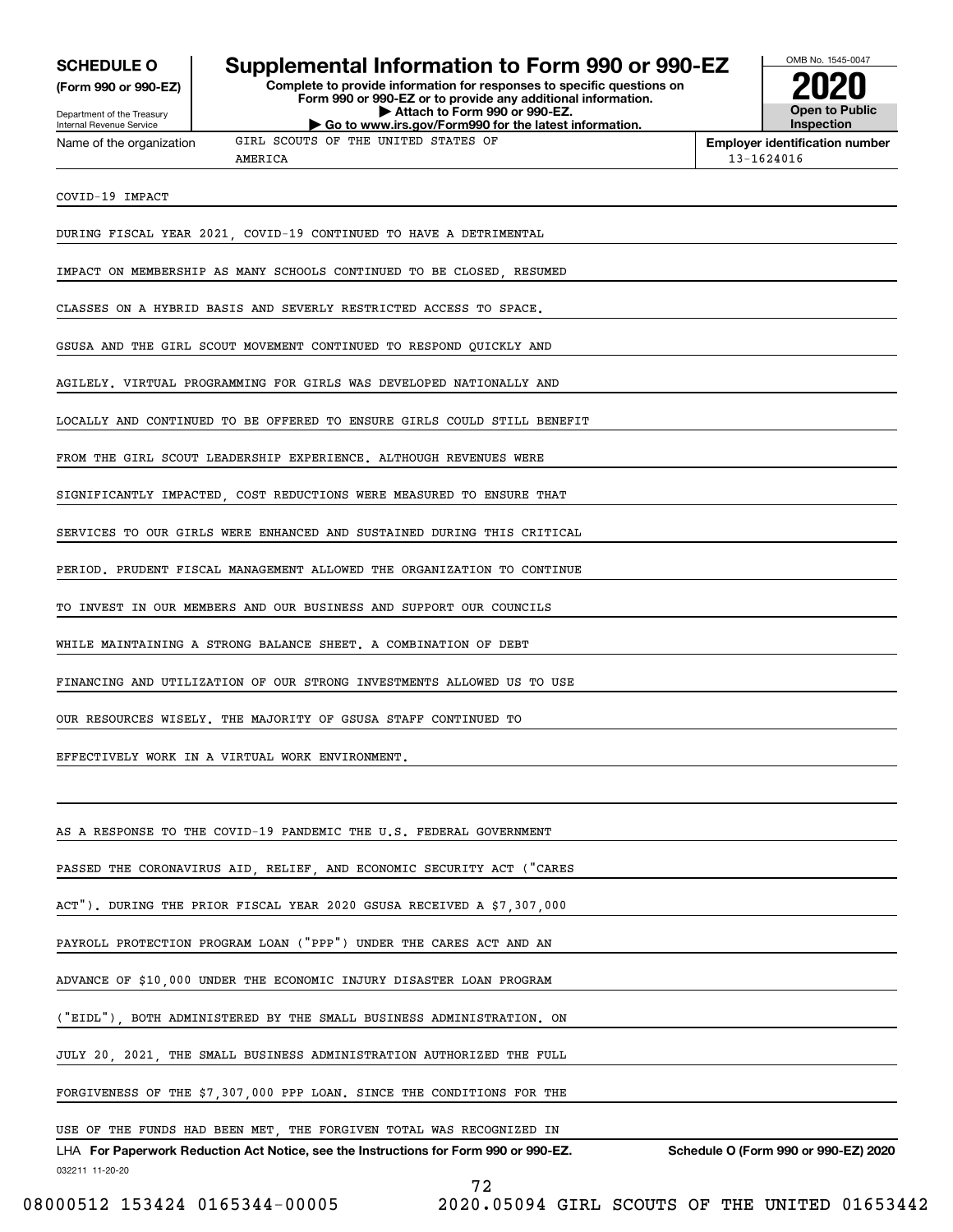**(Form 990 or 990-EZ)**

Department of the Treasury Internal Revenue Service Name of the organization

## **SCHEDULE O Supplemental Information to Form 990 or 990-EZ**

**Complete to provide information for responses to specific questions on Form 990 or 990-EZ or to provide any additional information. | Attach to Form 990 or 990-EZ. | Go to www.irs.gov/Form990 for the latest information.**



**Employer identification number**

13-1624016

AMERICA

COVID-19 IMPACT

DURING FISCAL YEAR 2021, COVID-19 CONTINUED TO HAVE A DETRIMENTAL

IMPACT ON MEMBERSHIP AS MANY SCHOOLS CONTINUED TO BE CLOSED, RESUMED

GIRL SCOUTS OF THE UNITED STATES OF

CLASSES ON A HYBRID BASIS AND SEVERLY RESTRICTED ACCESS TO SPACE.

GSUSA AND THE GIRL SCOUT MOVEMENT CONTINUED TO RESPOND QUICKLY AND

AGILELY. VIRTUAL PROGRAMMING FOR GIRLS WAS DEVELOPED NATIONALLY AND

LOCALLY AND CONTINUED TO BE OFFERED TO ENSURE GIRLS COULD STILL BENEFIT

FROM THE GIRL SCOUT LEADERSHIP EXPERIENCE. ALTHOUGH REVENUES WERE

SIGNIFICANTLY IMPACTED, COST REDUCTIONS WERE MEASURED TO ENSURE THAT

SERVICES TO OUR GIRLS WERE ENHANCED AND SUSTAINED DURING THIS CRITICAL

PERIOD. PRUDENT FISCAL MANAGEMENT ALLOWED THE ORGANIZATION TO CONTINUE

TO INVEST IN OUR MEMBERS AND OUR BUSINESS AND SUPPORT OUR COUNCILS

WHILE MAINTAINING A STRONG BALANCE SHEET. A COMBINATION OF DEBT

FINANCING AND UTILIZATION OF OUR STRONG INVESTMENTS ALLOWED US TO USE

OUR RESOURCES WISELY. THE MAJORITY OF GSUSA STAFF CONTINUED TO

EFFECTIVELY WORK IN A VIRTUAL WORK ENVIRONMENT.

AS A RESPONSE TO THE COVID-19 PANDEMIC THE U.S. FEDERAL GOVERNMENT

PASSED THE CORONAVIRUS AID, RELIEF, AND ECONOMIC SECURITY ACT ("CARES

ACT"). DURING THE PRIOR FISCAL YEAR 2020 GSUSA RECEIVED A \$7,307,000

PAYROLL PROTECTION PROGRAM LOAN ("PPP") UNDER THE CARES ACT AND AN

ADVANCE OF \$10,000 UNDER THE ECONOMIC INJURY DISASTER LOAN PROGRAM

("EIDL"), BOTH ADMINISTERED BY THE SMALL BUSINESS ADMINISTRATION. ON

JULY 20, 2021, THE SMALL BUSINESS ADMINISTRATION AUTHORIZED THE FULL

FORGIVENESS OF THE \$7,307,000 PPP LOAN. SINCE THE CONDITIONS FOR THE

## USE OF THE FUNDS HAD BEEN MET, THE FORGIVEN TOTAL WAS RECOGNIZED IN

032211 11-20-20 LHA For Paperwork Reduction Act Notice, see the Instructions for Form 990 or 990-EZ. Schedule O (Form 990 or 990-EZ) 2020

72

08000512 153424 0165344-00005 2020.05094 GIRL SCOUTS OF THE UNITED 01653442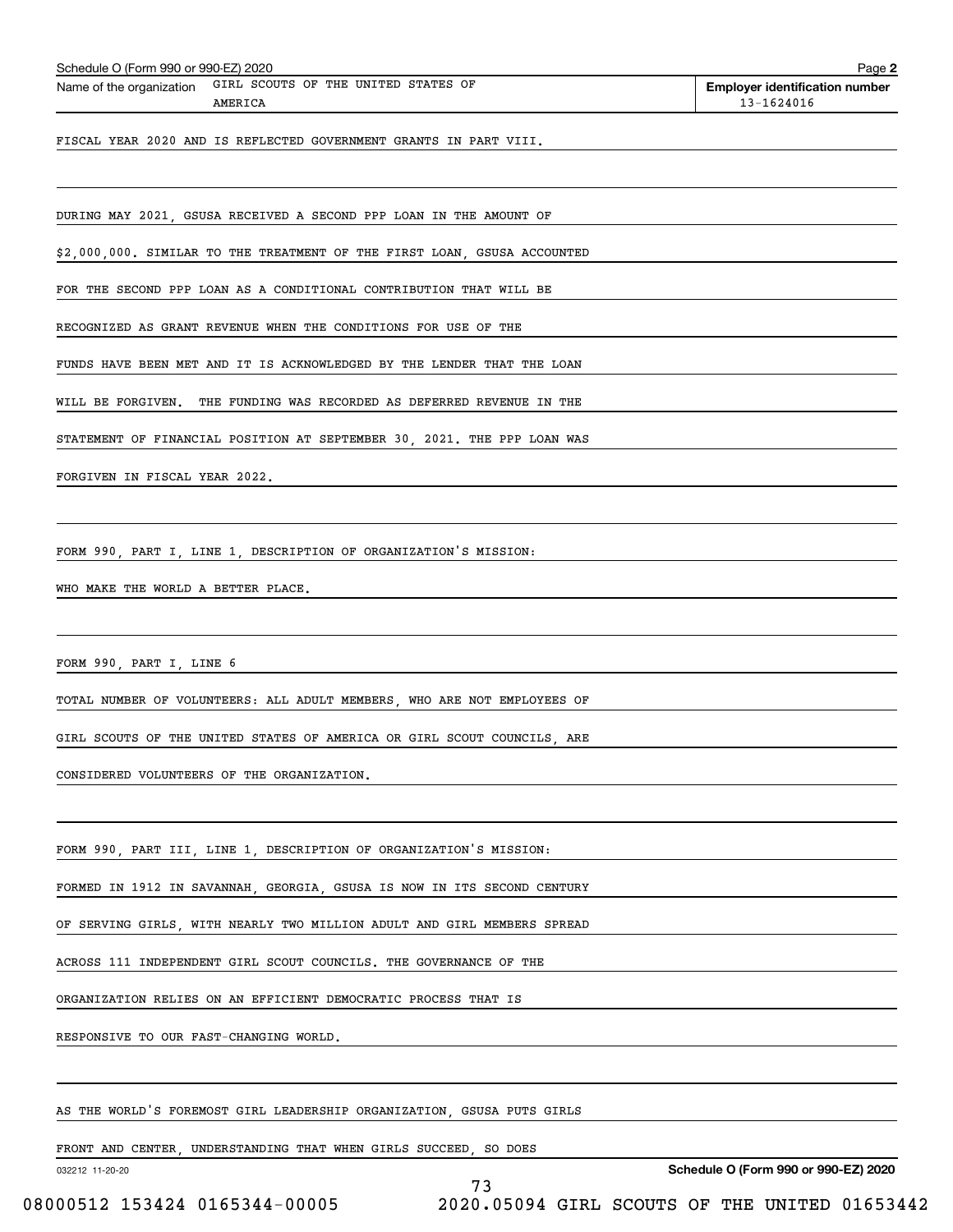| Schedule O (Form 990 or 990-EZ) 2020<br>GIRL SCOUTS OF THE UNITED STATES OF<br>Name of the organization<br>AMERICA | <b>Employer identification number</b><br>13-1624016 |
|--------------------------------------------------------------------------------------------------------------------|-----------------------------------------------------|
| FISCAL YEAR 2020 AND IS REFLECTED GOVERNMENT GRANTS IN PART VIII.                                                  |                                                     |
|                                                                                                                    |                                                     |
| DURING MAY 2021, GSUSA RECEIVED A SECOND PPP LOAN IN THE AMOUNT OF                                                 |                                                     |
| \$2,000,000. SIMILAR TO THE TREATMENT OF THE FIRST LOAN, GSUSA ACCOUNTED                                           |                                                     |
| FOR THE SECOND PPP LOAN AS A CONDITIONAL CONTRIBUTION THAT WILL BE                                                 |                                                     |
| RECOGNIZED AS GRANT REVENUE WHEN THE CONDITIONS FOR USE OF THE                                                     |                                                     |
| FUNDS HAVE BEEN MET AND IT IS ACKNOWLEDGED BY THE LENDER THAT THE LOAN                                             |                                                     |
| WILL BE FORGIVEN. THE FUNDING WAS RECORDED AS DEFERRED REVENUE IN THE                                              |                                                     |
| STATEMENT OF FINANCIAL POSITION AT SEPTEMBER 30, 2021. THE PPP LOAN WAS                                            |                                                     |
| FORGIVEN IN FISCAL YEAR 2022.                                                                                      |                                                     |
| FORM 990, PART I, LINE 1, DESCRIPTION OF ORGANIZATION'S MISSION:                                                   |                                                     |
|                                                                                                                    |                                                     |
| WHO MAKE THE WORLD A BETTER PLACE.                                                                                 |                                                     |
| FORM 990, PART I, LINE 6                                                                                           |                                                     |
| TOTAL NUMBER OF VOLUNTEERS: ALL ADULT MEMBERS, WHO ARE NOT EMPLOYEES OF                                            |                                                     |
| GIRL SCOUTS OF THE UNITED STATES OF AMERICA OR GIRL SCOUT COUNCILS, ARE                                            |                                                     |
| CONSIDERED VOLUNTEERS OF THE ORGANIZATION.                                                                         |                                                     |
| FORM 990, PART III, LINE 1, DESCRIPTION OF ORGANIZATION'S MISSION:                                                 |                                                     |
| FORMED IN 1912 IN SAVANNAH, GEORGIA, GSUSA IS NOW IN ITS SECOND CENTURY                                            |                                                     |
| OF SERVING GIRLS, WITH NEARLY TWO MILLION ADULT AND GIRL MEMBERS SPREAD                                            |                                                     |
| ACROSS 111 INDEPENDENT GIRL SCOUT COUNCILS. THE GOVERNANCE OF THE                                                  |                                                     |
|                                                                                                                    |                                                     |
| ORGANIZATION RELIES ON AN EFFICIENT DEMOCRATIC PROCESS THAT IS                                                     |                                                     |
| RESPONSIVE TO OUR FAST-CHANGING WORLD.                                                                             |                                                     |
| AS THE WORLD'S FOREMOST GIRL LEADERSHIP ORGANIZATION, GSUSA PUTS GIRLS                                             |                                                     |
|                                                                                                                    |                                                     |
| FRONT AND CENTER, UNDERSTANDING THAT WHEN GIRLS SUCCEED, SO DOES                                                   |                                                     |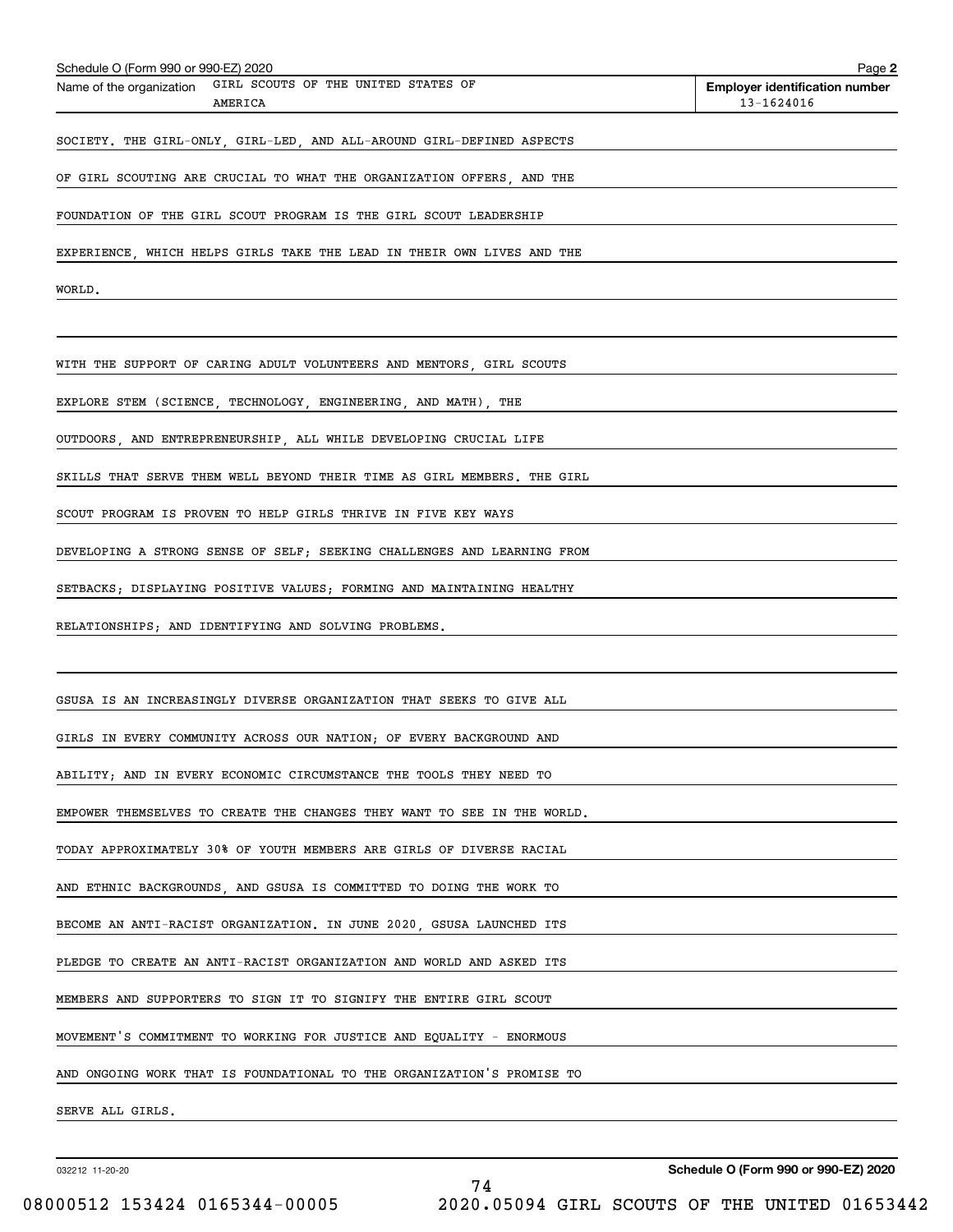| Schedule O (Form 990 or 990-EZ) 2020                                    | Page 2                                              |
|-------------------------------------------------------------------------|-----------------------------------------------------|
| Name of the organization GIRL SCOUTS OF THE UNITED STATES OF<br>AMERICA | <b>Employer identification number</b><br>13-1624016 |
| SOCIETY. THE GIRL-ONLY, GIRL-LED, AND ALL-AROUND GIRL-DEFINED ASPECTS   |                                                     |
| OF GIRL SCOUTING ARE CRUCIAL TO WHAT THE ORGANIZATION OFFERS, AND THE   |                                                     |
| FOUNDATION OF THE GIRL SCOUT PROGRAM IS THE GIRL SCOUT LEADERSHIP       |                                                     |
| EXPERIENCE, WHICH HELPS GIRLS TAKE THE LEAD IN THEIR OWN LIVES AND THE  |                                                     |
| WORLD.                                                                  |                                                     |
|                                                                         |                                                     |
| WITH THE SUPPORT OF CARING ADULT VOLUNTEERS AND MENTORS, GIRL SCOUTS    |                                                     |
| EXPLORE STEM (SCIENCE, TECHNOLOGY, ENGINEERING, AND MATH), THE          |                                                     |
| OUTDOORS, AND ENTREPRENEURSHIP, ALL WHILE DEVELOPING CRUCIAL LIFE       |                                                     |
| SKILLS THAT SERVE THEM WELL BEYOND THEIR TIME AS GIRL MEMBERS. THE GIRL |                                                     |
| SCOUT PROGRAM IS PROVEN TO HELP GIRLS THRIVE IN FIVE KEY WAYS           |                                                     |
| DEVELOPING A STRONG SENSE OF SELF; SEEKING CHALLENGES AND LEARNING FROM |                                                     |
| SETBACKS; DISPLAYING POSITIVE VALUES; FORMING AND MAINTAINING HEALTHY   |                                                     |
| RELATIONSHIPS; AND IDENTIFYING AND SOLVING PROBLEMS.                    |                                                     |
|                                                                         |                                                     |
| GSUSA IS AN INCREASINGLY DIVERSE ORGANIZATION THAT SEEKS TO GIVE ALL    |                                                     |
| GIRLS IN EVERY COMMUNITY ACROSS OUR NATION; OF EVERY BACKGROUND AND     |                                                     |
| ABILITY; AND IN EVERY ECONOMIC CIRCUMSTANCE THE TOOLS THEY NEED TO      |                                                     |
| EMPOWER THEMSELVES TO CREATE THE CHANGES THEY WANT TO SEE IN THE WORLD. |                                                     |
| TODAY APPROXIMATELY 30% OF YOUTH MEMBERS ARE GIRLS OF DIVERSE RACIAL    |                                                     |
| AND ETHNIC BACKGROUNDS, AND GSUSA IS COMMITTED TO DOING THE WORK TO     |                                                     |
| BECOME AN ANTI-RACIST ORGANIZATION. IN JUNE 2020, GSUSA LAUNCHED ITS    |                                                     |
| PLEDGE TO CREATE AN ANTI-RACIST ORGANIZATION AND WORLD AND ASKED ITS    |                                                     |
| MEMBERS AND SUPPORTERS TO SIGN IT TO SIGNIFY THE ENTIRE GIRL SCOUT      |                                                     |
| MOVEMENT'S COMMITMENT TO WORKING FOR JUSTICE AND EQUALITY - ENORMOUS    |                                                     |
| AND ONGOING WORK THAT IS FOUNDATIONAL TO THE ORGANIZATION'S PROMISE TO  |                                                     |
| SERVE ALL GIRLS.                                                        |                                                     |
|                                                                         |                                                     |

74

032212 11-20-20

**Schedule O (Form 990 or 990-EZ) 2020**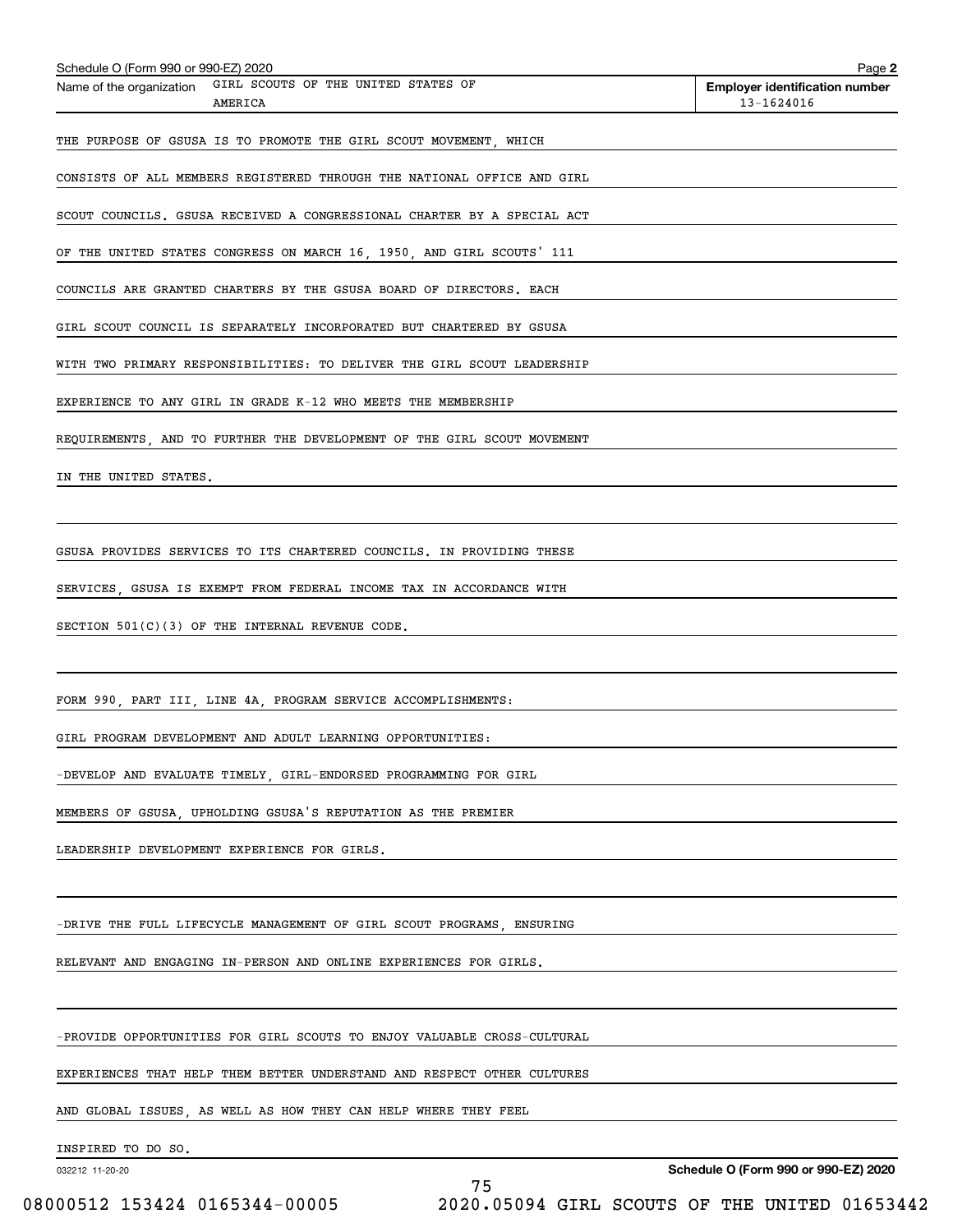| Schedule O (Form 990 or 990-EZ) 2020<br>Name of the organization GIRL SCOUTS OF THE UNITED STATES OF | Page 2<br><b>Employer identification number</b> |
|------------------------------------------------------------------------------------------------------|-------------------------------------------------|
| AMERICA                                                                                              | 13-1624016                                      |
| THE PURPOSE OF GSUSA IS TO PROMOTE THE GIRL SCOUT MOVEMENT, WHICH                                    |                                                 |
| CONSISTS OF ALL MEMBERS REGISTERED THROUGH THE NATIONAL OFFICE AND GIRL                              |                                                 |
| SCOUT COUNCILS. GSUSA RECEIVED A CONGRESSIONAL CHARTER BY A SPECIAL ACT                              |                                                 |
| OF THE UNITED STATES CONGRESS ON MARCH 16, 1950, AND GIRL SCOUTS' 111                                |                                                 |
| COUNCILS ARE GRANTED CHARTERS BY THE GSUSA BOARD OF DIRECTORS. EACH                                  |                                                 |
| GIRL SCOUT COUNCIL IS SEPARATELY INCORPORATED BUT CHARTERED BY GSUSA                                 |                                                 |
| WITH TWO PRIMARY RESPONSIBILITIES: TO DELIVER THE GIRL SCOUT LEADERSHIP                              |                                                 |
| EXPERIENCE TO ANY GIRL IN GRADE K-12 WHO MEETS THE MEMBERSHIP                                        |                                                 |
| REQUIREMENTS, AND TO FURTHER THE DEVELOPMENT OF THE GIRL SCOUT MOVEMENT                              |                                                 |
| IN THE UNITED STATES.                                                                                |                                                 |
|                                                                                                      |                                                 |
| GSUSA PROVIDES SERVICES TO ITS CHARTERED COUNCILS. IN PROVIDING THESE                                |                                                 |
| SERVICES, GSUSA IS EXEMPT FROM FEDERAL INCOME TAX IN ACCORDANCE WITH                                 |                                                 |
| SECTION $501(C)(3)$ OF THE INTERNAL REVENUE CODE.                                                    |                                                 |
|                                                                                                      |                                                 |
| FORM 990, PART III, LINE 4A, PROGRAM SERVICE ACCOMPLISHMENTS:                                        |                                                 |
| GIRL PROGRAM DEVELOPMENT AND ADULT LEARNING OPPORTUNITIES:                                           |                                                 |
| -DEVELOP AND EVALUATE TIMELY, GIRL-ENDORSED PROGRAMMING FOR GIRL                                     |                                                 |
| MEMBERS OF GSUSA, UPHOLDING GSUSA'S REPUTATION AS THE PREMIER                                        |                                                 |
| LEADERSHIP DEVELOPMENT EXPERIENCE FOR GIRLS.                                                         |                                                 |
|                                                                                                      |                                                 |
| -DRIVE THE FULL LIFECYCLE MANAGEMENT OF GIRL SCOUT PROGRAMS, ENSURING                                |                                                 |
| RELEVANT AND ENGAGING IN-PERSON AND ONLINE EXPERIENCES FOR GIRLS.                                    |                                                 |
|                                                                                                      |                                                 |
| -PROVIDE OPPORTUNITIES FOR GIRL SCOUTS TO ENJOY VALUABLE CROSS-CULTURAL                              |                                                 |
| EXPERIENCES THAT HELP THEM BETTER UNDERSTAND AND RESPECT OTHER CULTURES                              |                                                 |

75

AND GLOBAL ISSUES, AS WELL AS HOW THEY CAN HELP WHERE THEY FEEL

INSPIRED TO DO SO.

032212 11-20-20

**Schedule O (Form 990 or 990-EZ) 2020**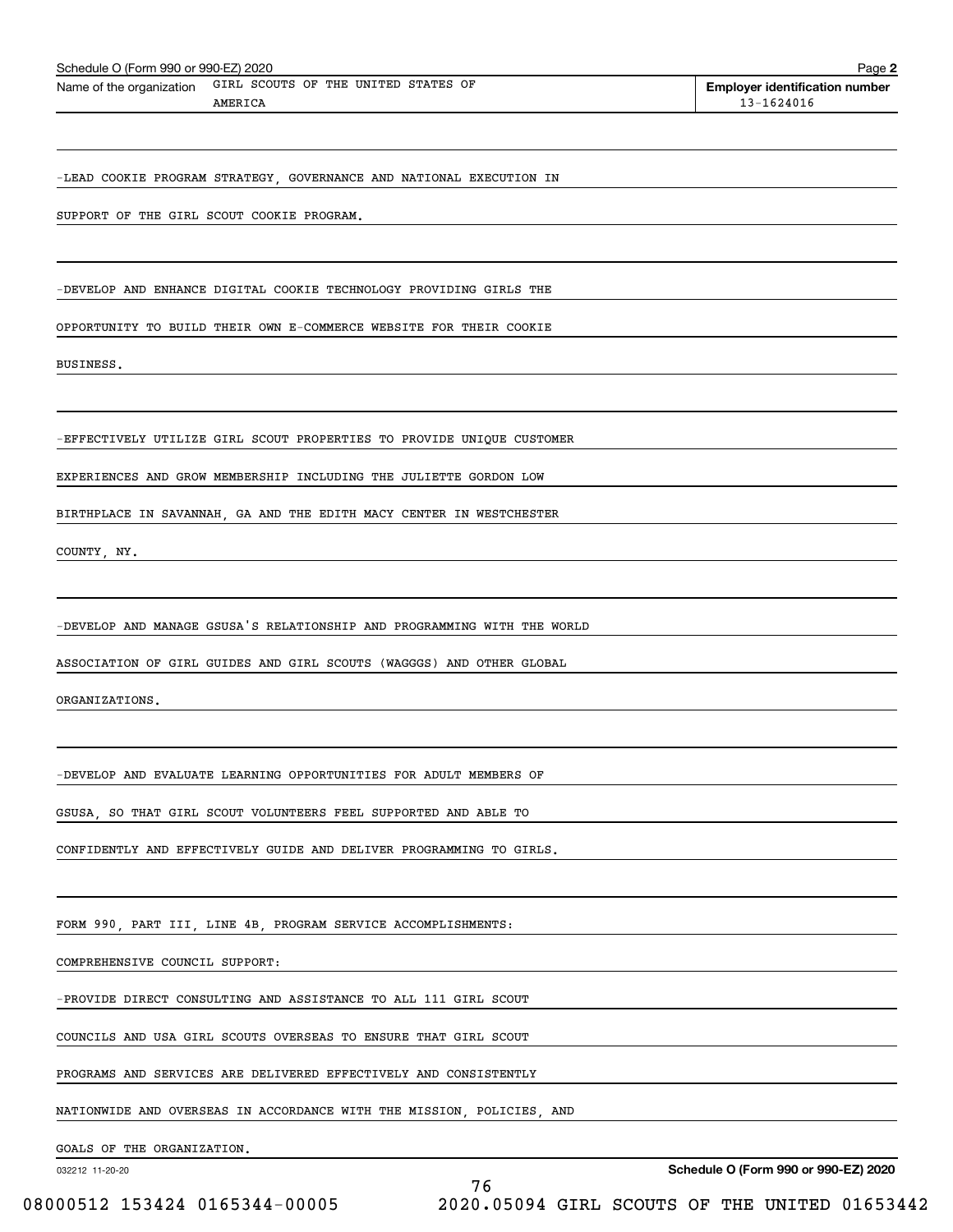| Schedule O (Form 990 or 990-EZ) 2020 |                                                                         |    | Page 2                                              |
|--------------------------------------|-------------------------------------------------------------------------|----|-----------------------------------------------------|
| Name of the organization             | GIRL SCOUTS OF THE UNITED STATES OF<br>AMERICA                          |    | <b>Employer identification number</b><br>13-1624016 |
|                                      |                                                                         |    |                                                     |
|                                      | -LEAD COOKIE PROGRAM STRATEGY, GOVERNANCE AND NATIONAL EXECUTION IN     |    |                                                     |
|                                      | SUPPORT OF THE GIRL SCOUT COOKIE PROGRAM.                               |    |                                                     |
|                                      |                                                                         |    |                                                     |
|                                      | -DEVELOP AND ENHANCE DIGITAL COOKIE TECHNOLOGY PROVIDING GIRLS THE      |    |                                                     |
|                                      | OPPORTUNITY TO BUILD THEIR OWN E-COMMERCE WEBSITE FOR THEIR COOKIE      |    |                                                     |
| BUSINESS.                            |                                                                         |    |                                                     |
|                                      | -EFFECTIVELY UTILIZE GIRL SCOUT PROPERTIES TO PROVIDE UNIQUE CUSTOMER   |    |                                                     |
|                                      | EXPERIENCES AND GROW MEMBERSHIP INCLUDING THE JULIETTE GORDON LOW       |    |                                                     |
|                                      | BIRTHPLACE IN SAVANNAH, GA AND THE EDITH MACY CENTER IN WESTCHESTER     |    |                                                     |
| COUNTY, NY.                          |                                                                         |    |                                                     |
|                                      |                                                                         |    |                                                     |
|                                      | -DEVELOP AND MANAGE GSUSA'S RELATIONSHIP AND PROGRAMMING WITH THE WORLD |    |                                                     |
|                                      | ASSOCIATION OF GIRL GUIDES AND GIRL SCOUTS (WAGGGS) AND OTHER GLOBAL    |    |                                                     |
| ORGANIZATIONS.                       |                                                                         |    |                                                     |
|                                      |                                                                         |    |                                                     |
|                                      | -DEVELOP AND EVALUATE LEARNING OPPORTUNITIES FOR ADULT MEMBERS OF       |    |                                                     |
|                                      | GSUSA, SO THAT GIRL SCOUT VOLUNTEERS FEEL SUPPORTED AND ABLE TO         |    |                                                     |
|                                      | CONFIDENTLY AND EFFECTIVELY GUIDE AND DELIVER PROGRAMMING TO GIRLS.     |    |                                                     |
|                                      | FORM 990, PART III, LINE 4B, PROGRAM SERVICE ACCOMPLISHMENTS:           |    |                                                     |
| COMPREHENSIVE COUNCIL SUPPORT:       |                                                                         |    |                                                     |
|                                      | -PROVIDE DIRECT CONSULTING AND ASSISTANCE TO ALL 111 GIRL SCOUT         |    |                                                     |
|                                      | COUNCILS AND USA GIRL SCOUTS OVERSEAS TO ENSURE THAT GIRL SCOUT         |    |                                                     |
|                                      | PROGRAMS AND SERVICES ARE DELIVERED EFFECTIVELY AND CONSISTENTLY        |    |                                                     |
|                                      | NATIONWIDE AND OVERSEAS IN ACCORDANCE WITH THE MISSION, POLICIES, AND   |    |                                                     |
| GOALS OF THE ORGANIZATION.           |                                                                         |    |                                                     |
| 032212 11-20-20                      |                                                                         | 76 | Schedule O (Form 990 or 990-EZ) 2020                |

08000512 153424 0165344-00005 2020.05094 GIRL SCOUTS OF THE UNITED 01653442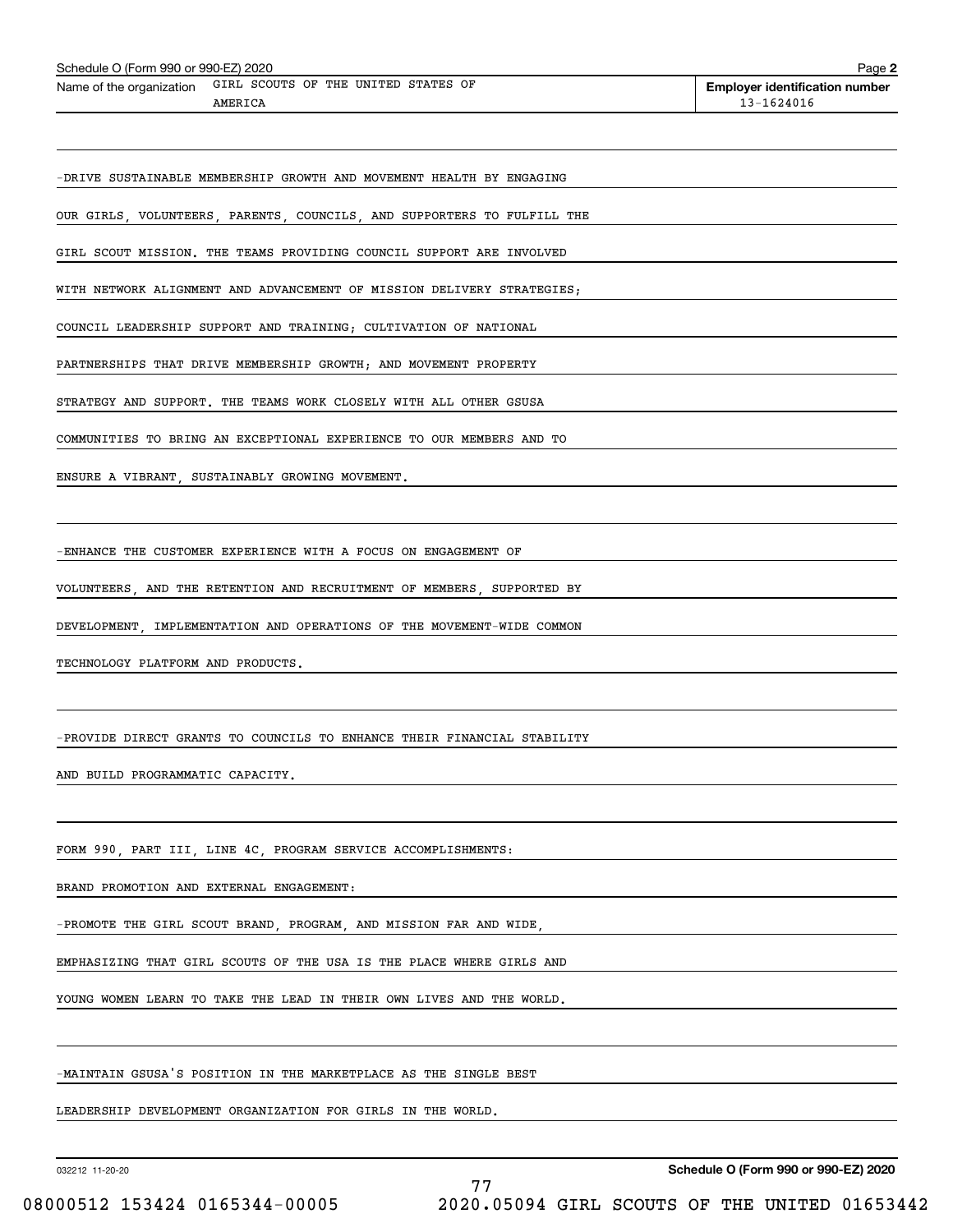| Schedule O (Form 990 or 990-EZ) 2020                                    | Page 2                                                  |
|-------------------------------------------------------------------------|---------------------------------------------------------|
| Name of the organization GIRL SCOUTS OF THE UNITED STATES OF<br>AMERICA | <b>Employer identification number</b><br>$13 - 1624016$ |
|                                                                         |                                                         |
| -DRIVE SUSTAINABLE MEMBERSHIP GROWTH AND MOVEMENT HEALTH BY ENGAGING    |                                                         |
| OUR GIRLS, VOLUNTEERS, PARENTS, COUNCILS, AND SUPPORTERS TO FULFILL THE |                                                         |
| GIRL SCOUT MISSION. THE TEAMS PROVIDING COUNCIL SUPPORT ARE INVOLVED    |                                                         |
| WITH NETWORK ALIGNMENT AND ADVANCEMENT OF MISSION DELIVERY STRATEGIES:  |                                                         |
| COUNCIL LEADERSHIP SUPPORT AND TRAINING; CULTIVATION OF NATIONAL        |                                                         |
| PARTNERSHIPS THAT DRIVE MEMBERSHIP GROWTH; AND MOVEMENT PROPERTY        |                                                         |
| STRATEGY AND SUPPORT. THE TEAMS WORK CLOSELY WITH ALL OTHER GSUSA       |                                                         |
| COMMUNITIES TO BRING AN EXCEPTIONAL EXPERIENCE TO OUR MEMBERS AND TO    |                                                         |
| ENSURE A VIBRANT, SUSTAINABLY GROWING MOVEMENT.                         |                                                         |

77

-ENHANCE THE CUSTOMER EXPERIENCE WITH A FOCUS ON ENGAGEMENT OF

VOLUNTEERS, AND THE RETENTION AND RECRUITMENT OF MEMBERS, SUPPORTED BY

DEVELOPMENT, IMPLEMENTATION AND OPERATIONS OF THE MOVEMENT-WIDE COMMON

TECHNOLOGY PLATFORM AND PRODUCTS.

-PROVIDE DIRECT GRANTS TO COUNCILS TO ENHANCE THEIR FINANCIAL STABILITY

AND BUILD PROGRAMMATIC CAPACITY.

FORM 990, PART III, LINE 4C, PROGRAM SERVICE ACCOMPLISHMENTS:

BRAND PROMOTION AND EXTERNAL ENGAGEMENT:

-PROMOTE THE GIRL SCOUT BRAND, PROGRAM, AND MISSION FAR AND WIDE,

EMPHASIZING THAT GIRL SCOUTS OF THE USA IS THE PLACE WHERE GIRLS AND

YOUNG WOMEN LEARN TO TAKE THE LEAD IN THEIR OWN LIVES AND THE WORLD.

-MAINTAIN GSUSA'S POSITION IN THE MARKETPLACE AS THE SINGLE BEST

LEADERSHIP DEVELOPMENT ORGANIZATION FOR GIRLS IN THE WORLD.

032212 11-20-20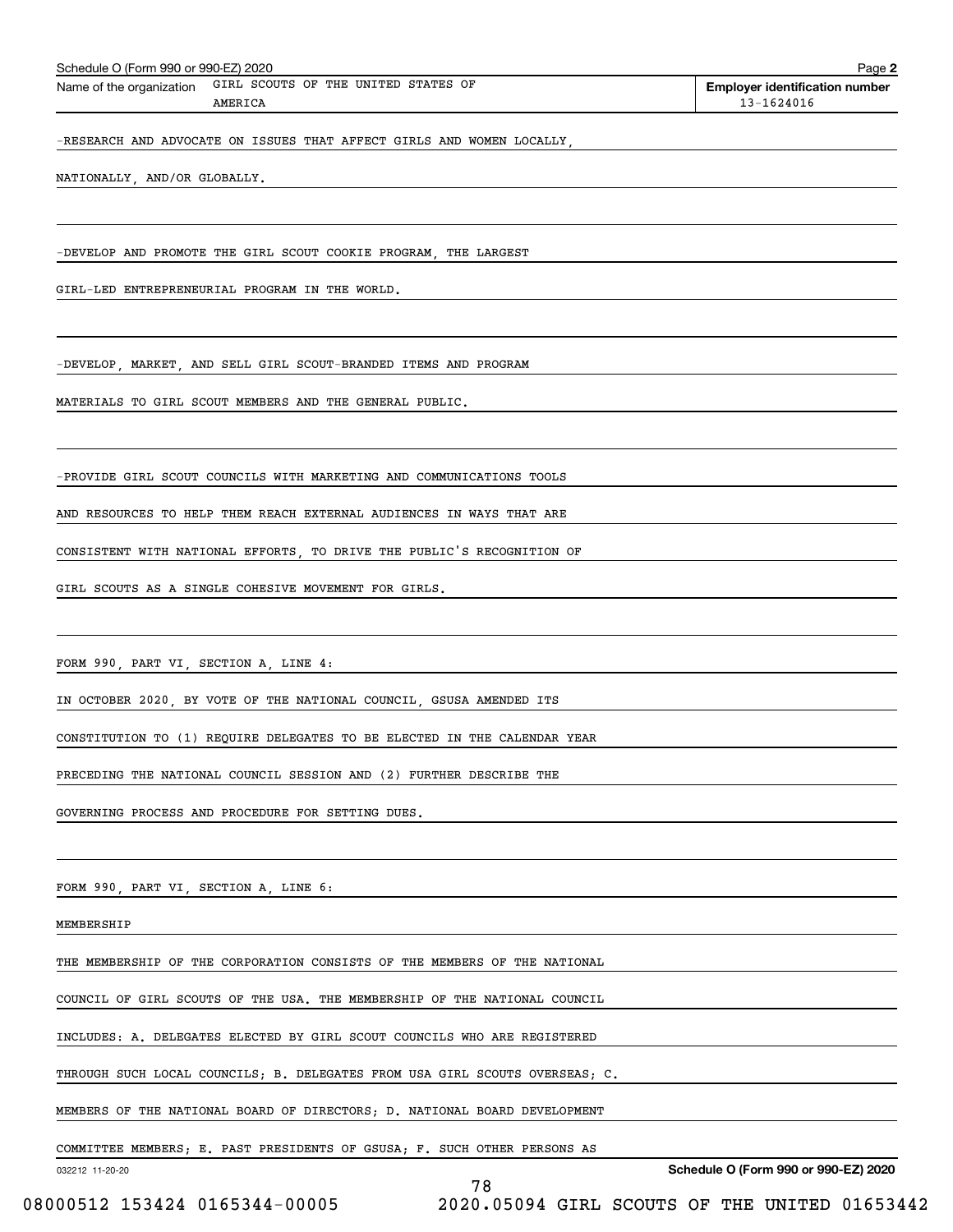| Schedule O (Form 990 or 990-EZ) 2020                                 | Page 2                                |  |  |  |
|----------------------------------------------------------------------|---------------------------------------|--|--|--|
| GIRL SCOUTS OF THE UNITED STATES OF<br>Name of the organization      | <b>Employer identification number</b> |  |  |  |
| AMERICA                                                              | 13-1624016                            |  |  |  |
| -RESEARCH AND ADVOCATE ON ISSUES THAT AFFECT GIRLS AND WOMEN LOCALLY |                                       |  |  |  |
| NATIONALLY, AND/OR GLOBALLY.                                         |                                       |  |  |  |
|                                                                      |                                       |  |  |  |
| -DEVELOP AND PROMOTE THE GIRL SCOUT COOKIE PROGRAM, THE LARGEST      |                                       |  |  |  |
|                                                                      |                                       |  |  |  |

GIRL-LED ENTREPRENEURIAL PROGRAM IN THE WORLD.

-DEVELOP, MARKET, AND SELL GIRL SCOUT-BRANDED ITEMS AND PROGRAM

MATERIALS TO GIRL SCOUT MEMBERS AND THE GENERAL PUBLIC.

-PROVIDE GIRL SCOUT COUNCILS WITH MARKETING AND COMMUNICATIONS TOOLS

AND RESOURCES TO HELP THEM REACH EXTERNAL AUDIENCES IN WAYS THAT ARE

CONSISTENT WITH NATIONAL EFFORTS, TO DRIVE THE PUBLIC'S RECOGNITION OF

GIRL SCOUTS AS A SINGLE COHESIVE MOVEMENT FOR GIRLS.

FORM 990, PART VI, SECTION A, LINE 4:

IN OCTOBER 2020, BY VOTE OF THE NATIONAL COUNCIL, GSUSA AMENDED ITS

CONSTITUTION TO (1) REQUIRE DELEGATES TO BE ELECTED IN THE CALENDAR YEAR

PRECEDING THE NATIONAL COUNCIL SESSION AND (2) FURTHER DESCRIBE THE

GOVERNING PROCESS AND PROCEDURE FOR SETTING DUES.

FORM 990, PART VI, SECTION A, LINE 6:

MEMBERSHIP

THE MEMBERSHIP OF THE CORPORATION CONSISTS OF THE MEMBERS OF THE NATIONAL

COUNCIL OF GIRL SCOUTS OF THE USA. THE MEMBERSHIP OF THE NATIONAL COUNCIL

INCLUDES: A. DELEGATES ELECTED BY GIRL SCOUT COUNCILS WHO ARE REGISTERED

THROUGH SUCH LOCAL COUNCILS; B. DELEGATES FROM USA GIRL SCOUTS OVERSEAS; C.

MEMBERS OF THE NATIONAL BOARD OF DIRECTORS; D. NATIONAL BOARD DEVELOPMENT

COMMITTEE MEMBERS; E. PAST PRESIDENTS OF GSUSA; F. SUCH OTHER PERSONS AS

78

032212 11-20-20

**Schedule O (Form 990 or 990-EZ) 2020**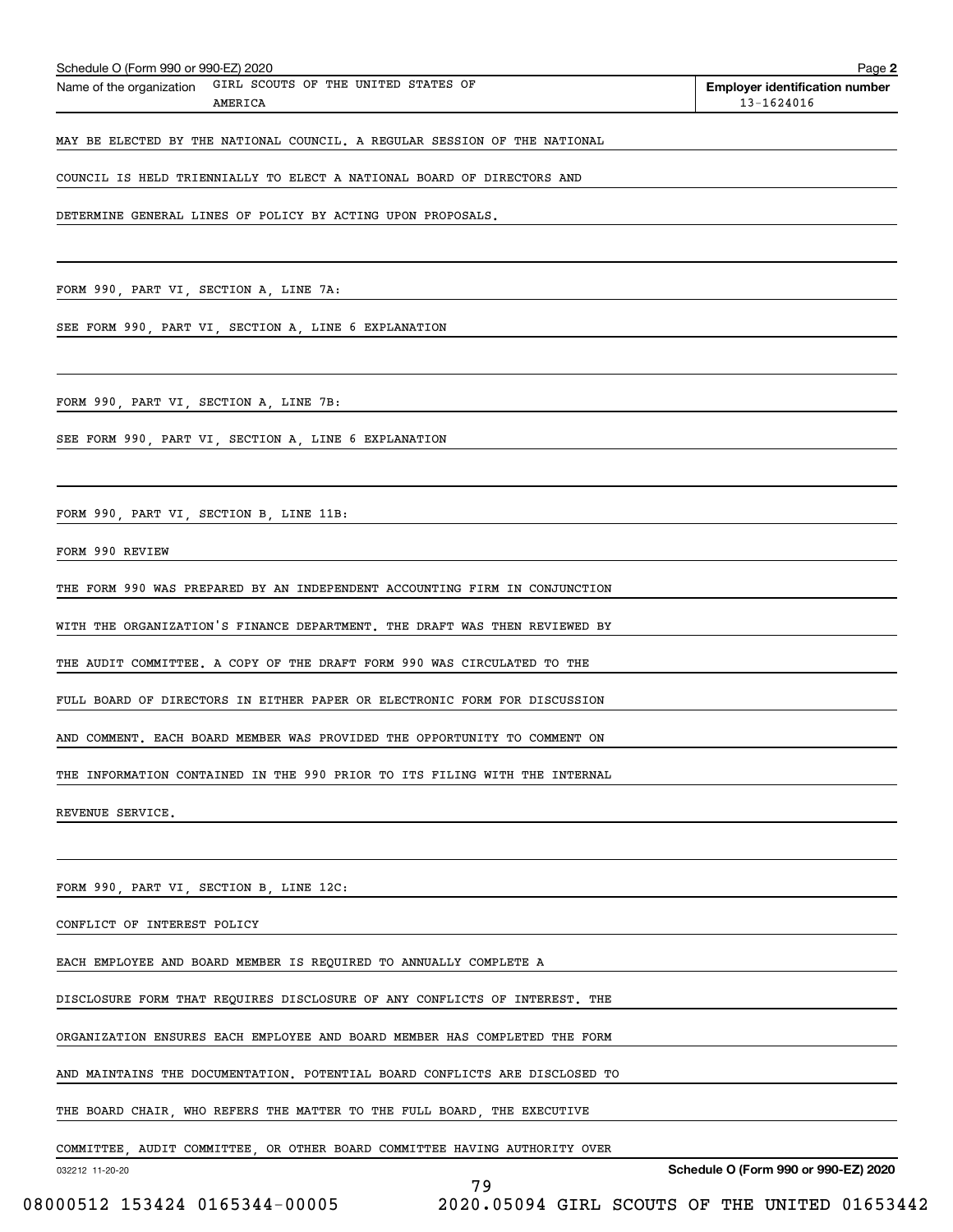| Schedule O (Form 990 or 990-EZ) 2020                                        | Page 2                                              |
|-----------------------------------------------------------------------------|-----------------------------------------------------|
| GIRL SCOUTS OF THE UNITED STATES OF<br>Name of the organization<br>AMERICA  | <b>Employer identification number</b><br>13-1624016 |
|                                                                             |                                                     |
| MAY BE ELECTED BY THE NATIONAL COUNCIL. A REGULAR SESSION OF THE NATIONAL   |                                                     |
| COUNCIL IS HELD TRIENNIALLY TO ELECT A NATIONAL BOARD OF DIRECTORS AND      |                                                     |
| DETERMINE GENERAL LINES OF POLICY BY ACTING UPON PROPOSALS.                 |                                                     |
|                                                                             |                                                     |
|                                                                             |                                                     |
| FORM 990, PART VI, SECTION A, LINE 7A:                                      |                                                     |
| SEE FORM 990, PART VI, SECTION A, LINE 6 EXPLANATION                        |                                                     |
|                                                                             |                                                     |
| FORM 990, PART VI, SECTION A, LINE 7B:                                      |                                                     |
| SEE FORM 990, PART VI, SECTION A, LINE 6 EXPLANATION                        |                                                     |
|                                                                             |                                                     |
|                                                                             |                                                     |
| FORM 990, PART VI, SECTION B, LINE 11B:                                     |                                                     |
| FORM 990 REVIEW                                                             |                                                     |
| THE FORM 990 WAS PREPARED BY AN INDEPENDENT ACCOUNTING FIRM IN CONJUNCTION  |                                                     |
| WITH THE ORGANIZATION'S FINANCE DEPARTMENT. THE DRAFT WAS THEN REVIEWED BY  |                                                     |
| THE AUDIT COMMITTEE. A COPY OF THE DRAFT FORM 990 WAS CIRCULATED TO THE     |                                                     |
| FULL BOARD OF DIRECTORS IN EITHER PAPER OR ELECTRONIC FORM FOR DISCUSSION   |                                                     |
|                                                                             |                                                     |
| AND COMMENT. EACH BOARD MEMBER WAS PROVIDED THE OPPORTUNITY TO COMMENT ON   |                                                     |
| THE INFORMATION CONTAINED IN THE 990 PRIOR TO ITS FILING WITH THE INTERNAL  |                                                     |
| REVENUE SERVICE.                                                            |                                                     |
|                                                                             |                                                     |
| FORM 990, PART VI, SECTION B, LINE 12C:                                     |                                                     |
| CONFLICT OF INTEREST POLICY                                                 |                                                     |
| EACH EMPLOYEE AND BOARD MEMBER IS REQUIRED TO ANNUALLY COMPLETE A           |                                                     |
| DISCLOSURE FORM THAT REQUIRES DISCLOSURE OF ANY CONFLICTS OF INTEREST. THE  |                                                     |
|                                                                             |                                                     |
| ORGANIZATION ENSURES EACH EMPLOYEE AND BOARD MEMBER HAS COMPLETED THE FORM  |                                                     |
| AND MAINTAINS THE DOCUMENTATION. POTENTIAL BOARD CONFLICTS ARE DISCLOSED TO |                                                     |
| THE BOARD CHAIR, WHO REFERS THE MATTER TO THE FULL BOARD, THE EXECUTIVE     |                                                     |
| COMMITTEE, AUDIT COMMITTEE, OR OTHER BOARD COMMITTEE HAVING AUTHORITY OVER  |                                                     |
| 032212 11-20-20<br>79                                                       | Schedule O (Form 990 or 990-EZ) 2020                |

 <sup>08000512 153424 0165344-00005 2020.05094</sup> GIRL SCOUTS OF THE UNITED 01653442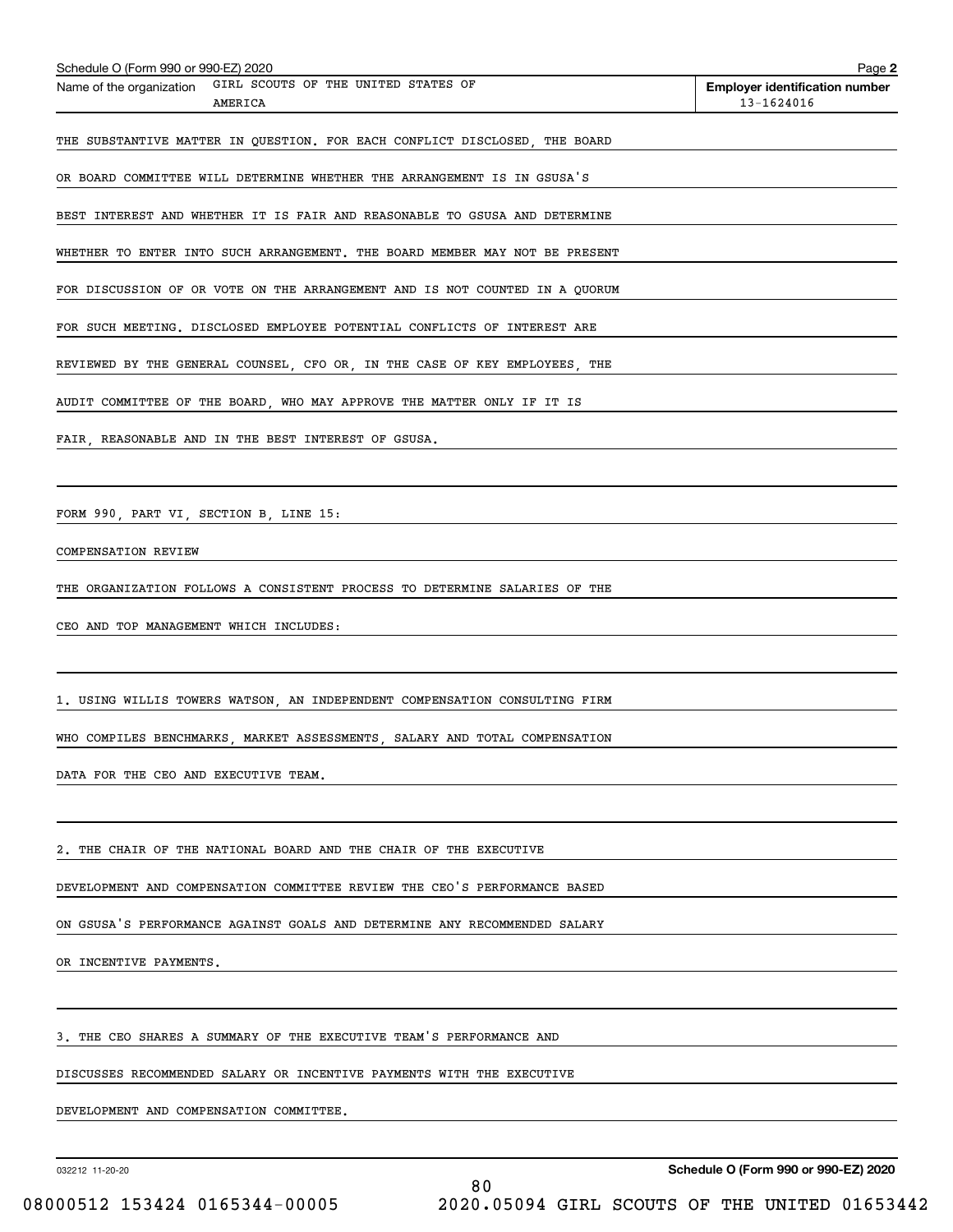| Schedule O (Form 990 or 990-EZ) 2020                                        | Page 2                                              |
|-----------------------------------------------------------------------------|-----------------------------------------------------|
| GIRL SCOUTS OF THE UNITED STATES OF<br>Name of the organization<br>AMERICA  | <b>Employer identification number</b><br>13-1624016 |
| THE SUBSTANTIVE MATTER IN QUESTION. FOR EACH CONFLICT DISCLOSED, THE BOARD  |                                                     |
| OR BOARD COMMITTEE WILL DETERMINE WHETHER THE ARRANGEMENT IS IN GSUSA'S     |                                                     |
| BEST INTEREST AND WHETHER IT IS FAIR AND REASONABLE TO GSUSA AND DETERMINE  |                                                     |
| WHETHER TO ENTER INTO SUCH ARRANGEMENT. THE BOARD MEMBER MAY NOT BE PRESENT |                                                     |
| FOR DISCUSSION OF OR VOTE ON THE ARRANGEMENT AND IS NOT COUNTED IN A QUORUM |                                                     |
| FOR SUCH MEETING. DISCLOSED EMPLOYEE POTENTIAL CONFLICTS OF INTEREST ARE    |                                                     |
| REVIEWED BY THE GENERAL COUNSEL, CFO OR, IN THE CASE OF KEY EMPLOYEES, THE  |                                                     |
| AUDIT COMMITTEE OF THE BOARD, WHO MAY APPROVE THE MATTER ONLY IF IT IS      |                                                     |
| FAIR, REASONABLE AND IN THE BEST INTEREST OF GSUSA.                         |                                                     |
|                                                                             |                                                     |
| FORM 990, PART VI, SECTION B, LINE 15:                                      |                                                     |
| COMPENSATION REVIEW                                                         |                                                     |
| THE ORGANIZATION FOLLOWS A CONSISTENT PROCESS TO DETERMINE SALARIES OF THE  |                                                     |
| CEO AND TOP MANAGEMENT WHICH INCLUDES:                                      |                                                     |
|                                                                             |                                                     |
| 1. USING WILLIS TOWERS WATSON, AN INDEPENDENT COMPENSATION CONSULTING FIRM  |                                                     |
| WHO COMPILES BENCHMARKS MARKET ASSESSMENTS SALARY AND TOTAL COMPENSATION    |                                                     |
| DATA FOR THE CEO AND EXECUTIVE TEAM.                                        |                                                     |
|                                                                             |                                                     |
| 2. THE CHAIR OF THE NATIONAL BOARD AND THE CHAIR OF THE EXECUTIVE           |                                                     |
| DEVELOPMENT AND COMPENSATION COMMITTEE REVIEW THE CEO'S PERFORMANCE BASED   |                                                     |
| ON GSUSA'S PERFORMANCE AGAINST GOALS AND DETERMINE ANY RECOMMENDED SALARY   |                                                     |
| OR INCENTIVE PAYMENTS.                                                      |                                                     |
|                                                                             |                                                     |
| 3. THE CEO SHARES A SUMMARY OF THE EXECUTIVE TEAM'S PERFORMANCE AND         |                                                     |
| DISCUSSES RECOMMENDED SALARY OR INCENTIVE PAYMENTS WITH THE EXECUTIVE       |                                                     |
| DEVELOPMENT AND COMPENSATION COMMITTEE.                                     |                                                     |
|                                                                             |                                                     |

032212 11-20-20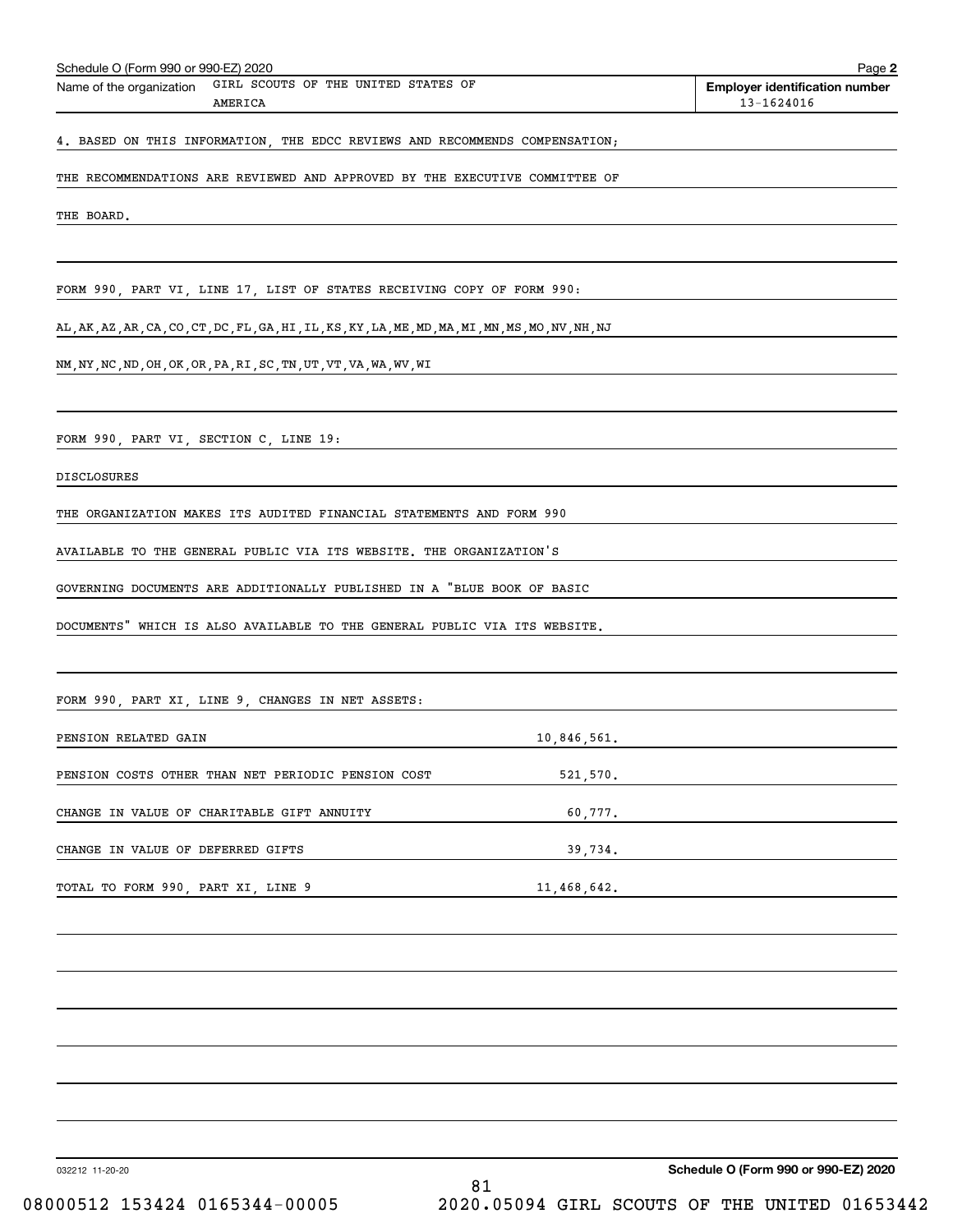| Schedule O (Form 990 or 990-EZ) 2020                                                               |             | Page 2                                              |
|----------------------------------------------------------------------------------------------------|-------------|-----------------------------------------------------|
| GIRL SCOUTS OF THE UNITED STATES OF<br>Name of the organization<br>AMERICA                         |             | <b>Employer identification number</b><br>13-1624016 |
| 4. BASED ON THIS INFORMATION, THE EDCC REVIEWS AND RECOMMENDS COMPENSATION;                        |             |                                                     |
| THE RECOMMENDATIONS ARE REVIEWED AND APPROVED BY THE EXECUTIVE COMMITTEE OF                        |             |                                                     |
| THE BOARD.                                                                                         |             |                                                     |
|                                                                                                    |             |                                                     |
| FORM 990, PART VI, LINE 17, LIST OF STATES RECEIVING COPY OF FORM 990:                             |             |                                                     |
| AL, AK, AZ, AR, CA, CO, CT, DC, FL, GA, HI, IL, KS, KY, LA, ME, MD, MA, MI, MN, MS, MO, NV, NH, NJ |             |                                                     |
| NM, NY, NC, ND, OH, OK, OR, PA, RI, SC, TN, UT, VT, VA, WA, WV, WI                                 |             |                                                     |
|                                                                                                    |             |                                                     |
| FORM 990, PART VI, SECTION C, LINE 19:                                                             |             |                                                     |
| <b>DISCLOSURES</b>                                                                                 |             |                                                     |
| THE ORGANIZATION MAKES ITS AUDITED FINANCIAL STATEMENTS AND FORM 990                               |             |                                                     |
| AVAILABLE TO THE GENERAL PUBLIC VIA ITS WEBSITE. THE ORGANIZATION'S                                |             |                                                     |
| GOVERNING DOCUMENTS ARE ADDITIONALLY PUBLISHED IN A "BLUE BOOK OF BASIC                            |             |                                                     |
| DOCUMENTS" WHICH IS ALSO AVAILABLE TO THE GENERAL PUBLIC VIA ITS WEBSITE.                          |             |                                                     |
|                                                                                                    |             |                                                     |
| FORM 990, PART XI, LINE 9, CHANGES IN NET ASSETS:                                                  |             |                                                     |
| PENSION RELATED GAIN                                                                               | 10,846,561. |                                                     |
| PENSION COSTS OTHER THAN NET PERIODIC PENSION COST                                                 | 521,570.    |                                                     |
| CHANGE IN VALUE OF CHARITABLE GIFT ANNUITY                                                         | 60,777.     |                                                     |
| CHANGE IN VALUE OF DEFERRED GIFTS                                                                  | 39,734.     |                                                     |
| TOTAL TO FORM 990, PART XI, LINE 9                                                                 | 11,468,642. |                                                     |
|                                                                                                    |             |                                                     |
|                                                                                                    |             |                                                     |
|                                                                                                    |             |                                                     |
|                                                                                                    |             |                                                     |
|                                                                                                    |             |                                                     |
|                                                                                                    |             |                                                     |
|                                                                                                    |             |                                                     |
|                                                                                                    |             |                                                     |

032212 11-20-20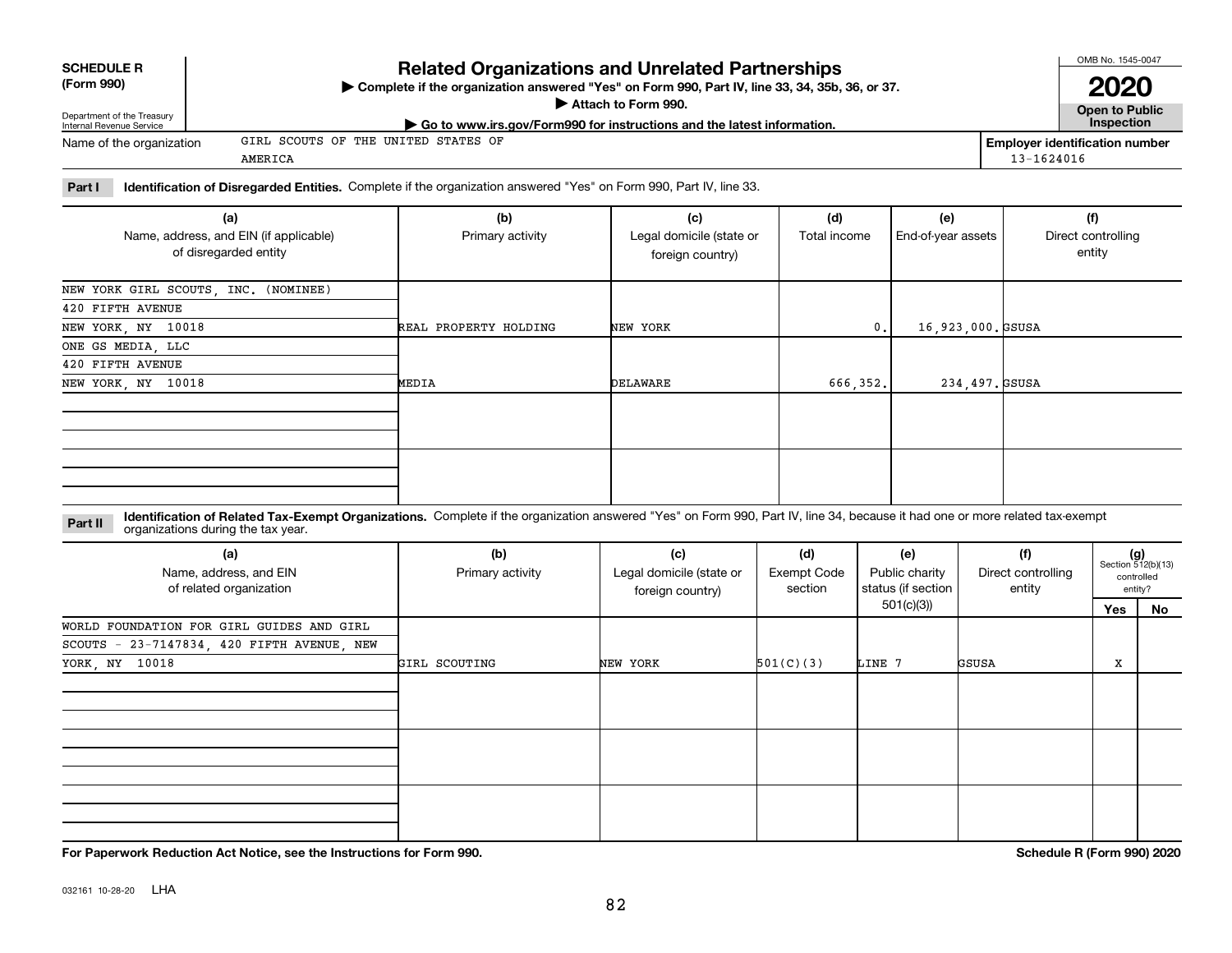**SCHEDULE R (Form 990)**

# **Complete if the organization answered "Yes" on Form 990, Part IV, line 33, 34, 35b, 36, or 37.** |

## **Attach to Form 990.**  |

**Related Organizations and Unrelated Partnerships**

| Department of the Treasury<br>Internal Revenue Service | Allach lo Form 990.<br>$\blacktriangleright$ Go to www.irs.gov/Form990 for instructions and the latest information. |                | Open to Public<br><b>Inspection</b> |
|--------------------------------------------------------|---------------------------------------------------------------------------------------------------------------------|----------------|-------------------------------------|
| Name of the organization                               | GIRL SCOUTS OF THE UNITED STATES OF                                                                                 |                | Employer identification number      |
|                                                        | AMERICA                                                                                                             | $13 - 1624016$ |                                     |
|                                                        |                                                                                                                     |                |                                     |

## **Part I Identification of Disregarded Entities.**  Complete if the organization answered "Yes" on Form 990, Part IV, line 33.

| (a)<br>Name, address, and EIN (if applicable)<br>of disregarded entity | (b)<br>Primary activity | (c)<br>Legal domicile (state or<br>foreign country) | (d)<br>Total income | (e)<br>End-of-year assets | (f)<br>Direct controlling<br>entity |
|------------------------------------------------------------------------|-------------------------|-----------------------------------------------------|---------------------|---------------------------|-------------------------------------|
| NEW YORK GIRL SCOUTS, INC. (NOMINEE)                                   |                         |                                                     |                     |                           |                                     |
| 420 FIFTH AVENUE                                                       |                         |                                                     |                     |                           |                                     |
| NEW YORK, NY 10018                                                     | REAL PROPERTY HOLDING   | NEW YORK                                            | $\mathbf{0}$ .      | 16,923,000. GSUSA         |                                     |
| ONE GS MEDIA, LLC                                                      |                         |                                                     |                     |                           |                                     |
| 420 FIFTH AVENUE                                                       |                         |                                                     |                     |                           |                                     |
| NEW YORK, NY 10018                                                     | MEDIA                   | DELAWARE                                            | 666,352.            | 234,497. GSUSA            |                                     |
|                                                                        |                         |                                                     |                     |                           |                                     |
|                                                                        |                         |                                                     |                     |                           |                                     |

#### **Identification of Related Tax-Exempt Organizations.** Complete if the organization answered "Yes" on Form 990, Part IV, line 34, because it had one or more related tax-exempt **Part II** organizations during the tax year.

| (a)<br>Name, address, and EIN<br>of related organization | (b)<br>Primary activity | (c)<br>Legal domicile (state or<br>foreign country) | (d)<br><b>Exempt Code</b><br>section | (e)<br>Public charity<br>status (if section | (f)<br>Direct controlling<br>entity |     | $(g)$<br>Section 512(b)(13)<br>controlled<br>entity? |
|----------------------------------------------------------|-------------------------|-----------------------------------------------------|--------------------------------------|---------------------------------------------|-------------------------------------|-----|------------------------------------------------------|
|                                                          |                         |                                                     |                                      | 501(c)(3))                                  |                                     | Yes | No                                                   |
| WORLD FOUNDATION FOR GIRL GUIDES AND GIRL                |                         |                                                     |                                      |                                             |                                     |     |                                                      |
| SCOUTS - 23-7147834, 420 FIFTH AVENUE, NEW               |                         |                                                     |                                      |                                             |                                     |     |                                                      |
| YORK, NY 10018                                           | GIRL SCOUTING           | NEW YORK                                            | 501(C)(3)                            | LINE 7                                      | GSUSA                               | X   |                                                      |
|                                                          |                         |                                                     |                                      |                                             |                                     |     |                                                      |
|                                                          |                         |                                                     |                                      |                                             |                                     |     |                                                      |
|                                                          |                         |                                                     |                                      |                                             |                                     |     |                                                      |

**For Paperwork Reduction Act Notice, see the Instructions for Form 990. Schedule R (Form 990) 2020**

OMB No. 1545-0047

**2020**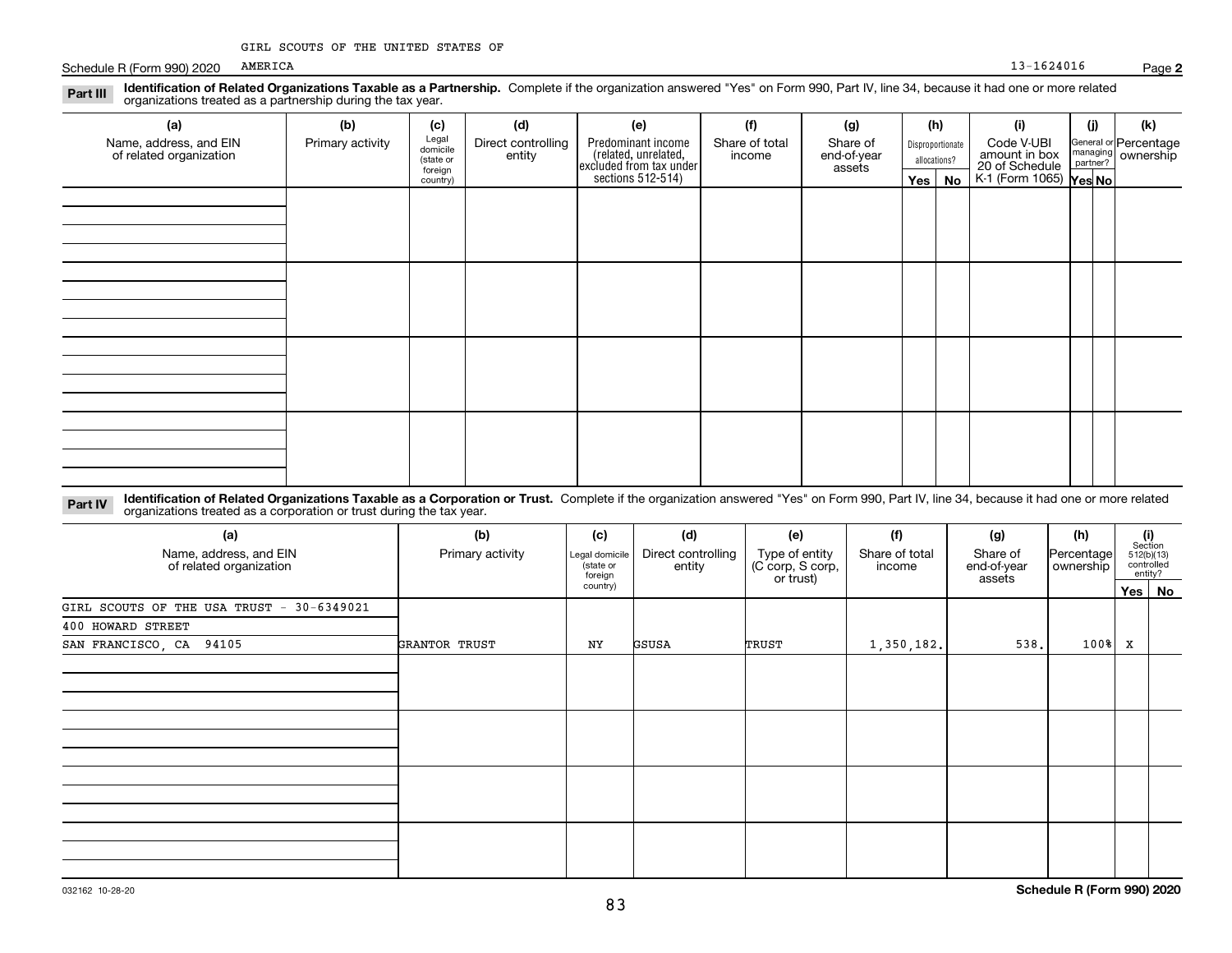Schedule R (Form 990) 2020 AMERICA 20016 Page 2016 2017 2018 2019 2017 2020 2031 2020 2020 Page 2016 2020 2020 AMERICA

| Identification of Related Organizations Taxable as a Partnership. Complete if the organization answered "Yes" on Form 990, Part IV, line 34, because it had one or more related<br>Part III<br>organizations treated as a partnership during the tax year. |                  |                                           |                              |                                                                       |                          |                                   |                                  |          |                                               |          |                                               |
|------------------------------------------------------------------------------------------------------------------------------------------------------------------------------------------------------------------------------------------------------------|------------------|-------------------------------------------|------------------------------|-----------------------------------------------------------------------|--------------------------|-----------------------------------|----------------------------------|----------|-----------------------------------------------|----------|-----------------------------------------------|
| (a)                                                                                                                                                                                                                                                        | (b)              | (c)                                       | (d)                          | (e)                                                                   | (f)                      | (g)                               | (h)                              |          | (i)                                           | (j)      | (k)                                           |
| Name, address, and EIN<br>of related organization                                                                                                                                                                                                          | Primary activity | Legal<br>domicile<br>(state or<br>foreign | Direct controlling<br>entity | Predominant income<br>(related, unrelated,<br>excluded from tax under | Share of total<br>income | Share of<br>end-of-year<br>assets | Disproportionate<br>allocations? |          | Code V-UBI<br>amount in box<br>20 of Schedule | partner? | General or Percentage<br>managing   ownership |
|                                                                                                                                                                                                                                                            |                  | country)                                  |                              | sections 512-514)                                                     |                          |                                   |                                  | Yes   No | K-1 (Form 1065) Yes No                        |          |                                               |
|                                                                                                                                                                                                                                                            |                  |                                           |                              |                                                                       |                          |                                   |                                  |          |                                               |          |                                               |
|                                                                                                                                                                                                                                                            |                  |                                           |                              |                                                                       |                          |                                   |                                  |          |                                               |          |                                               |
|                                                                                                                                                                                                                                                            |                  |                                           |                              |                                                                       |                          |                                   |                                  |          |                                               |          |                                               |
|                                                                                                                                                                                                                                                            |                  |                                           |                              |                                                                       |                          |                                   |                                  |          |                                               |          |                                               |
|                                                                                                                                                                                                                                                            |                  |                                           |                              |                                                                       |                          |                                   |                                  |          |                                               |          |                                               |
|                                                                                                                                                                                                                                                            |                  |                                           |                              |                                                                       |                          |                                   |                                  |          |                                               |          |                                               |
|                                                                                                                                                                                                                                                            |                  |                                           |                              |                                                                       |                          |                                   |                                  |          |                                               |          |                                               |
|                                                                                                                                                                                                                                                            |                  |                                           |                              |                                                                       |                          |                                   |                                  |          |                                               |          |                                               |
|                                                                                                                                                                                                                                                            |                  |                                           |                              |                                                                       |                          |                                   |                                  |          |                                               |          |                                               |
|                                                                                                                                                                                                                                                            |                  |                                           |                              |                                                                       |                          |                                   |                                  |          |                                               |          |                                               |
|                                                                                                                                                                                                                                                            |                  |                                           |                              |                                                                       |                          |                                   |                                  |          |                                               |          |                                               |
|                                                                                                                                                                                                                                                            |                  |                                           |                              |                                                                       |                          |                                   |                                  |          |                                               |          |                                               |
|                                                                                                                                                                                                                                                            |                  |                                           |                              |                                                                       |                          |                                   |                                  |          |                                               |          |                                               |
|                                                                                                                                                                                                                                                            |                  |                                           |                              |                                                                       |                          |                                   |                                  |          |                                               |          |                                               |

#### **Identification of Related Organizations Taxable as a Corporation or Trust.** Complete if the organization answered "Yes" on Form 990, Part IV, line 34, because it had one or more related **Part IV** organizations treated as a corporation or trust during the tax year.

| (a)<br>Name, address, and EIN<br>of related organization | (b)<br>Primary activity | (c)<br>Legal domicile<br>(state or<br>foreign | (d)<br>Direct controlling<br>entity | (e)<br>Type of entity<br>(C corp, S corp,<br>or trust) | (f)<br>Share of total<br>income | (g)<br>Share of<br>end-of-year<br>assets | (h)<br> Percentage <br>ownership |   | $\begin{array}{c} \textbf{(i)}\\ \text{Section}\\ 512 \text{(b)} \text{(13)}\\ \text{controlled}\end{array}$<br>entity? |
|----------------------------------------------------------|-------------------------|-----------------------------------------------|-------------------------------------|--------------------------------------------------------|---------------------------------|------------------------------------------|----------------------------------|---|-------------------------------------------------------------------------------------------------------------------------|
|                                                          |                         | country)                                      |                                     |                                                        |                                 |                                          | Yes   No                         |   |                                                                                                                         |
| GIRL SCOUTS OF THE USA TRUST - 30-6349021                |                         |                                               |                                     |                                                        |                                 |                                          |                                  |   |                                                                                                                         |
| 400 HOWARD STREET                                        |                         |                                               |                                     |                                                        |                                 |                                          |                                  |   |                                                                                                                         |
| SAN FRANCISCO, CA 94105                                  | GRANTOR TRUST           | ΝY                                            | GSUSA                               | TRUST                                                  | 1,350,182.                      | 538.                                     | $100$ <sup>8</sup>               | x |                                                                                                                         |
|                                                          |                         |                                               |                                     |                                                        |                                 |                                          |                                  |   |                                                                                                                         |
|                                                          |                         |                                               |                                     |                                                        |                                 |                                          |                                  |   |                                                                                                                         |
|                                                          |                         |                                               |                                     |                                                        |                                 |                                          |                                  |   |                                                                                                                         |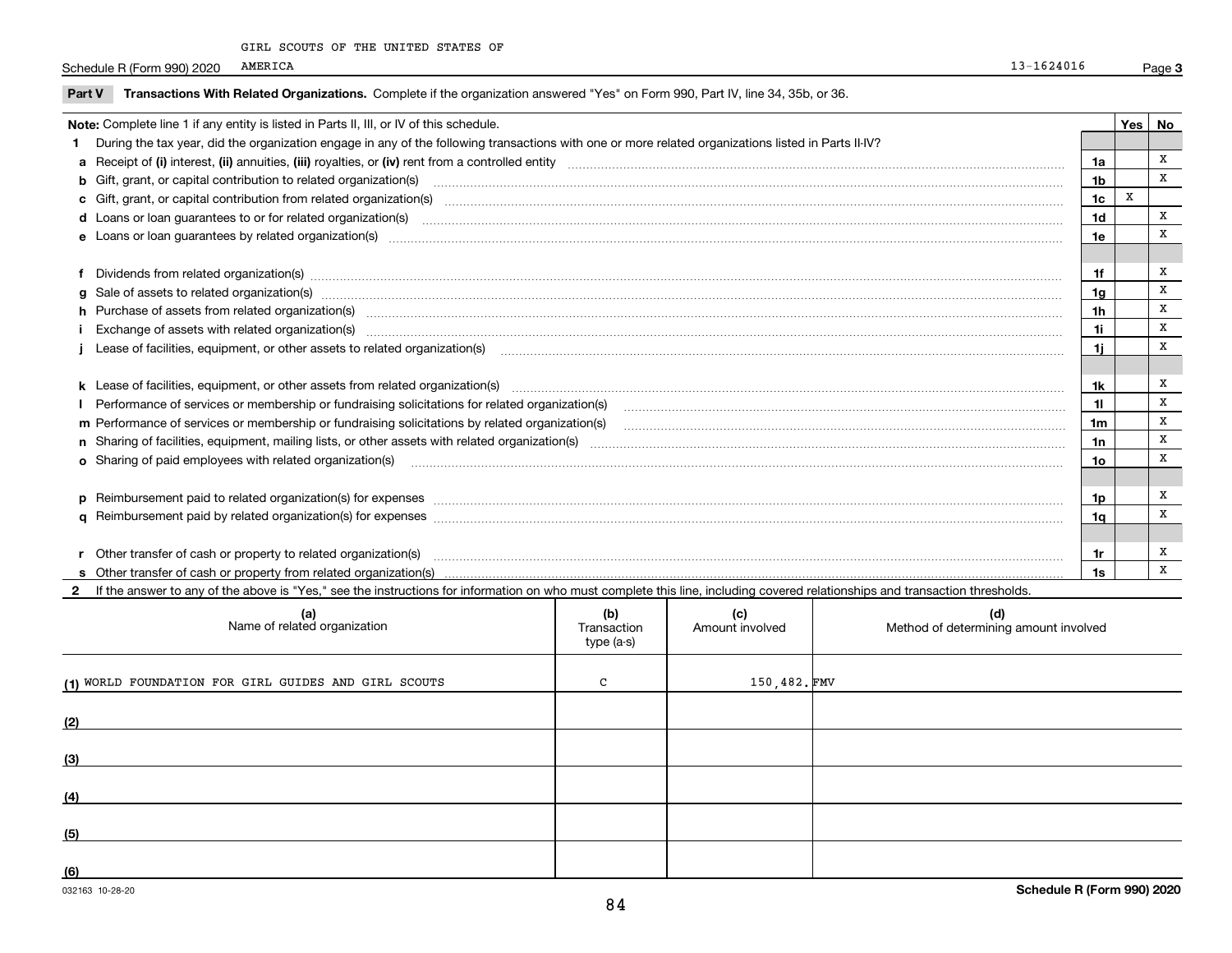|  |  | GIRL SCOUTS OF THE UNITED STATES OF |  |
|--|--|-------------------------------------|--|
|  |  |                                     |  |

Schedule R (Form 990) 2020 AMERICA 20016 Page 2016 2017 2018 2019 2017 2020 2031 2020 2020 Page 2016 2020 2020 AMERICA

**Part V** T**ransactions With Related Organizations.** Complete if the organization answered "Yes" on Form 990, Part IV, line 34, 35b, or 36.

| Note: Complete line 1 if any entity is listed in Parts II, III, or IV of this schedule. |                                                                                                                                                                                                                                |                |   |   |  |  |
|-----------------------------------------------------------------------------------------|--------------------------------------------------------------------------------------------------------------------------------------------------------------------------------------------------------------------------------|----------------|---|---|--|--|
|                                                                                         | 1 During the tax year, did the organization engage in any of the following transactions with one or more related organizations listed in Parts II-IV?                                                                          |                |   |   |  |  |
|                                                                                         |                                                                                                                                                                                                                                | 1a             |   | x |  |  |
|                                                                                         | <b>b</b> Gift, grant, or capital contribution to related organization(s)                                                                                                                                                       | 1b             |   | x |  |  |
|                                                                                         | c Gift, grant, or capital contribution from related organization(s)                                                                                                                                                            | 1 <sub>c</sub> | X |   |  |  |
|                                                                                         | <b>d</b> Loans or loan guarantees to or for related organization(s)                                                                                                                                                            | 1d             |   | x |  |  |
|                                                                                         | <b>e</b> Loans or loan quarantees by related organization(s)                                                                                                                                                                   | 1e             |   | x |  |  |
|                                                                                         |                                                                                                                                                                                                                                |                |   |   |  |  |
|                                                                                         | f Dividends from related organization(s) material contracts and contracts are contracted as a contract of the contract or contract or contract or contract or contract or contract or contract or contract or contract or cont | 1f             |   | x |  |  |
|                                                                                         | g Sale of assets to related organization(s) manufactured contains and contained a state of assets to related organization(s) manufactured contains and contains a state of assets to related organization(s) manufactured cont | 1a             |   | x |  |  |
|                                                                                         | h Purchase of assets from related organization(s) manufactured and content to the content of assets from related organization(s)                                                                                               | 1h             |   | X |  |  |
|                                                                                         | i Exchange of assets with related organization(s) macrocommunically contained and analyzing contained and analyzing contained and analyzing contained and analyzing contained and analyzing contained and analyzing contained  | 1i             |   | x |  |  |
|                                                                                         |                                                                                                                                                                                                                                | 1i.            |   | X |  |  |
|                                                                                         |                                                                                                                                                                                                                                |                |   |   |  |  |
|                                                                                         | k Lease of facilities, equipment, or other assets from related organization(s) manufaction content and content and content and content and content and content and content and content and content and content and content and | 1k             |   | x |  |  |
|                                                                                         | Performance of services or membership or fundraising solicitations for related organization(s)                                                                                                                                 | 11             |   | x |  |  |
|                                                                                         | m Performance of services or membership or fundraising solicitations by related organization(s)                                                                                                                                | 1 <sub>m</sub> |   | X |  |  |
|                                                                                         |                                                                                                                                                                                                                                | 1n             |   | X |  |  |
|                                                                                         | <b>o</b> Sharing of paid employees with related organization(s)                                                                                                                                                                | 10             |   | X |  |  |
|                                                                                         |                                                                                                                                                                                                                                |                |   |   |  |  |
|                                                                                         | p Reimbursement paid to related organization(s) for expenses [11111] [12] Research Manuscript Reimbursement paid to related organization(s) for expenses [11111] [12] Manuscript Manuscript Reimbursement paid to related orga | 1p             |   | x |  |  |
|                                                                                         |                                                                                                                                                                                                                                | 1a             |   | x |  |  |
|                                                                                         |                                                                                                                                                                                                                                |                |   |   |  |  |
|                                                                                         | r Other transfer of cash or property to related organization(s)                                                                                                                                                                |                |   | x |  |  |
|                                                                                         |                                                                                                                                                                                                                                | 1s             |   | x |  |  |

**2**If the answer to any of the above is "Yes," see the instructions for information on who must complete this line, including covered relationships and transaction thresholds.

| (a)<br>Name of related organization                  | (b)<br>Transaction<br>type (a-s) | (c)<br>Amount involved | (d)<br>Method of determining amount involved |
|------------------------------------------------------|----------------------------------|------------------------|----------------------------------------------|
| (1) WORLD FOUNDATION FOR GIRL GUIDES AND GIRL SCOUTS | C                                | 150,482.FMV            |                                              |
| (2)                                                  |                                  |                        |                                              |
| (3)                                                  |                                  |                        |                                              |
| (4)                                                  |                                  |                        |                                              |
| (5)                                                  |                                  |                        |                                              |
| (6)                                                  |                                  |                        |                                              |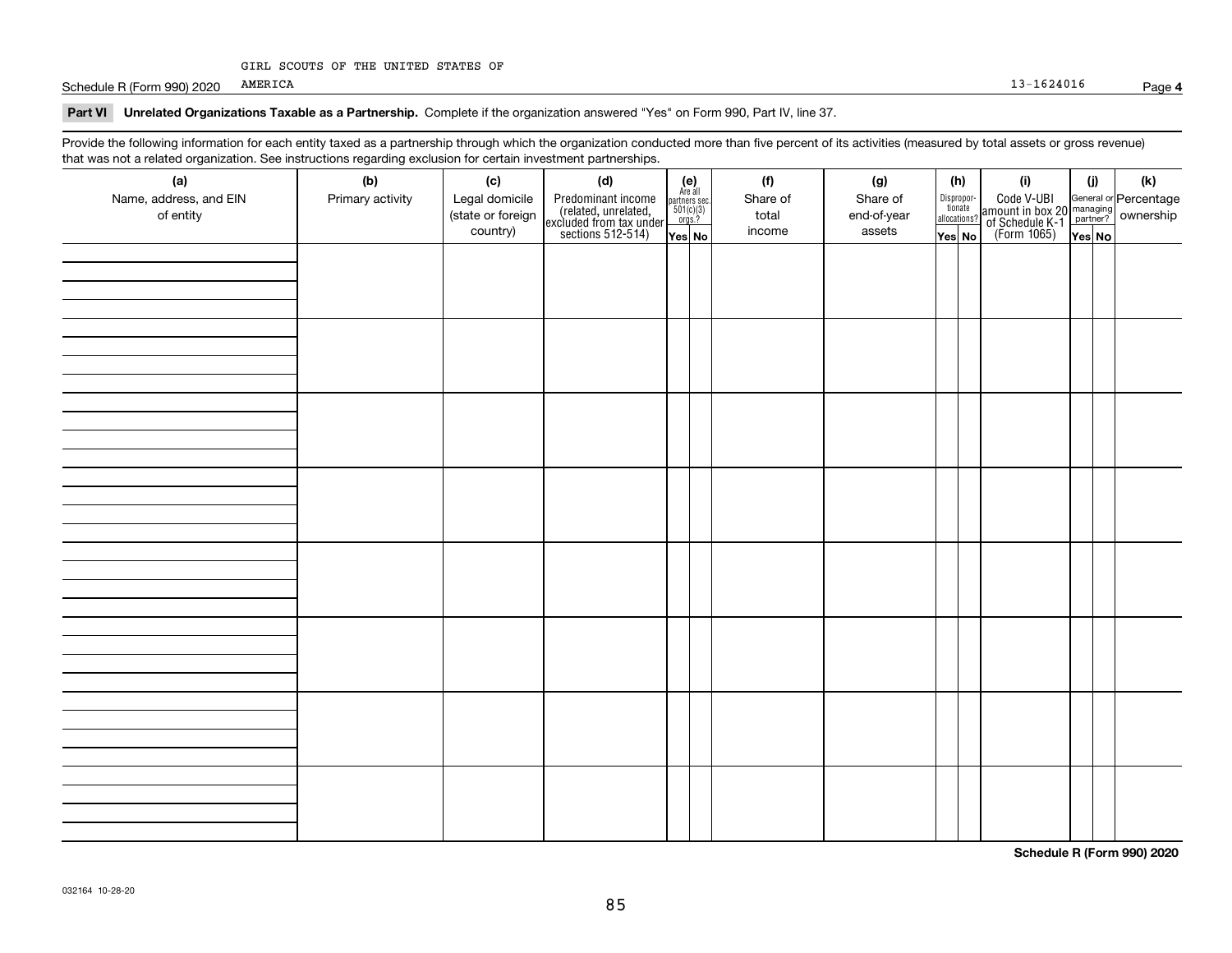## GIRL SCOUTS OF THE UNITED STATES OF

Schedule R (Form 990) 2020 AMERICA 2016 AMERICA

## **Part VI Unrelated Organizations Taxable as a Partnership. Complete if the organization answered "Yes" on Form 990, Part IV, line 37.**

Provide the following information for each entity taxed as a partnership through which the organization conducted more than five percent of its activities (measured by total assets or gross revenue) that was not a related organization. See instructions regarding exclusion for certain investment partnerships.

| (a)                                 | י יש שיש יש יש<br>(b) | (c)                                 | <br>(d)                                                                                    |                                                          |  | (f)               | (g)                     |                                  | (h)                   | (i)                                                                                          | (i)    | (k) |
|-------------------------------------|-----------------------|-------------------------------------|--------------------------------------------------------------------------------------------|----------------------------------------------------------|--|-------------------|-------------------------|----------------------------------|-----------------------|----------------------------------------------------------------------------------------------|--------|-----|
| Name, address, and EIN<br>of entity | Primary activity      | Legal domicile<br>(state or foreign | Predominant income<br>(related, unrelated,<br>excluded from tax under<br>sections 512-514) | (e)<br>Are all<br>partners sec.<br>$501(c)(3)$<br>orgs.? |  | Share of<br>total | Share of<br>end-of-year |                                  | Dispropor-<br>tionate | Code V-UBI<br>amount in box 20 managing<br>of Schedule K-1 partner?<br>(Form 1065)<br>ves No |        |     |
|                                     |                       | country)                            |                                                                                            | Yes No                                                   |  | income            | assets                  | allocations?<br>$\sqrt{Y}$ es No |                       |                                                                                              | Yes No |     |
|                                     |                       |                                     |                                                                                            |                                                          |  |                   |                         |                                  |                       |                                                                                              |        |     |
|                                     |                       |                                     |                                                                                            |                                                          |  |                   |                         |                                  |                       |                                                                                              |        |     |
|                                     |                       |                                     |                                                                                            |                                                          |  |                   |                         |                                  |                       |                                                                                              |        |     |
|                                     |                       |                                     |                                                                                            |                                                          |  |                   |                         |                                  |                       |                                                                                              |        |     |
|                                     |                       |                                     |                                                                                            |                                                          |  |                   |                         |                                  |                       |                                                                                              |        |     |
|                                     |                       |                                     |                                                                                            |                                                          |  |                   |                         |                                  |                       |                                                                                              |        |     |
|                                     |                       |                                     |                                                                                            |                                                          |  |                   |                         |                                  |                       |                                                                                              |        |     |
|                                     |                       |                                     |                                                                                            |                                                          |  |                   |                         |                                  |                       |                                                                                              |        |     |
|                                     |                       |                                     |                                                                                            |                                                          |  |                   |                         |                                  |                       |                                                                                              |        |     |
|                                     |                       |                                     |                                                                                            |                                                          |  |                   |                         |                                  |                       |                                                                                              |        |     |
|                                     |                       |                                     |                                                                                            |                                                          |  |                   |                         |                                  |                       |                                                                                              |        |     |
|                                     |                       |                                     |                                                                                            |                                                          |  |                   |                         |                                  |                       |                                                                                              |        |     |
|                                     |                       |                                     |                                                                                            |                                                          |  |                   |                         |                                  |                       |                                                                                              |        |     |
|                                     |                       |                                     |                                                                                            |                                                          |  |                   |                         |                                  |                       |                                                                                              |        |     |
|                                     |                       |                                     |                                                                                            |                                                          |  |                   |                         |                                  |                       |                                                                                              |        |     |
|                                     |                       |                                     |                                                                                            |                                                          |  |                   |                         |                                  |                       |                                                                                              |        |     |
|                                     |                       |                                     |                                                                                            |                                                          |  |                   |                         |                                  |                       |                                                                                              |        |     |
|                                     |                       |                                     |                                                                                            |                                                          |  |                   |                         |                                  |                       |                                                                                              |        |     |
|                                     |                       |                                     |                                                                                            |                                                          |  |                   |                         |                                  |                       |                                                                                              |        |     |
|                                     |                       |                                     |                                                                                            |                                                          |  |                   |                         |                                  |                       |                                                                                              |        |     |
|                                     |                       |                                     |                                                                                            |                                                          |  |                   |                         |                                  |                       |                                                                                              |        |     |
|                                     |                       |                                     |                                                                                            |                                                          |  |                   |                         |                                  |                       |                                                                                              |        |     |
|                                     |                       |                                     |                                                                                            |                                                          |  |                   |                         |                                  |                       |                                                                                              |        |     |
|                                     |                       |                                     |                                                                                            |                                                          |  |                   |                         |                                  |                       |                                                                                              |        |     |
|                                     |                       |                                     |                                                                                            |                                                          |  |                   |                         |                                  |                       |                                                                                              |        |     |
|                                     |                       |                                     |                                                                                            |                                                          |  |                   |                         |                                  |                       |                                                                                              |        |     |

**Schedule R (Form 990) 2020**